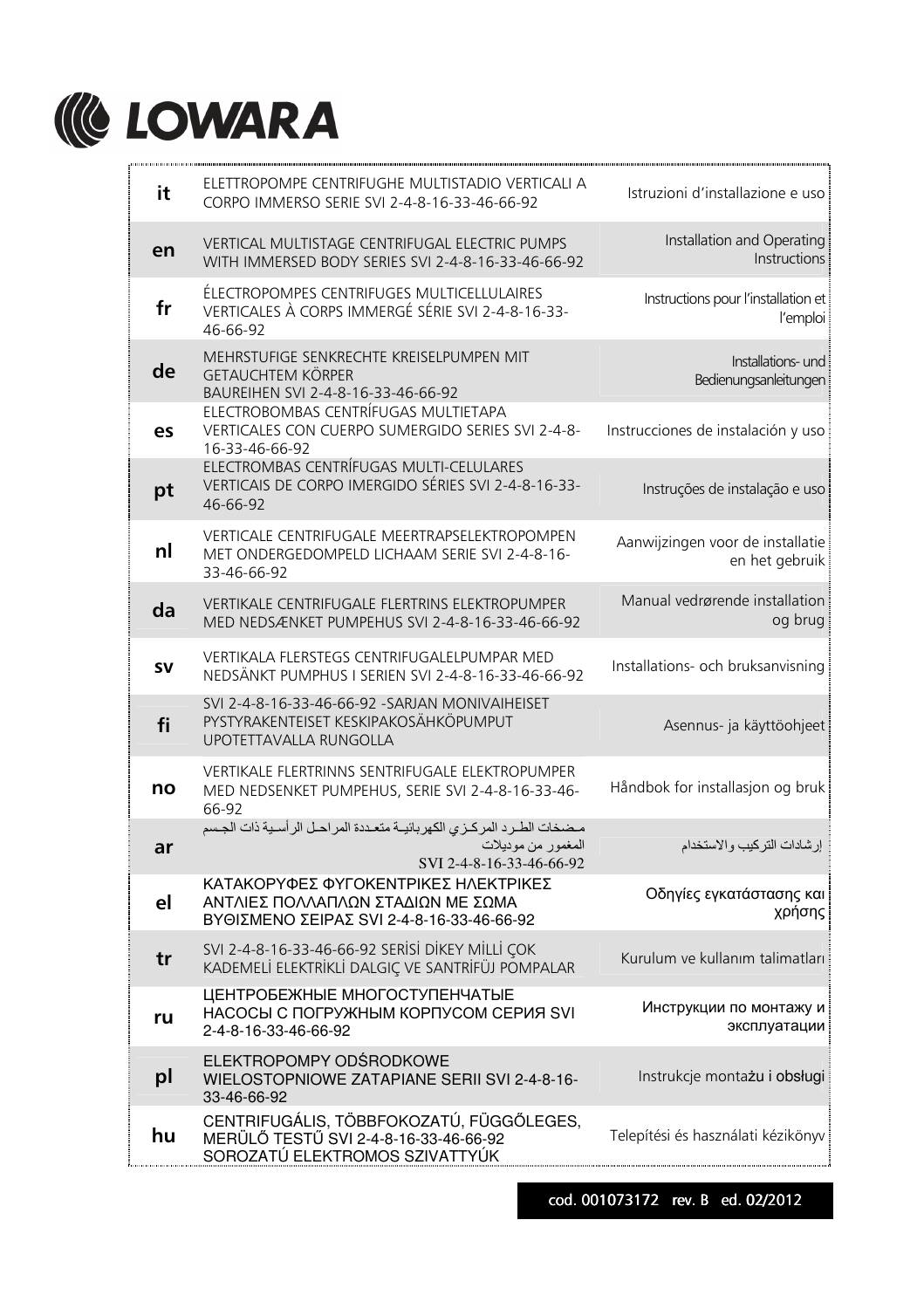

| ELETTROPOMPE CENTRIFUGHE MULTISTADIO VERTICALI A<br>it<br>Istruzioni d'installazione e uso<br>CORPO IMMERSO SERIE SVI 2-4-8-16-33-46-66-92<br>Installation and Operating<br>VERTICAL MULTISTAGE CENTRIFUGAL ELECTRIC PUMPS<br>en<br>Instructions<br>WITH IMMERSED BODY SERIES SVI 2-4-8-16-33-46-66-92<br>ÉLECTROPOMPES CENTRIFUGES MULTICELLULAIRES<br>Instructions pour l'installation et<br>fr<br>VERTICALES À CORPS IMMERGÉ SÉRIE SVI 2-4-8-16-33-<br>l'emploi<br>46-66-92<br>MEHRSTUFIGE SENKRECHTE KREISELPUMPEN MIT<br>Installations- und<br>de<br><b>GETAUCHTEM KÖRPER</b><br>Bedienungsanleitungen<br>BAUREIHEN SVI 2-4-8-16-33-46-66-92<br>ELECTROBOMBAS CENTRÍFUGAS MULTIETAPA<br>VERTICALES CON CUERPO SUMERGIDO SERIES SVI 2-4-8-<br>Instrucciones de instalación y uso<br>es<br>16-33-46-66-92<br>ELECTROMBAS CENTRÍFUGAS MULTI-CELULARES<br>VERTICAIS DE CORPO IMERGIDO SÉRIES SVI 2-4-8-16-33-<br>Instruções de instalação e uso<br>pt<br>46-66-92<br>VERTICALE CENTRIFUGALE MEERTRAPSELEKTROPOMPEN<br>Aanwijzingen voor de installatie<br>nl<br>MET ONDERGEDOMPELD LICHAAM SERIE SVI 2-4-8-16-<br>en het gebruik<br>33-46-66-92<br>Manual vedrørende installation<br>VERTIKALE CENTRIFUGALE FLERTRINS ELEKTROPUMPER<br>da<br>og brug<br>MED NEDSÆNKET PUMPEHUS SVI 2-4-8-16-33-46-66-92<br>VERTIKALA FLERSTEGS CENTRIFUGALELPUMPAR MED<br>Installations- och bruksanvisning<br><b>SV</b><br>NEDSÄNKT PUMPHUS I SERIEN SVI 2-4-8-16-33-46-66-92<br>SVI 2-4-8-16-33-46-66-92 - SARJAN MONIVAIHEISET<br>PYSTYRAKENTEISET KESKIPAKOSÄHKÖPUMPUT<br>fi<br>Asennus- ja käyttöohjeet<br>UPOTETTAVALLA RUNGOLLA<br>VERTIKALE FLERTRINNS SENTRIFUGALE ELEKTROPUMPER<br>Håndbok for installasjon og bruk<br>no<br>MED NEDSENKET PUMPEHUS, SERIE SVI 2-4-8-16-33-46-<br>66-92<br>مضخات الطرد المركزى الكهربائيــة متعـددة المراحـل الرأسـية ذات الجـسم<br>المغمور من موديلات<br>إرشادات التركيب والاستخدام<br>ar<br>SVI 2-4-8-16-33-46-66-92<br>ΚΑΤΑΚΟΡΥΦΕΣ ΦΥΓΟΚΕΝΤΡΙΚΕΣ ΗΛΕΚΤΡΙΚΕΣ<br>Οδηγίες εγκατάστασης και<br>ΑΝΤΛΙΕΣ ΠΟΛΛΑΠΛΩΝ ΣΤΑΔΙΩΝ ΜΕ ΣΩΜΑ<br>el<br>χρήσης<br>ΒΥΘΙΣΜΕΝΟ ΣΕΙΡΑΣ SVI 2-4-8-16-33-46-66-92<br>SVI 2-4-8-16-33-46-66-92 SERISI DIKEY MILLI ÇOK<br>Kurulum ve kullanım talimatları<br>tr<br>KADEMELİ ELEKTRİKLİ DALGIÇ VE SANTRİFÜJ POMPALAR<br>ЦЕНТРОБЕЖНЫЕ МНОГОСТУПЕНЧАТЫЕ<br>Инструкции по монтажу и<br>НАСОСЫ С ПОГРУЖНЫМ КОРПУСОМ СЕРИЯ SVI<br>ru<br>эксплуатации<br>2-4-8-16-33-46-66-92<br>ELEKTROPOMPY ODŚRODKOWE<br>Instrukcje montażu i obsługi<br>pl<br>WIELOSTOPNIOWE ZATAPIANE SERII SVI 2-4-8-16-<br>33-46-66-92<br>CENTRIFUGÁLIS, TÖBBFOKOZATÚ, FÜGGŐLEGES,<br>Telepítési és használati kézikönyv<br>hu<br>MERÜLŐ TESTŰ SVI 2-4-8-16-33-46-66-92<br>SOROZATÚ ELEKTROMOS SZIVATTYÚK |  |  |
|-------------------------------------------------------------------------------------------------------------------------------------------------------------------------------------------------------------------------------------------------------------------------------------------------------------------------------------------------------------------------------------------------------------------------------------------------------------------------------------------------------------------------------------------------------------------------------------------------------------------------------------------------------------------------------------------------------------------------------------------------------------------------------------------------------------------------------------------------------------------------------------------------------------------------------------------------------------------------------------------------------------------------------------------------------------------------------------------------------------------------------------------------------------------------------------------------------------------------------------------------------------------------------------------------------------------------------------------------------------------------------------------------------------------------------------------------------------------------------------------------------------------------------------------------------------------------------------------------------------------------------------------------------------------------------------------------------------------------------------------------------------------------------------------------------------------------------------------------------------------------------------------------------------------------------------------------------------------------------------------------------------------------------------------------------------------------------------------------------------------------------------------------------------------------------------------------------------------------------------------------------------------------------------------------------------------------------------------------------------------------------------------------------------------------------------------------------------------------------------------------------------------------------------------------------------------------------------------------------------------------------------------------------------------------------------------------------------------------------|--|--|
|                                                                                                                                                                                                                                                                                                                                                                                                                                                                                                                                                                                                                                                                                                                                                                                                                                                                                                                                                                                                                                                                                                                                                                                                                                                                                                                                                                                                                                                                                                                                                                                                                                                                                                                                                                                                                                                                                                                                                                                                                                                                                                                                                                                                                                                                                                                                                                                                                                                                                                                                                                                                                                                                                                                               |  |  |
|                                                                                                                                                                                                                                                                                                                                                                                                                                                                                                                                                                                                                                                                                                                                                                                                                                                                                                                                                                                                                                                                                                                                                                                                                                                                                                                                                                                                                                                                                                                                                                                                                                                                                                                                                                                                                                                                                                                                                                                                                                                                                                                                                                                                                                                                                                                                                                                                                                                                                                                                                                                                                                                                                                                               |  |  |
|                                                                                                                                                                                                                                                                                                                                                                                                                                                                                                                                                                                                                                                                                                                                                                                                                                                                                                                                                                                                                                                                                                                                                                                                                                                                                                                                                                                                                                                                                                                                                                                                                                                                                                                                                                                                                                                                                                                                                                                                                                                                                                                                                                                                                                                                                                                                                                                                                                                                                                                                                                                                                                                                                                                               |  |  |
|                                                                                                                                                                                                                                                                                                                                                                                                                                                                                                                                                                                                                                                                                                                                                                                                                                                                                                                                                                                                                                                                                                                                                                                                                                                                                                                                                                                                                                                                                                                                                                                                                                                                                                                                                                                                                                                                                                                                                                                                                                                                                                                                                                                                                                                                                                                                                                                                                                                                                                                                                                                                                                                                                                                               |  |  |
|                                                                                                                                                                                                                                                                                                                                                                                                                                                                                                                                                                                                                                                                                                                                                                                                                                                                                                                                                                                                                                                                                                                                                                                                                                                                                                                                                                                                                                                                                                                                                                                                                                                                                                                                                                                                                                                                                                                                                                                                                                                                                                                                                                                                                                                                                                                                                                                                                                                                                                                                                                                                                                                                                                                               |  |  |
|                                                                                                                                                                                                                                                                                                                                                                                                                                                                                                                                                                                                                                                                                                                                                                                                                                                                                                                                                                                                                                                                                                                                                                                                                                                                                                                                                                                                                                                                                                                                                                                                                                                                                                                                                                                                                                                                                                                                                                                                                                                                                                                                                                                                                                                                                                                                                                                                                                                                                                                                                                                                                                                                                                                               |  |  |
|                                                                                                                                                                                                                                                                                                                                                                                                                                                                                                                                                                                                                                                                                                                                                                                                                                                                                                                                                                                                                                                                                                                                                                                                                                                                                                                                                                                                                                                                                                                                                                                                                                                                                                                                                                                                                                                                                                                                                                                                                                                                                                                                                                                                                                                                                                                                                                                                                                                                                                                                                                                                                                                                                                                               |  |  |
|                                                                                                                                                                                                                                                                                                                                                                                                                                                                                                                                                                                                                                                                                                                                                                                                                                                                                                                                                                                                                                                                                                                                                                                                                                                                                                                                                                                                                                                                                                                                                                                                                                                                                                                                                                                                                                                                                                                                                                                                                                                                                                                                                                                                                                                                                                                                                                                                                                                                                                                                                                                                                                                                                                                               |  |  |
|                                                                                                                                                                                                                                                                                                                                                                                                                                                                                                                                                                                                                                                                                                                                                                                                                                                                                                                                                                                                                                                                                                                                                                                                                                                                                                                                                                                                                                                                                                                                                                                                                                                                                                                                                                                                                                                                                                                                                                                                                                                                                                                                                                                                                                                                                                                                                                                                                                                                                                                                                                                                                                                                                                                               |  |  |
|                                                                                                                                                                                                                                                                                                                                                                                                                                                                                                                                                                                                                                                                                                                                                                                                                                                                                                                                                                                                                                                                                                                                                                                                                                                                                                                                                                                                                                                                                                                                                                                                                                                                                                                                                                                                                                                                                                                                                                                                                                                                                                                                                                                                                                                                                                                                                                                                                                                                                                                                                                                                                                                                                                                               |  |  |
|                                                                                                                                                                                                                                                                                                                                                                                                                                                                                                                                                                                                                                                                                                                                                                                                                                                                                                                                                                                                                                                                                                                                                                                                                                                                                                                                                                                                                                                                                                                                                                                                                                                                                                                                                                                                                                                                                                                                                                                                                                                                                                                                                                                                                                                                                                                                                                                                                                                                                                                                                                                                                                                                                                                               |  |  |
|                                                                                                                                                                                                                                                                                                                                                                                                                                                                                                                                                                                                                                                                                                                                                                                                                                                                                                                                                                                                                                                                                                                                                                                                                                                                                                                                                                                                                                                                                                                                                                                                                                                                                                                                                                                                                                                                                                                                                                                                                                                                                                                                                                                                                                                                                                                                                                                                                                                                                                                                                                                                                                                                                                                               |  |  |
|                                                                                                                                                                                                                                                                                                                                                                                                                                                                                                                                                                                                                                                                                                                                                                                                                                                                                                                                                                                                                                                                                                                                                                                                                                                                                                                                                                                                                                                                                                                                                                                                                                                                                                                                                                                                                                                                                                                                                                                                                                                                                                                                                                                                                                                                                                                                                                                                                                                                                                                                                                                                                                                                                                                               |  |  |
|                                                                                                                                                                                                                                                                                                                                                                                                                                                                                                                                                                                                                                                                                                                                                                                                                                                                                                                                                                                                                                                                                                                                                                                                                                                                                                                                                                                                                                                                                                                                                                                                                                                                                                                                                                                                                                                                                                                                                                                                                                                                                                                                                                                                                                                                                                                                                                                                                                                                                                                                                                                                                                                                                                                               |  |  |
|                                                                                                                                                                                                                                                                                                                                                                                                                                                                                                                                                                                                                                                                                                                                                                                                                                                                                                                                                                                                                                                                                                                                                                                                                                                                                                                                                                                                                                                                                                                                                                                                                                                                                                                                                                                                                                                                                                                                                                                                                                                                                                                                                                                                                                                                                                                                                                                                                                                                                                                                                                                                                                                                                                                               |  |  |
|                                                                                                                                                                                                                                                                                                                                                                                                                                                                                                                                                                                                                                                                                                                                                                                                                                                                                                                                                                                                                                                                                                                                                                                                                                                                                                                                                                                                                                                                                                                                                                                                                                                                                                                                                                                                                                                                                                                                                                                                                                                                                                                                                                                                                                                                                                                                                                                                                                                                                                                                                                                                                                                                                                                               |  |  |
|                                                                                                                                                                                                                                                                                                                                                                                                                                                                                                                                                                                                                                                                                                                                                                                                                                                                                                                                                                                                                                                                                                                                                                                                                                                                                                                                                                                                                                                                                                                                                                                                                                                                                                                                                                                                                                                                                                                                                                                                                                                                                                                                                                                                                                                                                                                                                                                                                                                                                                                                                                                                                                                                                                                               |  |  |

cod. 001073172 rev. B ed. 02/2012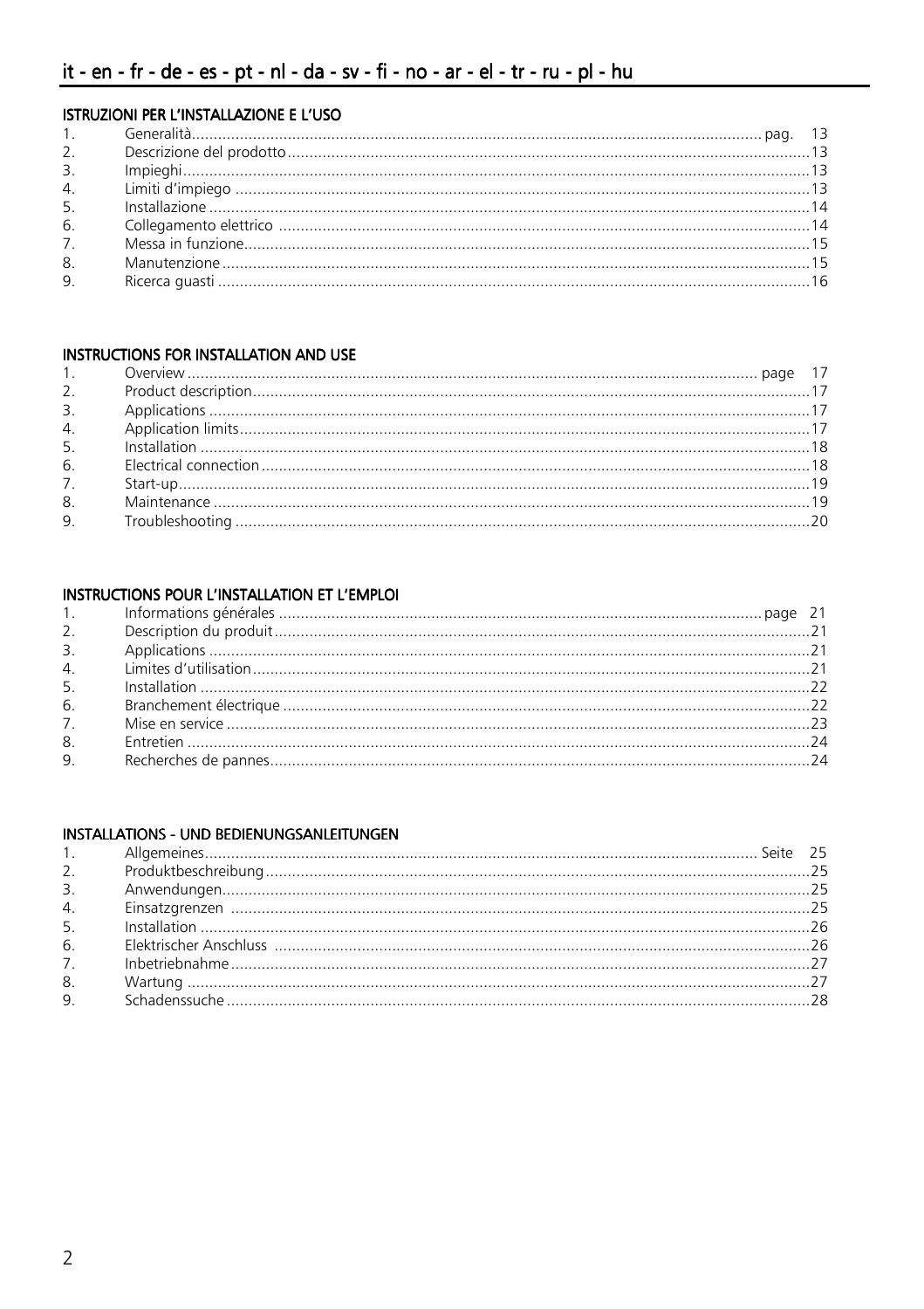### ISTRUZIONI PER L'INSTALLAZIONE E L'USO

| 3. |  |
|----|--|
|    |  |
|    |  |
|    |  |
|    |  |
|    |  |
| 9. |  |

#### **INSTRUCTIONS FOR INSTALLATION AND USE**

### INSTRUCTIONS POUR L'INSTALLATION ET L'EMPLOI

| 6. |  |
|----|--|
|    |  |
| 8. |  |
|    |  |
|    |  |

### INSTALLATIONS - UND BEDIENUNGSANLEITUNGEN

|    | 7. https://www.marchive.com/marchive.com/marchive.com/marchive.com/marchive.com/marchive.com/marchive.com/27 |  |
|----|--------------------------------------------------------------------------------------------------------------|--|
| 8. |                                                                                                              |  |
|    |                                                                                                              |  |
|    |                                                                                                              |  |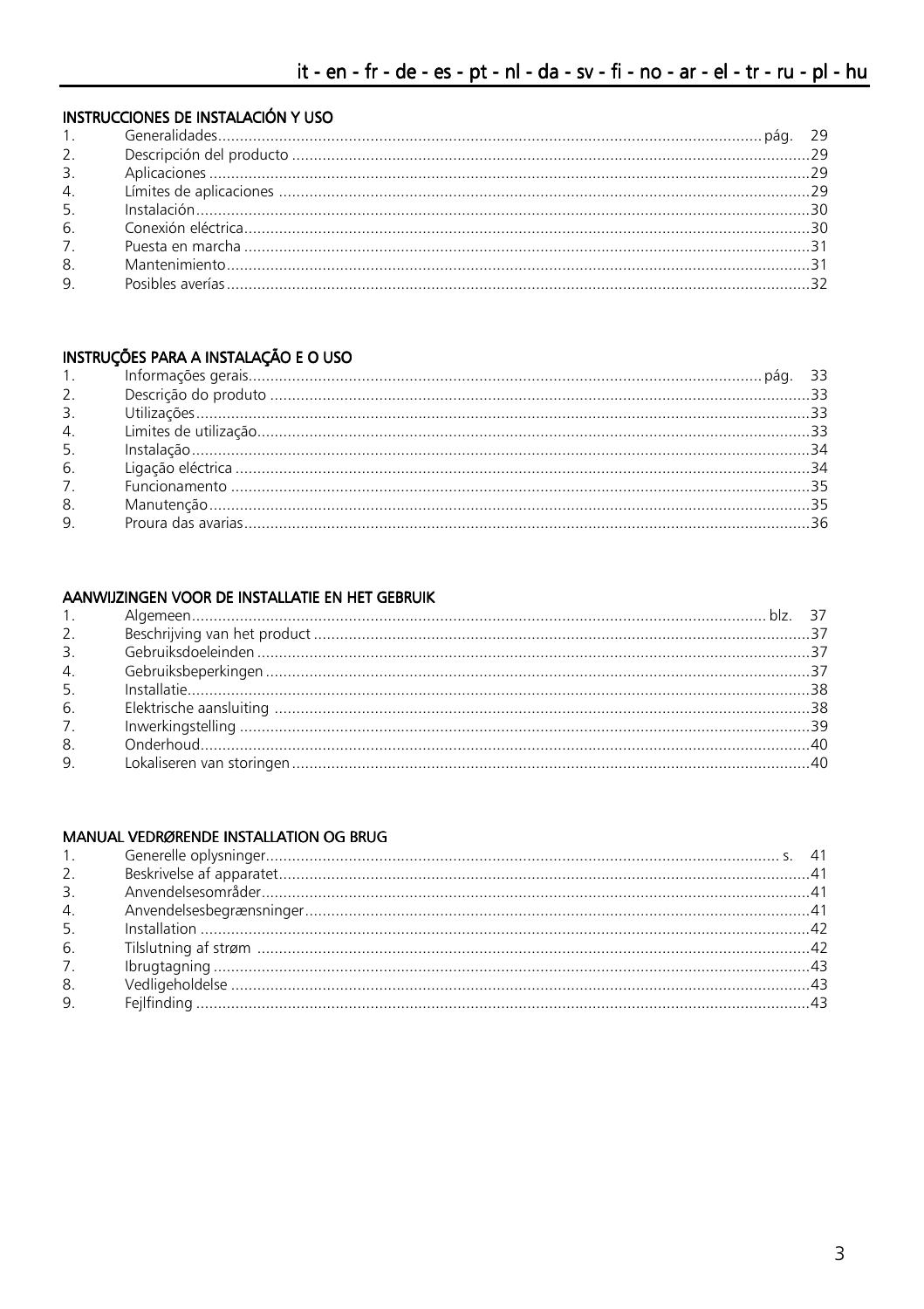# INSTRUCCIONES DE INSTALACIÓN Y USO

### INSTRUÇÕES PARA A INSTALAÇÃO E O USO

|    | $\frac{1}{2}$ , $\frac{1}{2}$ , $\frac{1}{2}$ , $\frac{1}{2}$ , $\frac{1}{2}$ , $\frac{1}{2}$ , $\frac{1}{2}$ , $\frac{1}{2}$ , $\frac{1}{2}$ , $\frac{1}{2}$ , $\frac{1}{2}$ , $\frac{1}{2}$ , $\frac{1}{2}$ , $\frac{1}{2}$ , $\frac{1}{2}$ , $\frac{1}{2}$ , $\frac{1}{2}$ , $\frac{1}{2}$ , $\frac{1}{2}$ , $\frac{1}{2}$ , |  |
|----|---------------------------------------------------------------------------------------------------------------------------------------------------------------------------------------------------------------------------------------------------------------------------------------------------------------------------------|--|
| 8. |                                                                                                                                                                                                                                                                                                                                 |  |
| 9. |                                                                                                                                                                                                                                                                                                                                 |  |
|    |                                                                                                                                                                                                                                                                                                                                 |  |

### AANWIJZINGEN VOOR DE INSTALLATIE EN HET GEBRUIK

| 2. |  |
|----|--|
|    |  |
|    |  |
|    |  |
|    |  |
| 7. |  |
|    |  |
|    |  |
|    |  |

### MANUAL VEDRØRENDE INSTALLATION OG BRUG

| 7.             |  |
|----------------|--|
|                |  |
| 9 <sub>1</sub> |  |
|                |  |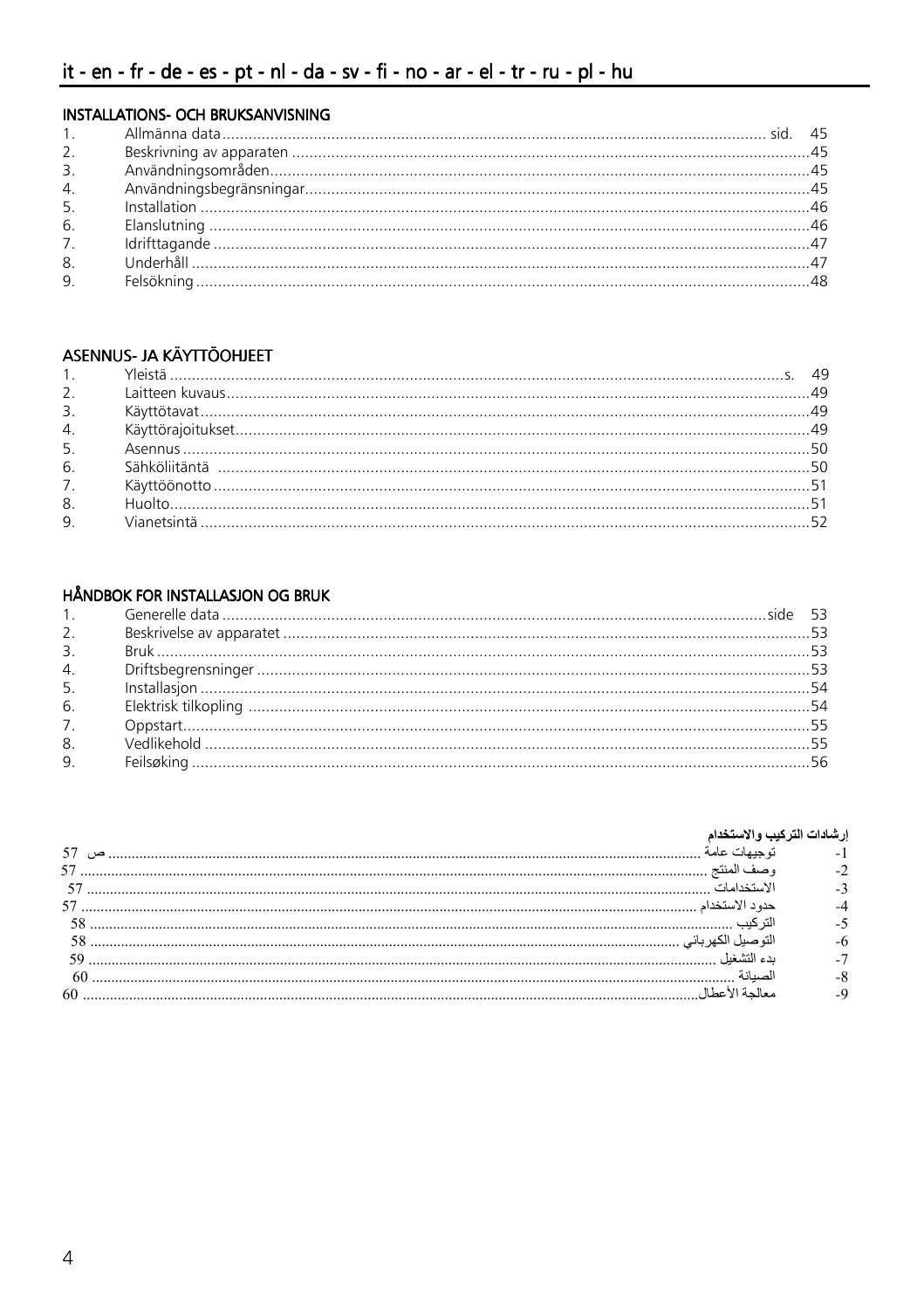### INSTALLATIONS- OCH BRUKSANVISNING

| 2.             |  |
|----------------|--|
|                |  |
|                |  |
| 5.             |  |
| 6.             |  |
| 7.             |  |
| 8.             |  |
| 9 <sub>1</sub> |  |

# ASENNUS- JA KÄYTTÖOHJEET

| 2.             |  |
|----------------|--|
| 3 <sub>1</sub> |  |
| 4.             |  |
| 5 <sub>1</sub> |  |
| 6.             |  |
| 7 <sup>1</sup> |  |
| 8.             |  |
| 9.             |  |
|                |  |

### **HÅNDBOK FOR INSTALLASJON OG BRUK**

#### إرشادات التركيب والاستخدام

| 57   |  |
|------|--|
|      |  |
| 57   |  |
|      |  |
|      |  |
| 59   |  |
| - 60 |  |
|      |  |
|      |  |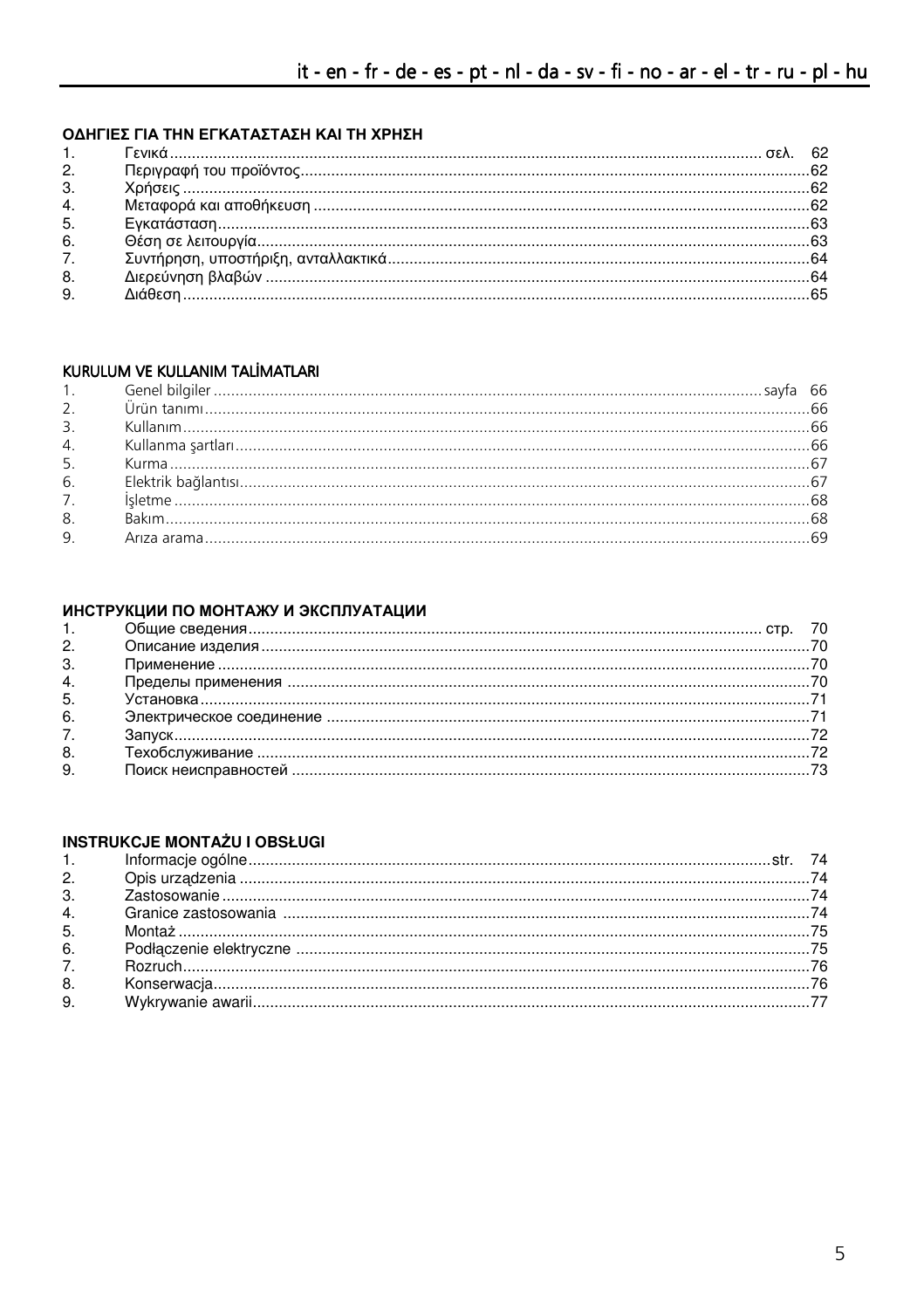### ΟΔΗΓΙΕΣ ΓΙΑ ΤΗΝ ΕΓΚΑΤΑΣΤΑΣΗ ΚΑΙ ΤΗ ΧΡΗΣΗ

| 2. |  |
|----|--|
| 3. |  |
| 4. |  |
| 5. |  |
| 6. |  |
| 7. |  |
| 8. |  |
| 9. |  |
|    |  |

### KURULUM VE KULLANIM TALİMATLARI

| 5.               |  |
|------------------|--|
| 6.               |  |
| $\overline{7}$ . |  |
| 8.               |  |
| 9 <sub>1</sub>   |  |
|                  |  |

# ИНСТРУКЦИИ ПО МОНТАЖУ И ЭКСПЛУАТАЦИИ

| 1.             |  |  |
|----------------|--|--|
| 2.             |  |  |
| 3.             |  |  |
| 4.             |  |  |
| 5.             |  |  |
| 6.             |  |  |
| 7 <sub>1</sub> |  |  |
| 8.             |  |  |
| 9.             |  |  |
|                |  |  |

### **INSTRUKCJE MONTAŻU I OBSŁUGI**

| 2.             |  |
|----------------|--|
| 3 <sub>1</sub> |  |
| 4.             |  |
| 5.             |  |
| 6.             |  |
| 7.             |  |
| 8.             |  |
| 9.             |  |
|                |  |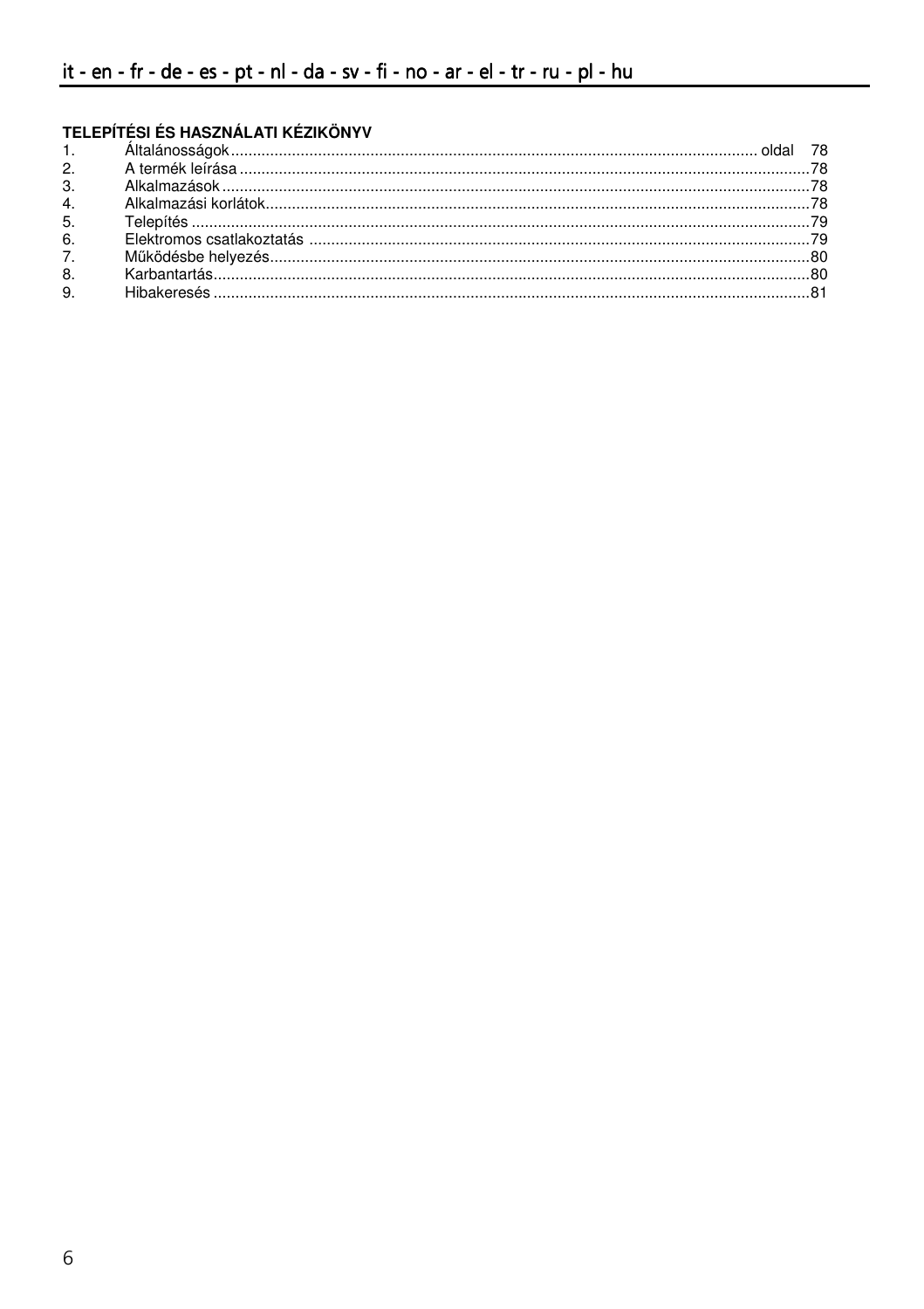# TELEPÍTÉSI ÉS HASZNÁLATI KÉZIKÖNYV

| 3 <sub>1</sub> |  |
|----------------|--|
| 4.             |  |
| 5.             |  |
| 6.             |  |
| 7 <sup>1</sup> |  |
| 8.             |  |
| 9.             |  |
|                |  |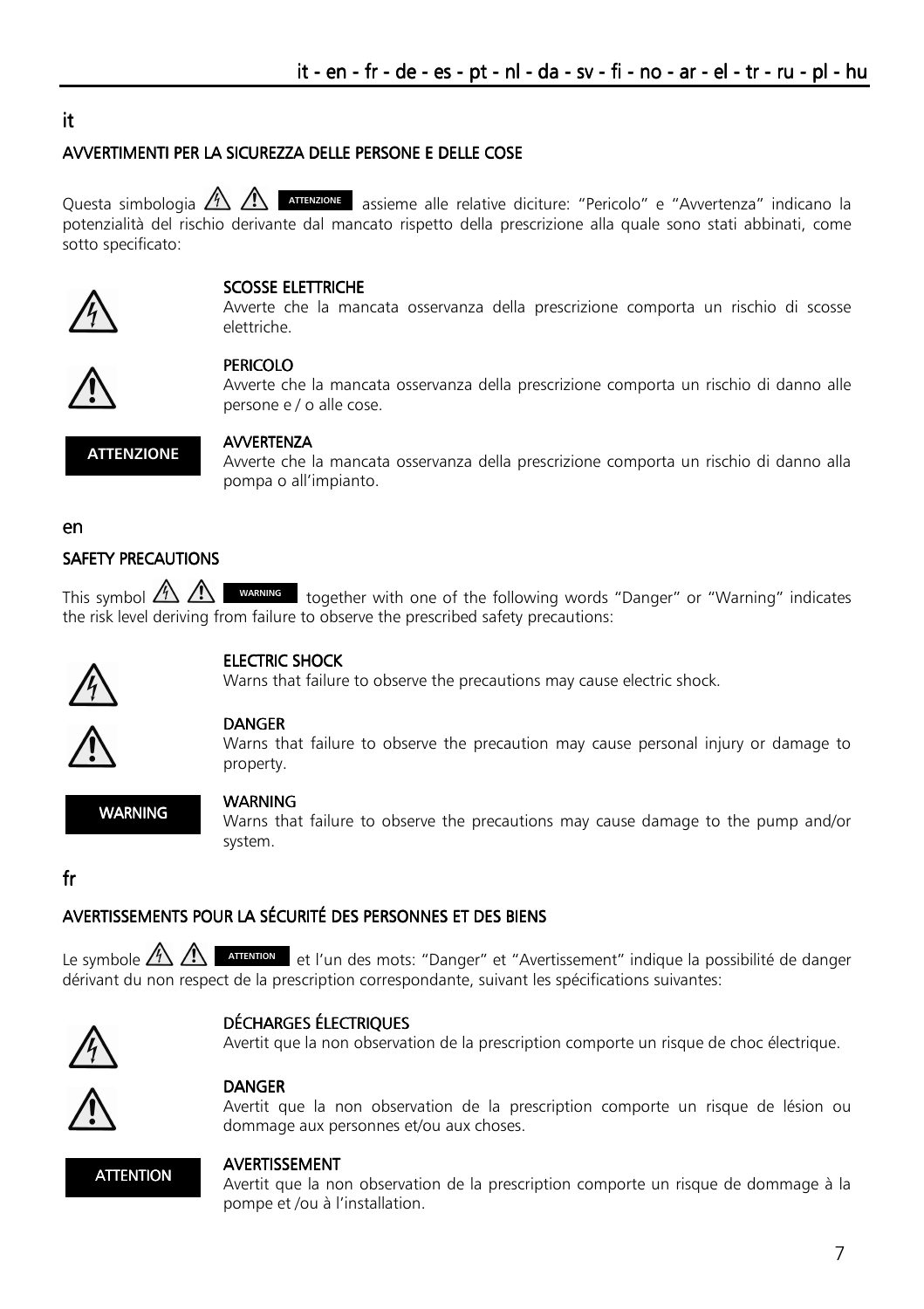# it.

#### AVVERTIMENTI PER LA SICUREZZA DELLE PERSONE E DELLE COSE

Ouesta simbologia A A ATTENZIONE assieme alle relative diciture: "Pericolo" e "Avvertenza" indicano la potenzialità del rischio derivante dal mancato rispetto della prescrizione alla quale sono stati abbinati, come sotto specificato:



#### SCOSSE ELETTRICHE

Avverte che la mancata osservanza della prescrizione comporta un rischio di scosse elettriche



### **PERICOLO**

Avverte che la mancata osservanza della prescrizione comporta un rischio di danno alle persone e / o alle cose.



#### **AVVERTENZA**

Avverte che la mancata osservanza della prescrizione comporta un rischio di danno alla pompa o all'impianto.

#### en

#### **SAFETY PRECAUTIONS**

This symbol  $\bigwedge^{\mathbb{A}}$   $\bigwedge^{\mathbb{A}}$  WARNING together with one of the following words "Danger" or "Warning" indicates the risk level deriving from failure to observe the prescribed safety precautions:



#### **FIFCTRIC SHOCK**

Warns that failure to observe the precautions may cause electric shock.



#### **DANGER**

Warns that failure to observe the precaution may cause personal injury or damage to property.

**WARNING** 

#### **WARNING**

Warns that failure to observe the precautions may cause damage to the pump and/or system.

### $f_{\mathbf{r}}$

# AVERTISSEMENTS POUR LA SÉCURITÉ DES PERSONNES ET DES BIENS

Le symbole  $\mathbb{A}\setminus\mathbb{A}$ **ATTENTION** et l'un des mots: "Danger" et "Avertissement" indique la possibilité de danger dérivant du non respect de la prescription correspondante, suivant les spécifications suivantes:



#### **DÉCHARGES ÉLECTRIQUES**

Avertit que la non observation de la prescription comporte un risque de choc électrique.

# **DANGER**

Avertit que la non observation de la prescription comporte un risque de lésion ou dommage aux personnes et/ou aux choses.



#### **AVERTISSEMENT**

Avertit que la non observation de la prescription comporte un risque de dommage à la pompe et /ou à l'installation.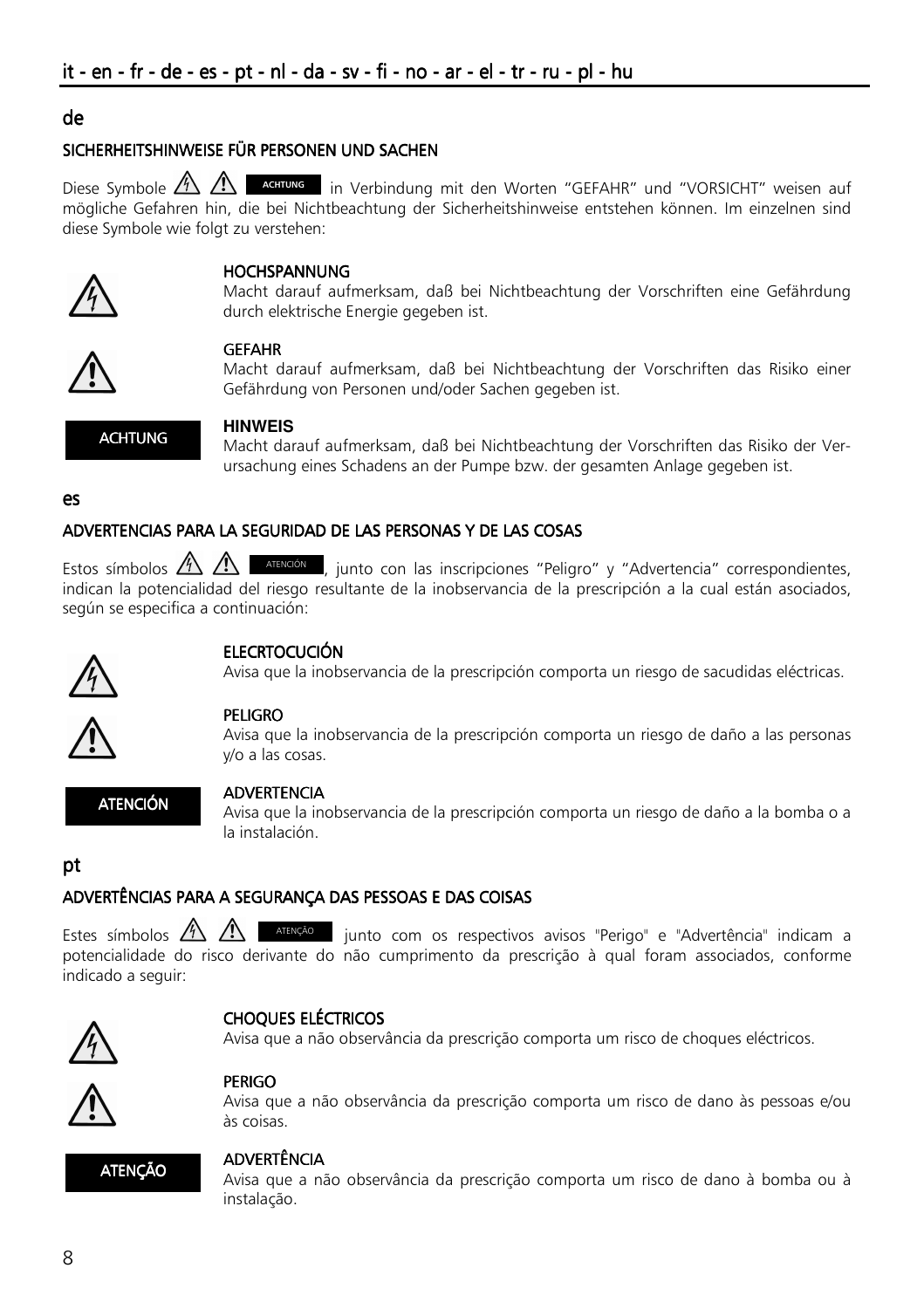### ٦ de

# SICHERHEITSHINWEISE FÜR PERSONEN UND SACHEN

Diese Symbole  $\frac{N}{2}$   $\frac{1}{2}$   $\frac{1}{2}$  additions in Verbindung mit den Worten "GEFAHR" und "VORSICHT" weisen auf mögliche Gefahren hin, die bei Nichtbeachtung der Sicherheitshinweise entstehen können. Im einzelnen sind diese Symbole wie folgt zu verstehen:



#### **HOCHSPANNUNG**

Macht darauf aufmerksam, daß bei Nichtbeachtung der Vorschriften eine Gefährdung durch elektrische Energie gegeben ist.



#### GEFAHR

Macht darauf aufmerksam, daß bei Nichtbeachtung der Vorschriften das Risiko einer Gefährdung von Personen und/oder Sachen gegeben ist.



#### **HINWEIS**

Macht darauf aufmerksam, daß bei Nichtbeachtung der Vorschriften das Risiko der Verursachung eines Schadens an der Pumpe bzw. der gesamten Anlage gegeben ist.

es

# ADVERTENCIAS PARA LA SEGURIDAD DE LAS PERSONAS Y DE LAS COSAS

Estos símbolos  $\mathbb{A}\setminus\mathbb{A}$  **ATENCIÓN**, junto con las inscripciones "Peligro" y "Advertencia" correspondientes, indican la potencialidad del riesgo resultante de la inobservancia de la prescripción a la cual están asociados, según se especifica a continuación:



### **ELECRTOCUCIÓN**

Avisa que la inobservancia de la prescripción comporta un riesgo de sacudidas eléctricas.



#### PELIGRO

Avisa que la inobservancia de la prescripción comporta un riesgo de daño a las personas y/o a las cosas.



#### ADVERTENCIA

Avisa que la inobservancia de la prescripción comporta un riesgo de daño a la bomba o a la instalación.

# pt

### ADVERTÊNCIAS PARA A SEGURANÇA DAS PESSOAS E DAS COISAS

Estes símbolos  $\sqrt{12}$   $\sqrt{12}$  atenção junto com os respectivos avisos "Perigo" e "Advertência" indicam a potencialidade do risco derivante do não cumprimento da prescrição à qual foram associados, conforme indicado a seguir:



### **CHOQUES ELÉCTRICOS**

Avisa que a não observância da prescrição comporta um risco de choques eléctricos.

### PERIGO

Avisa que a não observância da prescrição comporta um risco de dano às pessoas e/ou às coisas.



### ADVERTÊNCIA

Avisa que a não observância da prescrição comporta um risco de dano à bomba ou à instalação.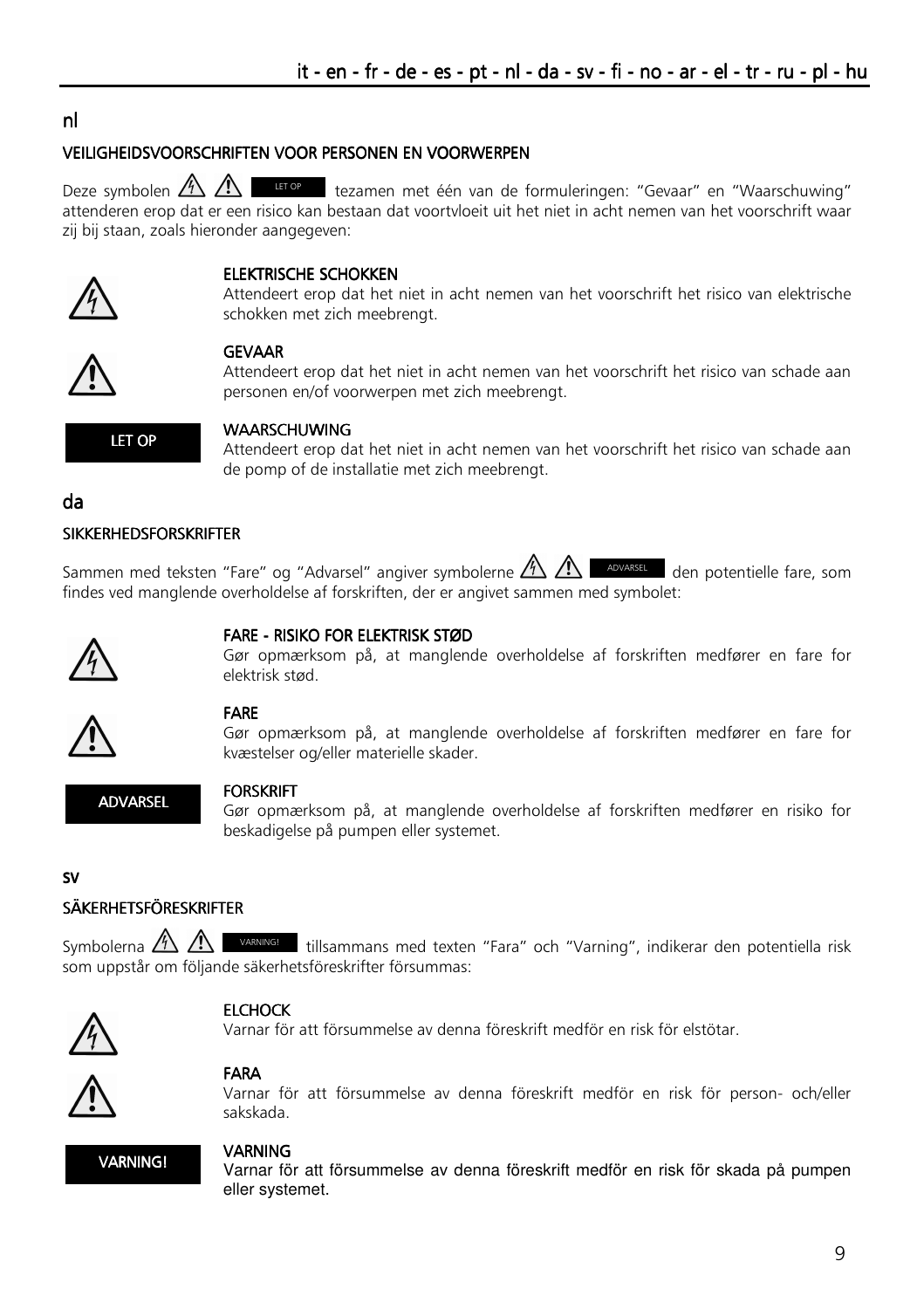# nl

#### VEILIGHEIDSVOORSCHRIFTEN VOOR PERSONEN EN VOORWERPEN

Deze symbolen  $\bigwedge^{\bullet}$   $\bigwedge^{\bullet}$   $\bigwedge^{\bullet}$  tezamen met één van de formuleringen: "Gevaar" en "Waarschuwing" attenderen erop dat er een risico kan bestaan dat voortvloeit uit het niet in acht nemen van het voorschrift waar zij bij staan, zoals hieronder aangegeven:



#### ELEKTRISCHE SCHOKKEN

Attendeert erop dat het niet in acht nemen van het voorschrift het risico van elektrische schokken met zich meebrengt.



#### GEVAAR

Attendeert erop dat het niet in acht nemen van het voorschrift het risico van schade aan personen en/of voorwerpen met zich meebrengt.



#### WAARSCHUWING

Attendeert erop dat het niet in acht nemen van het voorschrift het risico van schade aan de pomp of de installatie met zich meebrengt.

#### da

#### **SIKKERHEDSFORSKRIFTER**

Sammen med teksten "Fare" og "Advarsel" angiver symbolerne  $\mathbb{A}\mathbb{A}$   $\mathbb{A}$  advarsel den potentielle fare, som findes ved manglende overholdelse af forskriften, der er angivet sammen med symbolet:



#### FARE - RISIKO FOR ELEKTRISK STØD

Gør opmærksom på, at manglende overholdelse af forskriften medfører en fare for elektrisk stød.



#### FARE

Gør opmærksom på, at manglende overholdelse af forskriften medfører en fare for kvæstelser og/eller materielle skader.

ADVARSEL

#### FORSKRIFT

Gør opmærksom på, at manglende overholdelse af forskriften medfører en risiko for beskadigelse på pumpen eller systemet.

#### sv

# SÄKERHETSFÖRESKRIFTER

Symbolerna  $\bigtriangleup$   $\bigtriangleup$   $\blacksquare$  varying! tillsammans med texten "Fara" och "Varning", indikerar den potentiella risk som uppstår om följande säkerhetsföreskrifter försummas:



### **ELCHOCK**

Varnar för att försummelse av denna föreskrift medför en risk för elstötar.



#### FARA

Varnar för att försummelse av denna föreskrift medför en risk för person- och/eller sakskada.



#### VARNING

Varnar för att försummelse av denna föreskrift medför en risk för skada på pumpen eller systemet.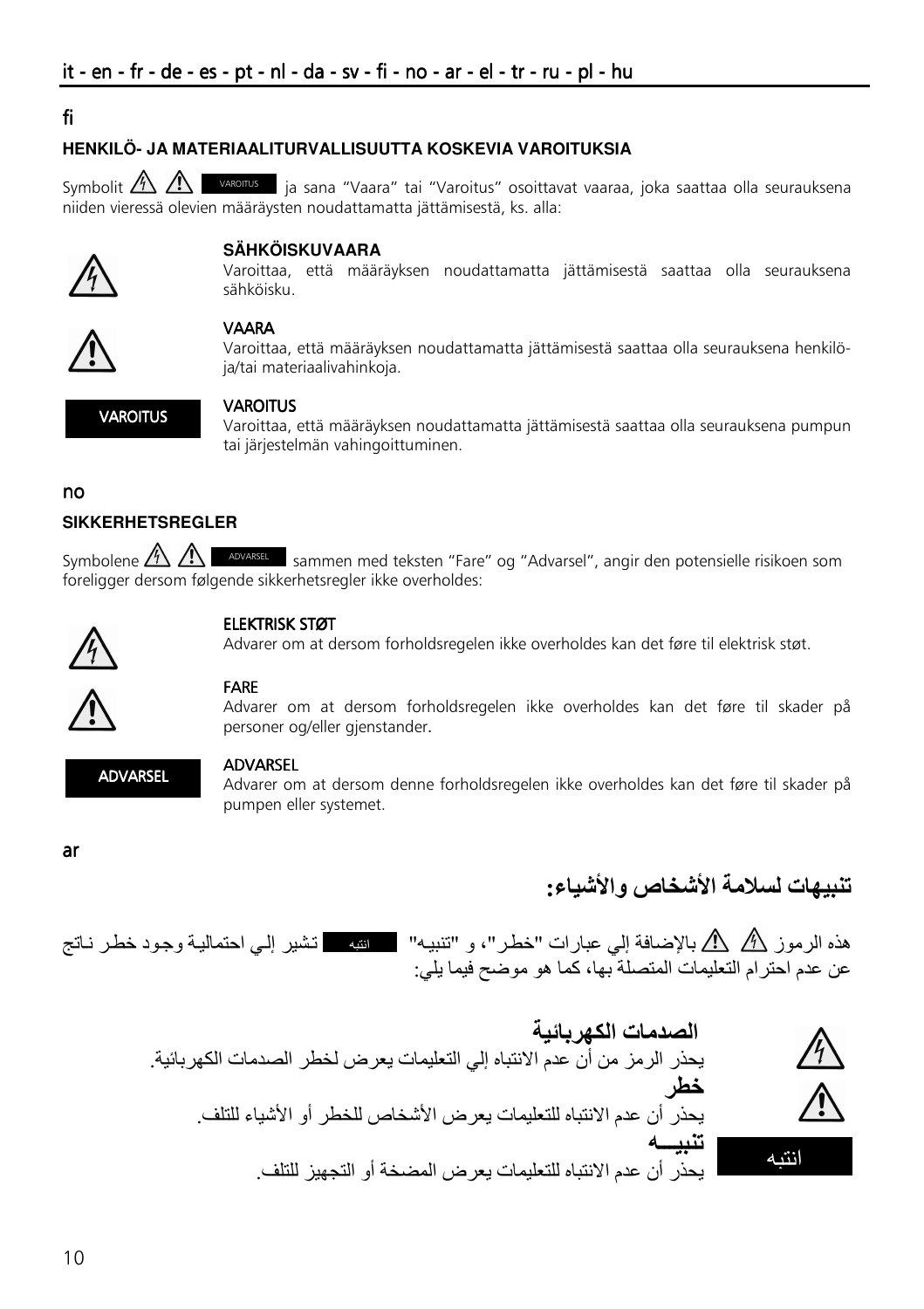# fi

### HENKII Ö- JA MATERIAAI ITURVAI I ISUUTTA KOSKEVIA VAROITUKSIA

Symbolit  $\mathbb{A}\mathbb{A}$   $\mathbb{A}$  varorrus ia sana "Vaara" tai "Varoitus" osoittavat vaaraa, joka saattaa olla seurauksena niiden vieressä olevien määräysten noudattamatta jättämisestä, ks. alla:



### **SÄHKÖISKIIVAARA**

Varoittaa, että määräyksen noudattamatta jättämisestä saattaa olla seurauksena sähköisku.



### **VAARA**

Varoittaa, että määräyksen noudattamatta jättämisestä saattaa olla seurauksena henkilöja/taj materiaalivahinkoja



#### **VAROITUS**

Varoittaa, että määräyksen noudattamatta jättämisestä saattaa olla seurauksena pumpun tai järjestelmän vahingoittuminen.

#### no

### **SIKKFRHFTSRFGI FR**

Symbolene  $\bigwedge^{\mathcal{A}}$   $\bigwedge^{\mathcal{A}}$  abvasse sammen med teksten "Fare" og "Advarsel", angir den potensielle risikoen som foreligger dersom følgende sikkerhetsregler ikke overholdes:



### **ELEKTRISK STØT**

Advarer om at dersom forholdsregelen ikke overholdes kan det føre til elektrisk støt.



#### **FARE**

Advarer om at dersom forholdsregelen ikke overholdes kan det føre til skader på personer og/eller gjenstander.



#### **ADVARSEL**

Advarer om at dersom denne forholdsregelen ikke overholdes kan det føre til skader på pumpen eller systemet.

ar

# تنبيهات لسلامة الأشخاص والأشباع:

عن عدم احترام التعليمات المتصلة بها، كما هو موضح فيما يلي:

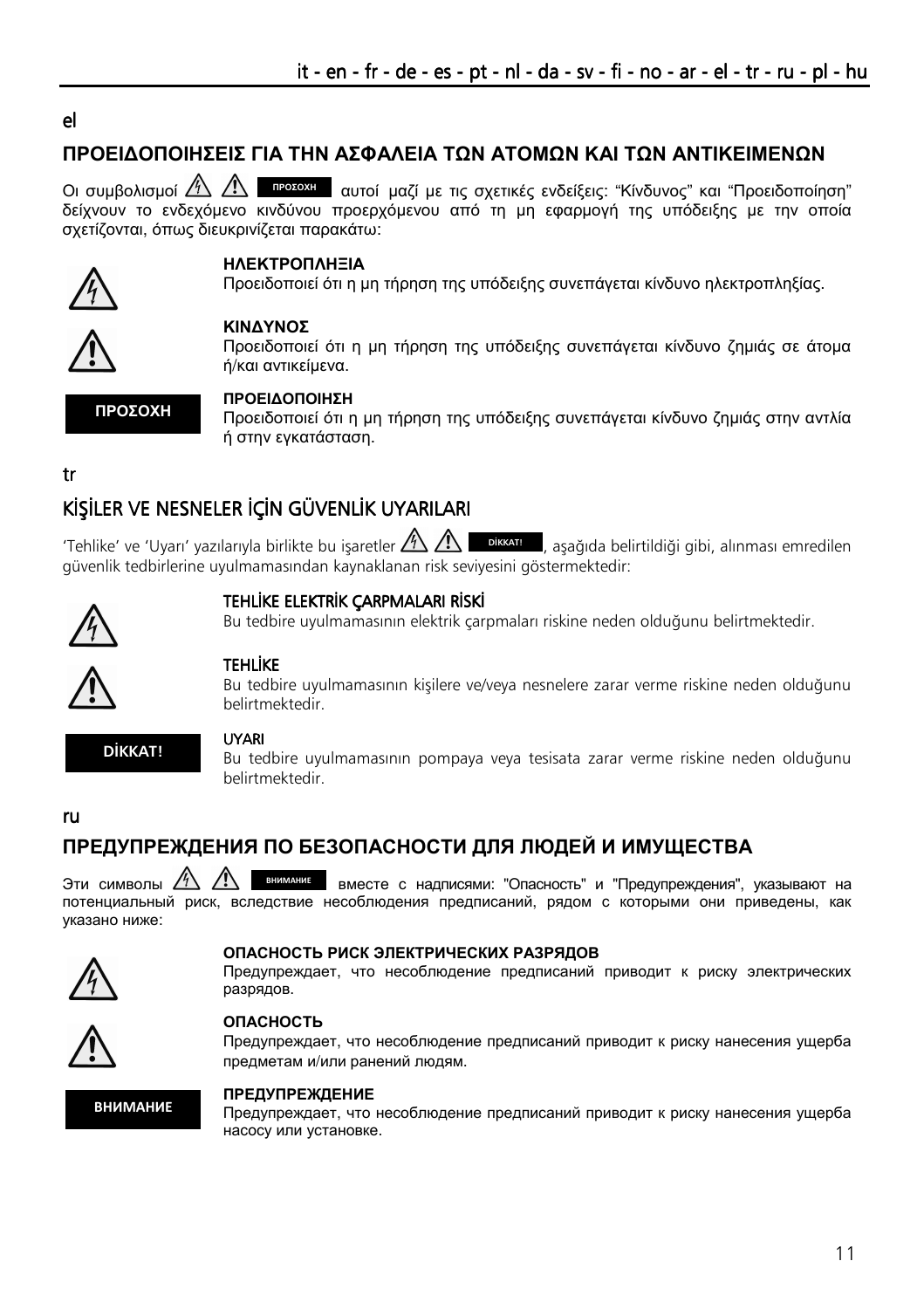# el

# ΠΡΟΕΙ∆ΟΠΟΙΗΣΕΙΣ ΓΙΑ ΤΗΝ ΑΣΦΑΛΕΙΑ ΤΩΝ ΑΤΟΜΩΝ ΚΑΙ ΤΩΝ ΑΝΤΙΚΕΙΜΕΝΩΝ

Οι συμβολισμοί ΔΔ Δ τη προτοχι τη αυτοί μαζί με τις σχετικές ενδείξεις: "Κίνδυνος" και "Προειδοποίηση" δείχνουν το ενδεχόµενο κινδύνου προερχόµενου από τη µη εφαρµογή της υπόδειξης µε την οποία σχετίζονται, όπως διευκρινίζεται παρακάτω:



#### ΗΛΕΚΤΡΟΠΛΗΞΙΑ

Προειδοποιεί ότι η µη τήρηση της υπόδειξης συνεπάγεται κίνδυνο ηλεκτροπληξίας.



### ΚΙΝ∆ΥΝΟΣ

Προειδοποιεί ότι η µη τήρηση της υπόδειξης συνεπάγεται κίνδυνο ζηµιάς σε άτοµα ή/και αντικείµενα.

ΠΡΟΣΟΧΗ

### ΠΡΟΕΙ∆ΟΠΟΙΗΣΗ

Προειδοποιεί ότι η µη τήρηση της υπόδειξης συνεπάγεται κίνδυνο ζηµιάς στην αντλία ή στην εγκατάσταση.

tr

# KİSİLER VE NESNELER İÇİN GÜVENLİK UYARILARI

'Tehlike' ve 'Uyarı' yazılarıyla birlikte bu isaretler  $\mathbb A$  A güvenlik tedbirlerine uyulmamasından kaynaklanan risk seviyesini göstermektedir: DİKKATI D, aşağıda belirtildiği gibi, alınması emredilen



### TEHLİKE ELEKTRİK ÇARPMALARI RİSKİ

Bu tedbire uyulmamasının elektrik çarpmaları riskine neden olduğunu belirtmektedir.



### TEHLİKE

Bu tedbire uyulmamasının kişilere ve/veya nesnelere zarar verme riskine neden olduğunu belirtmektedir.



#### UYARI

Bu tedbire uyulmamasının pompaya veya tesisata zarar verme riskine neden olduğunu belirtmektedir.

#### ru

# ПРЕДУПРЕЖДЕНИЯ ПО БЕЗОПАСНОСТИ ДЛЯ ЛЮДЕЙ И ИМУЩЕСТВА

Эти символы  $\frac{N}{12}$   $\frac{N}{12}$  внимник вместе с надписями: "Опасность" и "Предупреждения", указывают на потенциальный риск, вследствие несоблюдения предписаний, рядом с которыми они приведены, как указано ниже: ВНИМАНИЕ



#### ОПАСНОСТЬ РИСК ЭЛЕКТРИЧЕСКИХ РАЗРЯДОВ

Предупреждает, что несоблюдение предписаний приводит к риску электрических разрядов.



#### ОПАСНОСТЬ

Предупреждает, что несоблюдение предписаний приводит к риску нанесения ущерба предметам и/или ранений людям.



#### ПРЕДУПРЕЖДЕНИЕ

Предупреждает, что несоблюдение предписаний приводит к риску нанесения ущерба насосу или установке.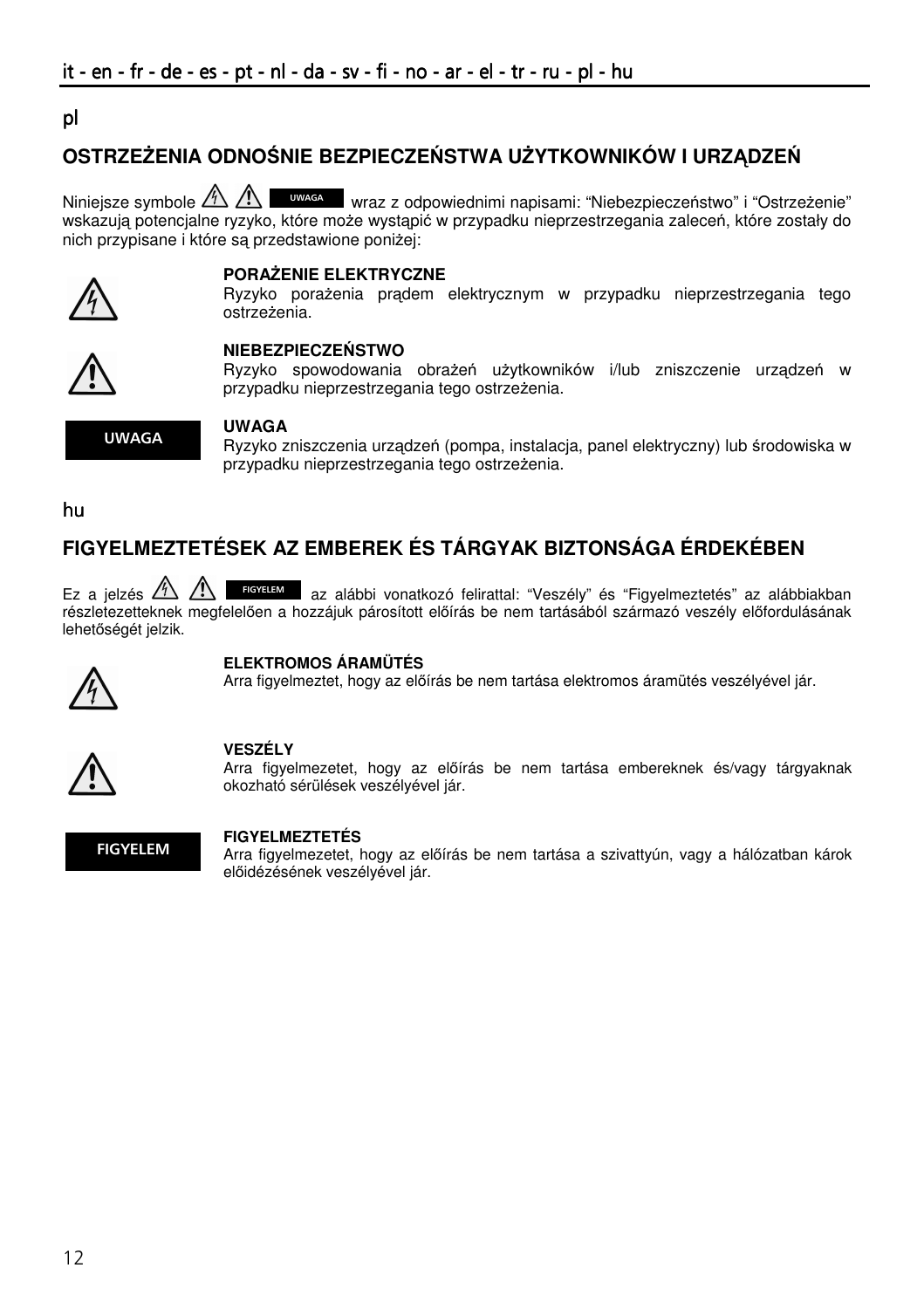# ٦ pl

# **OSTRZE**Ż**ENIA ODNO**Ś**NIE BEZPIECZE**Ń**STWA U**Ż**YTKOWNIKÓW I URZ**Ą**DZE**Ń

Niniejsze symbole  $\triangle\triangle\triangle$  www.set wraz z odpowiednimi napisami: "Niebezpieczeństwo" i "Ostrzeżenie" wskazują potencjalne ryzyko, które może wystąpić w przypadku nieprzestrzegania zaleceń, które zostały do nich przypisane i które są przedstawione poniżej:



#### **PORA**Ż**ENIE ELEKTRYCZNE**

Ryzyko porażenia prądem elektrycznym w przypadku nieprzestrzegania tego ostrzeżenia.



### **NIEBEZPIECZE**Ń**STWO**

Ryzyko spowodowania obrażeń użytkowników i/lub zniszczenie urządzeń w przypadku nieprzestrzegania tego ostrzeżenia.



#### **UWAGA**

Ryzyko zniszczenia urządzeń (pompa, instalacja, panel elektryczny) lub środowiska w przypadku nieprzestrzegania tego ostrzeżenia.

hu

# **FIGYELMEZTETÉSEK AZ EMBEREK ÉS TÁRGYAK BIZTONSÁGA ÉRDEKÉBEN**

Ez a jelzés  $\triangle\triangle$  **Royatam** az alábbi vonatkozó felirattal: "Veszély" és "Figyelmeztetés" az alábbiakban részletezetteknek megfelelően a hozzájuk párosított előírás be nem tartásából származó veszély előfordulásának lehetőségét jelzik.



#### **ELEKTROMOS ÁRAMÜTÉS**

Arra figyelmeztet, hogy az előírás be nem tartása elektromos áramütés veszélyével jár.



#### **VESZÉLY**

Arra figyelmezetet, hogy az előírás be nem tartása embereknek és/vagy tárgyaknak okozható sérülések veszélyével jár.



#### **FIGYELMEZTETÉS**

Arra figyelmezetet, hogy az előírás be nem tartása a szivattyún, vagy a hálózatban károk előidézésének veszélyével jár.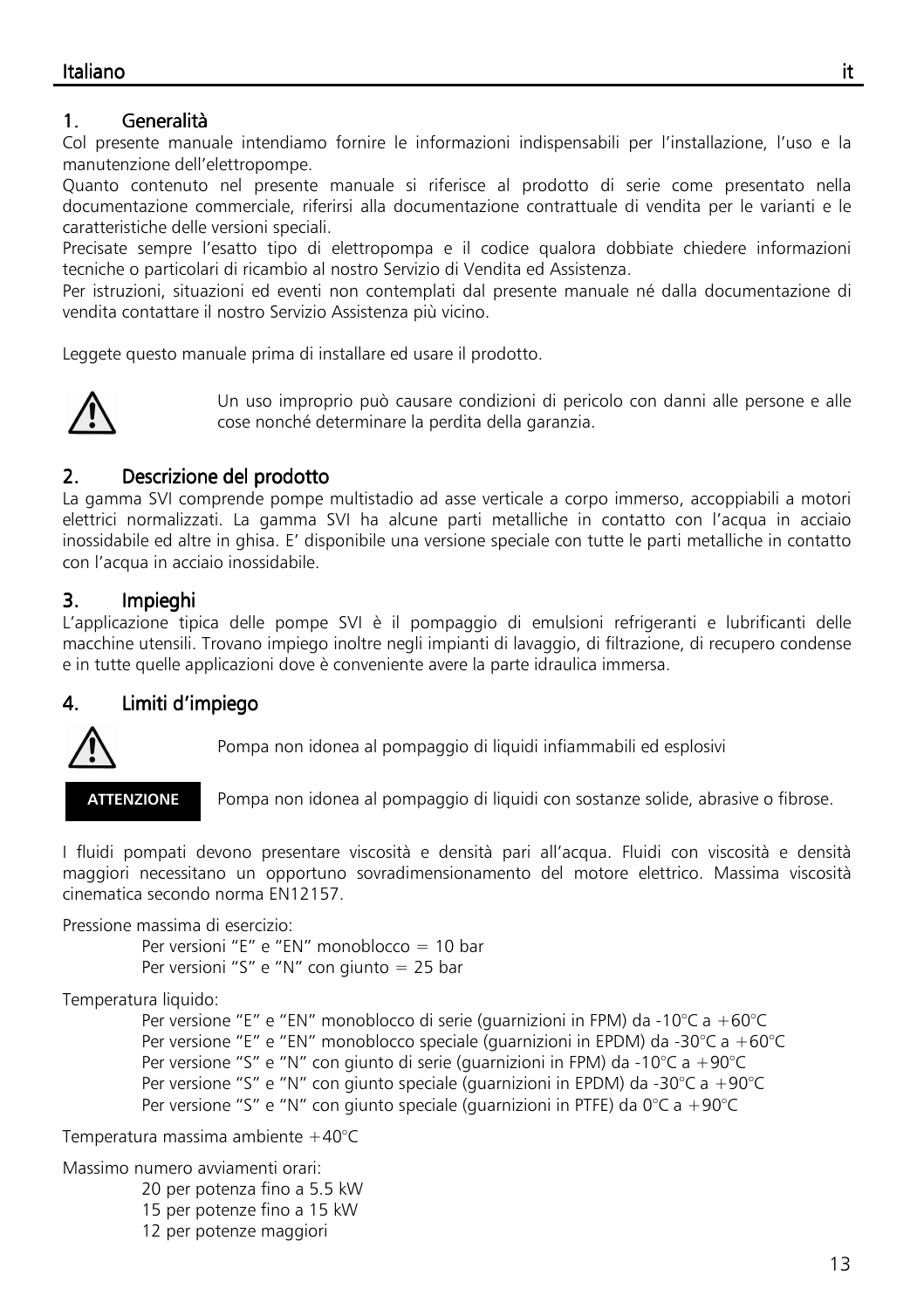# 1. Generalità Generalità Generalità

Col presente manuale intendiamo fornire le informazioni indispensabili per l'installazione, l'uso e la manutenzione dell'elettropompe.

Quanto contenuto nel presente manuale si riferisce al prodotto di serie come presentato nella documentazione commerciale, riferirsi alla documentazione contrattuale di vendita per le varianti e le caratteristiche delle versioni speciali.

Precisate sempre l'esatto tipo di elettropompa e il codice qualora dobbiate chiedere informazioni tecniche o particolari di ricambio al nostro Servizio di Vendita ed Assistenza.

Per istruzioni, situazioni ed eventi non contemplati dal presente manuale né dalla documentazione di vendita contattare il nostro Servizio Assistenza più vicino.

Leggete questo manuale prima di installare ed usare il prodotto.



Un uso improprio può causare condizioni di pericolo con danni alle persone e alle cose nonché determinare la perdita della garanzia.

# 2. Descrizione del prodotto

La gamma SVI comprende pompe multistadio ad asse verticale a corpo immerso, accoppiabili a motori elettrici normalizzati. La gamma SVI ha alcune parti metalliche in contatto con l'acqua in acciaio inossidabile ed altre in ghisa. E' disponibile una versione speciale con tutte le parti metalliche in contatto con l'acqua in acciaio inossidabile.

# 3. Impieghi

L'applicazione tipica delle pompe SVI è il pompaggio di emulsioni refrigeranti e lubrificanti delle macchine utensili. Trovano impiego inoltre negli impianti di lavaggio, di filtrazione, di recupero condense e in tutte quelle applicazioni dove è conveniente avere la parte idraulica immersa.

# 4. Limiti d'impiego Limiti d'impiego Limiti d'impiego



Pompa non idonea al pompaggio di liquidi infiammabili ed esplosivi

ATTENZIONE

Pompa non idonea al pompaggio di liquidi con sostanze solide, abrasive o fibrose.

I fluidi pompati devono presentare viscosità e densità pari all'acqua. Fluidi con viscosità e densità maggiori necessitano un opportuno sovradimensionamento del motore elettrico. Massima viscosità cinematica secondo norma EN12157.

Pressione massima di esercizio:

 Per versioni "E" e "EN" monoblocco = 10 bar Per versioni "S" e "N" con giunto = 25 bar

Temperatura liquido:

 Per versione "E" e "EN" monoblocco di serie (guarnizioni in FPM) da -10°C a +60°C Per versione "E" e "EN" monoblocco speciale (guarnizioni in EPDM) da -30°C a +60°C Per versione "S" e "N" con giunto di serie (guarnizioni in FPM) da -10°C a +90°C Per versione "S" e "N" con giunto speciale (guarnizioni in EPDM) da -30°C a +90°C Per versione "S" e "N" con giunto speciale (guarnizioni in PTFE) da 0°C a +90°C

Temperatura massima ambiente +40°C

Massimo numero avviamenti orari:

20 per potenza fino a 5.5 kW

15 per potenze fino a 15 kW

12 per potenze maggiori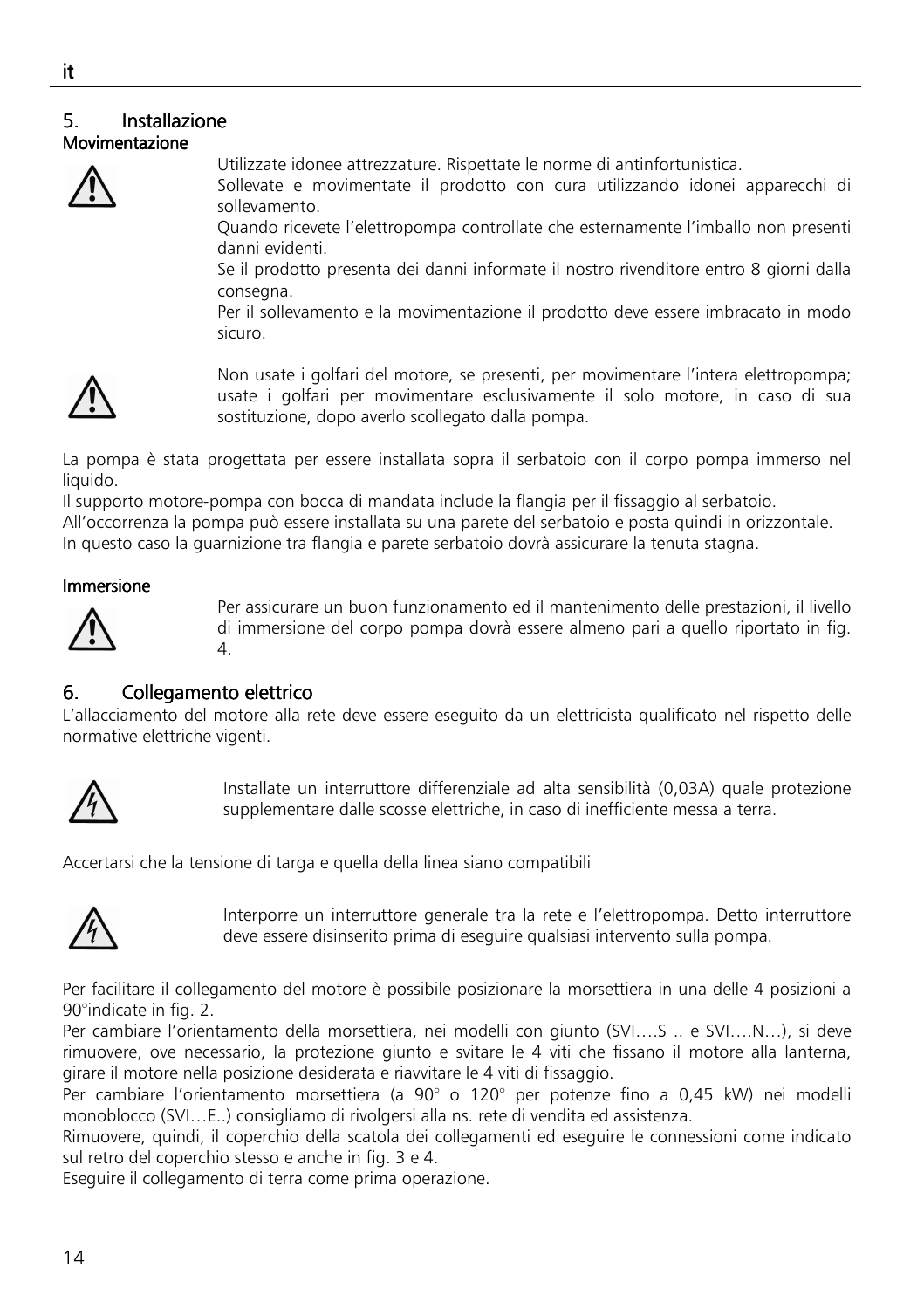### 5. Installazione Movimentazione



Utilizzate idonee attrezzature. Rispettate le norme di antinfortunistica.

Sollevate e movimentate il prodotto con cura utilizzando idonei apparecchi di sollevamento.

Quando ricevete l'elettropompa controllate che esternamente l'imballo non presenti danni evidenti.

Se il prodotto presenta dei danni informate il nostro rivenditore entro 8 giorni dalla consegna.

Per il sollevamento e la movimentazione il prodotto deve essere imbracato in modo sicuro.



Non usate i golfari del motore, se presenti, per movimentare l'intera elettropompa; usate i golfari per movimentare esclusivamente il solo motore, in caso di sua sostituzione, dopo averlo scollegato dalla pompa.

La pompa è stata progettata per essere installata sopra il serbatoio con il corpo pompa immerso nel liquido.

Il supporto motore-pompa con bocca di mandata include la flangia per il fissaggio al serbatoio. All'occorrenza la pompa può essere installata su una parete del serbatoio e posta quindi in orizzontale. In questo caso la guarnizione tra flangia e parete serbatoio dovrà assicurare la tenuta stagna.

### Immersione



Per assicurare un buon funzionamento ed il mantenimento delle prestazioni, il livello di immersione del corpo pompa dovrà essere almeno pari a quello riportato in fig. 4.

# 6. Collegamento elettrico

L'allacciamento del motore alla rete deve essere eseguito da un elettricista qualificato nel rispetto delle normative elettriche vigenti.



Installate un interruttore differenziale ad alta sensibilità (0,03A) quale protezione supplementare dalle scosse elettriche, in caso di inefficiente messa a terra.

Accertarsi che la tensione di targa e quella della linea siano compatibili



Interporre un interruttore generale tra la rete e l'elettropompa. Detto interruttore deve essere disinserito prima di eseguire qualsiasi intervento sulla pompa.

Per facilitare il collegamento del motore è possibile posizionare la morsettiera in una delle 4 posizioni a 90°indicate in fig. 2.

Per cambiare l'orientamento della morsettiera, nei modelli con giunto (SVI….S .. e SVI….N…), si deve rimuovere, ove necessario, la protezione giunto e svitare le 4 viti che fissano il motore alla lanterna, girare il motore nella posizione desiderata e riavvitare le 4 viti di fissaggio.

Per cambiare l'orientamento morsettiera (a 90° o 120° per potenze fino a 0,45 kW) nei modelli monoblocco (SVI…E..) consigliamo di rivolgersi alla ns. rete di vendita ed assistenza.

Rimuovere, quindi, il coperchio della scatola dei collegamenti ed eseguire le connessioni come indicato sul retro del coperchio stesso e anche in fig. 3 e 4.

Eseguire il collegamento di terra come prima operazione.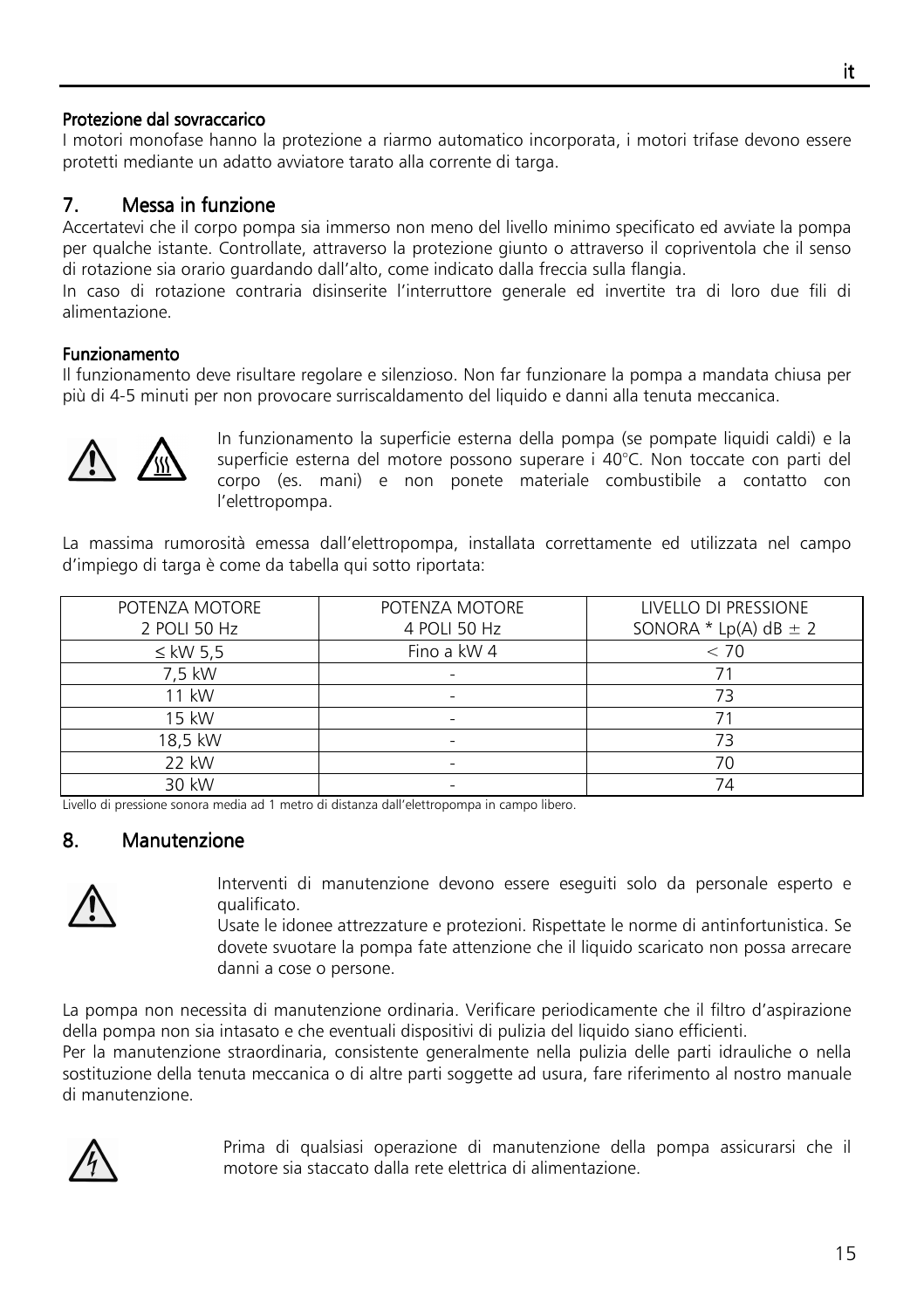### Protezione dal sovraccarico

I motori monofase hanno la protezione a riarmo automatico incorporata, i motori trifase devono essere protetti mediante un adatto avviatore tarato alla corrente di targa.

# 7. Messa in funzione

Accertatevi che il corpo pompa sia immerso non meno del livello minimo specificato ed avviate la pompa per qualche istante. Controllate, attraverso la protezione giunto o attraverso il copriventola che il senso di rotazione sia orario guardando dall'alto, come indicato dalla freccia sulla flangia.

In caso di rotazione contraria disinserite l'interruttore generale ed invertite tra di loro due fili di alimentazione.

### **Funzionamento**

Il funzionamento deve risultare regolare e silenzioso. Non far funzionare la pompa a mandata chiusa per più di 4-5 minuti per non provocare surriscaldamento del liquido e danni alla tenuta meccanica.



In funzionamento la superficie esterna della pompa (se pompate liquidi caldi) e la superficie esterna del motore possono superare i 40°C. Non toccate con parti del corpo (es. mani) e non ponete materiale combustibile a contatto con l'elettropompa.

La massima rumorosità emessa dall'elettropompa, installata correttamente ed utilizzata nel campo d'impiego di targa è come da tabella qui sotto riportata:

| POTENZA MOTORE | POTENZA MOTORE | LIVELLO DI PRESSIONE        |
|----------------|----------------|-----------------------------|
| 2 POLI 50 Hz   | 4 POLI 50 Hz   | SONORA * $Lp(A)$ dB $\pm$ 2 |
| $\leq$ kW 5.5  | Fino a kW 4    | < 70                        |
| 7.5 kW         |                |                             |
| 11 kW          |                | 73                          |
| 15 kW          | ۰              |                             |
| 18,5 kW        |                | 73                          |
| 22 kW          |                | 70                          |
| 30 kW          |                | 74                          |

Livello di pressione sonora media ad 1 metro di distanza dall'elettropompa in campo libero.

# 8. Manutenzione



Interventi di manutenzione devono essere eseguiti solo da personale esperto e qualificato.

Usate le idonee attrezzature e protezioni. Rispettate le norme di antinfortunistica. Se dovete svuotare la pompa fate attenzione che il liquido scaricato non possa arrecare danni a cose o persone.

La pompa non necessita di manutenzione ordinaria. Verificare periodicamente che il filtro d'aspirazione della pompa non sia intasato e che eventuali dispositivi di pulizia del liquido siano efficienti.

Per la manutenzione straordinaria, consistente generalmente nella pulizia delle parti idrauliche o nella sostituzione della tenuta meccanica o di altre parti soggette ad usura, fare riferimento al nostro manuale di manutenzione.



Prima di qualsiasi operazione di manutenzione della pompa assicurarsi che il motore sia staccato dalla rete elettrica di alimentazione.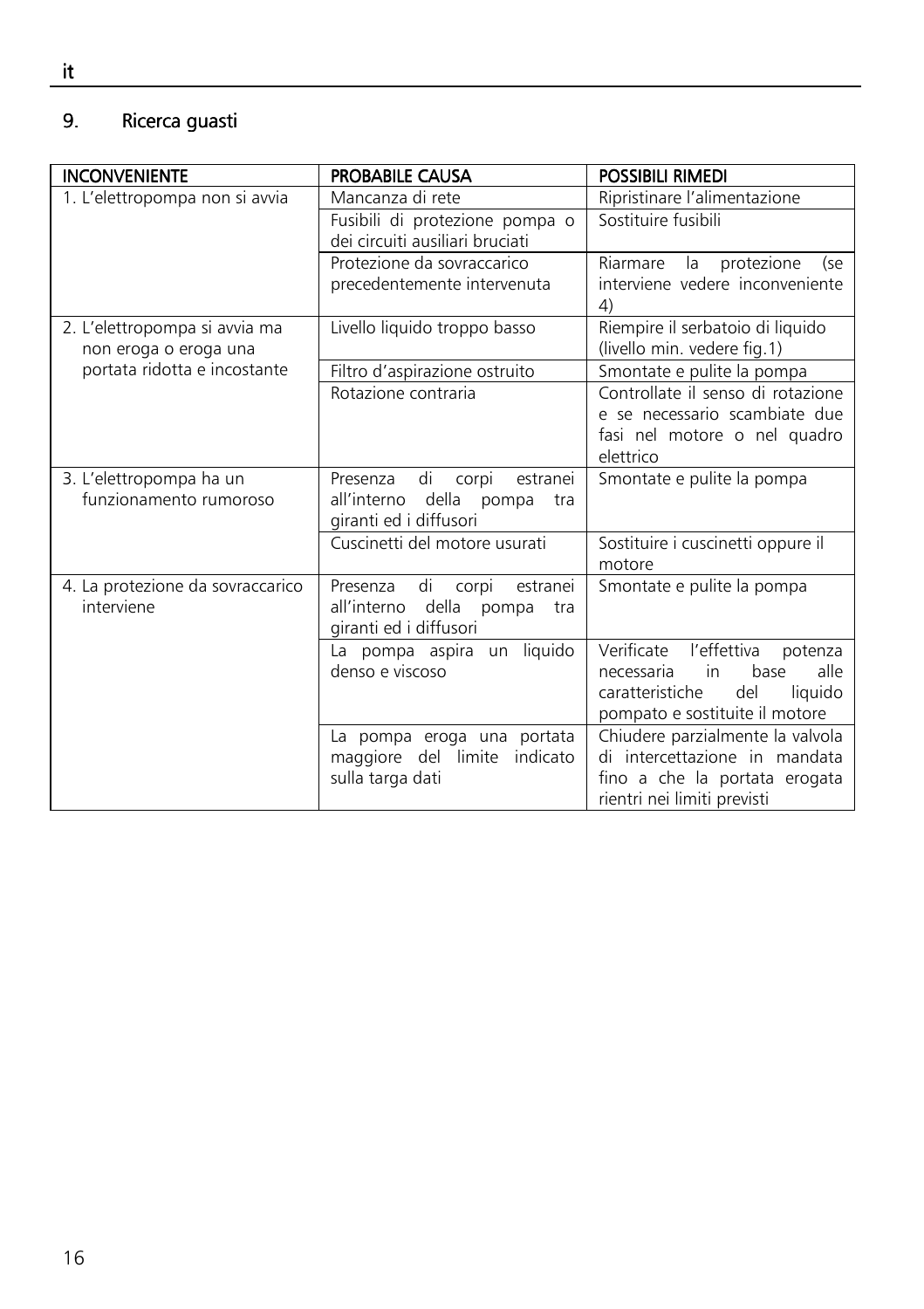# 9. Ricerca guasti

| <b>INCONVENIENTE</b>                                   | <b>PROBABILE CAUSA</b>                                                                                | <b>POSSIBILI RIMEDI</b>                                                                                                                      |
|--------------------------------------------------------|-------------------------------------------------------------------------------------------------------|----------------------------------------------------------------------------------------------------------------------------------------------|
| 1. L'elettropompa non si avvia                         | Mancanza di rete                                                                                      | Ripristinare l'alimentazione                                                                                                                 |
|                                                        | Fusibili di protezione pompa o<br>dei circuiti ausiliari bruciati                                     | Sostituire fusibili                                                                                                                          |
|                                                        | Protezione da sovraccarico<br>precedentemente intervenuta                                             | protezione<br>Riarmare<br>la<br>(se<br>interviene vedere inconveniente<br>4)                                                                 |
| 2. L'elettropompa si avvia ma<br>non eroga o eroga una | Livello liquido troppo basso                                                                          | Riempire il serbatoio di liquido<br>(livello min. vedere fig.1)                                                                              |
| portata ridotta e incostante                           | Filtro d'aspirazione ostruito                                                                         | Smontate e pulite la pompa                                                                                                                   |
|                                                        | Rotazione contraria                                                                                   | Controllate il senso di rotazione<br>e se necessario scambiate due<br>fasi nel motore o nel quadro<br>elettrico                              |
| 3. L'elettropompa ha un<br>funzionamento rumoroso      | Presenza<br>di<br>estranei<br>corpi<br>della pompa<br>all'interno<br>tra<br>giranti ed i diffusori    | Smontate e pulite la pompa                                                                                                                   |
|                                                        | Cuscinetti del motore usurati                                                                         | Sostituire i cuscinetti oppure il<br>motore                                                                                                  |
| 4. La protezione da sovraccarico<br>interviene         | di<br>Presenza<br>corpi<br>estranei<br>all'interno<br>della<br>pompa<br>tra<br>giranti ed i diffusori | Smontate e pulite la pompa                                                                                                                   |
|                                                        | liquido<br>La pompa aspira<br>un<br>denso e viscoso                                                   | Verificate l'effettiva<br>potenza<br>alle<br>in<br>base<br>necessaria<br>caratteristiche<br>del<br>liquido<br>pompato e sostituite il motore |
|                                                        | La pompa eroga una portata<br>maggiore del limite indicato<br>sulla targa dati                        | Chiudere parzialmente la valvola<br>di intercettazione in mandata<br>fino a che la portata erogata<br>rientri nei limiti previsti            |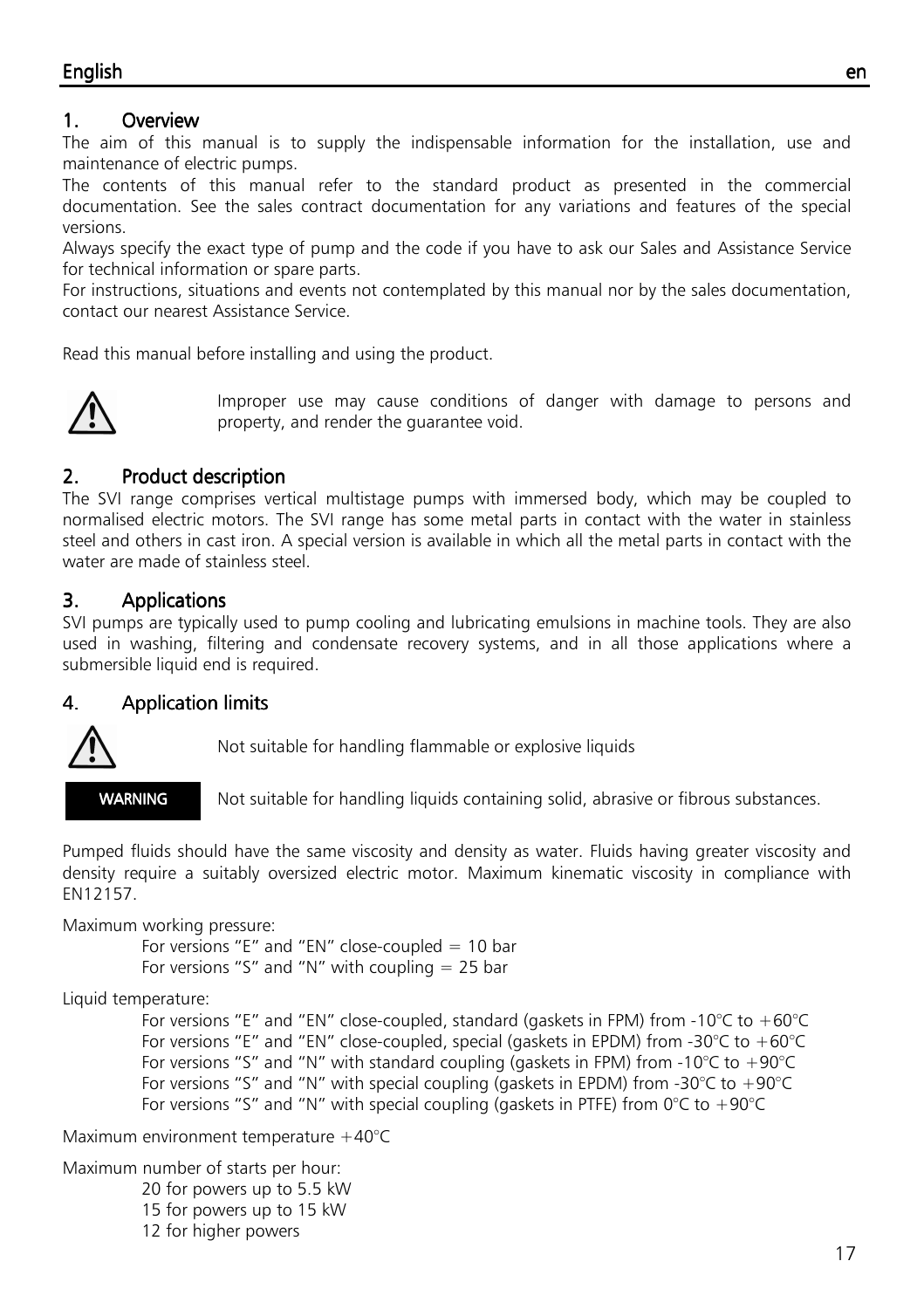# 1. Overview

The aim of this manual is to supply the indispensable information for the installation, use and maintenance of electric pumps.

The contents of this manual refer to the standard product as presented in the commercial documentation. See the sales contract documentation for any variations and features of the special versions.

Always specify the exact type of pump and the code if you have to ask our Sales and Assistance Service for technical information or spare parts.

For instructions, situations and events not contemplated by this manual nor by the sales documentation, contact our nearest Assistance Service.

Read this manual before installing and using the product.



Improper use may cause conditions of danger with damage to persons and property, and render the guarantee void.

# 2. Product description

The SVI range comprises vertical multistage pumps with immersed body, which may be coupled to normalised electric motors. The SVI range has some metal parts in contact with the water in stainless steel and others in cast iron. A special version is available in which all the metal parts in contact with the water are made of stainless steel.

# 3. Applications

SVI pumps are typically used to pump cooling and lubricating emulsions in machine tools. They are also used in washing, filtering and condensate recovery systems, and in all those applications where a submersible liquid end is required.

# 4. Application limits



Not suitable for handling flammable or explosive liquids

WARNING

Not suitable for handling liquids containing solid, abrasive or fibrous substances.

Pumped fluids should have the same viscosity and density as water. Fluids having greater viscosity and density require a suitably oversized electric motor. Maximum kinematic viscosity in compliance with EN12157.

Maximum working pressure:

For versions "E" and "EN" close-coupled  $= 10$  bar For versions "S" and "N" with coupling  $= 25$  bar

Liquid temperature:

For versions "E" and "EN" close-coupled, standard (gaskets in FPM) from -10°C to +60°C For versions "E" and "EN" close-coupled, special (gaskets in EPDM) from -30 $\degree$ C to +60 $\degree$ C For versions "S" and "N" with standard coupling (gaskets in FPM) from -10°C to +90°C For versions "S" and "N" with special coupling (gaskets in EPDM) from -30 $\degree$ C to +90 $\degree$ C For versions "S" and "N" with special coupling (gaskets in PTFE) from  $0^{\circ}$ C to +90 $^{\circ}$ C

Maximum environment temperature +40°C

Maximum number of starts per hour:

- 20 for powers up to 5.5 kW
- 15 for powers up to 15 kW
- 12 for higher powers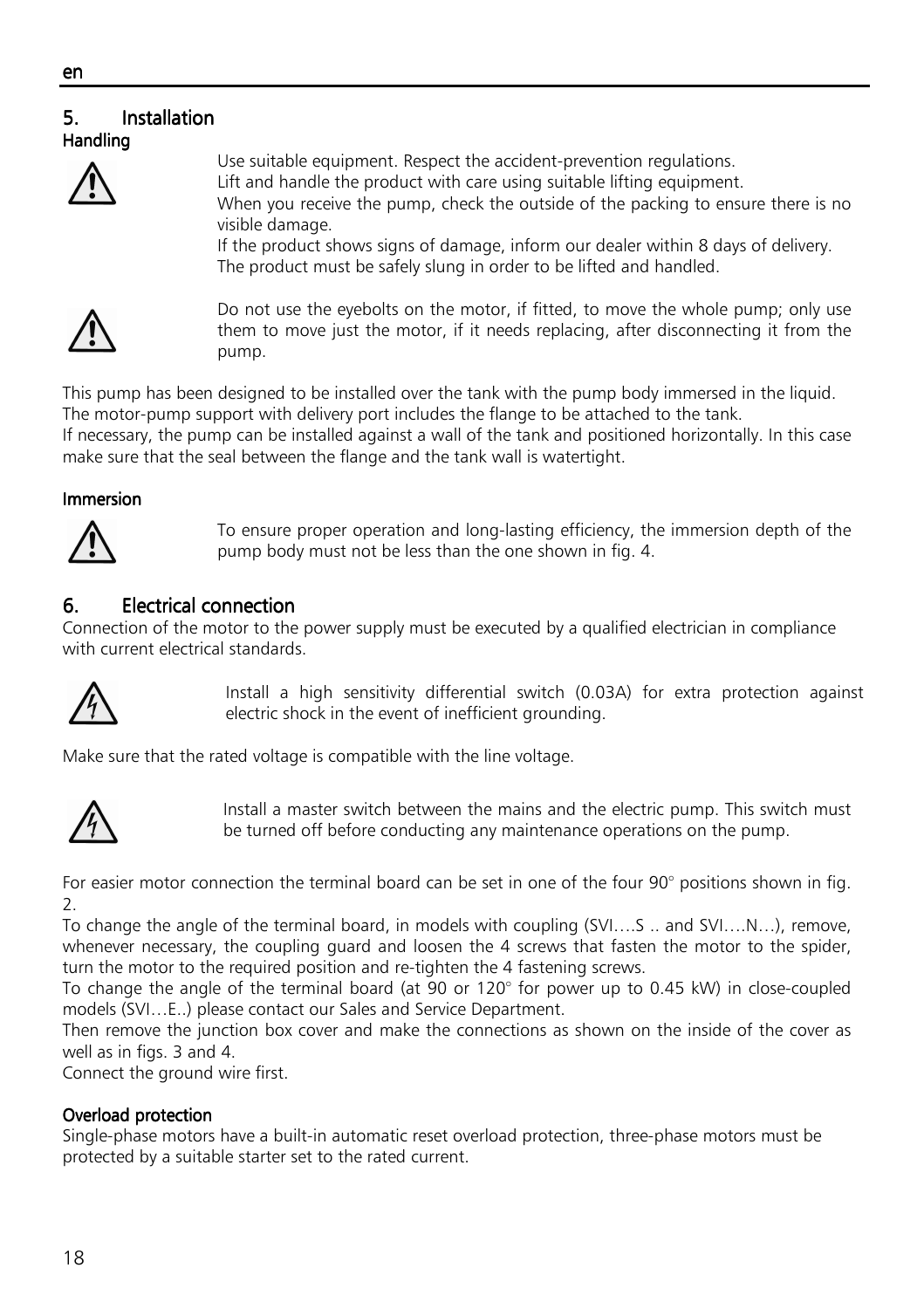### ٦ 5. Installation Handling



Use suitable equipment. Respect the accident-prevention regulations. Lift and handle the product with care using suitable lifting equipment. When you receive the pump, check the outside of the packing to ensure there is no visible damage.

If the product shows signs of damage, inform our dealer within 8 days of delivery. The product must be safely slung in order to be lifted and handled.



Do not use the eyebolts on the motor, if fitted, to move the whole pump; only use them to move just the motor, if it needs replacing, after disconnecting it from the pump.

This pump has been designed to be installed over the tank with the pump body immersed in the liquid. The motor-pump support with delivery port includes the flange to be attached to the tank.

If necessary, the pump can be installed against a wall of the tank and positioned horizontally. In this case make sure that the seal between the flange and the tank wall is watertight.

### Immersion Immersion



To ensure proper operation and long-lasting efficiency, the immersion depth of the pump body must not be less than the one shown in fig. 4.

# 6. Electrical connection

Connection of the motor to the power supply must be executed by a qualified electrician in compliance with current electrical standards.



Install a high sensitivity differential switch (0.03A) for extra protection against electric shock in the event of inefficient grounding.

Make sure that the rated voltage is compatible with the line voltage.



Install a master switch between the mains and the electric pump. This switch must be turned off before conducting any maintenance operations on the pump.

For easier motor connection the terminal board can be set in one of the four 90° positions shown in fig. 2.

To change the angle of the terminal board, in models with coupling (SVI….S .. and SVI….N…), remove, whenever necessary, the coupling guard and loosen the 4 screws that fasten the motor to the spider, turn the motor to the required position and re-tighten the 4 fastening screws.

To change the angle of the terminal board (at 90 or 120° for power up to 0.45 kW) in close-coupled models (SVI…E..) please contact our Sales and Service Department.

Then remove the junction box cover and make the connections as shown on the inside of the cover as well as in figs. 3 and 4.

Connect the ground wire first.

# Overload protection

Single-phase motors have a built-in automatic reset overload protection, three-phase motors must be protected by a suitable starter set to the rated current.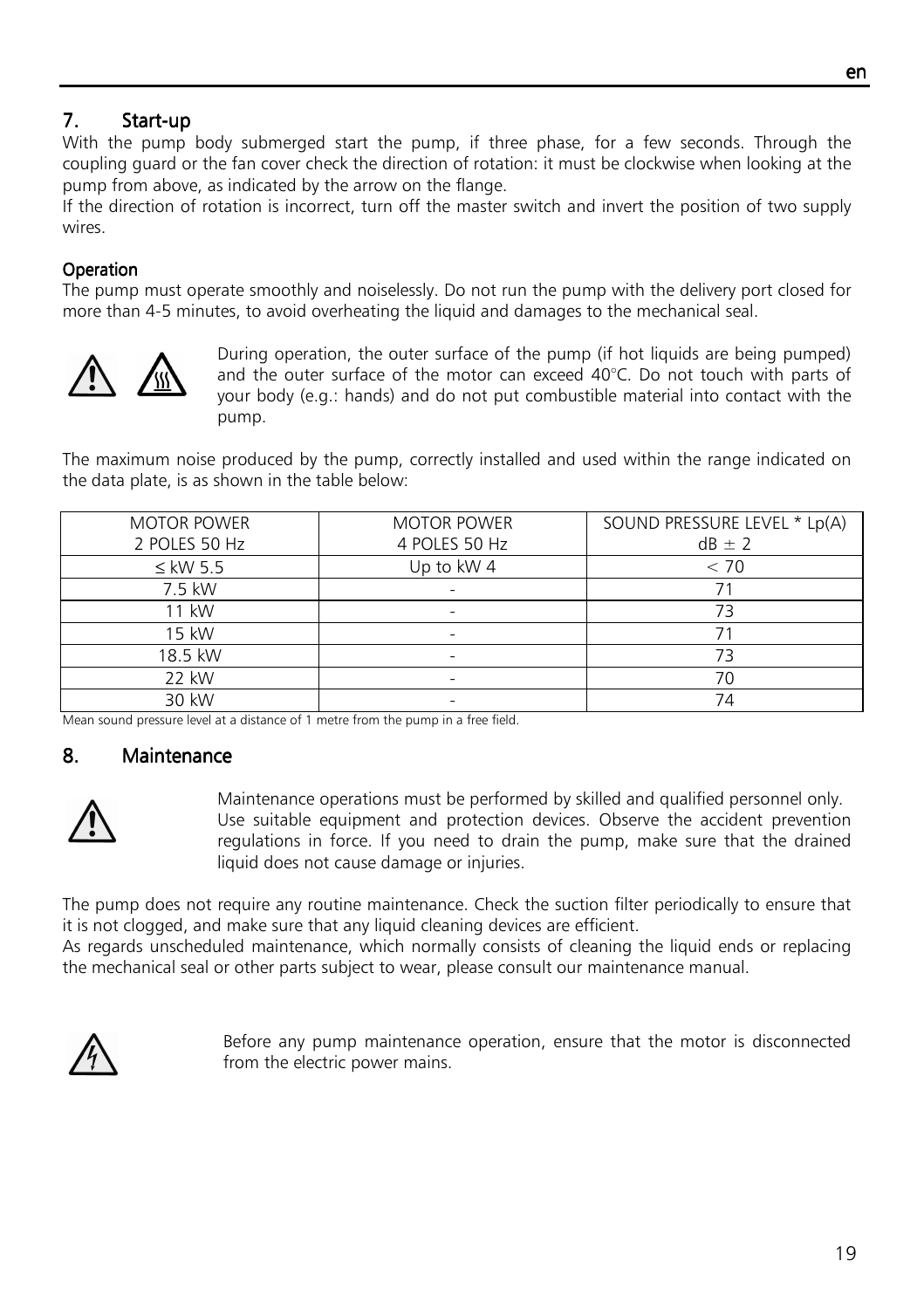# 7. Start-up

With the pump body submerged start the pump, if three phase, for a few seconds. Through the coupling guard or the fan cover check the direction of rotation: it must be clockwise when looking at the pump from above, as indicated by the arrow on the flange.

If the direction of rotation is incorrect, turn off the master switch and invert the position of two supply wires.

# **Operation**

The pump must operate smoothly and noiselessly. Do not run the pump with the delivery port closed for more than 4-5 minutes, to avoid overheating the liquid and damages to the mechanical seal.



During operation, the outer surface of the pump (if hot liquids are being pumped) and the outer surface of the motor can exceed 40°C. Do not touch with parts of your body (e.g.: hands) and do not put combustible material into contact with the pump.

The maximum noise produced by the pump, correctly installed and used within the range indicated on the data plate, is as shown in the table below:

| <b>MOTOR POWER</b> | <b>MOTOR POWER</b> | SOUND PRESSURE LEVEL * Lp(A) |
|--------------------|--------------------|------------------------------|
| 2 POLES 50 Hz      | 4 POLES 50 Hz      | $dB \pm 2$                   |
| $\leq$ kW 5.5      | Up to kW 4         | < 70                         |
| 7.5 kW             |                    |                              |
| 11 kW              |                    | 73                           |
| 15 kW              |                    |                              |
| 18.5 kW            |                    | 73                           |
| 22 kW              |                    | 70                           |
| 30 kW              |                    | 74                           |

Mean sound pressure level at a distance of 1 metre from the pump in a free field.

# 8. Maintenance Maintenance Maintenance



Maintenance operations must be performed by skilled and qualified personnel only. Use suitable equipment and protection devices. Observe the accident prevention regulations in force. If you need to drain the pump, make sure that the drained liquid does not cause damage or injuries.

The pump does not require any routine maintenance. Check the suction filter periodically to ensure that it is not clogged, and make sure that any liquid cleaning devices are efficient.

As regards unscheduled maintenance, which normally consists of cleaning the liquid ends or replacing the mechanical seal or other parts subject to wear, please consult our maintenance manual.



Before any pump maintenance operation, ensure that the motor is disconnected from the electric power mains.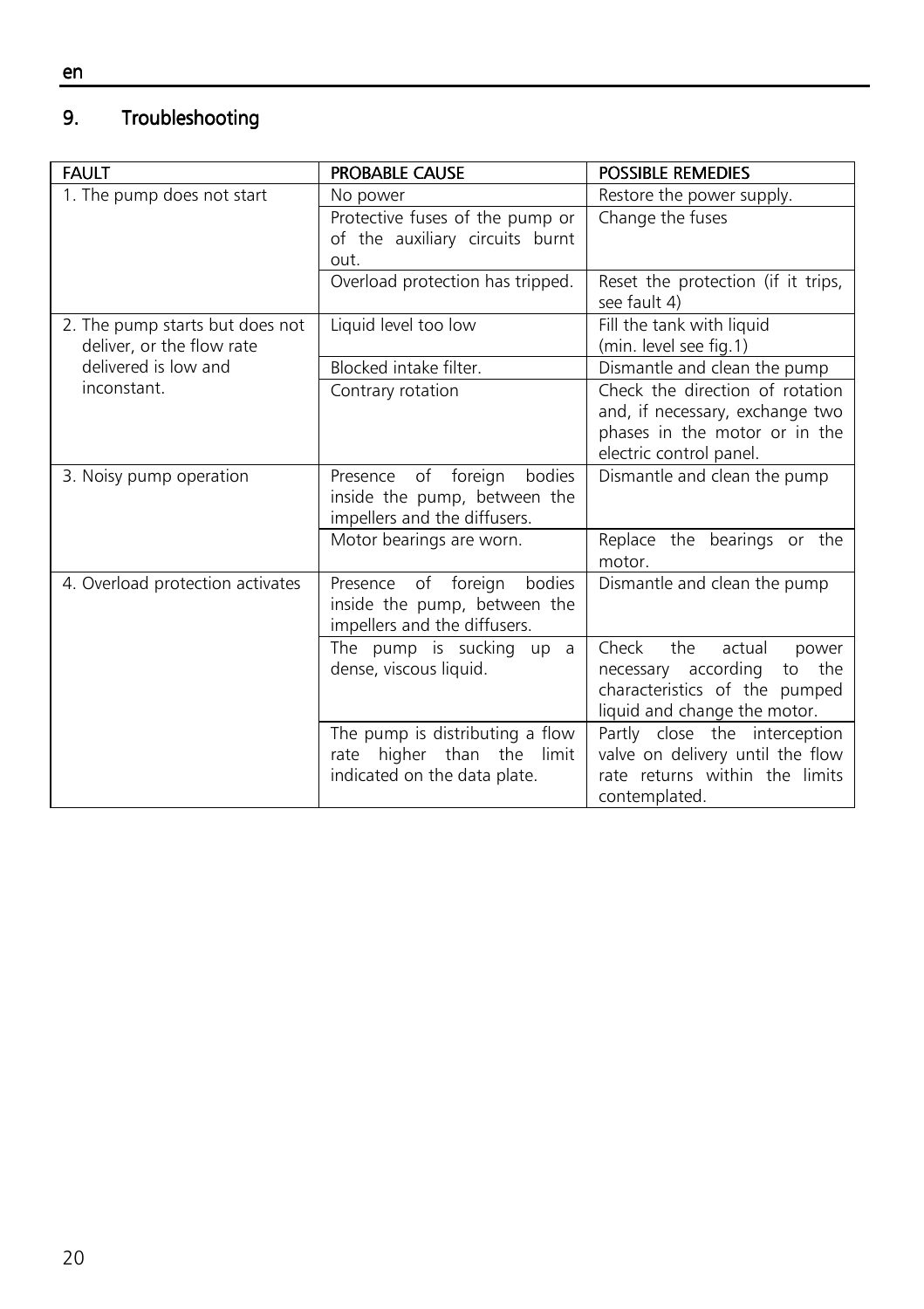#### 9. Troubleshooting

| <b>FAULT</b>                                                 | <b>PROBABLE CAUSE</b>                                                                         | <b>POSSIBLE REMEDIES</b>                                                                                                             |
|--------------------------------------------------------------|-----------------------------------------------------------------------------------------------|--------------------------------------------------------------------------------------------------------------------------------------|
| 1. The pump does not start                                   | No power                                                                                      | Restore the power supply.                                                                                                            |
|                                                              | Protective fuses of the pump or<br>of the auxiliary circuits burnt<br>out.                    | Change the fuses                                                                                                                     |
|                                                              | Overload protection has tripped.                                                              | Reset the protection (if it trips,<br>see fault 4)                                                                                   |
| 2. The pump starts but does not<br>deliver, or the flow rate | Liquid level too low                                                                          | Fill the tank with liquid<br>(min. level see fig.1)                                                                                  |
| delivered is low and                                         | Blocked intake filter.                                                                        | Dismantle and clean the pump                                                                                                         |
| inconstant.                                                  | Contrary rotation                                                                             | Check the direction of rotation<br>and, if necessary, exchange two<br>phases in the motor or in the<br>electric control panel.       |
| 3. Noisy pump operation                                      | bodies<br>Presence of foreign<br>inside the pump, between the<br>impellers and the diffusers. | Dismantle and clean the pump                                                                                                         |
|                                                              | Motor bearings are worn.                                                                      | Replace the bearings or the<br>motor.                                                                                                |
| 4. Overload protection activates                             | bodies<br>Presence of foreign<br>inside the pump, between the<br>impellers and the diffusers. | Dismantle and clean the pump                                                                                                         |
|                                                              | The pump is sucking up a<br>dense, viscous liquid.                                            | Check<br>the<br>actual<br>power<br>necessary according<br>the<br>to<br>characteristics of the pumped<br>liquid and change the motor. |
|                                                              | The pump is distributing a flow<br>rate higher than the limit<br>indicated on the data plate. | Partly close the interception<br>valve on delivery until the flow<br>rate returns within the limits<br>contemplated.                 |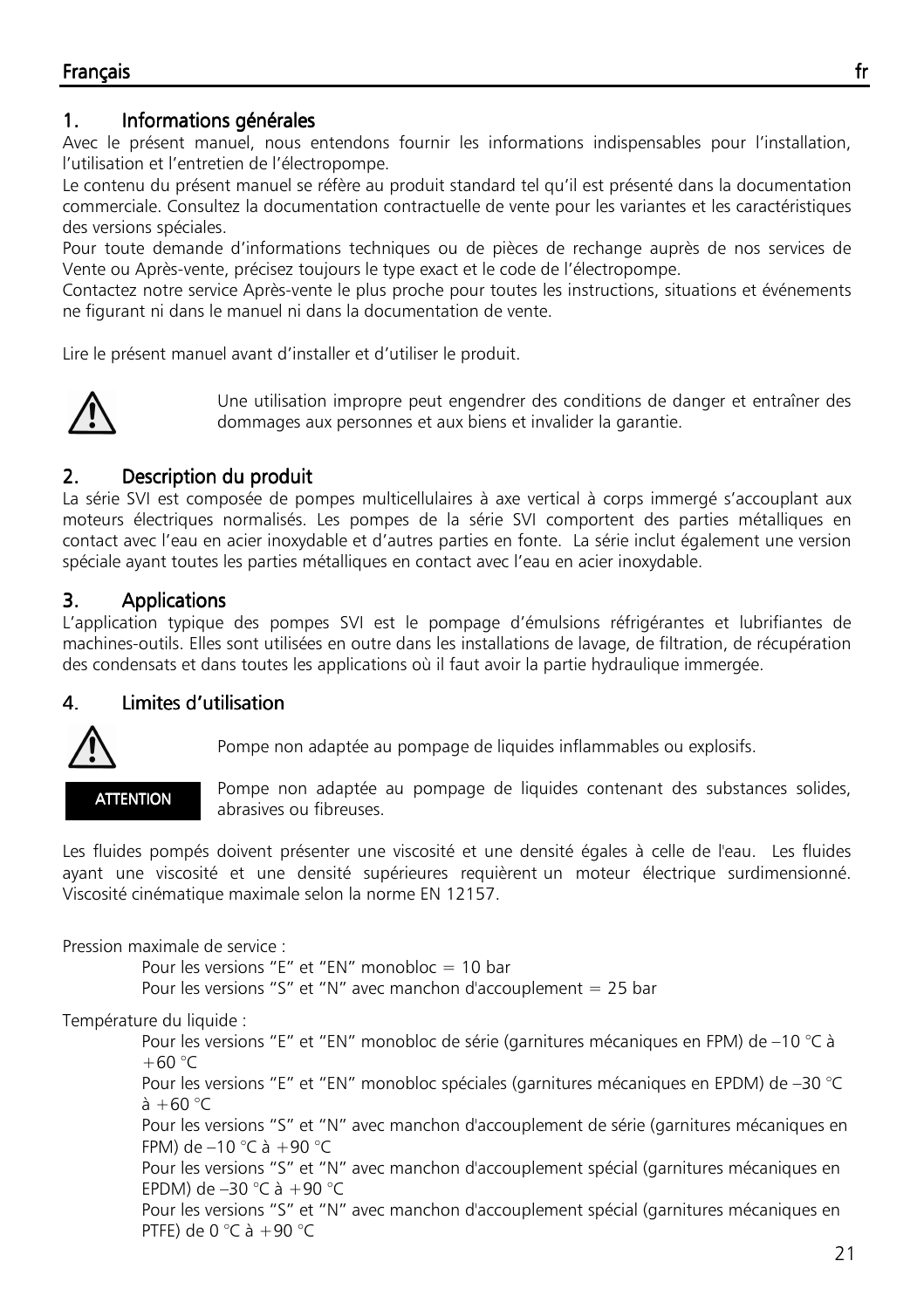# 1. Informations générales

Avec le présent manuel, nous entendons fournir les informations indispensables pour l'installation, l'utilisation et l'entretien de l'électropompe.

Le contenu du présent manuel se réfère au produit standard tel qu'il est présenté dans la documentation commerciale. Consultez la documentation contractuelle de vente pour les variantes et les caractéristiques des versions spéciales.

Pour toute demande d'informations techniques ou de pièces de rechange auprès de nos services de Vente ou Après-vente, précisez toujours le type exact et le code de l'électropompe.

Contactez notre service Après-vente le plus proche pour toutes les instructions, situations et événements ne figurant ni dans le manuel ni dans la documentation de vente.

Lire le présent manuel avant d'installer et d'utiliser le produit.



Une utilisation impropre peut engendrer des conditions de danger et entraîner des dommages aux personnes et aux biens et invalider la garantie.

# 2. Description du produit

La série SVI est composée de pompes multicellulaires à axe vertical à corps immergé s'accouplant aux moteurs électriques normalisés. Les pompes de la série SVI comportent des parties métalliques en contact avec l'eau en acier inoxydable et d'autres parties en fonte. La série inclut également une version spéciale ayant toutes les parties métalliques en contact avec l'eau en acier inoxydable.

# 3. Applications

L'application typique des pompes SVI est le pompage d'émulsions réfrigérantes et lubrifiantes de machines-outils. Elles sont utilisées en outre dans les installations de lavage, de filtration, de récupération des condensats et dans toutes les applications où il faut avoir la partie hydraulique immergée.

# 4. Limites d'utilisation



Pompe non adaptée au pompage de liquides inflammables ou explosifs.

**ATTENTION** 

 Pompe non adaptée au pompage de liquides contenant des substances solides, abrasives ou fibreuses.

Les fluides pompés doivent présenter une viscosité et une densité égales à celle de l'eau. Les fluides ayant une viscosité et une densité supérieures requièrent un moteur électrique surdimensionné. Viscosité cinématique maximale selon la norme EN 12157.

Pression maximale de service :

 Pour les versions "E" et "EN" monobloc = 10 bar Pour les versions "S" et "N" avec manchon d'accouplement = 25 bar

Température du liquide :

 Pour les versions "E" et "EN" monobloc de série (garnitures mécaniques en FPM) de –10 °C à  $+60 °C$  Pour les versions "E" et "EN" monobloc spéciales (garnitures mécaniques en EPDM) de –30 °C  $\lambda + 60$  °C Pour les versions "S" et "N" avec manchon d'accouplement de série (garnitures mécaniques en FPM) de  $-10$  °C à  $+90$  °C Pour les versions "S" et "N" avec manchon d'accouplement spécial (garnitures mécaniques en EPDM) de –30 °C à +90 °C Pour les versions "S" et "N" avec manchon d'accouplement spécial (garnitures mécaniques en PTFE) de 0  $^{\circ}$ C à +90  $^{\circ}$ C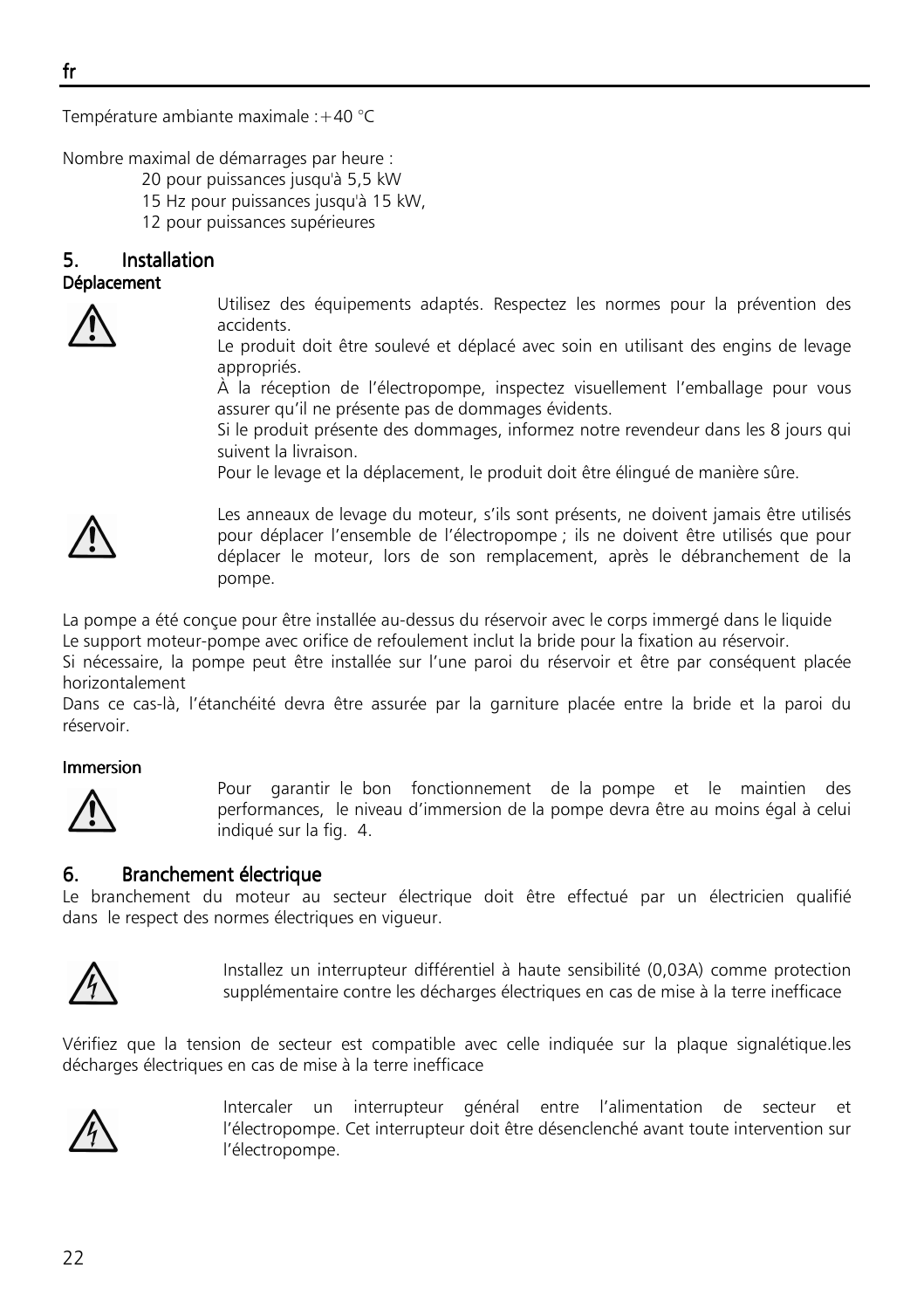Température ambiante maximale :+40 °C

Nombre maximal de démarrages par heure :

- 20 pour puissances jusqu'à 5,5 kW
- 15 Hz pour puissances jusqu'à 15 kW,
- 12 pour puissances supérieures

# 5. Installation

#### Déplacement



Utilisez des équipements adaptés. Respectez les normes pour la prévention des accidents.

Le produit doit être soulevé et déplacé avec soin en utilisant des engins de levage appropriés.

À la réception de l'électropompe, inspectez visuellement l'emballage pour vous assurer qu'il ne présente pas de dommages évidents.

Si le produit présente des dommages, informez notre revendeur dans les 8 jours qui suivent la livraison.

Pour le levage et la déplacement, le produit doit être élingué de manière sûre.



Les anneaux de levage du moteur, s'ils sont présents, ne doivent jamais être utilisés pour déplacer l'ensemble de l'électropompe ; ils ne doivent être utilisés que pour déplacer le moteur, lors de son remplacement, après le débranchement de la pompe.

La pompe a été conçue pour être installée au-dessus du réservoir avec le corps immergé dans le liquide Le support moteur-pompe avec orifice de refoulement inclut la bride pour la fixation au réservoir.

Si nécessaire, la pompe peut être installée sur l'une paroi du réservoir et être par conséquent placée horizontalement

Dans ce cas-là, l'étanchéité devra être assurée par la garniture placée entre la bride et la paroi du réservoir.

### Immersion



Pour garantir le bon fonctionnement de la pompe et le maintien des performances, le niveau d'immersion de la pompe devra être au moins égal à celui indiqué sur la fig. 4.

### 6. Branchement électrique

Le branchement du moteur au secteur électrique doit être effectué par un électricien qualifié dans le respect des normes électriques en vigueur.



Installez un interrupteur différentiel à haute sensibilité (0,03A) comme protection supplémentaire contre les décharges électriques en cas de mise à la terre inefficace

Vérifiez que la tension de secteur est compatible avec celle indiquée sur la plaque signalétique.les décharges électriques en cas de mise à la terre inefficace



Intercaler un interrupteur général entre l'alimentation de secteur et l'électropompe. Cet interrupteur doit être désenclenché avant toute intervention sur l'électropompe.

fr ٦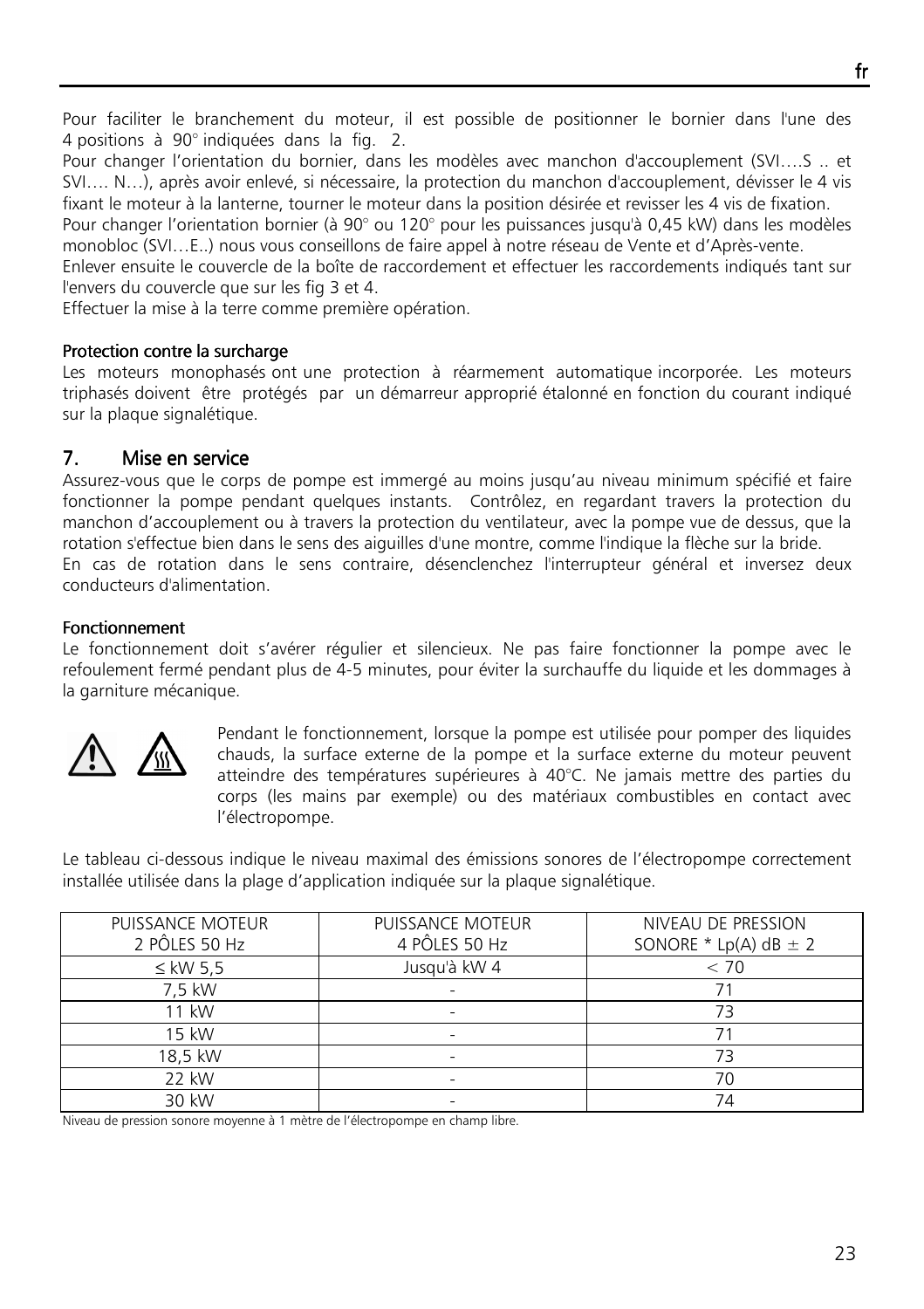Pour faciliter le branchement du moteur, il est possible de positionner le bornier dans l'une des 4 positions à 90° indiquées dans la fig. 2.

Pour changer l'orientation du bornier, dans les modèles avec manchon d'accouplement (SVI….S .. et SVI…. N…), après avoir enlevé, si nécessaire, la protection du manchon d'accouplement, dévisser le 4 vis fixant le moteur à la lanterne, tourner le moteur dans la position désirée et revisser les 4 vis de fixation.

Pour changer l'orientation bornier (à 90° ou 120° pour les puissances jusqu'à 0,45 kW) dans les modèles monobloc (SVI…E..) nous vous conseillons de faire appel à notre réseau de Vente et d'Après-vente.

Enlever ensuite le couvercle de la boîte de raccordement et effectuer les raccordements indiqués tant sur l'envers du couvercle que sur les fig 3 et 4.

Effectuer la mise à la terre comme première opération.

#### Protection contre la surcharge

Les moteurs monophasés ont une protection à réarmement automatique incorporée. Les moteurs triphasés doivent être protégés par un démarreur approprié étalonné en fonction du courant indiqué sur la plaque signalétique.

### 7. Mise en service

Assurez-vous que le corps de pompe est immergé au moins jusqu'au niveau minimum spécifié et faire fonctionner la pompe pendant quelques instants. Contrôlez, en regardant travers la protection du manchon d'accouplement ou à travers la protection du ventilateur, avec la pompe vue de dessus, que la rotation s'effectue bien dans le sens des aiguilles d'une montre, comme l'indique la flèche sur la bride. En cas de rotation dans le sens contraire, désenclenchez l'interrupteur général et inversez deux conducteurs d'alimentation.

### **Fonctionnement**

Le fonctionnement doit s'avérer régulier et silencieux. Ne pas faire fonctionner la pompe avec le refoulement fermé pendant plus de 4-5 minutes, pour éviter la surchauffe du liquide et les dommages à la garniture mécanique.



Pendant le fonctionnement, lorsque la pompe est utilisée pour pomper des liquides chauds, la surface externe de la pompe et la surface externe du moteur peuvent atteindre des températures supérieures à 40°C. Ne jamais mettre des parties du corps (les mains par exemple) ou des matériaux combustibles en contact avec l'électropompe.

Le tableau ci-dessous indique le niveau maximal des émissions sonores de l'électropompe correctement installée utilisée dans la plage d'application indiquée sur la plaque signalétique.

| PUISSANCE MOTEUR | PUISSANCE MOTEUR | NIVEAU DE PRESSION        |
|------------------|------------------|---------------------------|
| 2 PÔLES 50 Hz    | 4 PÔLES 50 Hz    | SONORE * Lp(A) $dB \pm 2$ |
| $\leq$ kW 5.5    | Jusqu'à kW 4     | < 70                      |
| 7.5 kW           |                  |                           |
| 11 kW            |                  | 73                        |
| 15 kW            |                  |                           |
| 18,5 kW          |                  | 73                        |
| 22 kW            |                  | 70                        |
| 30 kW            |                  | 74                        |

Niveau de pression sonore moyenne à 1 mètre de l'électropompe en champ libre.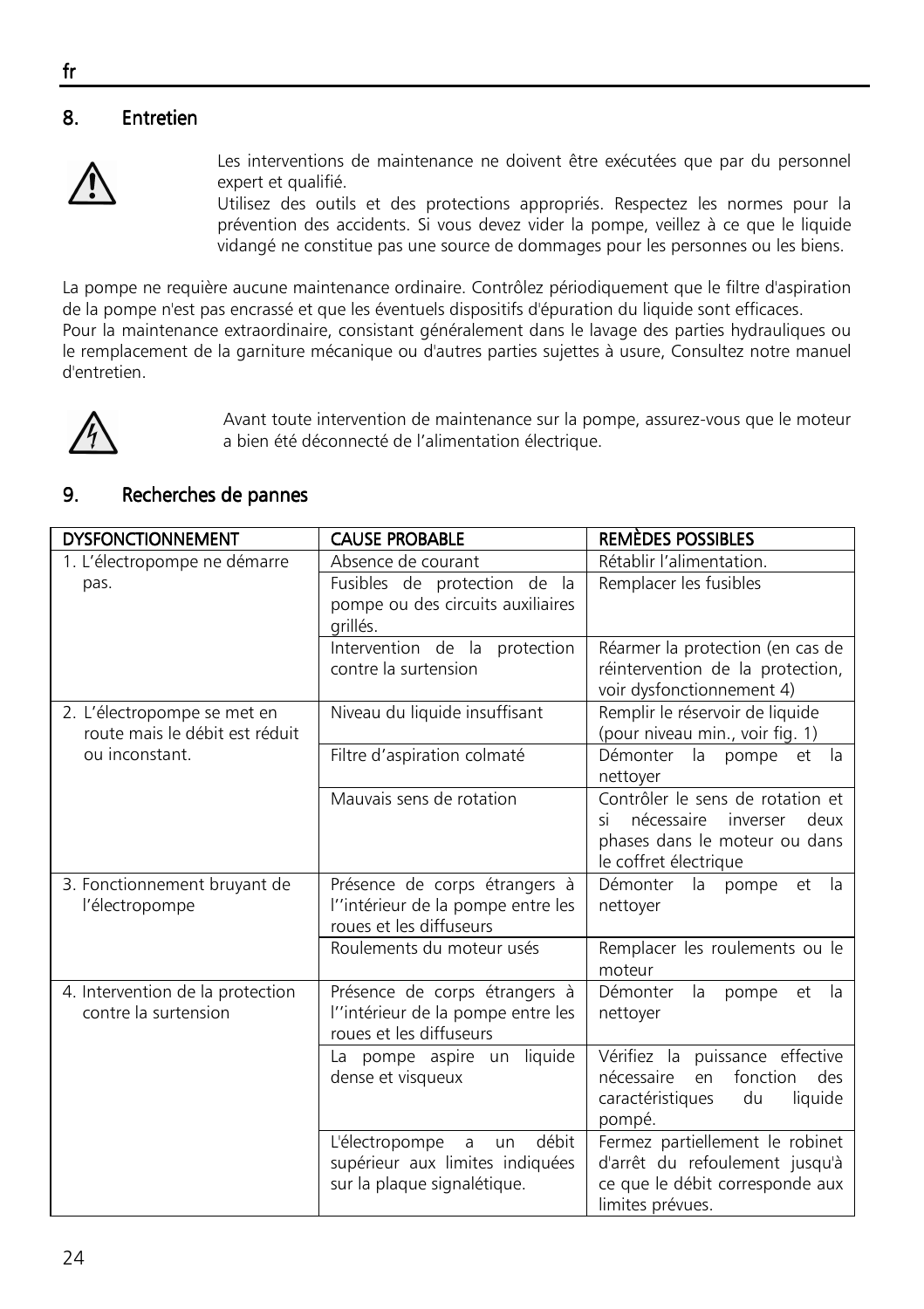# 8. Entretien



Les interventions de maintenance ne doivent être exécutées que par du personnel expert et qualifié.

Utilisez des outils et des protections appropriés. Respectez les normes pour la prévention des accidents. Si vous devez vider la pompe, veillez à ce que le liquide vidangé ne constitue pas une source de dommages pour les personnes ou les biens.

La pompe ne requière aucune maintenance ordinaire. Contrôlez périodiquement que le filtre d'aspiration de la pompe n'est pas encrassé et que les éventuels dispositifs d'épuration du liquide sont efficaces. Pour la maintenance extraordinaire, consistant généralement dans le lavage des parties hydrauliques ou le remplacement de la garniture mécanique ou d'autres parties sujettes à usure, Consultez notre manuel d'entretien.



Avant toute intervention de maintenance sur la pompe, assurez-vous que le moteur a bien été déconnecté de l'alimentation électrique.

### 9. Recherches de pannes

| <b>DYSFONCTIONNEMENT</b>                                      | <b>CAUSE PROBABLE</b>                                                                                | <b>REMÈDES POSSIBLES</b>                                                                                                     |
|---------------------------------------------------------------|------------------------------------------------------------------------------------------------------|------------------------------------------------------------------------------------------------------------------------------|
| 1. L'électropompe ne démarre                                  | Absence de courant                                                                                   | Rétablir l'alimentation.                                                                                                     |
| pas.                                                          | Fusibles de protection de la<br>pompe ou des circuits auxiliaires<br>arillés.                        | Remplacer les fusibles                                                                                                       |
|                                                               | Intervention de la protection<br>contre la surtension                                                | Réarmer la protection (en cas de<br>réintervention de la protection,<br>voir dysfonctionnement 4)                            |
| 2. L'électropompe se met en<br>route mais le débit est réduit | Niveau du liquide insuffisant                                                                        | Remplir le réservoir de liquide<br>(pour niveau min., voir fig. 1)                                                           |
| ou inconstant.                                                | Filtre d'aspiration colmaté                                                                          | Démonter la pompe et la<br>nettoyer                                                                                          |
|                                                               | Mauvais sens de rotation                                                                             | Contrôler le sens de rotation et<br>nécessaire inverser deux<br>ςi<br>phases dans le moteur ou dans<br>le coffret électrique |
| 3. Fonctionnement bruyant de<br>l'électropompe                | Présence de corps étrangers à<br>l''intérieur de la pompe entre les<br>roues et les diffuseurs       | Démonter<br>la<br>pompe<br>- la<br>et<br>nettoyer                                                                            |
|                                                               | Roulements du moteur usés                                                                            | Remplacer les roulements ou le<br>moteur                                                                                     |
| 4. Intervention de la protection<br>contre la surtension      | Présence de corps étrangers à<br>l''intérieur de la pompe entre les<br>roues et les diffuseurs       | Démonter<br>la<br>pompe<br>et<br>- la<br>nettoyer                                                                            |
|                                                               | La pompe aspire un liquide<br>dense et visqueux                                                      | Vérifiez la puissance effective<br>fonction<br>nécessaire<br>des<br>en<br>liquide<br>caractéristiques<br>du<br>pompé.        |
|                                                               | débit<br>L'électropompe<br>a<br>un<br>supérieur aux limites indiquées<br>sur la plaque signalétique. | Fermez partiellement le robinet<br>d'arrêt du refoulement jusqu'à<br>ce que le débit corresponde aux<br>limites prévues.     |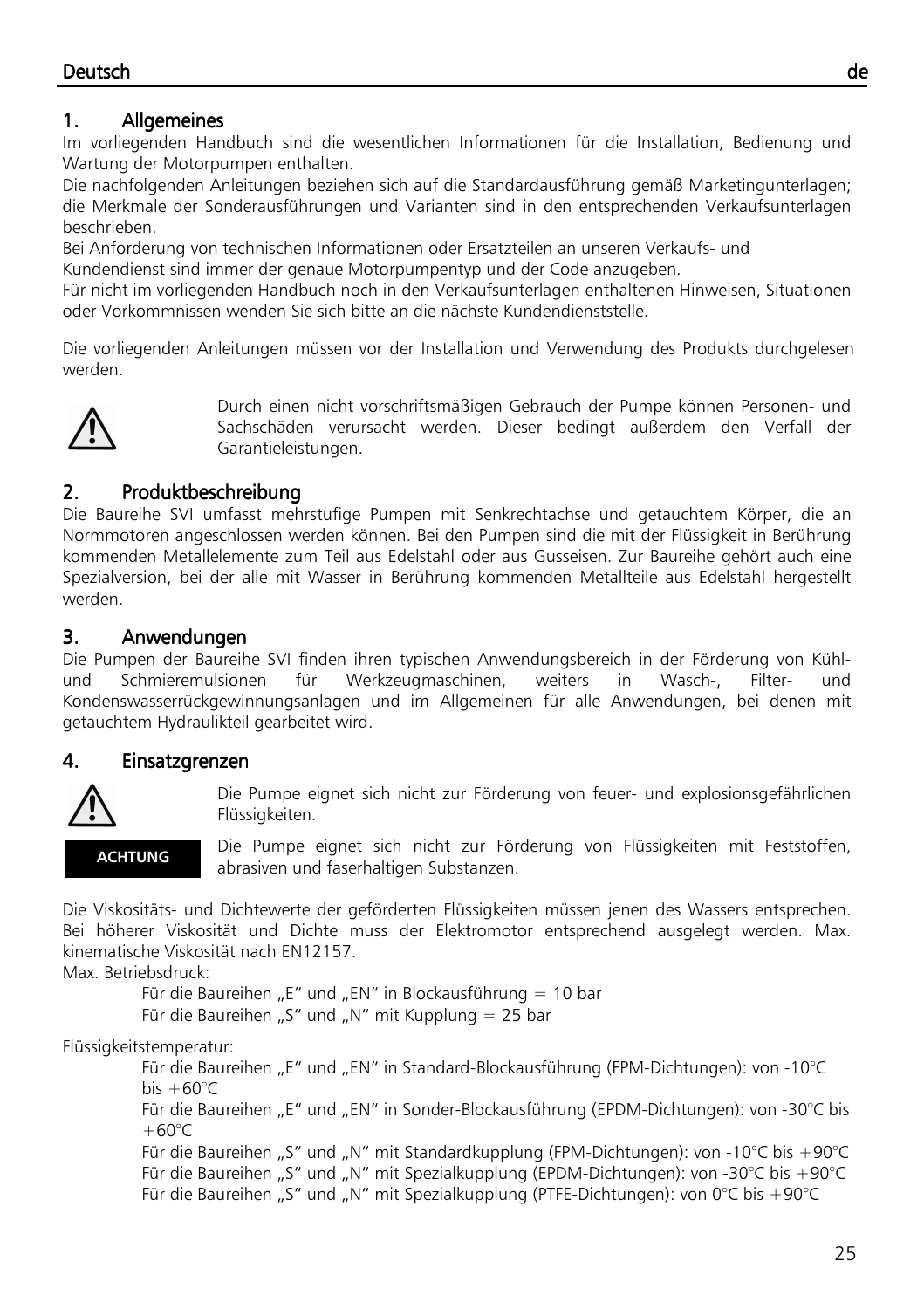# 1. Allgemeines

Im vorliegenden Handbuch sind die wesentlichen Informationen für die Installation, Bedienung und Wartung der Motorpumpen enthalten.

Die nachfolgenden Anleitungen beziehen sich auf die Standardausführung gemäß Marketingunterlagen; die Merkmale der Sonderausführungen und Varianten sind in den entsprechenden Verkaufsunterlagen beschrieben.

Bei Anforderung von technischen Informationen oder Ersatzteilen an unseren Verkaufs- und Kundendienst sind immer der genaue Motorpumpentyp und der Code anzugeben.

Für nicht im vorliegenden Handbuch noch in den Verkaufsunterlagen enthaltenen Hinweisen, Situationen

oder Vorkommnissen wenden Sie sich bitte an die nächste Kundendienststelle.

Die vorliegenden Anleitungen müssen vor der Installation und Verwendung des Produkts durchgelesen werden.



Durch einen nicht vorschriftsmäßigen Gebrauch der Pumpe können Personen- und Sachschäden verursacht werden. Dieser bedingt außerdem den Verfall der Garantieleistungen.

# 2. Produktbeschreibung

Die Baureihe SVI umfasst mehrstufige Pumpen mit Senkrechtachse und getauchtem Körper, die an Normmotoren angeschlossen werden können. Bei den Pumpen sind die mit der Flüssigkeit in Berührung kommenden Metallelemente zum Teil aus Edelstahl oder aus Gusseisen. Zur Baureihe gehört auch eine Spezialversion, bei der alle mit Wasser in Berührung kommenden Metallteile aus Edelstahl hergestellt werden.

# 3. Anwendungen

Die Pumpen der Baureihe SVI finden ihren typischen Anwendungsbereich in der Förderung von Kühlund Schmieremulsionen für Werkzeugmaschinen, weiters in Wasch-, Filter- und Kondenswasserrückgewinnungsanlagen und im Allgemeinen für alle Anwendungen, bei denen mit getauchtem Hydraulikteil gearbeitet wird.

# 4. Einsatzgrenzen



Die Pumpe eignet sich nicht zur Förderung von feuer- und explosionsgefährlichen Flüssigkeiten.

**ACHTUNG** 

Die Pumpe eignet sich nicht zur Förderung von Flüssigkeiten mit Feststoffen, abrasiven und faserhaltigen Substanzen.

Die Viskositäts- und Dichtewerte der geförderten Flüssigkeiten müssen jenen des Wassers entsprechen. Bei höherer Viskosität und Dichte muss der Elektromotor entsprechend ausgelegt werden. Max. kinematische Viskosität nach EN12157.

Max. Betriebsdruck:

Für die Baureihen "E" und "EN" in Blockausführung = 10 bar Für die Baureihen "S" und "N" mit Kupplung = 25 bar

Flüssigkeitstemperatur:

Für die Baureihen "E" und "EN" in Standard-Blockausführung (FPM-Dichtungen): von -10°C bis  $+60^{\circ}$ C Für die Baureihen "E" und "EN" in Sonder-Blockausführung (EPDM-Dichtungen): von -30°C bis  $+60^{\circ}C$ Für die Baureihen "S" und "N" mit Standardkupplung (FPM-Dichtungen): von -10°C bis +90°C Für die Baureihen "S" und "N" mit Spezialkupplung (EPDM-Dichtungen): von -30°C bis +90°C Für die Baureihen "S" und "N" mit Spezialkupplung (PTFE-Dichtungen): von 0°C bis +90°C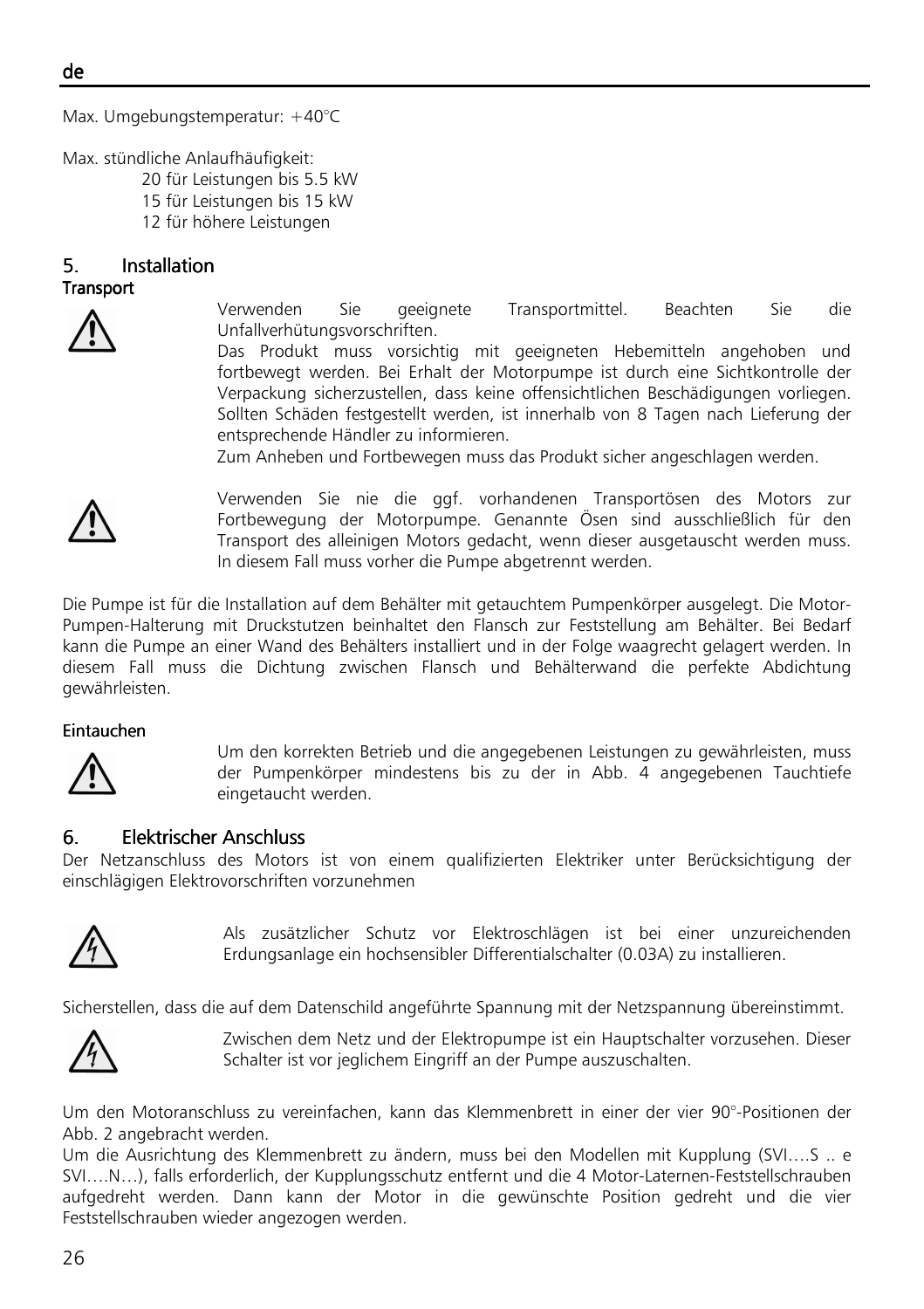Max. Umgebungstemperatur: +40°C

Max. stündliche Anlaufhäufigkeit:

- 20 für Leistungen bis 5.5 kW
- 15 für Leistungen bis 15 kW
- 12 für höhere Leistungen

### 5. Installation Installation Installation

#### **Transport**



Verwenden Sie geeignete Transportmittel. Beachten Sie die Unfallverhütungsvorschriften.

Das Produkt muss vorsichtig mit geeigneten Hebemitteln angehoben und fortbewegt werden. Bei Erhalt der Motorpumpe ist durch eine Sichtkontrolle der Verpackung sicherzustellen, dass keine offensichtlichen Beschädigungen vorliegen. Sollten Schäden festgestellt werden, ist innerhalb von 8 Tagen nach Lieferung der entsprechende Händler zu informieren.

Zum Anheben und Fortbewegen muss das Produkt sicher angeschlagen werden.



Verwenden Sie nie die ggf. vorhandenen Transportösen des Motors zur Fortbewegung der Motorpumpe. Genannte Ösen sind ausschließlich für den Transport des alleinigen Motors gedacht, wenn dieser ausgetauscht werden muss. In diesem Fall muss vorher die Pumpe abgetrennt werden.

Die Pumpe ist für die Installation auf dem Behälter mit getauchtem Pumpenkörper ausgelegt. Die Motor-Pumpen-Halterung mit Druckstutzen beinhaltet den Flansch zur Feststellung am Behälter. Bei Bedarf kann die Pumpe an einer Wand des Behälters installiert und in der Folge waagrecht gelagert werden. In diesem Fall muss die Dichtung zwischen Flansch und Behälterwand die perfekte Abdichtung gewährleisten.

#### **Eintauchen**



Um den korrekten Betrieb und die angegebenen Leistungen zu gewährleisten, muss der Pumpenkörper mindestens bis zu der in Abb. 4 angegebenen Tauchtiefe eingetaucht werden.

# 6. Elektrischer Anschluss Elektrischer AnschlussElektrischer Anschluss

Der Netzanschluss des Motors ist von einem qualifizierten Elektriker unter Berücksichtigung der einschlägigen Elektrovorschriften vorzunehmen



Als zusätzlicher Schutz vor Elektroschlägen ist bei einer unzureichenden Erdungsanlage ein hochsensibler Differentialschalter (0.03A) zu installieren.

Sicherstellen, dass die auf dem Datenschild angeführte Spannung mit der Netzspannung übereinstimmt.



Zwischen dem Netz und der Elektropumpe ist ein Hauptschalter vorzusehen. Dieser Schalter ist vor jeglichem Eingriff an der Pumpe auszuschalten.

Um den Motoranschluss zu vereinfachen, kann das Klemmenbrett in einer der vier 90°-Positionen der Abb. 2 angebracht werden.

Um die Ausrichtung des Klemmenbrett zu ändern, muss bei den Modellen mit Kupplung (SVI….S .. e SVI….N…), falls erforderlich, der Kupplungsschutz entfernt und die 4 Motor-Laternen-Feststellschrauben aufgedreht werden. Dann kann der Motor in die gewünschte Position gedreht und die vier Feststellschrauben wieder angezogen werden.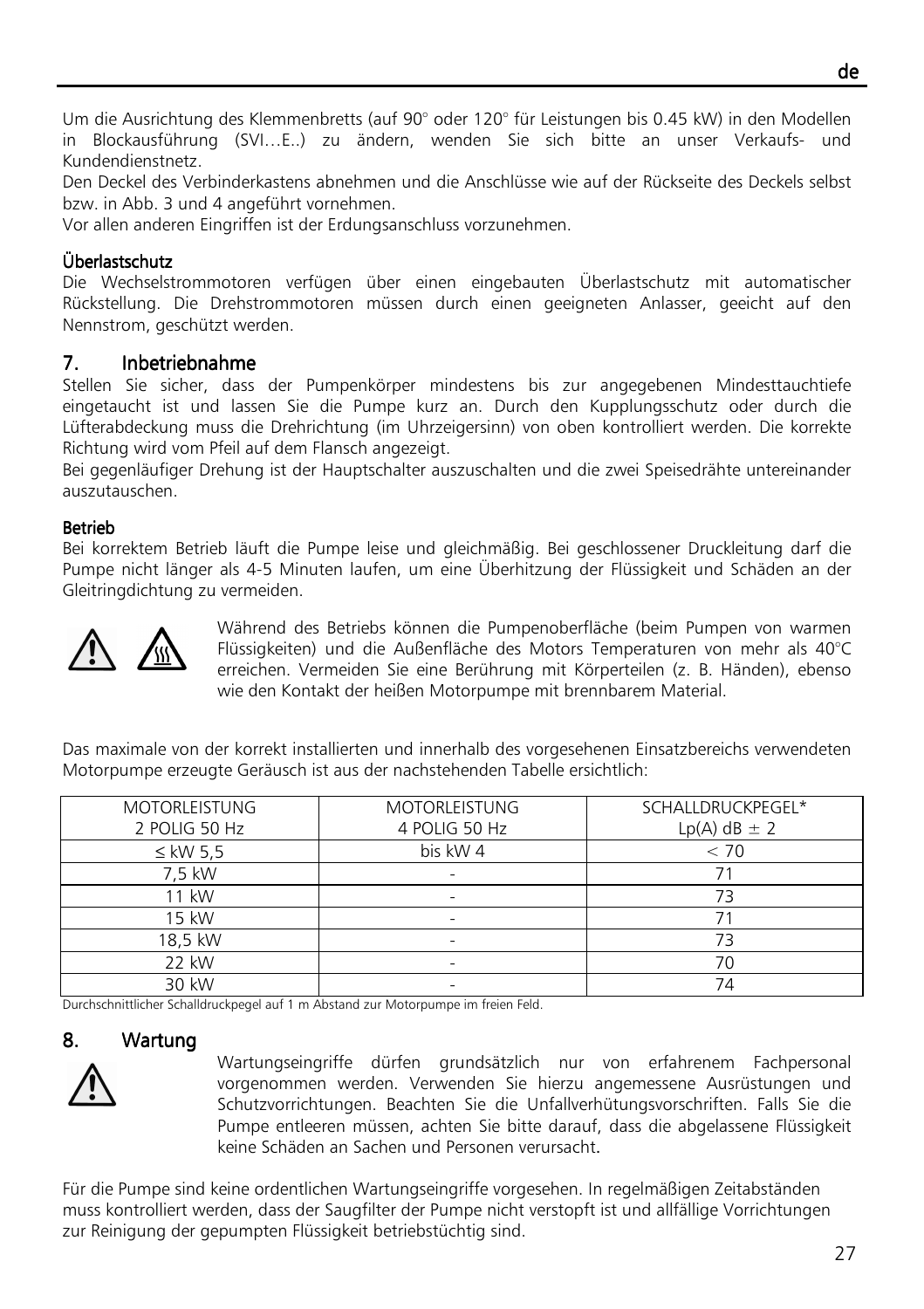Um die Ausrichtung des Klemmenbretts (auf 90° oder 120° für Leistungen bis 0.45 kW) in den Modellen in Blockausführung (SVI…E..) zu ändern, wenden Sie sich bitte an unser Verkaufs- und Kundendienstnetz.

Den Deckel des Verbinderkastens abnehmen und die Anschlüsse wie auf der Rückseite des Deckels selbst bzw. in Abb. 3 und 4 angeführt vornehmen.

Vor allen anderen Eingriffen ist der Erdungsanschluss vorzunehmen.

# Überlastschutz

Die Wechselstrommotoren verfügen über einen eingebauten Überlastschutz mit automatischer Rückstellung. Die Drehstrommotoren müssen durch einen geeigneten Anlasser, geeicht auf den Nennstrom, geschützt werden.

### 7. Inbetriebnahme

Stellen Sie sicher, dass der Pumpenkörper mindestens bis zur angegebenen Mindesttauchtiefe eingetaucht ist und lassen Sie die Pumpe kurz an. Durch den Kupplungsschutz oder durch die Lüfterabdeckung muss die Drehrichtung (im Uhrzeigersinn) von oben kontrolliert werden. Die korrekte Richtung wird vom Pfeil auf dem Flansch angezeigt.

Bei gegenläufiger Drehung ist der Hauptschalter auszuschalten und die zwei Speisedrähte untereinander auszutauschen.

### Betrieb

Bei korrektem Betrieb läuft die Pumpe leise und gleichmäßig. Bei geschlossener Druckleitung darf die Pumpe nicht länger als 4-5 Minuten laufen, um eine Überhitzung der Flüssigkeit und Schäden an der Gleitringdichtung zu vermeiden.



Während des Betriebs können die Pumpenoberfläche (beim Pumpen von warmen Flüssigkeiten) und die Außenfläche des Motors Temperaturen von mehr als 40°C erreichen. Vermeiden Sie eine Berührung mit Körperteilen (z. B. Händen), ebenso wie den Kontakt der heißen Motorpumpe mit brennbarem Material.

Das maximale von der korrekt installierten und innerhalb des vorgesehenen Einsatzbereichs verwendeten Motorpumpe erzeugte Geräusch ist aus der nachstehenden Tabelle ersichtlich:

| <b>MOTORLEISTUNG</b> | <b>MOTORLEISTUNG</b>     | SCHALLDRUCKPEGEL*  |
|----------------------|--------------------------|--------------------|
| 2 POLIG 50 Hz        | 4 POLIG 50 Hz            | $Lp(A)$ dB $\pm$ 2 |
| $\leq$ kW 5,5        | bis kW 4                 | < 70               |
| 7.5 kW               |                          |                    |
| 11 kW                |                          | 73                 |
| 15 kW                |                          |                    |
| 18,5 kW              | $\overline{\phantom{0}}$ |                    |
| 22 kW                |                          | 7٢                 |
| 30 kW                |                          | 74                 |

Durchschnittlicher Schalldruckpegel auf 1 m Abstand zur Motorpumpe im freien Feld.

#### 8. Wartung



Wartungseingriffe dürfen grundsätzlich nur von erfahrenem Fachpersonal vorgenommen werden. Verwenden Sie hierzu angemessene Ausrüstungen und Schutzvorrichtungen. Beachten Sie die Unfallverhütungsvorschriften. Falls Sie die Pumpe entleeren müssen, achten Sie bitte darauf, dass die abgelassene Flüssigkeit keine Schäden an Sachen und Personen verursacht.

Für die Pumpe sind keine ordentlichen Wartungseingriffe vorgesehen. In regelmäßigen Zeitabständen muss kontrolliert werden, dass der Saugfilter der Pumpe nicht verstopft ist und allfällige Vorrichtungen zur Reinigung der gepumpten Flüssigkeit betriebstüchtig sind.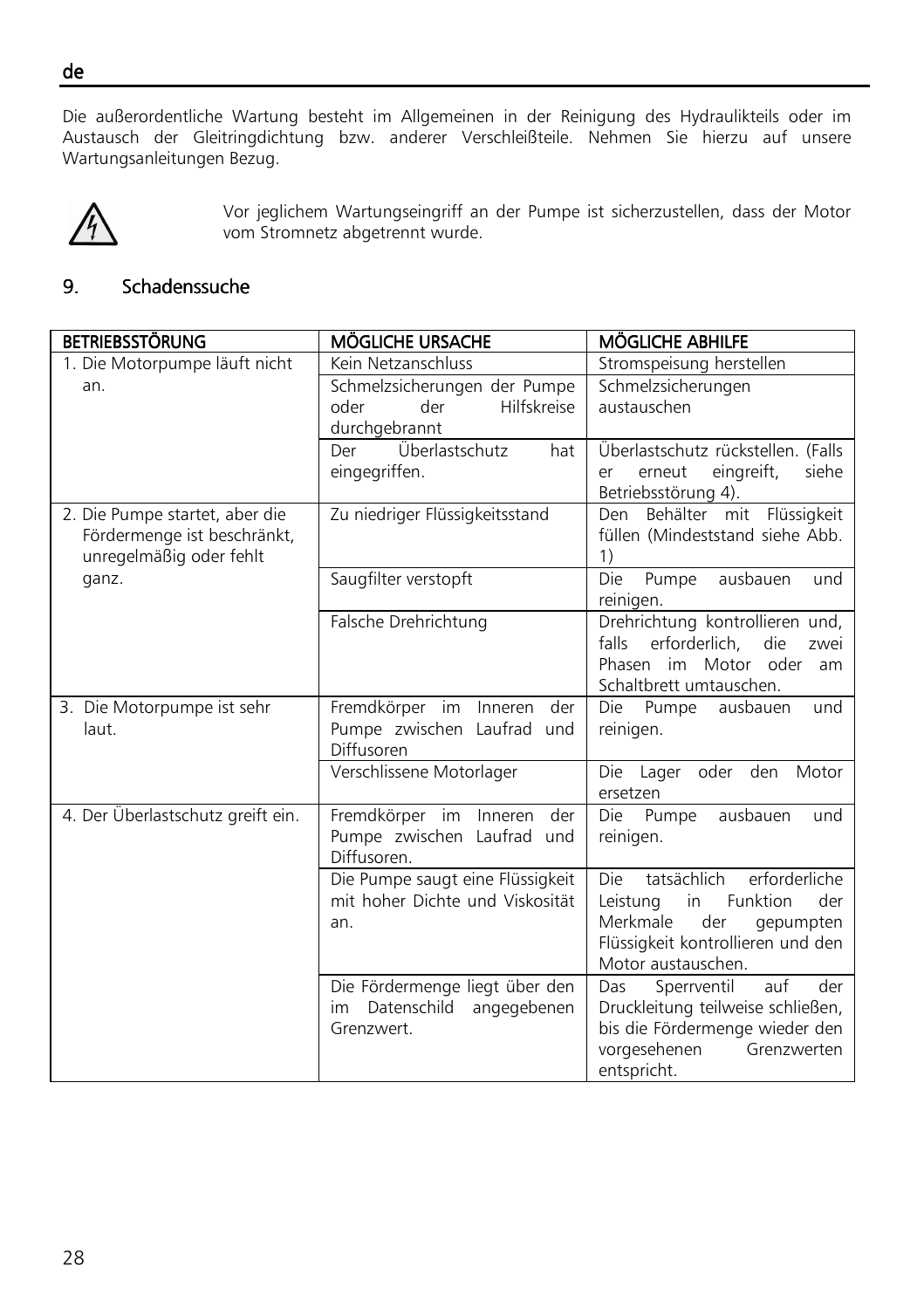Die außerordentliche Wartung besteht im Allgemeinen in der Reinigung des Hydraulikteils oder im Austausch der Gleitringdichtung bzw. anderer Verschleißteile. Nehmen Sie hierzu auf unsere Wartungsanleitungen Bezug.



Vor jeglichem Wartungseingriff an der Pumpe ist sicherzustellen, dass der Motor vom Stromnetz abgetrennt wurde.

# 9. Schadenssuche

| <b>BETRIEBSSTÖRUNG</b>            | <b>MÖGLICHE URSACHE</b>                     | <b>MÖGLICHE ABHILFE</b>                                             |
|-----------------------------------|---------------------------------------------|---------------------------------------------------------------------|
| 1. Die Motorpumpe läuft nicht     | Kein Netzanschluss                          | Stromspeisung herstellen                                            |
| an.                               | Schmelzsicherungen der Pumpe                | Schmelzsicherungen                                                  |
|                                   | Hilfskreise<br>der<br>oder                  | austauschen                                                         |
|                                   | durchgebrannt                               |                                                                     |
|                                   | Überlastschutz<br>Der<br>hat                | Überlastschutz rückstellen. (Falls                                  |
|                                   | eingegriffen.                               | eingreift,<br>siehe<br>erneut<br>er                                 |
|                                   |                                             | Betriebsstörung 4).                                                 |
| 2. Die Pumpe startet, aber die    | Zu niedriger Flüssigkeitsstand              | Behälter mit Flüssigkeit<br>Den                                     |
| Fördermenge ist beschränkt,       |                                             | füllen (Mindeststand siehe Abb.                                     |
| unregelmäßig oder fehlt           |                                             | 1)                                                                  |
| ganz.                             | Saugfilter verstopft                        | ausbauen<br>Die<br>Pumpe<br>und                                     |
|                                   |                                             | reinigen.                                                           |
|                                   | Falsche Drehrichtung                        | Drehrichtung kontrollieren und,<br>falls<br>die                     |
|                                   |                                             | erforderlich,<br>zwei<br>Phasen im Motor oder<br>am                 |
|                                   |                                             | Schaltbrett umtauschen.                                             |
| 3. Die Motorpumpe ist sehr        | Fremdkörper im Inneren der                  | Die Pumpe<br>ausbauen<br>und                                        |
| laut.                             | Pumpe zwischen Laufrad und                  | reinigen.                                                           |
|                                   | Diffusoren                                  |                                                                     |
|                                   | Verschlissene Motorlager                    | Lager oder den<br>Die<br>Motor                                      |
|                                   |                                             | ersetzen                                                            |
| 4. Der Überlastschutz greift ein. | Fremdkörper im Inneren der                  | Die<br>Pumpe<br>ausbauen<br>und                                     |
|                                   | Pumpe zwischen Laufrad und                  | reinigen.                                                           |
|                                   | Diffusoren.                                 |                                                                     |
|                                   | Die Pumpe saugt eine Flüssigkeit            | tatsächlich<br>erforderliche<br>Die                                 |
|                                   | mit hoher Dichte und Viskosität             | Leistung<br>Funktion<br>in<br>der                                   |
|                                   | an.                                         | Merkmale<br>der<br>gepumpten                                        |
|                                   |                                             | Flüssigkeit kontrollieren und den                                   |
|                                   |                                             | Motor austauschen.                                                  |
|                                   | Die Fördermenge liegt über den              | auf<br>Sperrventil<br>der<br>Das                                    |
|                                   | im Datenschild<br>angegebenen<br>Grenzwert. | Druckleitung teilweise schließen,<br>bis die Fördermenge wieder den |
|                                   |                                             | vorgesehenen<br>Grenzwerten                                         |
|                                   |                                             | entspricht.                                                         |

de ٦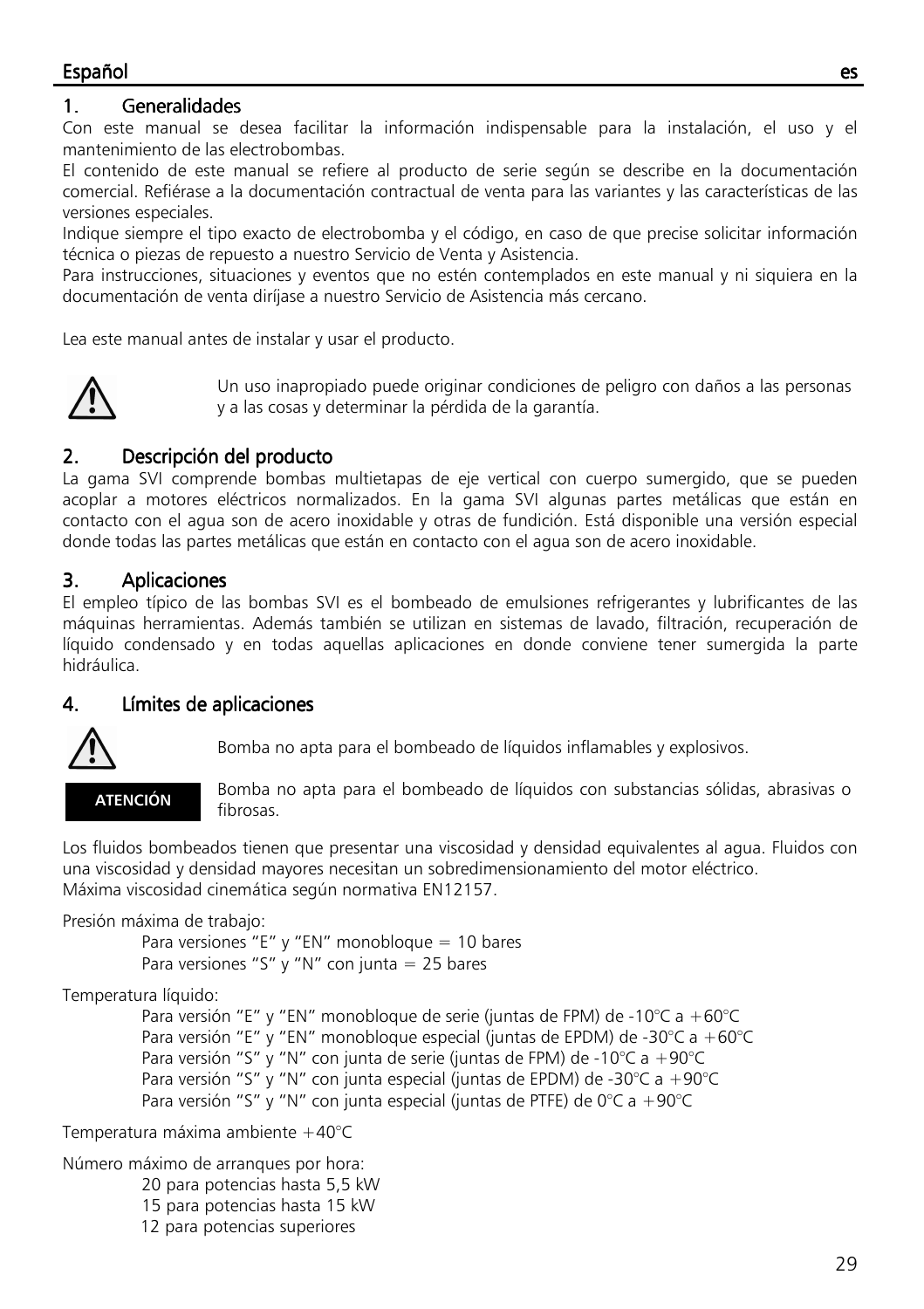# 1. Generalidades

Con este manual se desea facilitar la información indispensable para la instalación, el uso y el mantenimiento de las electrobombas.

El contenido de este manual se refiere al producto de serie según se describe en la documentación comercial. Refiérase a la documentación contractual de venta para las variantes y las características de las versiones especiales.

Indique siempre el tipo exacto de electrobomba y el código, en caso de que precise solicitar información técnica o piezas de repuesto a nuestro Servicio de Venta y Asistencia.

Para instrucciones, situaciones y eventos que no estén contemplados en este manual y ni siquiera en la documentación de venta diríjase a nuestro Servicio de Asistencia más cercano.

Lea este manual antes de instalar y usar el producto.



Un uso inapropiado puede originar condiciones de peligro con daños a las personas y a las cosas y determinar la pérdida de la garantía.

# 2. Descripción del producto

La gama SVI comprende bombas multietapas de eje vertical con cuerpo sumergido, que se pueden acoplar a motores eléctricos normalizados. En la gama SVI algunas partes metálicas que están en contacto con el agua son de acero inoxidable y otras de fundición. Está disponible una versión especial donde todas las partes metálicas que están en contacto con el agua son de acero inoxidable.

# 3. Aplicaciones

El empleo típico de las bombas SVI es el bombeado de emulsiones refrigerantes y lubrificantes de las máquinas herramientas. Además también se utilizan en sistemas de lavado, filtración, recuperación de líquido condensado y en todas aquellas aplicaciones en donde conviene tener sumergida la parte hidráulica.

# 4. Límites de aplicaciones



Bomba no apta para el bombeado de líquidos inflamables y explosivos.



 Bomba no apta para el bombeado de líquidos con substancias sólidas, abrasivas o fibrosas.

Los fluidos bombeados tienen que presentar una viscosidad y densidad equivalentes al agua. Fluidos con una viscosidad y densidad mayores necesitan un sobredimensionamiento del motor eléctrico. Máxima viscosidad cinemática según normativa EN12157.

Presión máxima de trabajo:

Para versiones "E" y "EN" monobloque = 10 bares Para versiones "S" y "N" con junta  $= 25$  bares

Temperatura líquido:

 Para versión "E" y "EN" monobloque de serie (juntas de FPM) de -10°C a +60°C Para versión "E" y "EN" monobloque especial (juntas de EPDM) de -30°C a +60°C Para versión "S" y "N" con junta de serie (juntas de FPM) de -10°C a +90°C Para versión "S" y "N" con junta especial (juntas de EPDM) de -30°C a +90°C Para versión "S" y "N" con junta especial (juntas de PTFE) de 0°C a +90°C

Temperatura máxima ambiente +40°C

Número máximo de arranques por hora: 20 para potencias hasta 5,5 kW

- 15 para potencias hasta 15 kW
- 12 para potencias superiores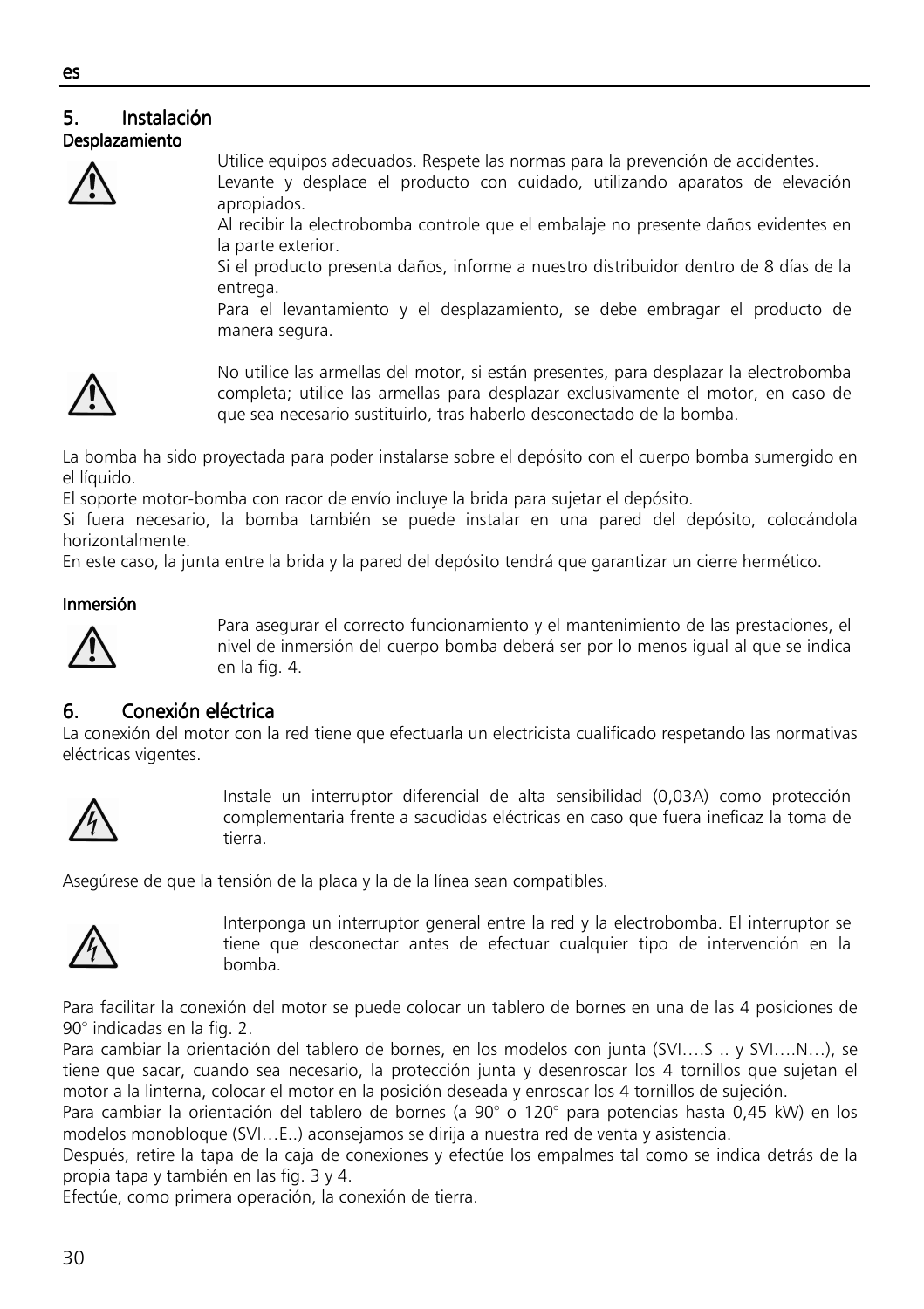#### ٦ 5. Instalación Instalación Instalación Desplazamiento



Utilice equipos adecuados. Respete las normas para la prevención de accidentes. Levante y desplace el producto con cuidado, utilizando aparatos de elevación

apropiados. Al recibir la electrobomba controle que el embalaje no presente daños evidentes en la parte exterior.

Si el producto presenta daños, informe a nuestro distribuidor dentro de 8 días de la entrega.

Para el levantamiento y el desplazamiento, se debe embragar el producto de manera segura.



No utilice las armellas del motor, si están presentes, para desplazar la electrobomba completa; utilice las armellas para desplazar exclusivamente el motor, en caso de que sea necesario sustituirlo, tras haberlo desconectado de la bomba.

La bomba ha sido proyectada para poder instalarse sobre el depósito con el cuerpo bomba sumergido en el líquido.

El soporte motor-bomba con racor de envío incluye la brida para sujetar el depósito.

Si fuera necesario, la bomba también se puede instalar en una pared del depósito, colocándola horizontalmente.

En este caso, la junta entre la brida y la pared del depósito tendrá que garantizar un cierre hermético.

# Inmersión



Para asegurar el correcto funcionamiento y el mantenimiento de las prestaciones, el nivel de inmersión del cuerpo bomba deberá ser por lo menos igual al que se indica en la fig. 4.

# 6. Conexión eléctrica

La conexión del motor con la red tiene que efectuarla un electricista cualificado respetando las normativas eléctricas vigentes.



Instale un interruptor diferencial de alta sensibilidad (0,03A) como protección complementaria frente a sacudidas eléctricas en caso que fuera ineficaz la toma de tierra.

Asegúrese de que la tensión de la placa y la de la línea sean compatibles.



Interponga un interruptor general entre la red y la electrobomba. El interruptor se tiene que desconectar antes de efectuar cualquier tipo de intervención en la bomba.

Para facilitar la conexión del motor se puede colocar un tablero de bornes en una de las 4 posiciones de 90° indicadas en la fig. 2.

Para cambiar la orientación del tablero de bornes, en los modelos con junta (SVI….S .. y SVI….N…), se tiene que sacar, cuando sea necesario, la protección junta y desenroscar los 4 tornillos que sujetan el motor a la linterna, colocar el motor en la posición deseada y enroscar los 4 tornillos de sujeción.

Para cambiar la orientación del tablero de bornes (a 90° o 120° para potencias hasta 0,45 kW) en los modelos monobloque (SVI…E..) aconsejamos se dirija a nuestra red de venta y asistencia.

Después, retire la tapa de la caja de conexiones y efectúe los empalmes tal como se indica detrás de la propia tapa y también en las fig. 3 y 4.

Efectúe, como primera operación, la conexión de tierra.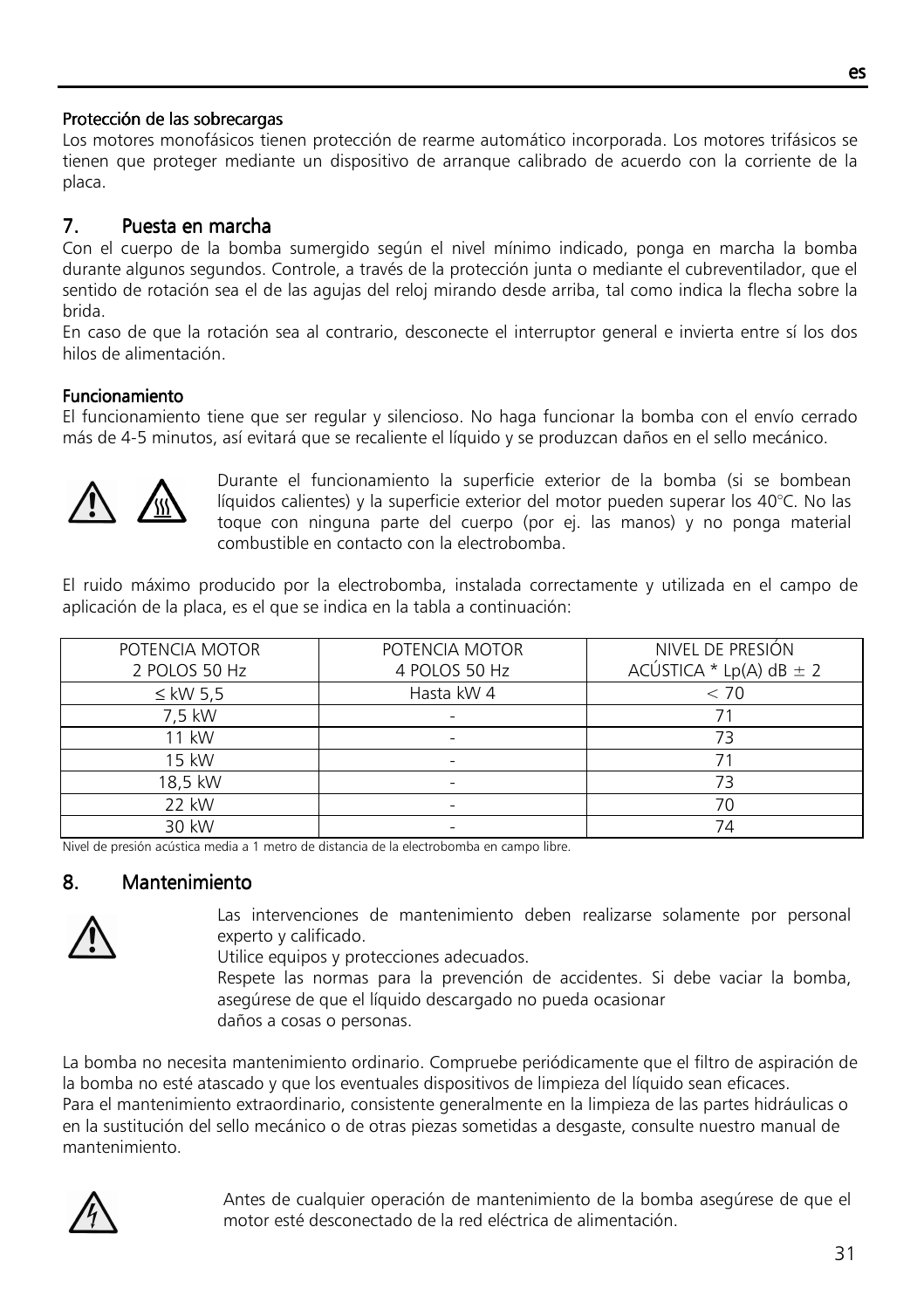### Protección de las sobrecargas

Los motores monofásicos tienen protección de rearme automático incorporada. Los motores trifásicos se tienen que proteger mediante un dispositivo de arranque calibrado de acuerdo con la corriente de la placa.

# 7. Puesta en marcha

Con el cuerpo de la bomba sumergido según el nivel mínimo indicado, ponga en marcha la bomba durante algunos segundos. Controle, a través de la protección junta o mediante el cubreventilador, que el sentido de rotación sea el de las agujas del reloj mirando desde arriba, tal como indica la flecha sobre la brida.

En caso de que la rotación sea al contrario, desconecte el interruptor general e invierta entre sí los dos hilos de alimentación.

### **Funcionamiento**

El funcionamiento tiene que ser regular y silencioso. No haga funcionar la bomba con el envío cerrado más de 4-5 minutos, así evitará que se recaliente el líquido y se produzcan daños en el sello mecánico.



Durante el funcionamiento la superficie exterior de la bomba (si se bombean líquidos calientes) y la superficie exterior del motor pueden superar los 40°C. No las toque con ninguna parte del cuerpo (por ej. las manos) y no ponga material combustible en contacto con la electrobomba.

El ruido máximo producido por la electrobomba, instalada correctamente y utilizada en el campo de aplicación de la placa, es el que se indica en la tabla a continuación:

| POTENCIA MOTOR<br>2 POLOS 50 Hz | POTENCIA MOTOR<br>4 POLOS 50 Hz | NIVEL DE PRESIÓN<br>ACÚSTICA * Lp(A) dB $\pm$ 2 |
|---------------------------------|---------------------------------|-------------------------------------------------|
| $\leq$ kW 5.5                   | Hasta kW 4                      | < 70                                            |
| 7,5 kW                          |                                 |                                                 |
| 11 kW                           |                                 | 73                                              |
| 15 kW                           |                                 |                                                 |
| 18,5 kW                         |                                 | 73                                              |
| 22 kW                           |                                 | 70                                              |
| 30 kW                           |                                 | 74                                              |

Nivel de presión acústica media a 1 metro de distancia de la electrobomba en campo libre.

# 8. Mantenimiento



Las intervenciones de mantenimiento deben realizarse solamente por personal experto y calificado.

Utilice equipos y protecciones adecuados.

Respete las normas para la prevención de accidentes. Si debe vaciar la bomba, asegúrese de que el líquido descargado no pueda ocasionar daños a cosas o personas.

La bomba no necesita mantenimiento ordinario. Compruebe periódicamente que el filtro de aspiración de la bomba no esté atascado y que los eventuales dispositivos de limpieza del líquido sean eficaces. Para el mantenimiento extraordinario, consistente generalmente en la limpieza de las partes hidráulicas o en la sustitución del sello mecánico o de otras piezas sometidas a desgaste, consulte nuestro manual de mantenimiento.



Antes de cualquier operación de mantenimiento de la bomba asegúrese de que el motor esté desconectado de la red eléctrica de alimentación.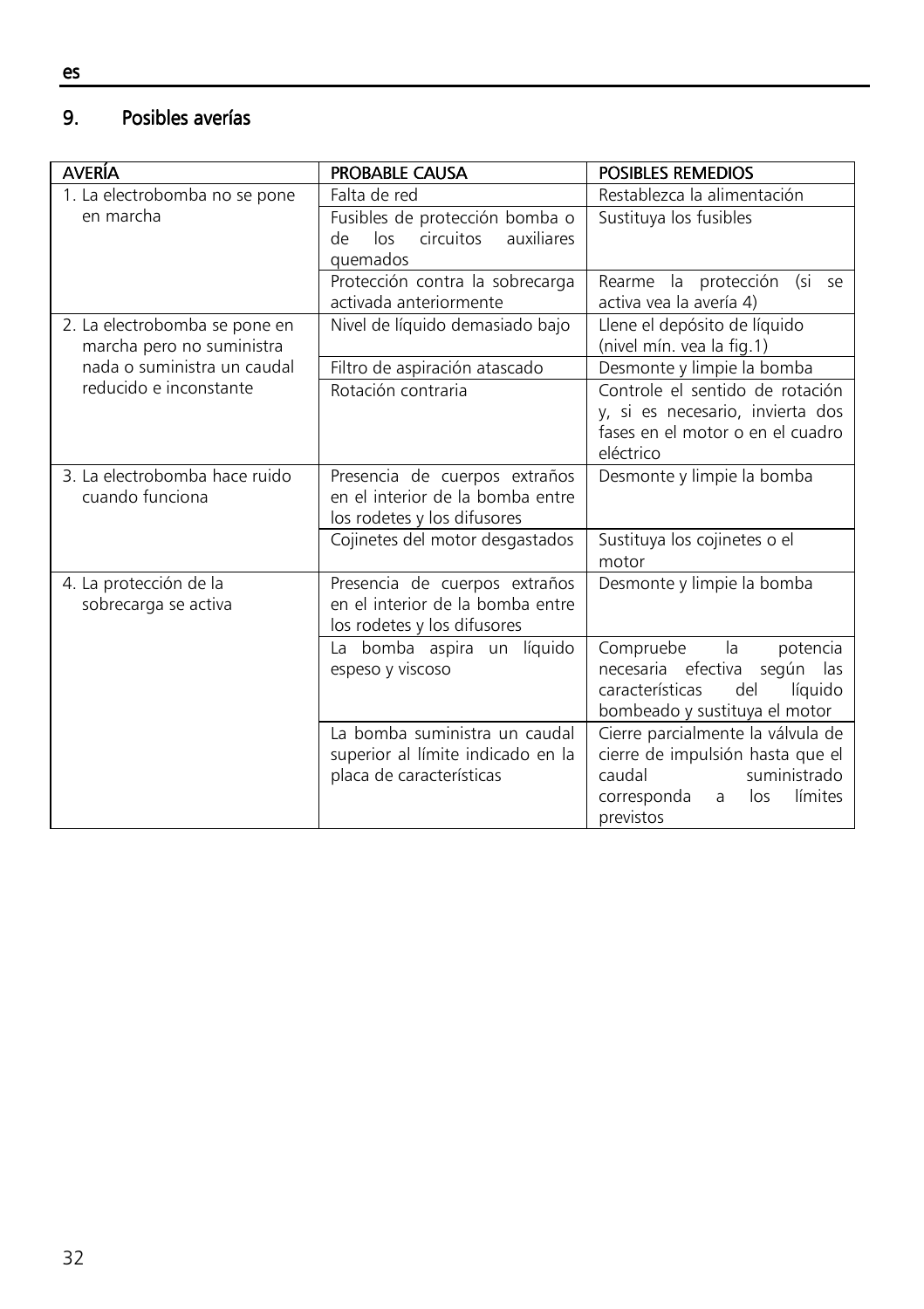#### 9. Posibles averías

| <b>AVERÍA</b>                                              | <b>PROBABLE CAUSA</b>                                                                            | <b>POSIBLES REMEDIOS</b>                                                                                                                           |
|------------------------------------------------------------|--------------------------------------------------------------------------------------------------|----------------------------------------------------------------------------------------------------------------------------------------------------|
| 1. La electrobomba no se pone                              | Falta de red                                                                                     | Restablezca la alimentación                                                                                                                        |
| en marcha                                                  | Fusibles de protección bomba o<br>circuitos<br>auxiliares<br>de<br>los<br>quemados               | Sustituya los fusibles                                                                                                                             |
|                                                            | Protección contra la sobrecarga<br>activada anteriormente                                        | Rearme la protección (si se<br>activa vea la avería 4)                                                                                             |
| 2. La electrobomba se pone en<br>marcha pero no suministra | Nivel de líquido demasiado bajo                                                                  | Llene el depósito de líquido<br>(nivel mín. vea la fig.1)                                                                                          |
| nada o suministra un caudal                                | Filtro de aspiración atascado                                                                    | Desmonte y limpie la bomba                                                                                                                         |
| reducido e inconstante                                     | Rotación contraria                                                                               | Controle el sentido de rotación<br>y, si es necesario, invierta dos<br>fases en el motor o en el cuadro<br>eléctrico                               |
| 3. La electrobomba hace ruido<br>cuando funciona           | Presencia de cuerpos extraños<br>en el interior de la bomba entre<br>los rodetes y los difusores | Desmonte y limpie la bomba                                                                                                                         |
|                                                            | Cojinetes del motor desgastados                                                                  | Sustituya los cojinetes o el<br>motor                                                                                                              |
| 4. La protección de la<br>sobrecarga se activa             | Presencia de cuerpos extraños<br>en el interior de la bomba entre<br>los rodetes y los difusores | Desmonte y limpie la bomba                                                                                                                         |
|                                                            | La bomba aspira un líquido<br>espeso y viscoso                                                   | la<br>Compruebe<br>potencia<br>necesaria efectiva según las<br>del<br>líquido<br>características<br>bombeado y sustituya el motor                  |
|                                                            | La bomba suministra un caudal<br>superior al límite indicado en la<br>placa de características   | Cierre parcialmente la válvula de<br>cierre de impulsión hasta que el<br>caudal<br>suministrado<br>límites<br>corresponda<br>los<br>a<br>previstos |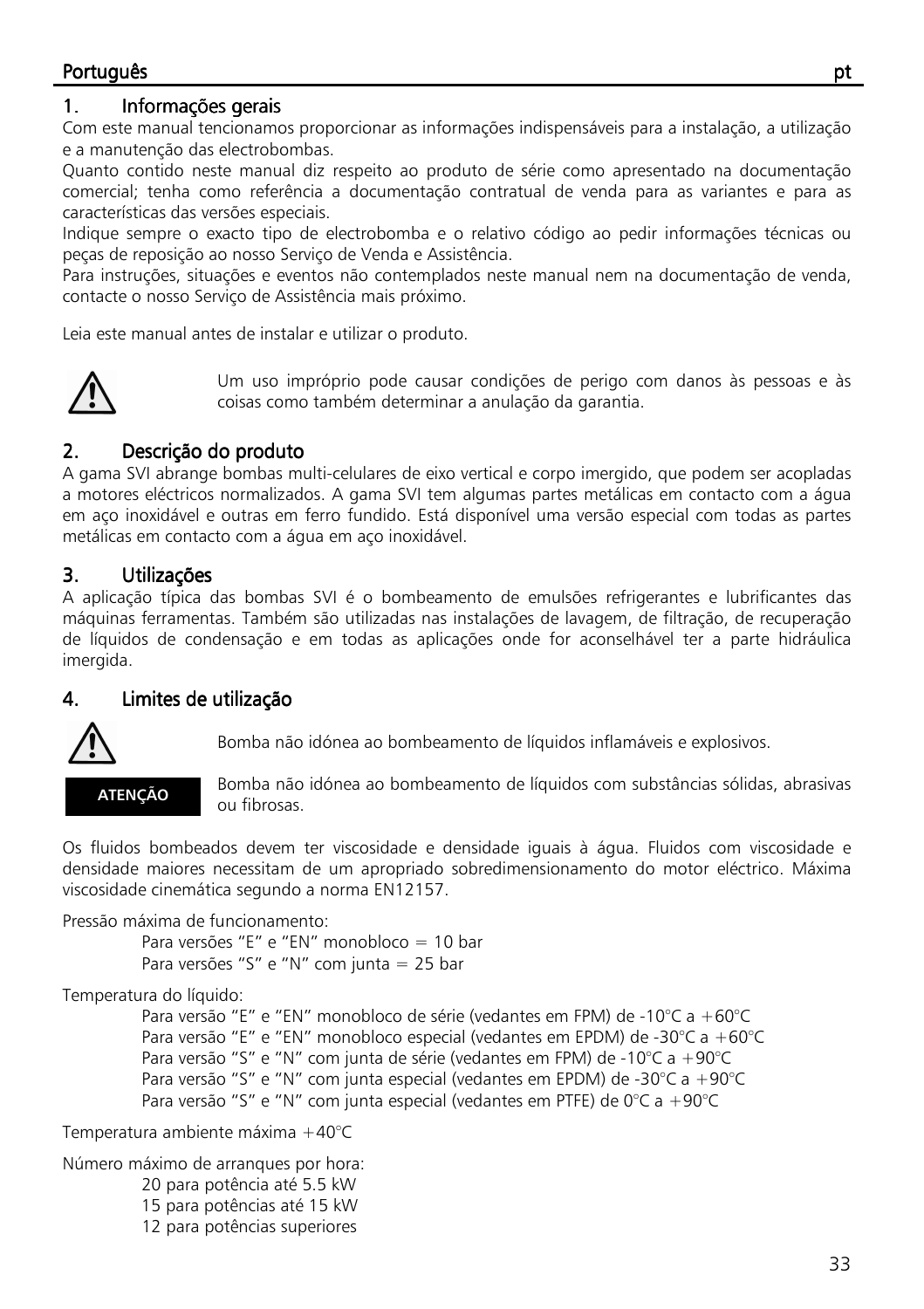# Português ptical and the control of the control of the control of the control of the control of the control of

# 1. Informações gerais

Com este manual tencionamos proporcionar as informações indispensáveis para a instalação, a utilização e a manutenção das electrobombas.

Quanto contido neste manual diz respeito ao produto de série como apresentado na documentação comercial; tenha como referência a documentação contratual de venda para as variantes e para as características das versões especiais.

Indique sempre o exacto tipo de electrobomba e o relativo código ao pedir informações técnicas ou peças de reposição ao nosso Serviço de Venda e Assistência.

Para instruções, situações e eventos não contemplados neste manual nem na documentação de venda, contacte o nosso Serviço de Assistência mais próximo.

Leia este manual antes de instalar e utilizar o produto.



Um uso impróprio pode causar condições de perigo com danos às pessoas e às coisas como também determinar a anulação da garantia.

# 2. Descrição do produto

A gama SVI abrange bombas multi-celulares de eixo vertical e corpo imergido, que podem ser acopladas a motores eléctricos normalizados. A gama SVI tem algumas partes metálicas em contacto com a água em aço inoxidável e outras em ferro fundido. Está disponível uma versão especial com todas as partes metálicas em contacto com a água em aço inoxidável.

# 3. Utilizações Utilizações Utilizações

A aplicação típica das bombas SVI é o bombeamento de emulsões refrigerantes e lubrificantes das máquinas ferramentas. Também são utilizadas nas instalações de lavagem, de filtração, de recuperação de líquidos de condensação e em todas as aplicações onde for aconselhável ter a parte hidráulica imergida.

# 4. Limites de utilização



Bomba não idónea ao bombeamento de líquidos inflamáveis e explosivos.

ATENÇÃO

Bomba não idónea ao bombeamento de líquidos com substâncias sólidas, abrasivas ou fibrosas.

Os fluidos bombeados devem ter viscosidade e densidade iguais à água. Fluidos com viscosidade e densidade maiores necessitam de um apropriado sobredimensionamento do motor eléctrico. Máxima viscosidade cinemática segundo a norma EN12157.

Pressão máxima de funcionamento:

Para versões "E" e "EN" monobloco = 10 bar Para versões "S" e "N" com junta = 25 bar

Temperatura do líquido:

 Para versão "E" e "EN" monobloco de série (vedantes em FPM) de -10°C a +60°C Para versão "E" e "EN" monobloco especial (vedantes em EPDM) de -30°C a +60°C Para versão "S" e "N" com junta de série (vedantes em FPM) de -10°C a +90°C Para versão "S" e "N" com junta especial (vedantes em EPDM) de -30°C a +90°C Para versão "S" e "N" com junta especial (vedantes em PTFE) de 0°C a +90°C

Temperatura ambiente máxima +40°C

Número máximo de arranques por hora: 20 para potência até 5.5 kW 15 para potências até 15 kW 12 para potências superiores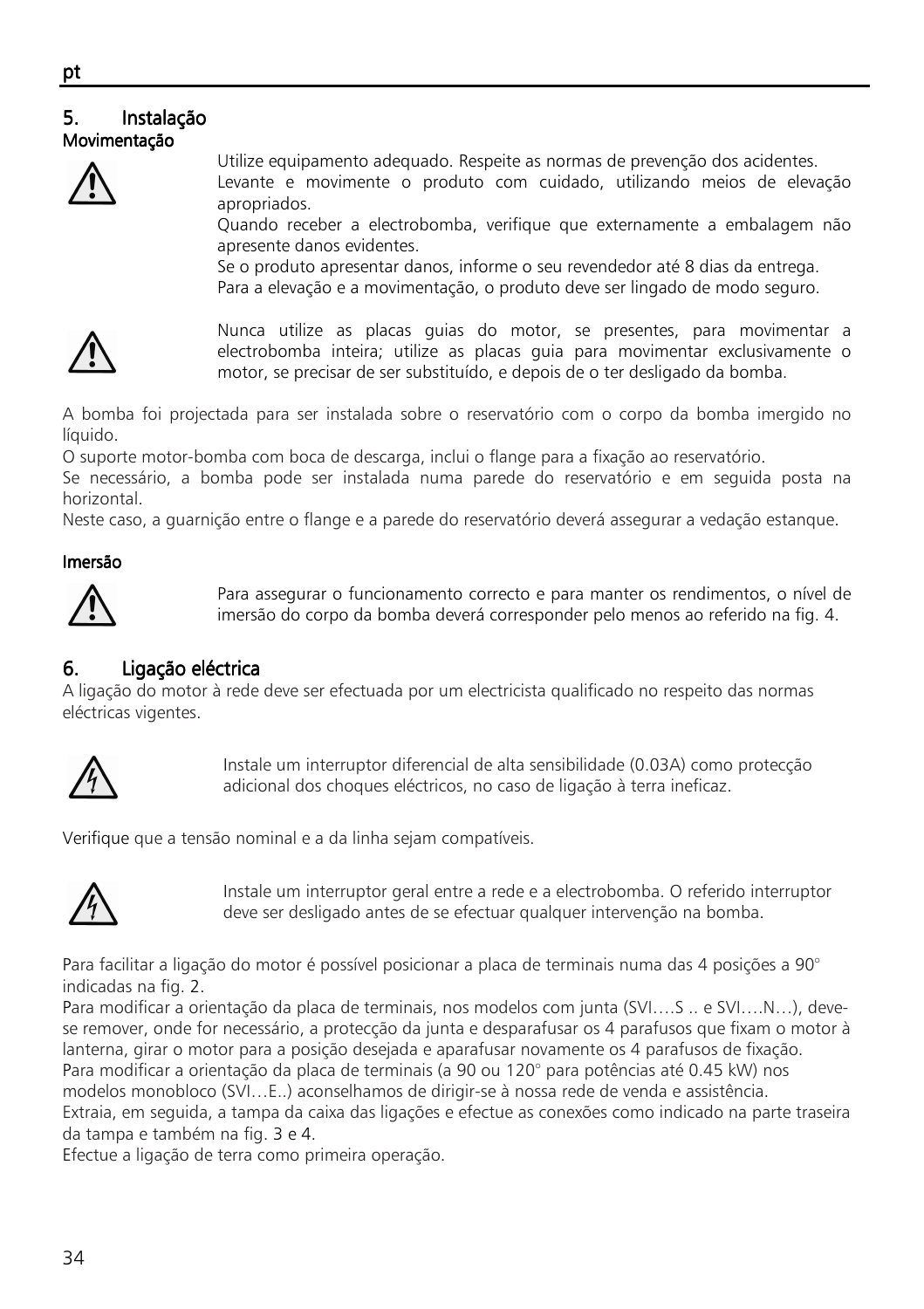### ٦ 5. Instalação Movimentação



Utilize equipamento adequado. Respeite as normas de prevenção dos acidentes. Levante e movimente o produto com cuidado, utilizando meios de elevação apropriados.

Quando receber a electrobomba, verifique que externamente a embalagem não apresente danos evidentes.

Se o produto apresentar danos, informe o seu revendedor até 8 dias da entrega. Para a elevação e a movimentação, o produto deve ser lingado de modo seguro.



Nunca utilize as placas guias do motor, se presentes, para movimentar a electrobomba inteira; utilize as placas guia para movimentar exclusivamente o motor, se precisar de ser substituído, e depois de o ter desligado da bomba.

A bomba foi projectada para ser instalada sobre o reservatório com o corpo da bomba imergido no líquido.

O suporte motor-bomba com boca de descarga, inclui o flange para a fixação ao reservatório.

Se necessário, a bomba pode ser instalada numa parede do reservatório e em seguida posta na horizontal.

Neste caso, a guarnição entre o flange e a parede do reservatório deverá assegurar a vedação estanque.

### Imersão Imersão



Para assegurar o funcionamento correcto e para manter os rendimentos, o nível de imersão do corpo da bomba deverá corresponder pelo menos ao referido na fig. 4.

# 6. Ligação eléctrica Ligação eléctrica

A ligação do motor à rede deve ser efectuada por um electricista qualificado no respeito das normas eléctricas vigentes.



Instale um interruptor diferencial de alta sensibilidade (0.03A) como protecção adicional dos choques eléctricos, no caso de ligação à terra ineficaz.

Verifique que a tensão nominal e a da linha sejam compatíveis.



Instale um interruptor geral entre a rede e a electrobomba. O referido interruptor deve ser desligado antes de se efectuar qualquer intervenção na bomba.

Para facilitar a ligação do motor é possível posicionar a placa de terminais numa das 4 posições a 90° indicadas na fig. 2.

Para modificar a orientação da placa de terminais, nos modelos com junta (SVI….S .. e SVI….N…), devese remover, onde for necessário, a protecção da junta e desparafusar os 4 parafusos que fixam o motor à lanterna, girar o motor para a posição desejada e aparafusar novamente os 4 parafusos de fixação. Para modificar a orientação da placa de terminais (a 90 ou 120° para potências até 0.45 kW) nos modelos monobloco (SVI…E..) aconselhamos de dirigir-se à nossa rede de venda e assistência.

Extraia, em seguida, a tampa da caixa das ligações e efectue as conexões como indicado na parte traseira da tampa e também na fig. 3 e 4.

Efectue a ligação de terra como primeira operação.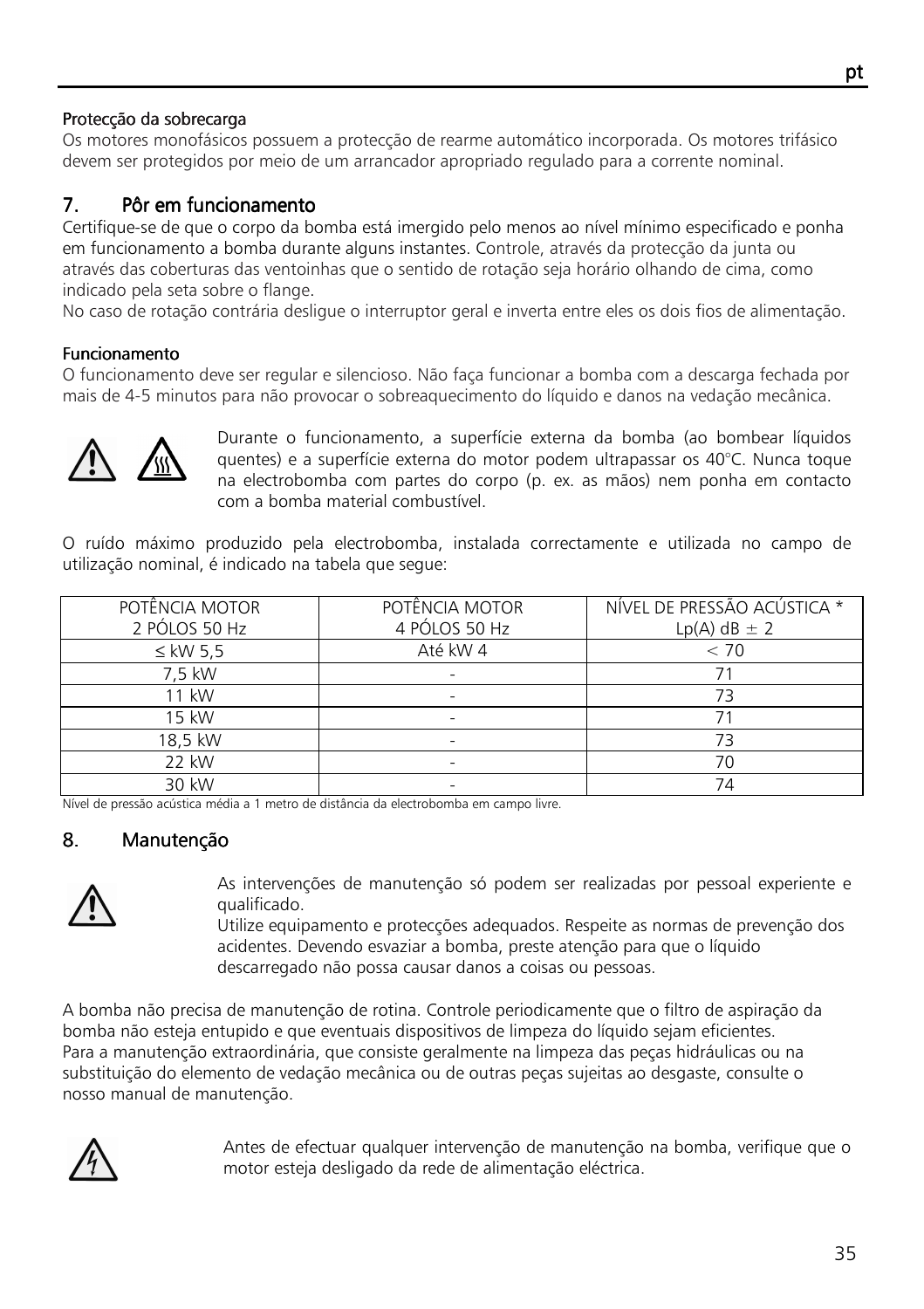# Protecção da sobrecarga

Os motores monofásicos possuem a protecção de rearme automático incorporada. Os motores trifásico devem ser protegidos por meio de um arrancador apropriado regulado para a corrente nominal.

# 7. Pôr em funcionamento

Certifique-se de que o corpo da bomba está imergido pelo menos ao nível mínimo especificado e ponha em funcionamento a bomba durante alguns instantes. Controle, através da protecção da junta ou através das coberturas das ventoinhas que o sentido de rotação seja horário olhando de cima, como indicado pela seta sobre o flange.

No caso de rotação contrária desligue o interruptor geral e inverta entre eles os dois fios de alimentação.

# Funcionamento

O funcionamento deve ser regular e silencioso. Não faça funcionar a bomba com a descarga fechada por mais de 4-5 minutos para não provocar o sobreaquecimento do líquido e danos na vedação mecânica.



Durante o funcionamento, a superfície externa da bomba (ao bombear líquidos quentes) e a superfície externa do motor podem ultrapassar os 40°C. Nunca toque na electrobomba com partes do corpo (p. ex. as mãos) nem ponha em contacto com a bomba material combustível.

O ruído máximo produzido pela electrobomba, instalada correctamente e utilizada no campo de utilização nominal, é indicado na tabela que segue:

| POTÊNCIA MOTOR | POTÊNCIA MOTOR | NÍVEL DE PRESSÃO ACÚSTICA * |
|----------------|----------------|-----------------------------|
| 2 PÓLOS 50 Hz  | 4 PÓLOS 50 Hz  | $Lp(A)$ dB $\pm$ 2          |
| $\leq$ kW 5.5  | Até kW 4       | < 70                        |
| 7.5 kW         |                |                             |
| 11 kW          |                | 73                          |
| 15 kW          |                |                             |
| 18,5 kW        |                |                             |
| 22 kW          |                | 70                          |
| 30 kW          |                | 74                          |

Nível de pressão acústica média a 1 metro de distância da electrobomba em campo livre.

# 8. Manutenção



As intervenções de manutenção só podem ser realizadas por pessoal experiente e qualificado.

Utilize equipamento e protecções adequados. Respeite as normas de prevenção dos acidentes. Devendo esvaziar a bomba, preste atenção para que o líquido descarregado não possa causar danos a coisas ou pessoas.

A bomba não precisa de manutenção de rotina. Controle periodicamente que o filtro de aspiração da bomba não esteja entupido e que eventuais dispositivos de limpeza do líquido sejam eficientes. Para a manutenção extraordinária, que consiste geralmente na limpeza das peças hidráulicas ou na substituição do elemento de vedação mecânica ou de outras peças sujeitas ao desgaste, consulte o nosso manual de manutenção.



Antes de efectuar qualquer intervenção de manutenção na bomba, verifique que o motor esteja desligado da rede de alimentação eléctrica.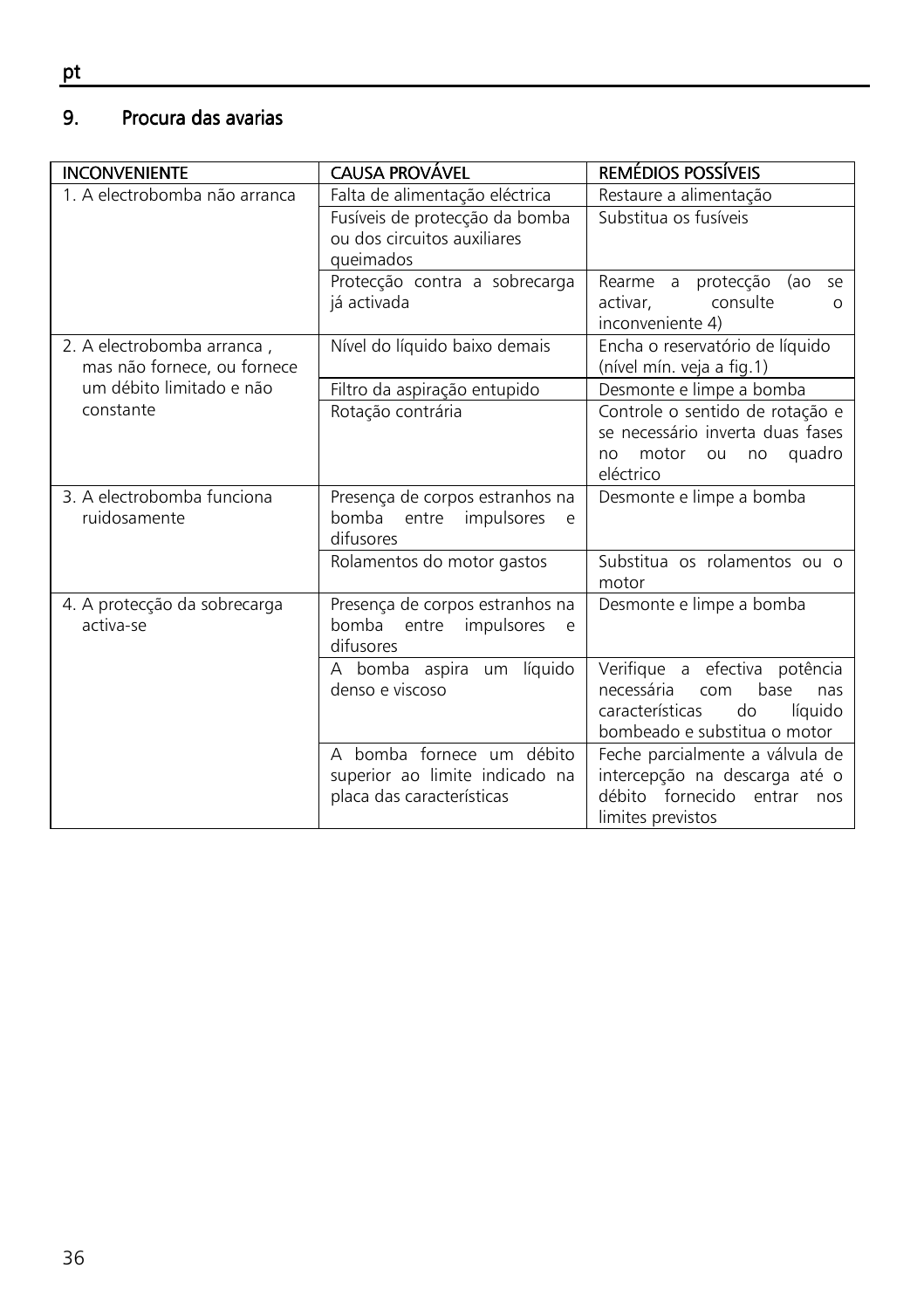#### 9. Procura das avarias

| <b>INCONVENIENTE</b>                                      | <b>CAUSA PROVÁVEL</b>                                                                    | REMÉDIOS POSSÍVEIS                                                                                                                    |
|-----------------------------------------------------------|------------------------------------------------------------------------------------------|---------------------------------------------------------------------------------------------------------------------------------------|
| 1. A electrobomba não arranca                             | Falta de alimentação eléctrica                                                           | Restaure a alimentação                                                                                                                |
|                                                           | Fusíveis de protecção da bomba<br>ou dos circuitos auxiliares<br>queimados               | Substitua os fusíveis                                                                                                                 |
|                                                           | Protecção contra a sobrecarga<br>já activada                                             | Rearme a protecção (ao se<br>consulte<br>activar,<br>O<br>inconveniente 4)                                                            |
| 2. A electrobomba arranca,<br>mas não fornece, ou fornece | Nível do líquido baixo demais                                                            | Encha o reservatório de líquido<br>(nível mín. veja a fig.1)                                                                          |
| um débito limitado e não                                  | Filtro da aspiração entupido                                                             | Desmonte e limpe a bomba                                                                                                              |
| constante                                                 | Rotação contrária                                                                        | Controle o sentido de rotação e<br>se necessário inverta duas fases<br>motor<br>no quadro<br>ou<br>no<br>eléctrico                    |
| 3. A electrobomba funcional<br>ruidosamente               | Presença de corpos estranhos na<br>bomba<br>entre impulsores<br>e<br>difusores           | Desmonte e limpe a bomba                                                                                                              |
|                                                           | Rolamentos do motor gastos                                                               | Substitua os rolamentos ou o<br>motor                                                                                                 |
| 4. A protecção da sobrecarga<br>activa-se                 | Presença de corpos estranhos na<br>bomba<br>entre<br>impulsores<br>e<br>difusores        | Desmonte e limpe a bomba                                                                                                              |
|                                                           | A bomba aspira um líquido<br>denso e viscoso                                             | Verifique a efectiva potência<br>necessária<br>base<br>com<br>nas<br>líquido<br>do<br>características<br>bombeado e substitua o motor |
|                                                           | A bomba fornece um débito<br>superior ao limite indicado na<br>placa das características | Feche parcialmente a válvula de<br>intercepção na descarga até o<br>débito fornecido entrar nos<br>limites previstos                  |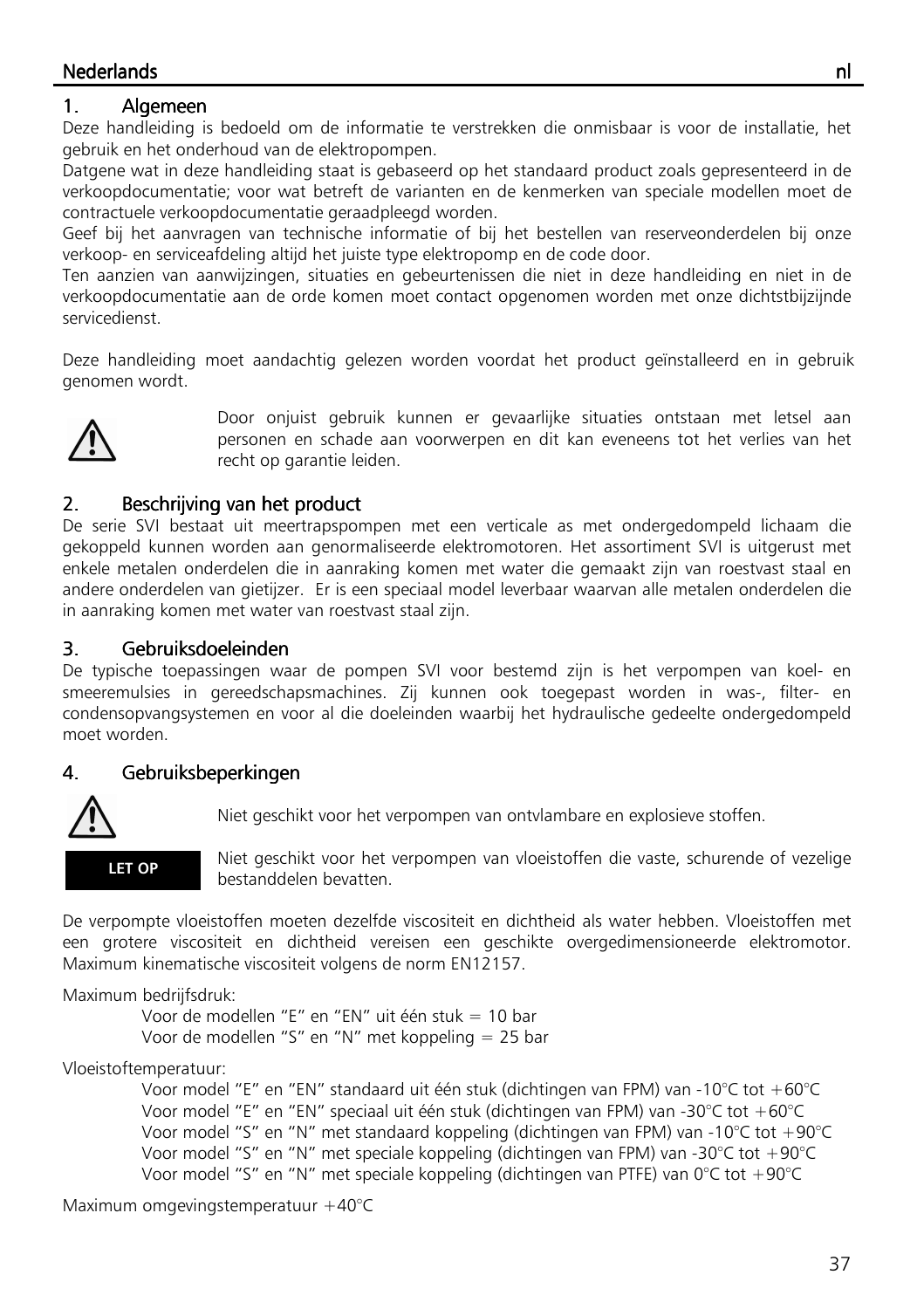### Nederlands Nederlands nl

## 1. Algemeen

Deze handleiding is bedoeld om de informatie te verstrekken die onmisbaar is voor de installatie, het gebruik en het onderhoud van de elektropompen.

Datgene wat in deze handleiding staat is gebaseerd op het standaard product zoals gepresenteerd in de verkoopdocumentatie; voor wat betreft de varianten en de kenmerken van speciale modellen moet de contractuele verkoopdocumentatie geraadpleegd worden.

Geef bij het aanvragen van technische informatie of bij het bestellen van reserveonderdelen bij onze verkoop- en serviceafdeling altijd het juiste type elektropomp en de code door.

Ten aanzien van aanwijzingen, situaties en gebeurtenissen die niet in deze handleiding en niet in de verkoopdocumentatie aan de orde komen moet contact opgenomen worden met onze dichtstbijzijnde servicedienst.

Deze handleiding moet aandachtig gelezen worden voordat het product geïnstalleerd en in gebruik genomen wordt.



Door onjuist gebruik kunnen er gevaarlijke situaties ontstaan met letsel aan personen en schade aan voorwerpen en dit kan eveneens tot het verlies van het recht op garantie leiden.

## 2. Beschrijving van het product

De serie SVI bestaat uit meertrapspompen met een verticale as met ondergedompeld lichaam die gekoppeld kunnen worden aan genormaliseerde elektromotoren. Het assortiment SVI is uitgerust met enkele metalen onderdelen die in aanraking komen met water die gemaakt zijn van roestvast staal en andere onderdelen van gietijzer. Er is een speciaal model leverbaar waarvan alle metalen onderdelen die in aanraking komen met water van roestvast staal zijn.

## 3. Gebruiksdoeleinden Gebruiksdoeleinden Gebruiksdoeleinden

De typische toepassingen waar de pompen SVI voor bestemd zijn is het verpompen van koel- en smeeremulsies in gereedschapsmachines. Zij kunnen ook toegepast worden in was-, filter- en condensopvangsystemen en voor al die doeleinden waarbij het hydraulische gedeelte ondergedompeld moet worden.

#### 4. Gebruiksbeperkingen Gebruiksbeperkingen Gebruiksbeperkingen



Niet geschikt voor het verpompen van ontvlambare en explosieve stoffen.

 Niet geschikt voor het verpompen van vloeistoffen die vaste, schurende of vezelige bestanddelen bevatten.

De verpompte vloeistoffen moeten dezelfde viscositeit en dichtheid als water hebben. Vloeistoffen met een grotere viscositeit en dichtheid vereisen een geschikte overgedimensioneerde elektromotor. Maximum kinematische viscositeit volgens de norm EN12157.

Maximum bedrijfsdruk:

 Voor de modellen "E" en "EN" uit één stuk = 10 bar Voor de modellen "S" en "N" met koppeling = 25 bar

Vloeistoftemperatuur:

 Voor model "E" en "EN" standaard uit één stuk (dichtingen van FPM) van -10°C tot +60°C Voor model "E" en "EN" speciaal uit één stuk (dichtingen van FPM) van -30°C tot +60°C Voor model "S" en "N" met standaard koppeling (dichtingen van FPM) van -10°C tot +90°C Voor model "S" en "N" met speciale koppeling (dichtingen van FPM) van -30°C tot +90°C Voor model "S" en "N" met speciale koppeling (dichtingen van PTFE) van 0°C tot +90°C

Maximum omgevingstemperatuur +40°C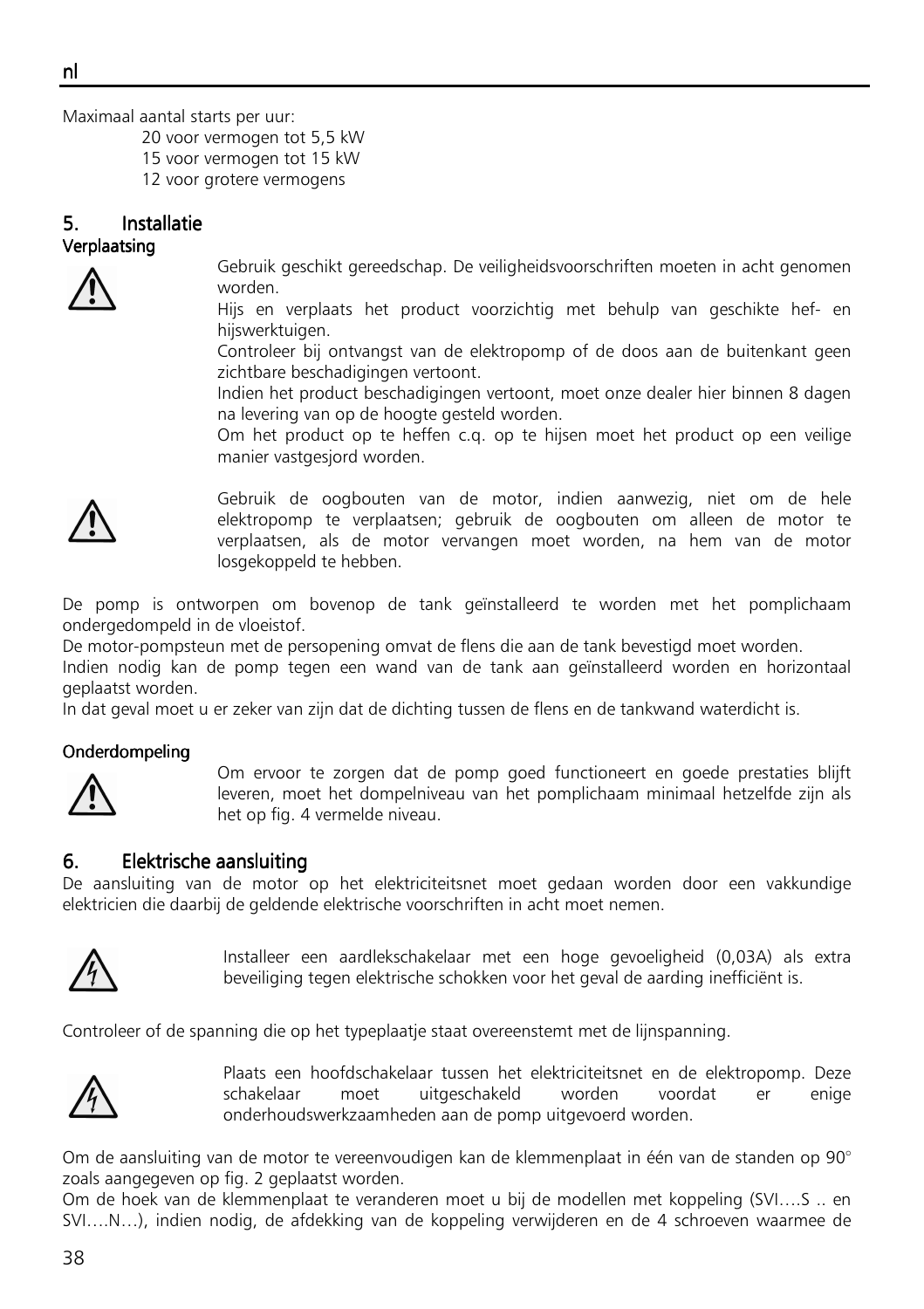Maximaal aantal starts per uur:

20 voor vermogen tot 5,5 kW

15 voor vermogen tot 15 kW

12 voor grotere vermogens

#### 5. Installatie Verplaatsing



Gebruik geschikt gereedschap. De veiligheidsvoorschriften moeten in acht genomen worden.

Hijs en verplaats het product voorzichtig met behulp van geschikte hef- en hijswerktuigen.

Controleer bij ontvangst van de elektropomp of de doos aan de buitenkant geen zichtbare beschadigingen vertoont.

Indien het product beschadigingen vertoont, moet onze dealer hier binnen 8 dagen na levering van op de hoogte gesteld worden.

Om het product op te heffen c.q. op te hijsen moet het product op een veilige manier vastgesjord worden.



Gebruik de oogbouten van de motor, indien aanwezig, niet om de hele elektropomp te verplaatsen; gebruik de oogbouten om alleen de motor te verplaatsen, als de motor vervangen moet worden, na hem van de motor losgekoppeld te hebben.

De pomp is ontworpen om bovenop de tank geïnstalleerd te worden met het pomplichaam ondergedompeld in de vloeistof.

De motor-pompsteun met de persopening omvat de flens die aan de tank bevestigd moet worden.

Indien nodig kan de pomp tegen een wand van de tank aan geïnstalleerd worden en horizontaal geplaatst worden.

In dat geval moet u er zeker van zijn dat de dichting tussen de flens en de tankwand waterdicht is.

#### **Onderdompeling**



Om ervoor te zorgen dat de pomp goed functioneert en goede prestaties blijft leveren, moet het dompelniveau van het pomplichaam minimaal hetzelfde zijn als het op fig. 4 vermelde niveau.

#### 6. Elektrische aansluiting

De aansluiting van de motor op het elektriciteitsnet moet gedaan worden door een vakkundige elektricien die daarbij de geldende elektrische voorschriften in acht moet nemen.



Installeer een aardlekschakelaar met een hoge gevoeligheid (0,03A) als extra beveiliging tegen elektrische schokken voor het geval de aarding inefficiënt is.

Controleer of de spanning die op het typeplaatje staat overeenstemt met de lijnspanning.



Plaats een hoofdschakelaar tussen het elektriciteitsnet en de elektropomp. Deze schakelaar moet uitgeschakeld worden voordat er enige onderhoudswerkzaamheden aan de pomp uitgevoerd worden.

Om de aansluiting van de motor te vereenvoudigen kan de klemmenplaat in één van de standen op 90° zoals aangegeven op fig. 2 geplaatst worden.

Om de hoek van de klemmenplaat te veranderen moet u bij de modellen met koppeling (SVI….S .. en SVI….N…), indien nodig, de afdekking van de koppeling verwijderen en de 4 schroeven waarmee de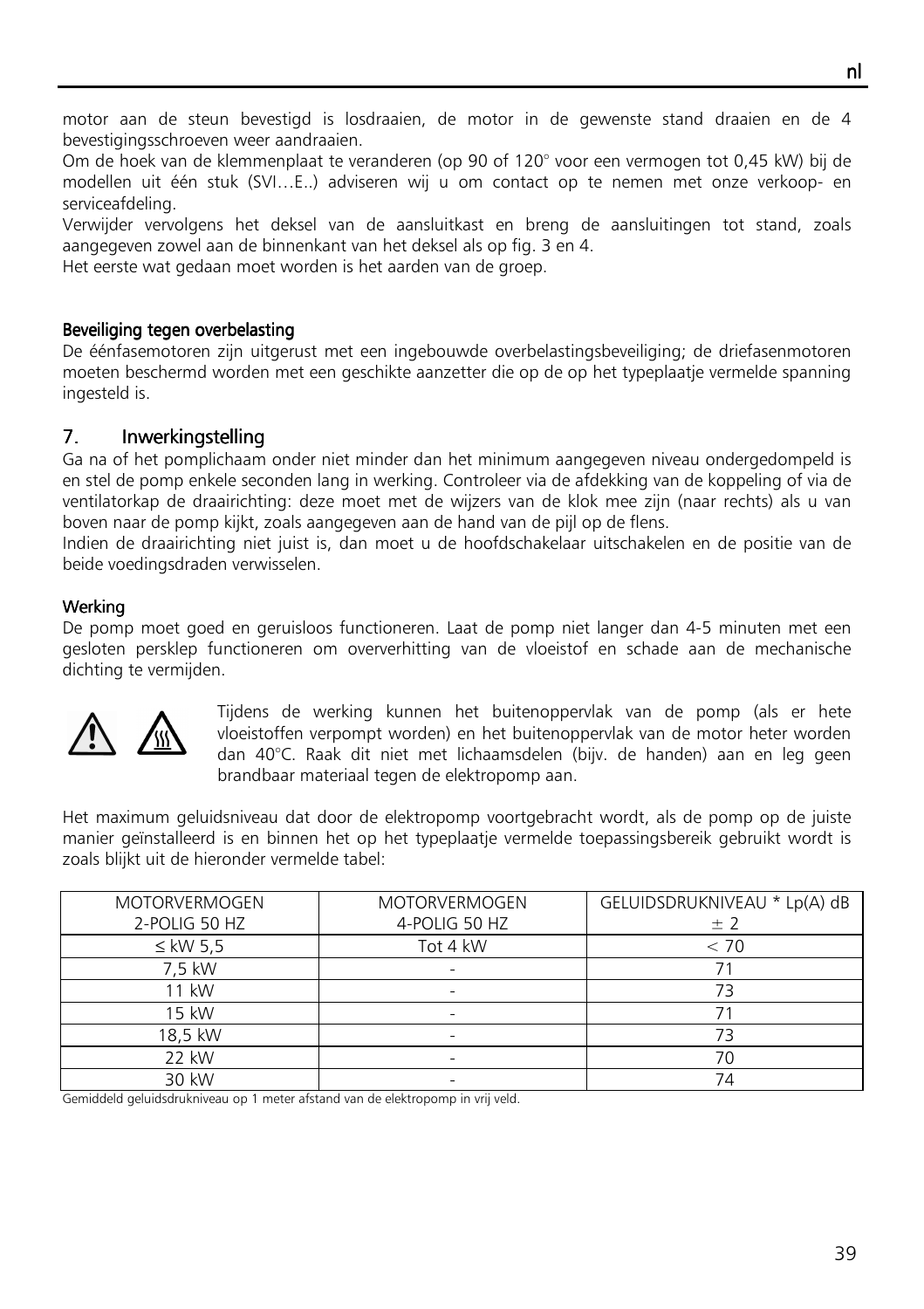motor aan de steun bevestigd is losdraaien, de motor in de gewenste stand draaien en de 4 bevestigingsschroeven weer aandraaien.

Om de hoek van de klemmenplaat te veranderen (op 90 of 120° voor een vermogen tot 0,45 kW) bij de modellen uit één stuk (SVI…E..) adviseren wij u om contact op te nemen met onze verkoop- en serviceafdeling.

Verwijder vervolgens het deksel van de aansluitkast en breng de aansluitingen tot stand, zoals aangegeven zowel aan de binnenkant van het deksel als op fig. 3 en 4.

Het eerste wat gedaan moet worden is het aarden van de groep.

#### Beveiliging tegen overbelasting

De éénfasemotoren zijn uitgerust met een ingebouwde overbelastingsbeveiliging; de driefasenmotoren moeten beschermd worden met een geschikte aanzetter die op de op het typeplaatje vermelde spanning ingesteld is.

## 7. Inwerkingstelling

Ga na of het pomplichaam onder niet minder dan het minimum aangegeven niveau ondergedompeld is en stel de pomp enkele seconden lang in werking. Controleer via de afdekking van de koppeling of via de ventilatorkap de draairichting: deze moet met de wijzers van de klok mee zijn (naar rechts) als u van boven naar de pomp kijkt, zoals aangegeven aan de hand van de pijl op de flens.

Indien de draairichting niet juist is, dan moet u de hoofdschakelaar uitschakelen en de positie van de beide voedingsdraden verwisselen.

#### Werking

De pomp moet goed en geruisloos functioneren. Laat de pomp niet langer dan 4-5 minuten met een gesloten persklep functioneren om oververhitting van de vloeistof en schade aan de mechanische dichting te vermijden.



Tijdens de werking kunnen het buitenoppervlak van de pomp (als er hete vloeistoffen verpompt worden) en het buitenoppervlak van de motor heter worden dan 40°C. Raak dit niet met lichaamsdelen (bijv. de handen) aan en leg geen brandbaar materiaal tegen de elektropomp aan.

Het maximum geluidsniveau dat door de elektropomp voortgebracht wordt, als de pomp op de juiste manier geïnstalleerd is en binnen het op het typeplaatje vermelde toepassingsbereik gebruikt wordt is zoals blijkt uit de hieronder vermelde tabel:

| <b>MOTORVERMOGEN</b><br>2-POLIG 50 HZ | <b>MOTORVERMOGEN</b><br>4-POLIG 50 HZ | GELUIDSDRUKNIVEAU * Lp(A) dB<br>± 2 |
|---------------------------------------|---------------------------------------|-------------------------------------|
| $\leq$ kW 5.5                         | Tot 4 kW                              | < 70                                |
| 7.5 kW                                |                                       |                                     |
| 11 kW                                 |                                       | 73                                  |
| 15 kW                                 |                                       |                                     |
| 18,5 kW                               |                                       | 73                                  |
| 22 kW                                 |                                       | 70                                  |
| 30 kW                                 |                                       | 74                                  |

Gemiddeld geluidsdrukniveau op 1 meter afstand van de elektropomp in vrij veld.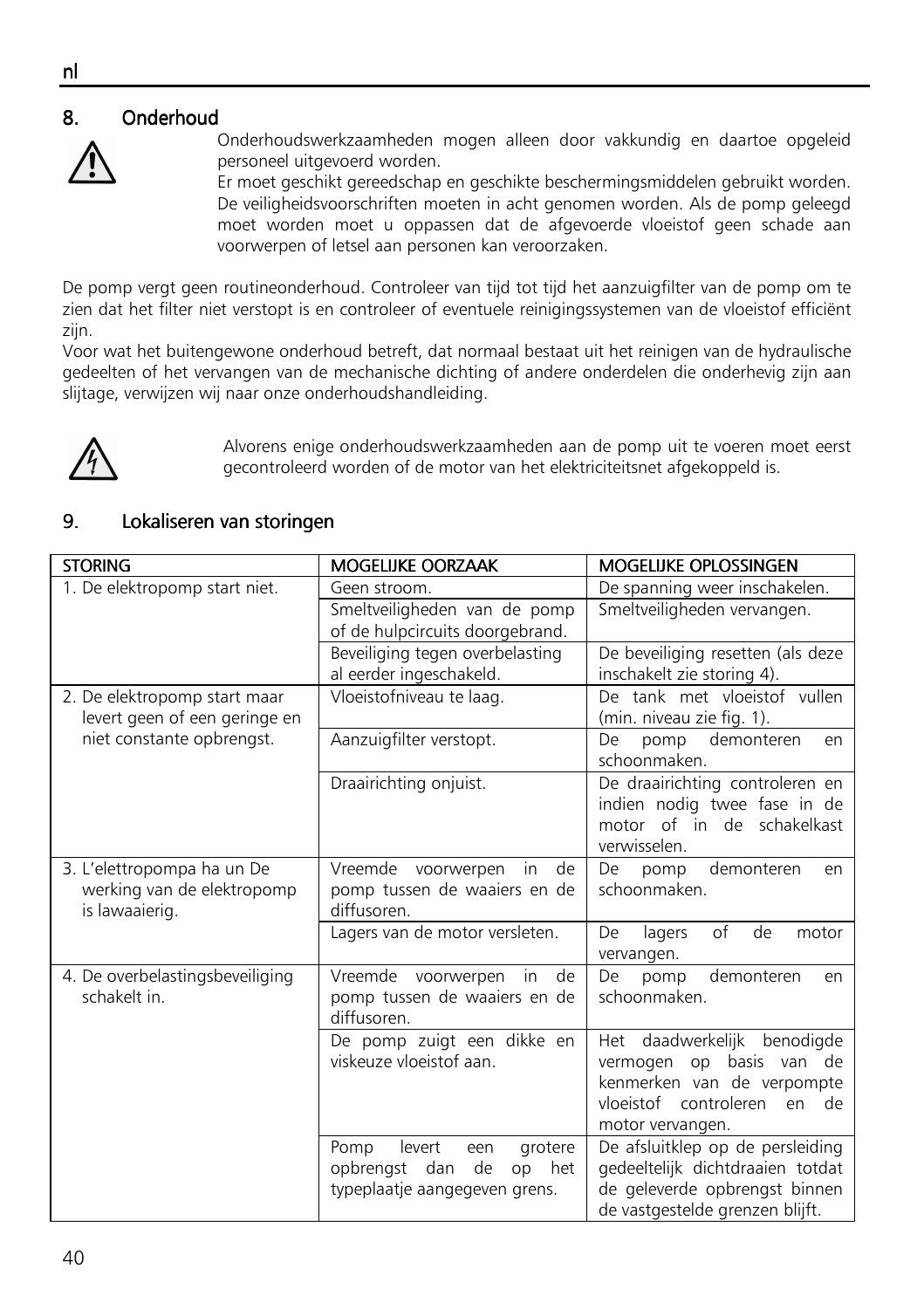## 8. Onderhoud



Onderhoudswerkzaamheden mogen alleen door vakkundig en daartoe opgeleid personeel uitgevoerd worden.

Er moet geschikt gereedschap en geschikte beschermingsmiddelen gebruikt worden. De veiligheidsvoorschriften moeten in acht genomen worden. Als de pomp geleegd moet worden moet u oppassen dat de afgevoerde vloeistof geen schade aan voorwerpen of letsel aan personen kan veroorzaken.

De pomp vergt geen routineonderhoud. Controleer van tijd tot tijd het aanzuigfilter van de pomp om te zien dat het filter niet verstopt is en controleer of eventuele reinigingssystemen van de vloeistof efficiënt zijn.

Voor wat het buitengewone onderhoud betreft, dat normaal bestaat uit het reinigen van de hydraulische gedeelten of het vervangen van de mechanische dichting of andere onderdelen die onderhevig zijn aan slijtage, verwijzen wij naar onze onderhoudshandleiding.



Alvorens enige onderhoudswerkzaamheden aan de pomp uit te voeren moet eerst gecontroleerd worden of de motor van het elektriciteitsnet afgekoppeld is.

## 9. Lokaliseren van storingen

| <b>STORING</b>                                                             | <b>MOGELIJKE OORZAAK</b>                                                                              | <b>MOGELIJKE OPLOSSINGEN</b>                                                                                                                   |
|----------------------------------------------------------------------------|-------------------------------------------------------------------------------------------------------|------------------------------------------------------------------------------------------------------------------------------------------------|
| 1. De elektropomp start niet.                                              | Geen stroom.                                                                                          | De spanning weer inschakelen.                                                                                                                  |
|                                                                            | Smeltveiligheden van de pomp<br>of de hulpcircuits doorgebrand.                                       | Smeltveiligheden vervangen.                                                                                                                    |
|                                                                            | Beveiliging tegen overbelasting<br>al eerder ingeschakeld.                                            | De beveiliging resetten (als deze<br>inschakelt zie storing 4).                                                                                |
| 2. De elektropomp start maar<br>levert geen of een geringe en              | Vloeistofniveau te laag.                                                                              | De tank met vloeistof vullen<br>(min. niveau zie fig. 1).                                                                                      |
| niet constante opbrengst.                                                  | Aanzuigfilter verstopt.                                                                               | demonteren<br>De<br>pomp<br>en<br>schoonmaken.                                                                                                 |
|                                                                            | Draairichting onjuist.                                                                                | De draairichting controleren en<br>indien nodig twee fase in de<br>motor of in de schakelkast<br>verwisselen.                                  |
| 3. L'elettropompa ha un De<br>werking van de elektropomp<br>is lawaaierig. | Vreemde voorwerpen in<br>de<br>pomp tussen de waaiers en de<br>diffusoren.                            | demonteren<br>De<br>pomp<br>en<br>schoonmaken.                                                                                                 |
|                                                                            | Lagers van de motor versleten.                                                                        | of<br>de<br>De<br>lagers<br>motor<br>vervangen.                                                                                                |
| 4. De overbelastingsbeveiliging<br>schakelt in.                            | Vreemde voorwerpen in de<br>pomp tussen de waaiers en de<br>diffusoren.                               | demonteren<br>De<br>pomp<br>en<br>schoonmaken.                                                                                                 |
|                                                                            | De pomp zuigt een dikke en<br>viskeuze vloeistof aan.                                                 | Het daadwerkelijk benodigde<br>vermogen op basis van de<br>kenmerken van de verpompte<br>vloeistof controleren<br>de<br>en<br>motor vervangen. |
|                                                                            | levert<br>grotere<br>Pomp<br>een<br>opbrengst dan<br>de<br>op<br>het<br>typeplaatje aangegeven grens. | De afsluitklep op de persleiding<br>gedeeltelijk dichtdraaien totdat<br>de geleverde opbrengst binnen<br>de vastgestelde grenzen blijft.       |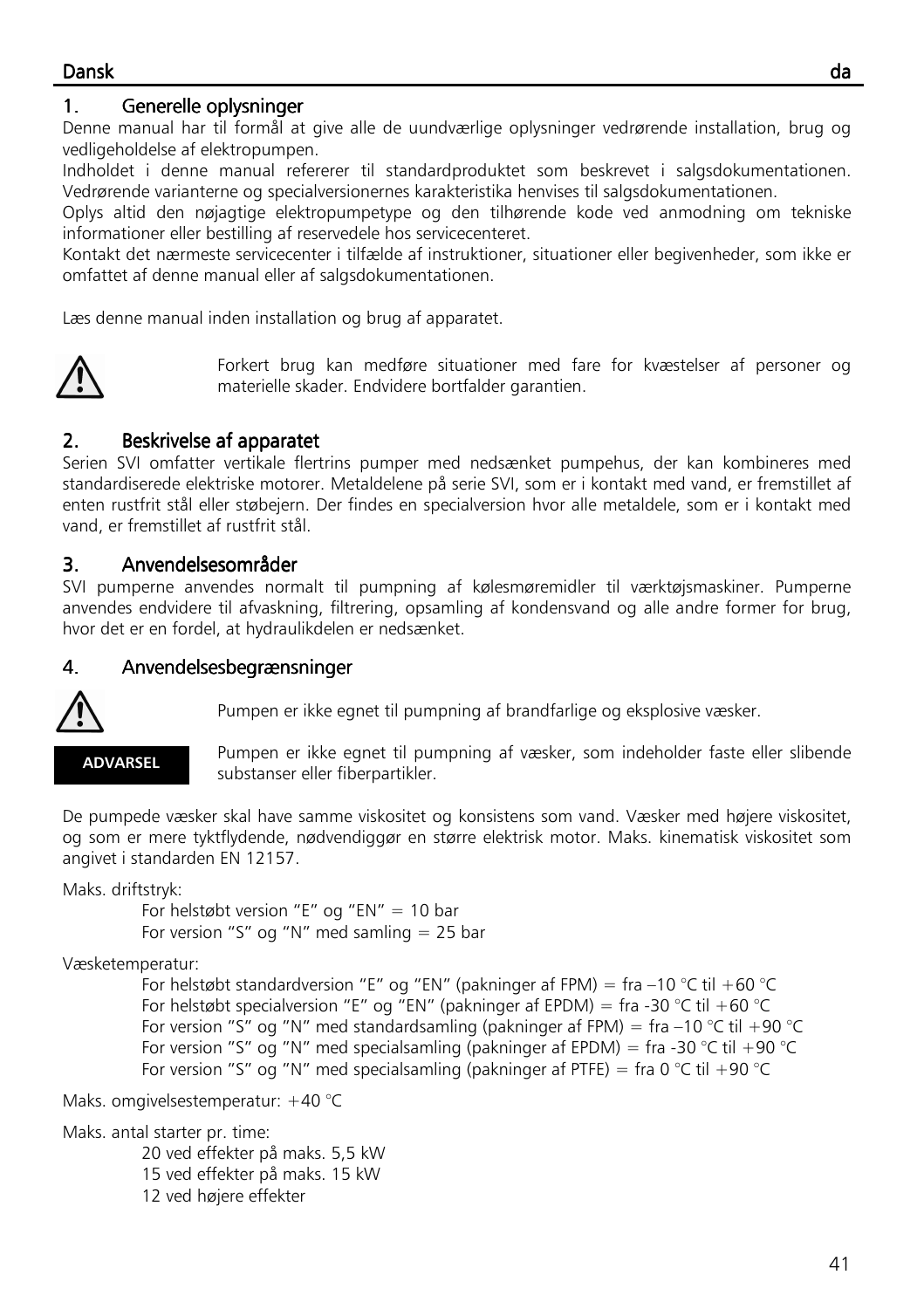## Dansk da

## 1. Generelle oplysninger

Denne manual har til formål at give alle de uundværlige oplysninger vedrørende installation, brug og vedligeholdelse af elektropumpen.

Indholdet i denne manual refererer til standardproduktet som beskrevet i salgsdokumentationen. Vedrørende varianterne og specialversionernes karakteristika henvises til salgsdokumentationen.

Oplys altid den nøjagtige elektropumpetype og den tilhørende kode ved anmodning om tekniske informationer eller bestilling af reservedele hos servicecenteret.

Kontakt det nærmeste servicecenter i tilfælde af instruktioner, situationer eller begivenheder, som ikke er omfattet af denne manual eller af salgsdokumentationen.

Læs denne manual inden installation og brug af apparatet.



Forkert brug kan medføre situationer med fare for kvæstelser af personer og materielle skader. Endvidere bortfalder garantien.

## 2. Beskrivelse af apparatet

Serien SVI omfatter vertikale flertrins pumper med nedsænket pumpehus, der kan kombineres med standardiserede elektriske motorer. Metaldelene på serie SVI, som er i kontakt med vand, er fremstillet af enten rustfrit stål eller støbejern. Der findes en specialversion hvor alle metaldele, som er i kontakt med vand, er fremstillet af rustfrit stål.

## 3. Anvendelsesområder

SVI pumperne anvendes normalt til pumpning af kølesmøremidler til værktøjsmaskiner. Pumperne anvendes endvidere til afvaskning, filtrering, opsamling af kondensvand og alle andre former for brug, hvor det er en fordel, at hydraulikdelen er nedsænket.

## 4. Anvendelsesbegrænsninger



Pumpen er ikke egnet til pumpning af brandfarlige og eksplosive væsker.

#### ADVARSEL

Pumpen er ikke egnet til pumpning af væsker, som indeholder faste eller slibende substanser eller fiberpartikler.

De pumpede væsker skal have samme viskositet og konsistens som vand. Væsker med højere viskositet, og som er mere tyktflydende, nødvendiggør en større elektrisk motor. Maks. kinematisk viskositet som angivet i standarden EN 12157.

Maks. driftstryk:

 For helstøbt version "E" og "EN" = 10 bar For version "S" og "N" med samling = 25 bar

Væsketemperatur:

For helstøbt standardversion "E" og "EN" (pakninger af FPM) = fra -10 °C til +60 °C For helstøbt specialversion "E" og "EN" (pakninger af EPDM) = fra -30 °C til +60 °C For version "S" og "N" med standardsamling (pakninger af FPM) = fra  $-10$  °C til  $+90$  °C For version "S" og "N" med specialsamling (pakninger af EPDM) = fra -30 °C til +90 °C For version "S" og "N" med specialsamling (pakninger af PTFE) = fra 0 °C til +90 °C

Maks. omgivelsestemperatur: +40 °C

Maks. antal starter pr. time:

 20 ved effekter på maks. 5,5 kW 15 ved effekter på maks. 15 kW 12 ved højere effekter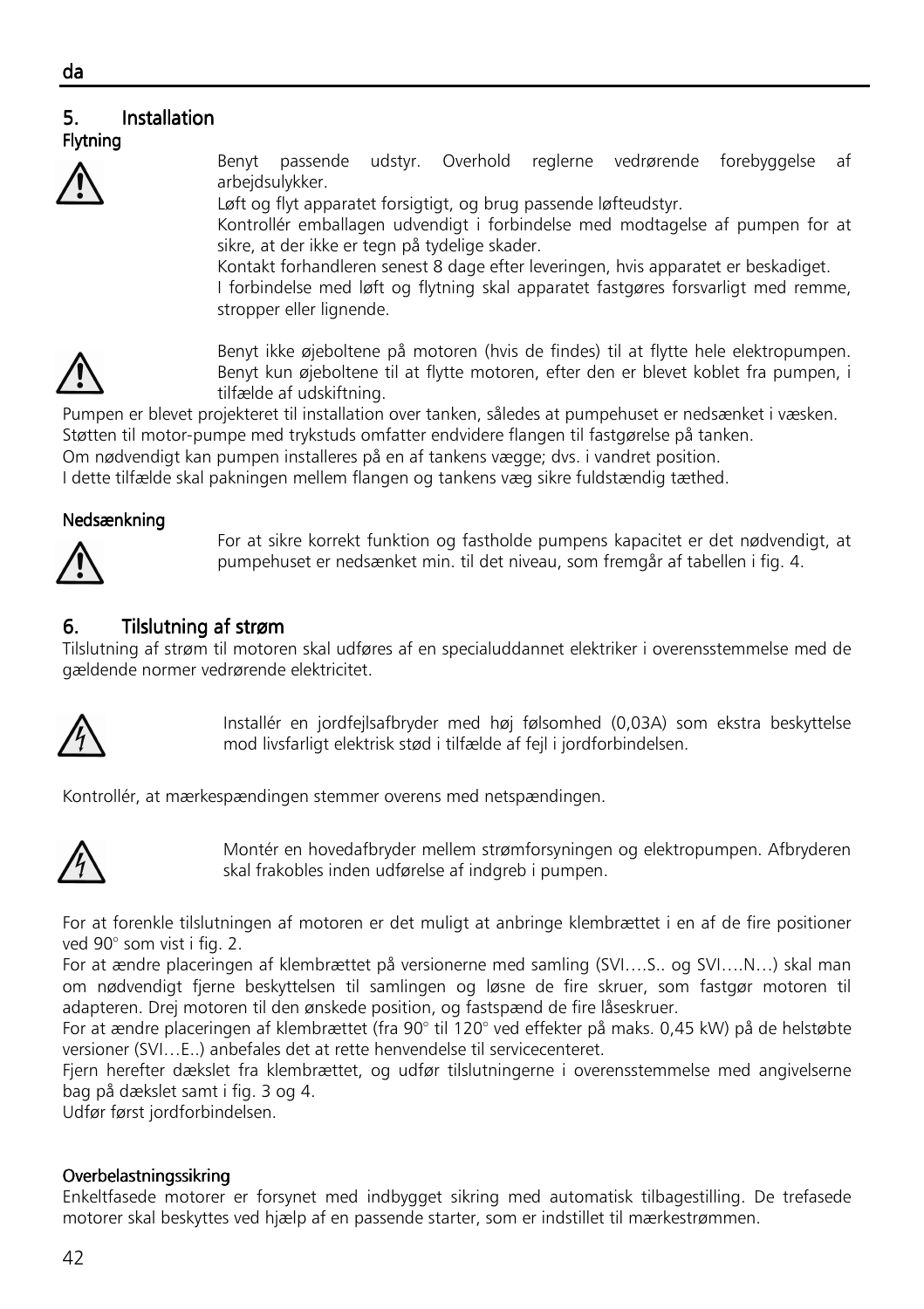#### 5. Installation Flytning



Benyt passende udstyr. Overhold reglerne vedrørende forebyggelse af arbeidsulvkker.

Løft og flyt apparatet forsigtigt, og brug passende løfteudstyr.

Kontrollér emballagen udvendigt i forbindelse med modtagelse af pumpen for at sikre, at der ikke er tegn på tydelige skader.

Kontakt forhandleren senest 8 dage efter leveringen, hvis apparatet er beskadiget.

I forbindelse med løft og flytning skal apparatet fastgøres forsvarligt med remme, stropper eller lignende.



Benyt ikke øjeboltene på motoren (hvis de findes) til at flytte hele elektropumpen. Benyt kun øjeboltene til at flytte motoren, efter den er blevet koblet fra pumpen, i tilfælde af udskiftning.

Pumpen er blevet projekteret til installation over tanken, således at pumpehuset er nedsænket i væsken. Støtten til motor-pumpe med trykstuds omfatter endvidere flangen til fastgørelse på tanken.

Om nødvendigt kan pumpen installeres på en af tankens vægge; dvs. i vandret position.

I dette tilfælde skal pakningen mellem flangen og tankens væg sikre fuldstændig tæthed.

#### Nedsænkning



For at sikre korrekt funktion og fastholde pumpens kapacitet er det nødvendigt, at pumpehuset er nedsænket min. til det niveau, som fremgår af tabellen i fig. 4.

## 6. Tilslutning af strøm

Tilslutning af strøm til motoren skal udføres af en specialuddannet elektriker i overensstemmelse med de gældende normer vedrørende elektricitet.



Installér en jordfejlsafbryder med høj følsomhed (0,03A) som ekstra beskyttelse mod livsfarligt elektrisk stød i tilfælde af fejl i jordforbindelsen.

Kontrollér, at mærkespændingen stemmer overens med netspændingen.



Montér en hovedafbryder mellem strømforsyningen og elektropumpen. Afbryderen skal frakobles inden udførelse af indgreb i pumpen.

For at forenkle tilslutningen af motoren er det muligt at anbringe klembrættet i en af de fire positioner ved 90° som vist i fig. 2.

For at ændre placeringen af klembrættet på versionerne med samling (SVI….S.. og SVI….N…) skal man om nødvendigt fjerne beskyttelsen til samlingen og løsne de fire skruer, som fastgør motoren til adapteren. Drej motoren til den ønskede position, og fastspænd de fire låseskruer.

For at ændre placeringen af klembrættet (fra 90° til 120° ved effekter på maks. 0,45 kW) på de helstøbte versioner (SVI…E..) anbefales det at rette henvendelse til servicecenteret.

Fjern herefter dækslet fra klembrættet, og udfør tilslutningerne i overensstemmelse med angivelserne bag på dækslet samt i fig. 3 og 4.

Udfør først jordforbindelsen.

#### Overbelastningssikring

Enkeltfasede motorer er forsynet med indbygget sikring med automatisk tilbagestilling. De trefasede motorer skal beskyttes ved hjælp af en passende starter, som er indstillet til mærkestrømmen.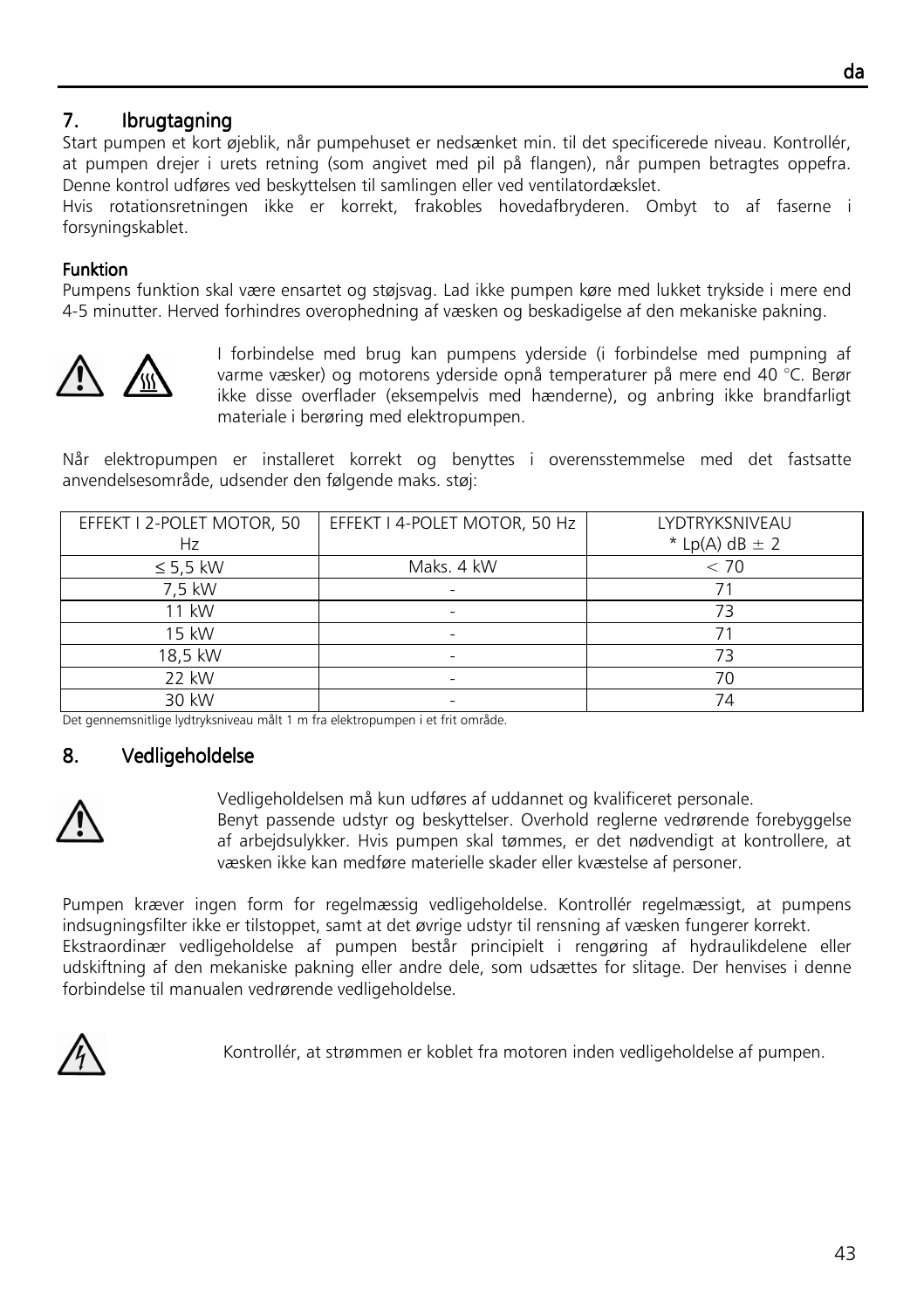## 7. Ibrugtagning

Start pumpen et kort øjeblik, når pumpehuset er nedsænket min. til det specificerede niveau. Kontrollér, at pumpen drejer i urets retning (som angivet med pil på flangen), når pumpen betragtes oppefra. Denne kontrol udføres ved beskyttelsen til samlingen eller ved ventilatordækslet.

Hvis rotationsretningen ikke er korrekt, frakobles hovedafbryderen. Ombyt to af faserne i forsyningskablet.

#### **Funktion**

Pumpens funktion skal være ensartet og støjsvag. Lad ikke pumpen køre med lukket trykside i mere end 4-5 minutter. Herved forhindres overophedning af væsken og beskadigelse af den mekaniske pakning.



I forbindelse med brug kan pumpens yderside (i forbindelse med pumpning af varme væsker) og motorens yderside opnå temperaturer på mere end 40 °C. Berør ikke disse overflader (eksempelvis med hænderne), og anbring ikke brandfarligt materiale i berøring med elektropumpen.

Når elektropumpen er installeret korrekt og benyttes i overensstemmelse med det fastsatte anvendelsesområde, udsender den følgende maks. støj:

| EFFEKT I 2-POLET MOTOR, 50<br>Hz | EFFEKT I 4-POLET MOTOR, 50 Hz | LYDTRYKSNIVEAU<br>* Lp(A) dB $\pm$ 2 |
|----------------------------------|-------------------------------|--------------------------------------|
| $\leq$ 5,5 kW                    | Maks. 4 kW                    | < 70                                 |
| 7,5 kW                           |                               |                                      |
| 11 kW                            |                               | 73                                   |
| 15 kW                            |                               |                                      |
| 18,5 kW                          |                               | 73                                   |
| 22 kW                            |                               | 70                                   |
| 30 kW                            |                               | 74                                   |

Det gennemsnitlige lydtryksniveau målt 1 m fra elektropumpen i et frit område.

## 8. Vedligeholdelse



Vedligeholdelsen må kun udføres af uddannet og kvalificeret personale. Benyt passende udstyr og beskyttelser. Overhold reglerne vedrørende forebyggelse af arbejdsulykker. Hvis pumpen skal tømmes, er det nødvendigt at kontrollere, at væsken ikke kan medføre materielle skader eller kvæstelse af personer.

Pumpen kræver ingen form for regelmæssig vedligeholdelse. Kontrollér regelmæssigt, at pumpens indsugningsfilter ikke er tilstoppet, samt at det øvrige udstyr til rensning af væsken fungerer korrekt. Ekstraordinær vedligeholdelse af pumpen består principielt i rengøring af hydraulikdelene eller udskiftning af den mekaniske pakning eller andre dele, som udsættes for slitage. Der henvises i denne forbindelse til manualen vedrørende vedligeholdelse.



Kontrollér, at strømmen er koblet fra motoren inden vedligeholdelse af pumpen.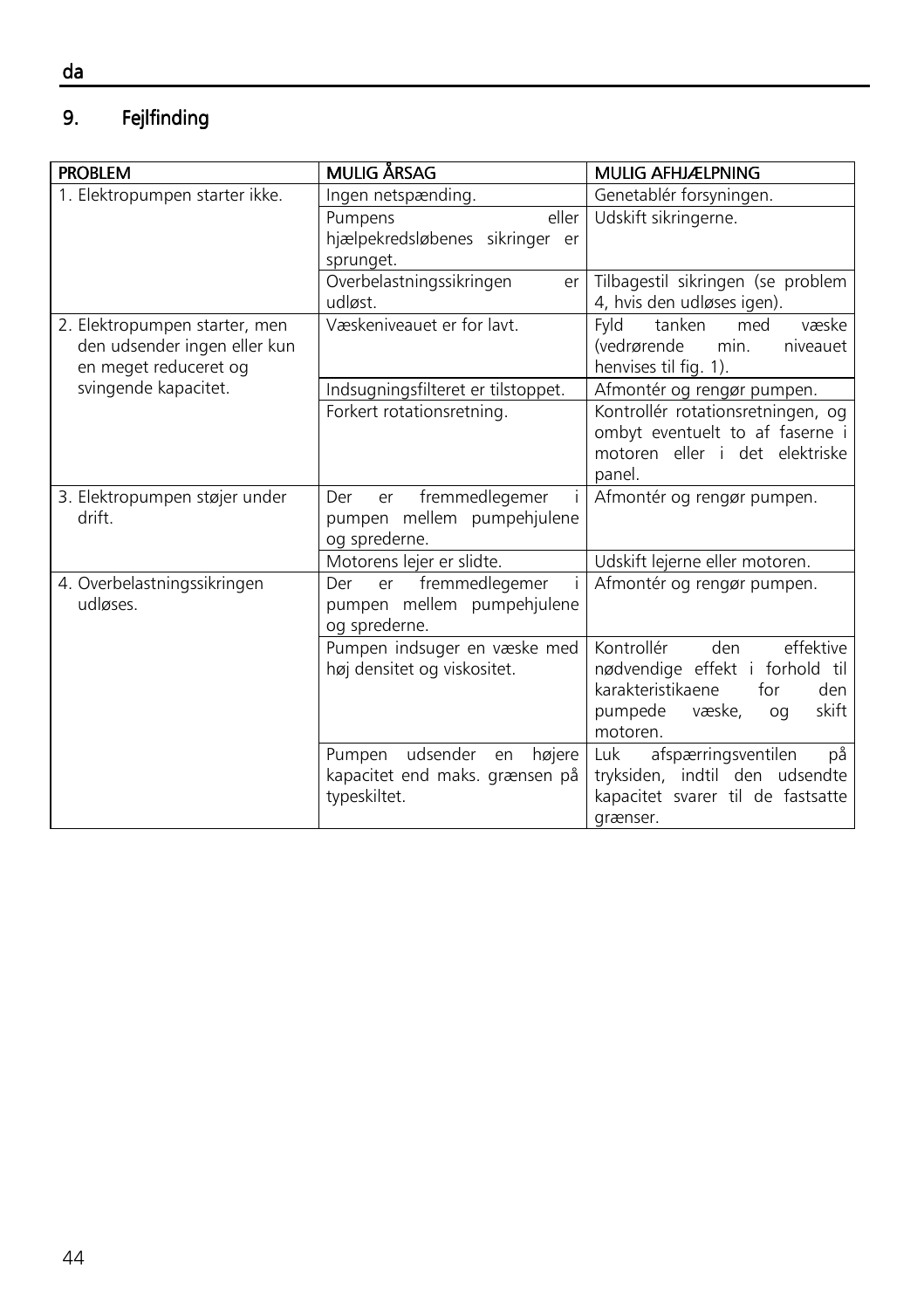#### 9. Fejlfinding

| <b>PROBLEM</b>                                                                         | MULIG ÅRSAG                                                                            | <b>MULIG AFHJÆLPNING</b>                                                                                                                             |
|----------------------------------------------------------------------------------------|----------------------------------------------------------------------------------------|------------------------------------------------------------------------------------------------------------------------------------------------------|
| 1. Elektropumpen starter ikke.                                                         | Ingen netspænding.                                                                     | Genetablér forsyningen.                                                                                                                              |
|                                                                                        | eller<br>Pumpens<br>hjælpekredsløbenes sikringer er<br>sprunget.                       | Udskift sikringerne.                                                                                                                                 |
|                                                                                        | Overbelastningssikringen<br>er<br>udløst                                               | Tilbagestil sikringen (se problem<br>4, hvis den udløses igen).                                                                                      |
| 2. Elektropumpen starter, men<br>den udsender ingen eller kun<br>en meget reduceret og | Væskeniveauet er for lavt.                                                             | tanken<br>væske<br>Fyld<br>med<br>(vedrørende<br>min.<br>niveauet<br>henvises til fig. 1).                                                           |
| svingende kapacitet.                                                                   | Indsugningsfilteret er tilstoppet.                                                     | Afmontér og rengør pumpen.                                                                                                                           |
|                                                                                        | Forkert rotationsretning.                                                              | Kontrollér rotationsretningen, og<br>ombyt eventuelt to af faserne i<br>motoren eller i det elektriske<br>panel.                                     |
| 3. Elektropumpen støjer under<br>drift.                                                | fremmedlegemer<br>Der<br>er<br>pumpen mellem pumpehjulene<br>og sprederne.             | Afmontér og rengør pumpen.                                                                                                                           |
|                                                                                        | Motorens lejer er slidte.                                                              | Udskift lejerne eller motoren.                                                                                                                       |
| 4. Overbelastningssikringen<br>udløses.                                                | er fremmedlegemer<br>Der<br>pumpen mellem pumpehjulene<br>og sprederne.                | Afmontér og rengør pumpen.                                                                                                                           |
|                                                                                        | Pumpen indsuger en væske med<br>høj densitet og viskositet.                            | Kontrollér<br>effektive<br>den<br>nødvendige effekt i forhold til<br>karakteristikaene<br>den<br>for<br>pumpede<br>skift<br>væske,<br>oq<br>motoren. |
|                                                                                        | udsender<br>Pumpen<br>højere  <br>en<br>kapacitet end maks. grænsen på<br>typeskiltet. | på<br>Luk.<br>afspærringsventilen<br>tryksiden, indtil den udsendte<br>kapacitet svarer til de fastsatte<br>grænser.                                 |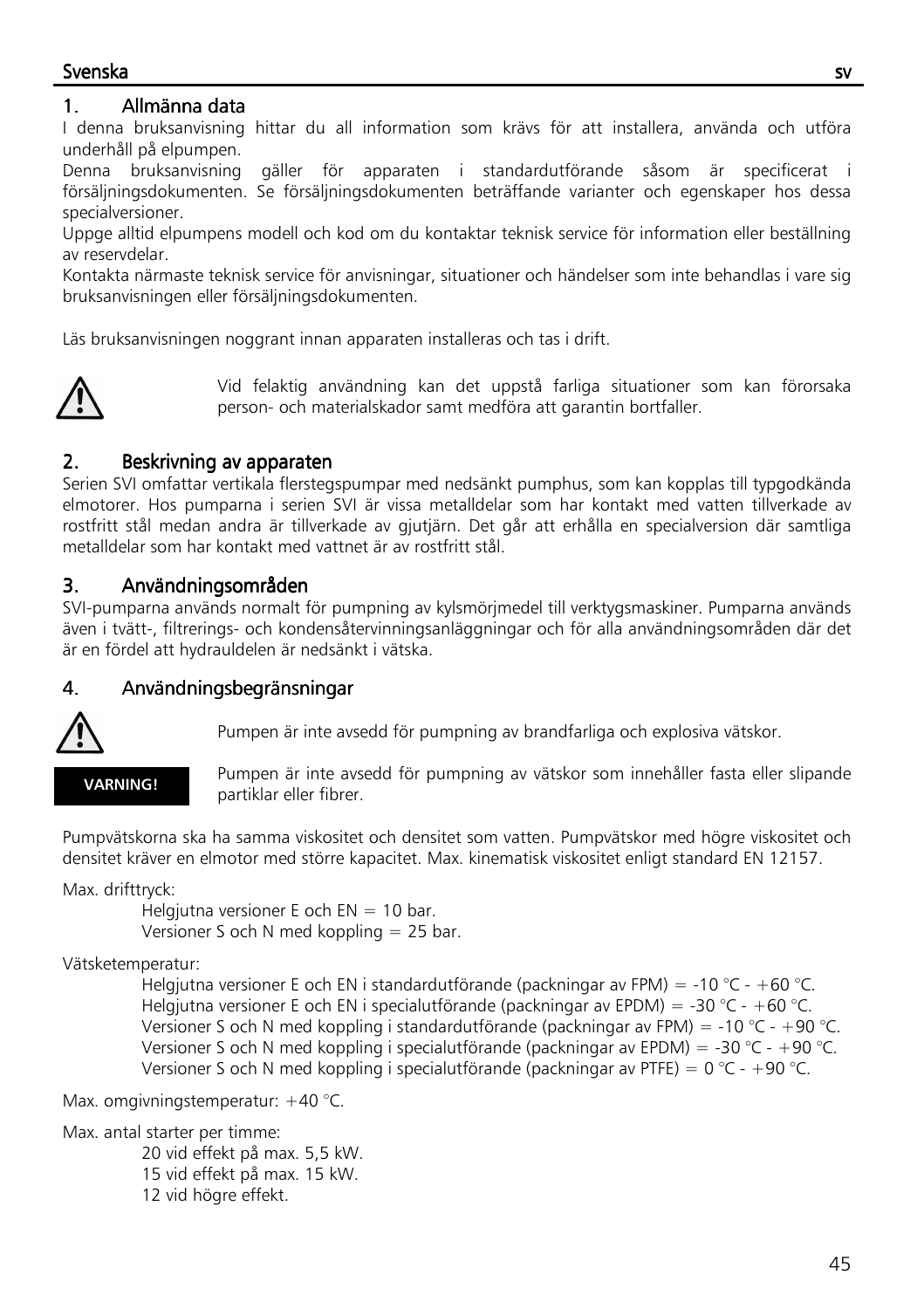## Svenska svenska svenska svenska svenska svenska svenska svenska svenska svenska svenska svenska svenska svensk

## 1. Allmänna data

I denna bruksanvisning hittar du all information som krävs för att installera, använda och utföra underhåll på elpumpen.

Denna bruksanvisning gäller för apparaten i standardutförande såsom är specificerat i försäljningsdokumenten. Se försäljningsdokumenten beträffande varianter och egenskaper hos dessa specialversioner.

Uppge alltid elpumpens modell och kod om du kontaktar teknisk service för information eller beställning av reservdelar.

Kontakta närmaste teknisk service för anvisningar, situationer och händelser som inte behandlas i vare sig bruksanvisningen eller försäljningsdokumenten.

Läs bruksanvisningen noggrant innan apparaten installeras och tas i drift.



Vid felaktig användning kan det uppstå farliga situationer som kan förorsaka person- och materialskador samt medföra att garantin bortfaller.

## 2. Beskrivning av apparaten

Serien SVI omfattar vertikala flerstegspumpar med nedsänkt pumphus, som kan kopplas till typgodkända elmotorer. Hos pumparna i serien SVI är vissa metalldelar som har kontakt med vatten tillverkade av rostfritt stål medan andra är tillverkade av gjutjärn. Det går att erhålla en specialversion där samtliga metalldelar som har kontakt med vattnet är av rostfritt stål.

## 3. Användningsområden

SVI-pumparna används normalt för pumpning av kylsmörjmedel till verktygsmaskiner. Pumparna används även i tvätt-, filtrerings- och kondensåtervinningsanläggningar och för alla användningsområden där det är en fördel att hydrauldelen är nedsänkt i vätska.

## 4. Användningsbegränsningar



Pumpen är inte avsedd för pumpning av brandfarliga och explosiva vätskor.

#### VARNING!

Pumpen är inte avsedd för pumpning av vätskor som innehåller fasta eller slipande partiklar eller fibrer.

Pumpvätskorna ska ha samma viskositet och densitet som vatten. Pumpvätskor med högre viskositet och densitet kräver en elmotor med större kapacitet. Max. kinematisk viskositet enligt standard EN 12157.

Max. drifttryck:

Helgjutna versioner E och  $EN = 10$  bar. Versioner S och N med koppling = 25 bar.

Vätsketemperatur:

Helgjutna versioner E och EN i standardutförande (packningar av FPM) = -10 °C - +60 °C. Helgjutna versioner E och EN i specialutförande (packningar av EPDM) = -30 °C - +60 °C. Versioner S och N med koppling i standardutförande (packningar av FPM) = -10 °C - +90 °C. Versioner S och N med koppling i specialutförande (packningar av EPDM) = -30 °C - +90 °C. Versioner S och N med koppling i specialutförande (packningar av PTFE) =  $0^{\circ}$ C - +90  $^{\circ}$ C.

Max. omgivningstemperatur: +40 °C.

Max. antal starter per timme:

 20 vid effekt på max. 5,5 kW. 15 vid effekt på max. 15 kW. 12 vid högre effekt.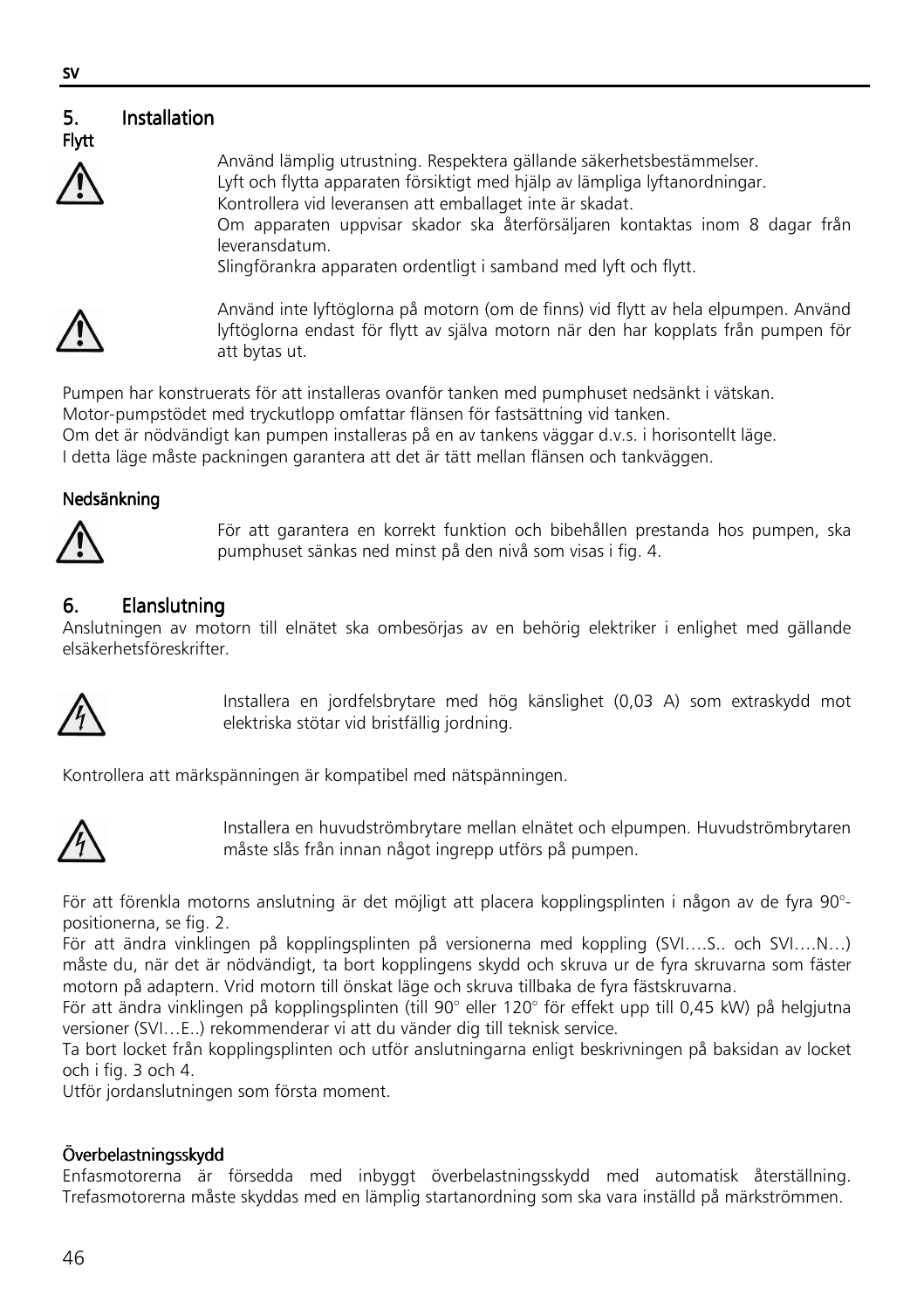#### 5. Installation Flytt



Använd lämplig utrustning. Respektera gällande säkerhetsbestämmelser. Lyft och flytta apparaten försiktigt med hjälp av lämpliga lyftanordningar. Kontrollera vid leveransen att emballaget inte är skadat. Om apparaten uppvisar skador ska återförsäljaren kontaktas inom 8 dagar från leveransdatum.

Slingförankra apparaten ordentligt i samband med lyft och flytt.



Använd inte lyftöglorna på motorn (om de finns) vid flytt av hela elpumpen. Använd lyftöglorna endast för flytt av själva motorn när den har kopplats från pumpen för att bytas ut.

Pumpen har konstruerats för att installeras ovanför tanken med pumphuset nedsänkt i vätskan. Motor-pumpstödet med tryckutlopp omfattar flänsen för fastsättning vid tanken.

Om det är nödvändigt kan pumpen installeras på en av tankens väggar d.v.s. i horisontellt läge.

I detta läge måste packningen garantera att det är tätt mellan flänsen och tankväggen.

#### Nedsänkning



För att garantera en korrekt funktion och bibehållen prestanda hos pumpen, ska pumphuset sänkas ned minst på den nivå som visas i fig. 4.

## 6. Elanslutning

Anslutningen av motorn till elnätet ska ombesörjas av en behörig elektriker i enlighet med gällande elsäkerhetsföreskrifter.



Installera en jordfelsbrytare med hög känslighet (0,03 A) som extraskydd mot elektriska stötar vid bristfällig jordning.

Kontrollera att märkspänningen är kompatibel med nätspänningen.



Installera en huvudströmbrytare mellan elnätet och elpumpen. Huvudströmbrytaren måste slås från innan något ingrepp utförs på pumpen.

För att förenkla motorns anslutning är det möjligt att placera kopplingsplinten i någon av de fyra 90° positionerna, se fig. 2.

För att ändra vinklingen på kopplingsplinten på versionerna med koppling (SVI….S.. och SVI….N…) måste du, när det är nödvändigt, ta bort kopplingens skydd och skruva ur de fyra skruvarna som fäster motorn på adaptern. Vrid motorn till önskat läge och skruva tillbaka de fyra fästskruvarna.

För att ändra vinklingen på kopplingsplinten (till 90° eller 120° för effekt upp till 0,45 kW) på helgjutna versioner (SVI…E..) rekommenderar vi att du vänder dig till teknisk service.

Ta bort locket från kopplingsplinten och utför anslutningarna enligt beskrivningen på baksidan av locket och i fig. 3 och 4.

Utför jordanslutningen som första moment.

#### Överbelastningsskydd Överbelastningsskydd

Enfasmotorerna är försedda med inbyggt överbelastningsskydd med automatisk återställning. Trefasmotorerna måste skyddas med en lämplig startanordning som ska vara inställd på märkströmmen.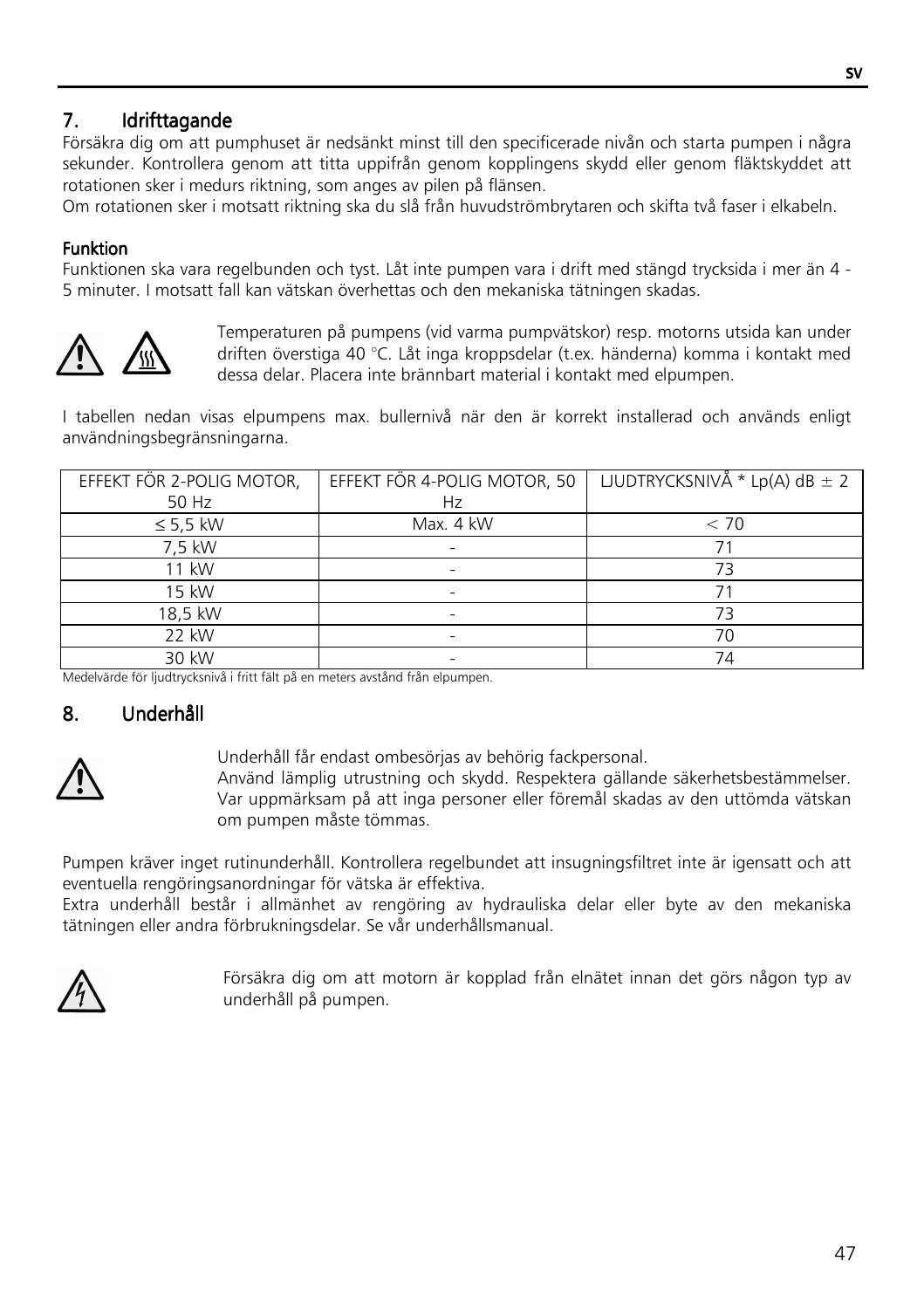## 7. Idrifttagande

Försäkra dig om att pumphuset är nedsänkt minst till den specificerade nivån och starta pumpen i några sekunder. Kontrollera genom att titta uppifrån genom kopplingens skydd eller genom fläktskyddet att rotationen sker i medurs riktning, som anges av pilen på flänsen.

Om rotationen sker i motsatt riktning ska du slå från huvudströmbrytaren och skifta två faser i elkabeln.

#### **Funktion**

Funktionen ska vara regelbunden och tyst. Låt inte pumpen vara i drift med stängd trycksida i mer än 4 - 5 minuter. I motsatt fall kan vätskan överhettas och den mekaniska tätningen skadas.



Temperaturen på pumpens (vid varma pumpvätskor) resp. motorns utsida kan under driften överstiga 40 °C. Låt inga kroppsdelar (t.ex. händerna) komma i kontakt med dessa delar. Placera inte brännbart material i kontakt med elpumpen.

I tabellen nedan visas elpumpens max. bullernivå när den är korrekt installerad och används enligt användningsbegränsningarna.

| EFFEKT FÖR 2-POLIG MOTOR, | EFFEKT FÖR 4-POLIG MOTOR, 50 | $\overline{LUDTRYCKSNIVÅ * Lp(A) dB \pm 2}$ |
|---------------------------|------------------------------|---------------------------------------------|
| 50 Hz                     | Ηz                           |                                             |
| $\leq$ 5,5 kW             | Max. 4 kW                    | < 70                                        |
| 7,5 kW                    |                              |                                             |
| 11 kW                     |                              | 73                                          |
| 15 kW                     |                              |                                             |
| 18,5 kW                   |                              | 73                                          |
| 22 kW                     |                              | 70                                          |
| 30 kW                     |                              | 74                                          |

Medelvärde för ljudtrycksnivå i fritt fält på en meters avstånd från elpumpen.

#### 8. Underhåll



Underhåll får endast ombesörjas av behörig fackpersonal.

Använd lämplig utrustning och skydd. Respektera gällande säkerhetsbestämmelser. Var uppmärksam på att inga personer eller föremål skadas av den uttömda vätskan om pumpen måste tömmas.

Pumpen kräver inget rutinunderhåll. Kontrollera regelbundet att insugningsfiltret inte är igensatt och att eventuella rengöringsanordningar för vätska är effektiva.

Extra underhåll består i allmänhet av rengöring av hydrauliska delar eller byte av den mekaniska tätningen eller andra förbrukningsdelar. Se vår underhållsmanual.



Försäkra dig om att motorn är kopplad från elnätet innan det görs någon typ av underhåll på pumpen.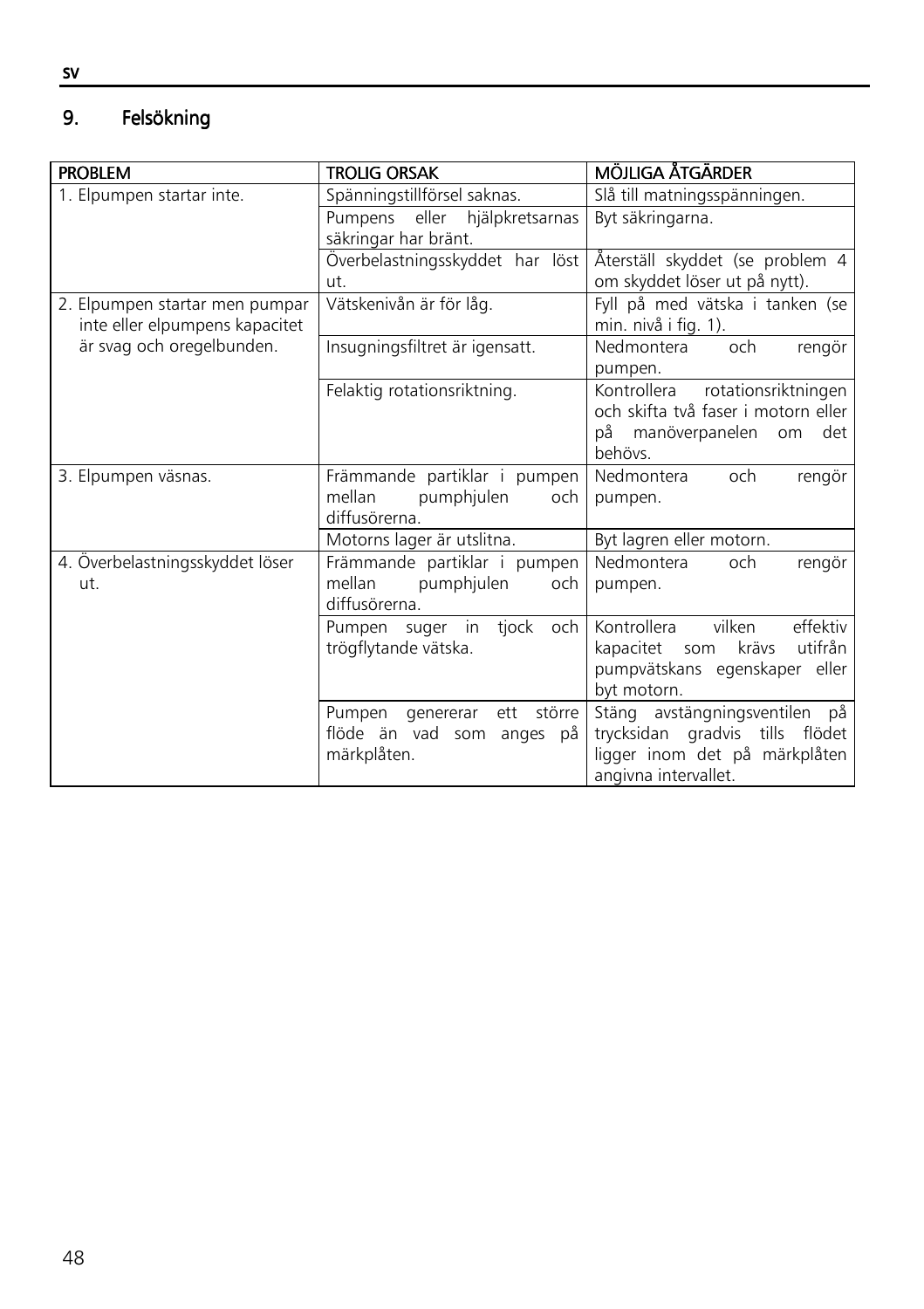#### 9. Felsökning

| <b>PROBLEM</b>                                                   | <b>TROLIG ORSAK</b>                          | MÖJLIGA ÅTGÄRDER                                        |
|------------------------------------------------------------------|----------------------------------------------|---------------------------------------------------------|
| 1. Elpumpen startar inte.                                        | Spänningstillförsel saknas.                  | Slå till matningsspänningen.                            |
|                                                                  | Pumpens eller hjälpkretsarnas                | Byt säkringarna.                                        |
|                                                                  | säkringar har bränt.                         |                                                         |
|                                                                  | Överbelastningsskyddet har löst              | Återställ skyddet (se problem 4                         |
|                                                                  | ut.                                          | om skyddet löser ut på nytt).                           |
| 2. Elpumpen startar men pumpar<br>inte eller elpumpens kapacitet | Vätskenivån är för låg.                      | Fyll på med vätska i tanken (se<br>min. nivå i fig. 1). |
| är svag och oregelbunden.                                        | Insugningsfiltret är igensatt.               | Nedmontera<br>och<br>rengör                             |
|                                                                  |                                              | pumpen.                                                 |
|                                                                  | Felaktig rotationsriktning.                  | Kontrollera<br>rotationsriktningen                      |
|                                                                  |                                              | och skifta två faser i motorn eller l                   |
|                                                                  |                                              | på manöverpanelen om<br>det                             |
|                                                                  |                                              | hehövs                                                  |
| 3. Elpumpen väsnas.                                              | Främmande partiklar i pumpen                 | Nedmontera<br>och<br>rengör                             |
|                                                                  | mellan<br>pumphjulen<br>och l                | pumpen.                                                 |
|                                                                  | diffusörerna.                                |                                                         |
|                                                                  | Motorns lager är utslitna.                   | Byt lagren eller motorn.                                |
| 4. Överbelastningsskyddet löser                                  | Främmande partiklar i pumpen                 | Nedmontera<br>rengör<br>och                             |
| ut.                                                              | mellan<br>pumphjulen<br>och<br>diffusörerna. | pumpen.                                                 |
|                                                                  | Pumpen suger in tjock och                    | Kontrollera<br>vilken<br>effektiv                       |
|                                                                  | trögflytande vätska.                         | krävs<br>utifrån<br>kapacitet som                       |
|                                                                  |                                              | pumpvätskans egenskaper eller                           |
|                                                                  |                                              | byt motorn.                                             |
|                                                                  | större<br>Pumpen genererar<br>ett            | Stäng avstängningsventilen på                           |
|                                                                  | flöde än vad som anges på                    | trycksidan gradvis tills<br>flödet                      |
|                                                                  | märkplåten.                                  | ligger inom det på märkplåten                           |
|                                                                  |                                              | angivna intervallet.                                    |

sv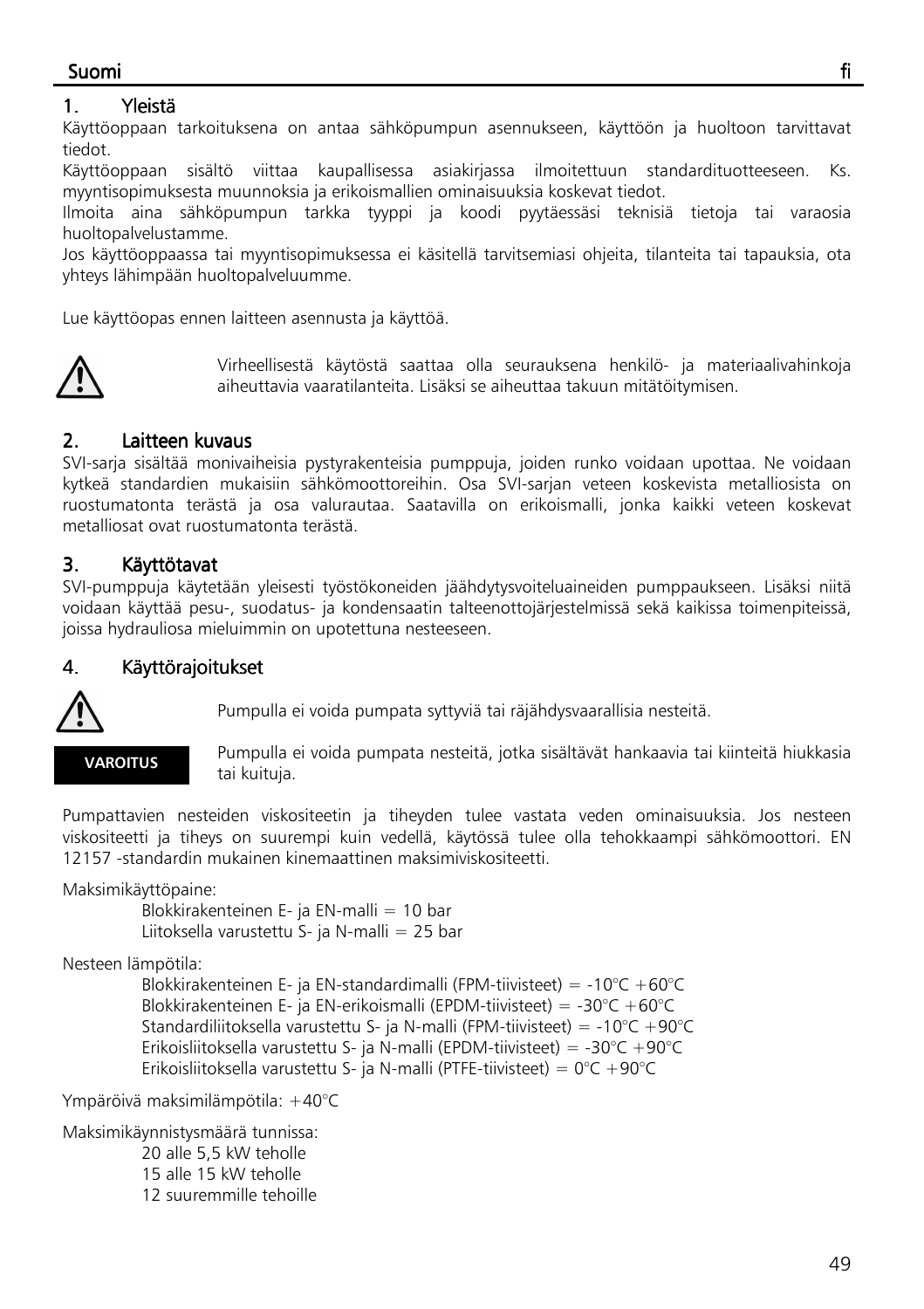## Suomi fi

#### 1. Yleistä

Käyttöoppaan tarkoituksena on antaa sähköpumpun asennukseen, käyttöön ja huoltoon tarvittavat tiedot.

Käyttöoppaan sisältö viittaa kaupallisessa asiakirjassa ilmoitettuun standardituotteeseen. Ks. myyntisopimuksesta muunnoksia ja erikoismallien ominaisuuksia koskevat tiedot.

Ilmoita aina sähköpumpun tarkka tyyppi ja koodi pyytäessäsi teknisiä tietoja tai varaosia huoltopalvelustamme.

Jos käyttöoppaassa tai myyntisopimuksessa ei käsitellä tarvitsemiasi ohjeita, tilanteita tai tapauksia, ota yhteys lähimpään huoltopalveluumme.

Lue käyttöopas ennen laitteen asennusta ja käyttöä.



Virheellisestä käytöstä saattaa olla seurauksena henkilö- ja materiaalivahinkoja aiheuttavia vaaratilanteita. Lisäksi se aiheuttaa takuun mitätöitymisen.

## 2. Laitteen kuvaus

SVI-sarja sisältää monivaiheisia pystyrakenteisia pumppuja, joiden runko voidaan upottaa. Ne voidaan kytkeä standardien mukaisiin sähkömoottoreihin. Osa SVI-sarjan veteen koskevista metalliosista on ruostumatonta terästä ja osa valurautaa. Saatavilla on erikoismalli, jonka kaikki veteen koskevat metalliosat ovat ruostumatonta terästä.

## 3. Käyttötavat

SVI-pumppuja käytetään yleisesti työstökoneiden jäähdytysvoiteluaineiden pumppaukseen. Lisäksi niitä voidaan käyttää pesu-, suodatus- ja kondensaatin talteenottojärjestelmissä sekä kaikissa toimenpiteissä, joissa hydrauliosa mieluimmin on upotettuna nesteeseen.

#### 4. Käyttörajoitukset



Pumpulla ei voida pumpata syttyviä tai räjähdysvaarallisia nesteitä.

### **VAROITUS**

Pumpulla ei voida pumpata nesteitä, jotka sisältävät hankaavia tai kiinteitä hiukkasia tai kuituja.

Pumpattavien nesteiden viskositeetin ja tiheyden tulee vastata veden ominaisuuksia. Jos nesteen viskositeetti ja tiheys on suurempi kuin vedellä, käytössä tulee olla tehokkaampi sähkömoottori. EN 12157 -standardin mukainen kinemaattinen maksimiviskositeetti.

Maksimikäyttöpaine:

 Blokkirakenteinen E- ja EN-malli = 10 bar Liitoksella varustettu S- ja N-malli = 25 bar

Nesteen lämpötila:

 Blokkirakenteinen E- ja EN-standardimalli (FPM-tiivisteet) = -10°C +60°C Blokkirakenteinen E- ja EN-erikoismalli (EPDM-tiivisteet) = -30°C +60°C Standardiliitoksella varustettu S- ja N-malli (FPM-tiivisteet) = -10°C +90°C Erikoisliitoksella varustettu S- ja N-malli (EPDM-tiivisteet) = -30°C +90°C Erikoisliitoksella varustettu S- ja N-malli (PTFE-tiivisteet) =  $0^{\circ}$ C +90°C

Ympäröivä maksimilämpötila: +40°C

Maksimikäynnistysmäärä tunnissa:

 20 alle 5,5 kW teholle 15 alle 15 kW teholle 12 suuremmille tehoille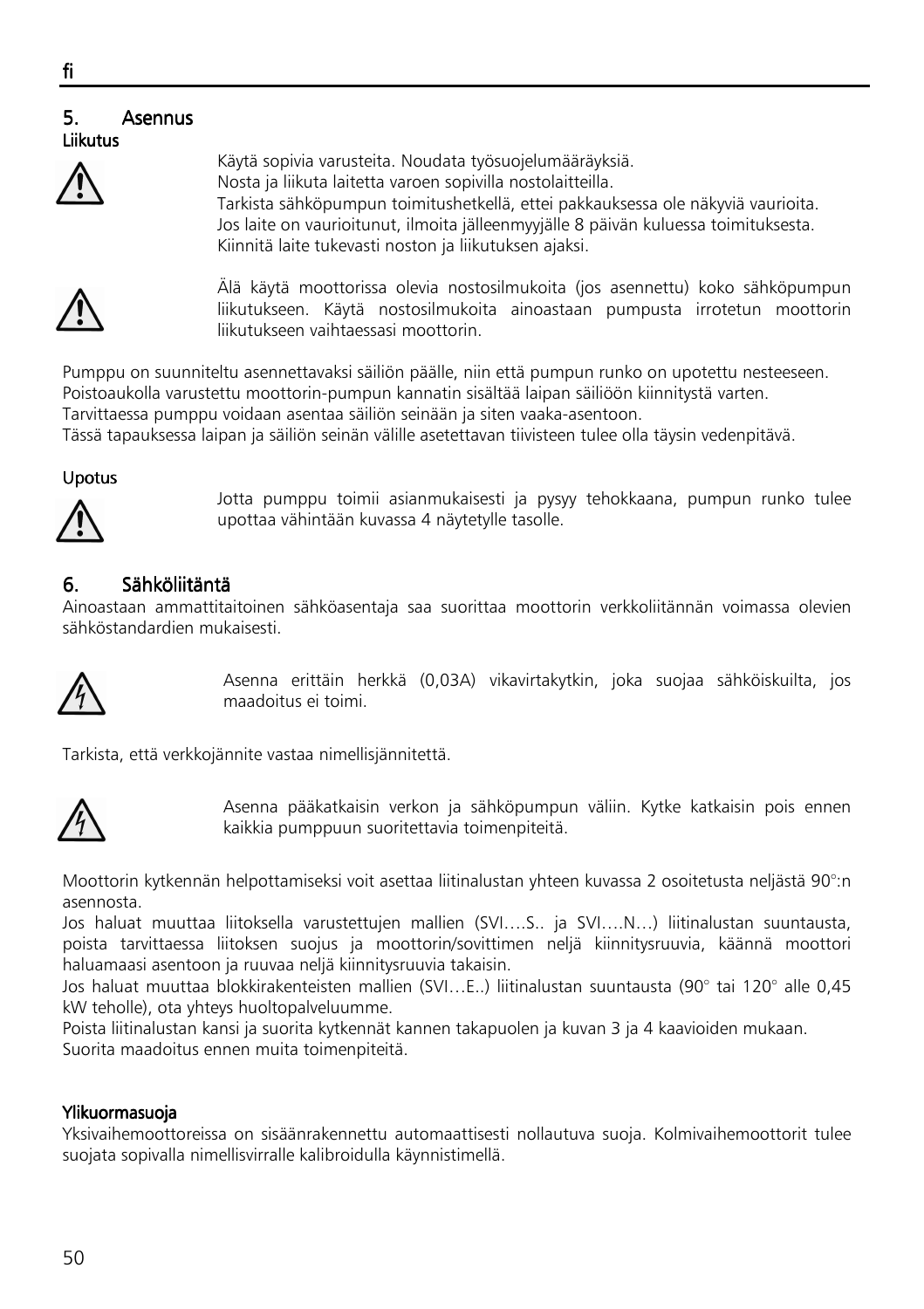#### ٦ 5. Asennus Liikutus



Käytä sopivia varusteita. Noudata työsuojelumääräyksiä. Nosta ja liikuta laitetta varoen sopivilla nostolaitteilla. Tarkista sähköpumpun toimitushetkellä, ettei pakkauksessa ole näkyviä vaurioita. Jos laite on vaurioitunut, ilmoita jälleenmyyjälle 8 päivän kuluessa toimituksesta. Kiinnitä laite tukevasti noston ja liikutuksen ajaksi.



Älä käytä moottorissa olevia nostosilmukoita (jos asennettu) koko sähköpumpun liikutukseen. Käytä nostosilmukoita ainoastaan pumpusta irrotetun moottorin liikutukseen vaihtaessasi moottorin.

Pumppu on suunniteltu asennettavaksi säiliön päälle, niin että pumpun runko on upotettu nesteeseen. Poistoaukolla varustettu moottorin-pumpun kannatin sisältää laipan säiliöön kiinnitystä varten. Tarvittaessa pumppu voidaan asentaa säiliön seinään ja siten vaaka-asentoon.

Tässä tapauksessa laipan ja säiliön seinän välille asetettavan tiivisteen tulee olla täysin vedenpitävä.

#### Upotus



Jotta pumppu toimii asianmukaisesti ja pysyy tehokkaana, pumpun runko tulee upottaa vähintään kuvassa 4 näytetylle tasolle.

## 6. Sähköliitäntä

Ainoastaan ammattitaitoinen sähköasentaja saa suorittaa moottorin verkkoliitännän voimassa olevien sähköstandardien mukaisesti.



Asenna erittäin herkkä (0,03A) vikavirtakytkin, joka suojaa sähköiskuilta, jos maadoitus ei toimi.

Tarkista, että verkkojännite vastaa nimellisjännitettä.



Asenna pääkatkaisin verkon ja sähköpumpun väliin. Kytke katkaisin pois ennen kaikkia pumppuun suoritettavia toimenpiteitä.

Moottorin kytkennän helpottamiseksi voit asettaa liitinalustan yhteen kuvassa 2 osoitetusta neljästä 90°:n asennosta.

Jos haluat muuttaa liitoksella varustettujen mallien (SVI….S.. ja SVI….N…) liitinalustan suuntausta, poista tarvittaessa liitoksen suojus ja moottorin/sovittimen neljä kiinnitysruuvia, käännä moottori haluamaasi asentoon ja ruuvaa neljä kiinnitysruuvia takaisin.

Jos haluat muuttaa blokkirakenteisten mallien (SVI…E..) liitinalustan suuntausta (90° tai 120° alle 0,45 kW teholle), ota yhteys huoltopalveluumme.

Poista liitinalustan kansi ja suorita kytkennät kannen takapuolen ja kuvan 3 ja 4 kaavioiden mukaan. Suorita maadoitus ennen muita toimenpiteitä.

#### Ylikuormasuoja Ylikuormasuoja

Yksivaihemoottoreissa on sisäänrakennettu automaattisesti nollautuva suoja. Kolmivaihemoottorit tulee suojata sopivalla nimellisvirralle kalibroidulla käynnistimellä.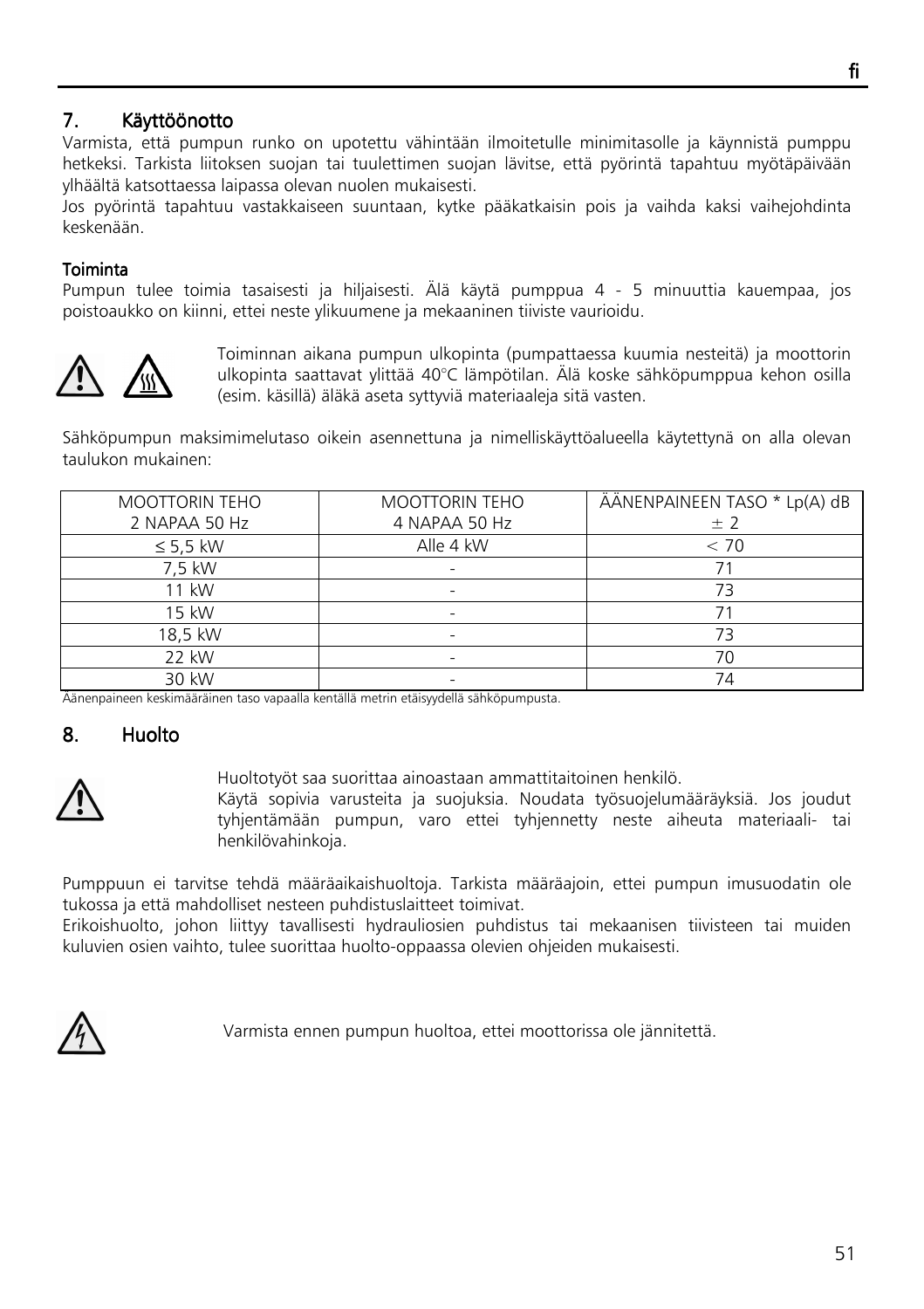## 7. Käyttöönotto

Varmista, että pumpun runko on upotettu vähintään ilmoitetulle minimitasolle ja käynnistä pumppu hetkeksi. Tarkista liitoksen suojan tai tuulettimen suojan lävitse, että pyörintä tapahtuu myötäpäivään ylhäältä katsottaessa laipassa olevan nuolen mukaisesti.

Jos pyörintä tapahtuu vastakkaiseen suuntaan, kytke pääkatkaisin pois ja vaihda kaksi vaihejohdinta keskenään.

#### **Toiminta**

Pumpun tulee toimia tasaisesti ja hiljaisesti. Älä käytä pumppua 4 - 5 minuuttia kauempaa, jos poistoaukko on kiinni, ettei neste ylikuumene ja mekaaninen tiiviste vaurioidu.



Toiminnan aikana pumpun ulkopinta (pumpattaessa kuumia nesteitä) ja moottorin ulkopinta saattavat ylittää 40°C lämpötilan. Älä koske sähköpumppua kehon osilla (esim. käsillä) äläkä aseta syttyviä materiaaleja sitä vasten.

Sähköpumpun maksimimelutaso oikein asennettuna ja nimelliskäyttöalueella käytettynä on alla olevan taulukon mukainen:

| <b>MOOTTORIN TEHO</b> | <b>MOOTTORIN TEHO</b> | ÄÄNENPAINEEN TASO * Lp(A) dB |
|-----------------------|-----------------------|------------------------------|
| 2 NAPAA 50 Hz         | 4 NAPAA 50 Hz         | ± 2                          |
| $\leq$ 5,5 kW         | Alle 4 kW             | < 70                         |
| 7,5 kW                | ۰                     |                              |
| 11 kW                 |                       |                              |
| 15 kW                 |                       |                              |
| 18,5 kW               |                       | 73                           |
| 22 kW                 |                       | 70                           |
| 30 kW                 |                       | 74                           |

Äänenpaineen keskimääräinen taso vapaalla kentällä metrin etäisyydellä sähköpumpusta.

#### 8. Huolto



Huoltotyöt saa suorittaa ainoastaan ammattitaitoinen henkilö.

Käytä sopivia varusteita ja suojuksia. Noudata työsuojelumääräyksiä. Jos joudut tyhjentämään pumpun, varo ettei tyhjennetty neste aiheuta materiaali- tai henkilövahinkoja.

Pumppuun ei tarvitse tehdä määräaikaishuoltoja. Tarkista määräajoin, ettei pumpun imusuodatin ole tukossa ja että mahdolliset nesteen puhdistuslaitteet toimivat.

Erikoishuolto, johon liittyy tavallisesti hydrauliosien puhdistus tai mekaanisen tiivisteen tai muiden kuluvien osien vaihto, tulee suorittaa huolto-oppaassa olevien ohjeiden mukaisesti.



Varmista ennen pumpun huoltoa, ettei moottorissa ole jännitettä.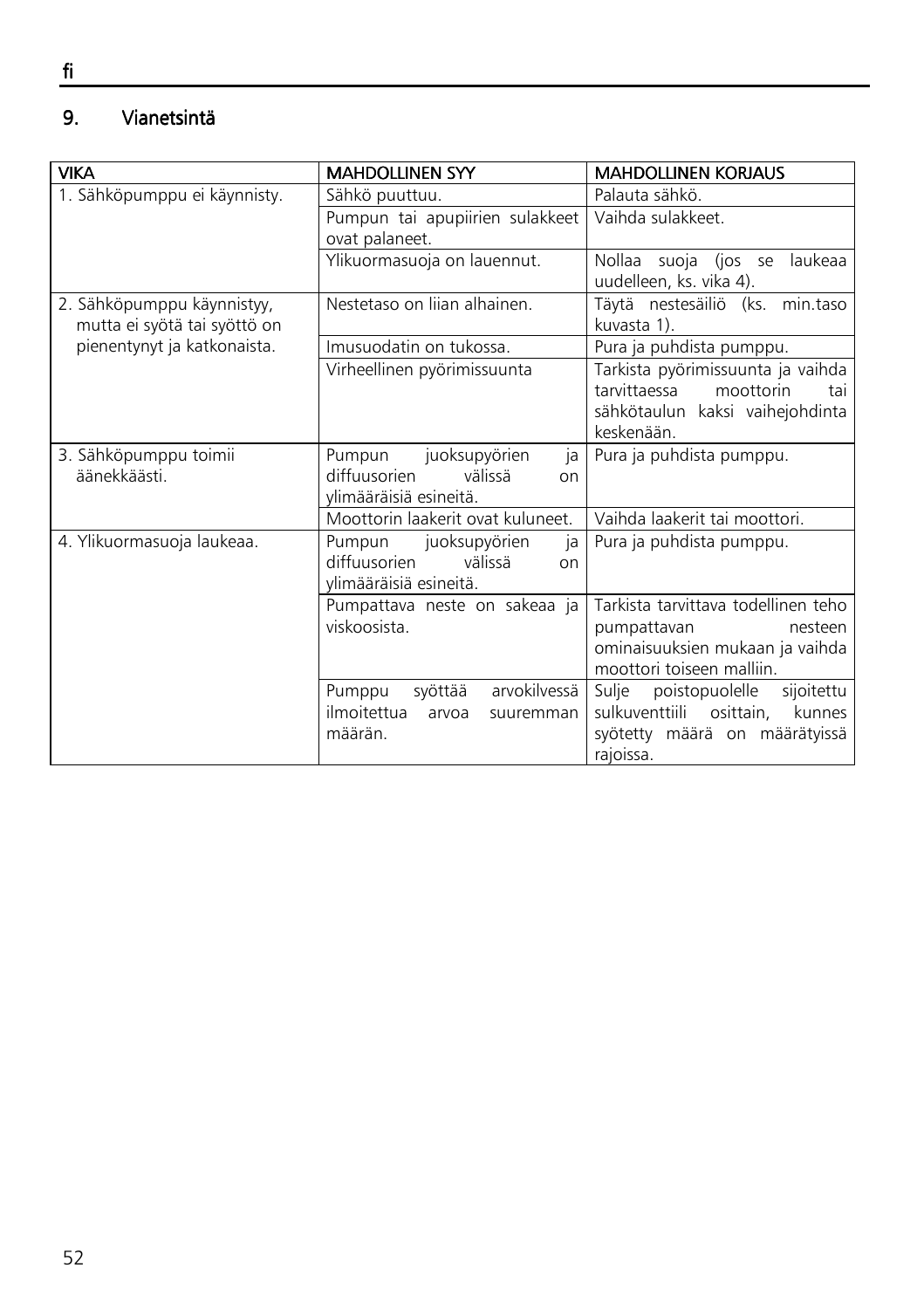#### 9. Vianetsintä

| <b>VIKA</b>                  | <b>MAHDOLLINEN SYY</b>            | <b>MAHDOLLINEN KORJAUS</b>            |
|------------------------------|-----------------------------------|---------------------------------------|
| 1. Sähköpumppu ei käynnisty. | Sähkö puuttuu.                    | Palauta sähkö.                        |
|                              | Pumpun tai apupiirien sulakkeet   | Vaihda sulakkeet.                     |
|                              | ovat palaneet.                    |                                       |
|                              | Ylikuormasuoja on lauennut.       | Nollaa suoja (jos se<br>laukeaa       |
|                              |                                   | uudelleen, ks. vika 4).               |
| 2. Sähköpumppu käynnistyy,   | Nestetaso on lijan alhainen.      | Täytä nestesäiliö (ks. min.taso       |
| mutta ei syötä tai syöttö on |                                   | kuvasta 1).                           |
| pienentynyt ja katkonaista.  | Imusuodatin on tukossa.           | Pura ja puhdista pumppu.              |
|                              | Virheellinen pyörimissuunta       | Tarkista pyörimissuunta ja vaihda     |
|                              |                                   | tarvittaessa<br>moottorin<br>tai      |
|                              |                                   | sähkötaulun kaksi vaihejohdinta       |
|                              |                                   | keskenään.                            |
| 3. Sähköpumppu toimii        | juoksupyörien<br>Pumpun<br>ja     | Pura ja puhdista pumppu.              |
| äänekkäästi.                 | diffuusorien<br>välissä<br>on     |                                       |
|                              | ylimääräisiä esineitä.            |                                       |
|                              | Moottorin laakerit ovat kuluneet. | Vaihda laakerit tai moottori.         |
| 4. Ylikuormasuoja laukeaa.   | juoksupyörien<br>Pumpun<br>ja     | Pura ja puhdista pumppu.              |
|                              | diffuusorien<br>välissä<br>on     |                                       |
|                              | ylimääräisiä esineitä.            |                                       |
|                              | Pumpattava neste on sakeaa ja     | Tarkista tarvittava todellinen teho   |
|                              | viskoosista                       | pumpattavan<br>nesteen                |
|                              |                                   | ominaisuuksien mukaan ja vaihda       |
|                              |                                   | moottori toiseen malliin.             |
|                              | arvokilvessä<br>Pumppu<br>syöttää | sijoitettu<br>Sulje<br>poistopuolelle |
|                              | ilmoitettua<br>arvoa<br>suuremman | sulkuventtiili osittain,<br>kunnes    |
|                              | määrän.                           | syötetty määrä on määrätyissä         |
|                              |                                   | rajoissa.                             |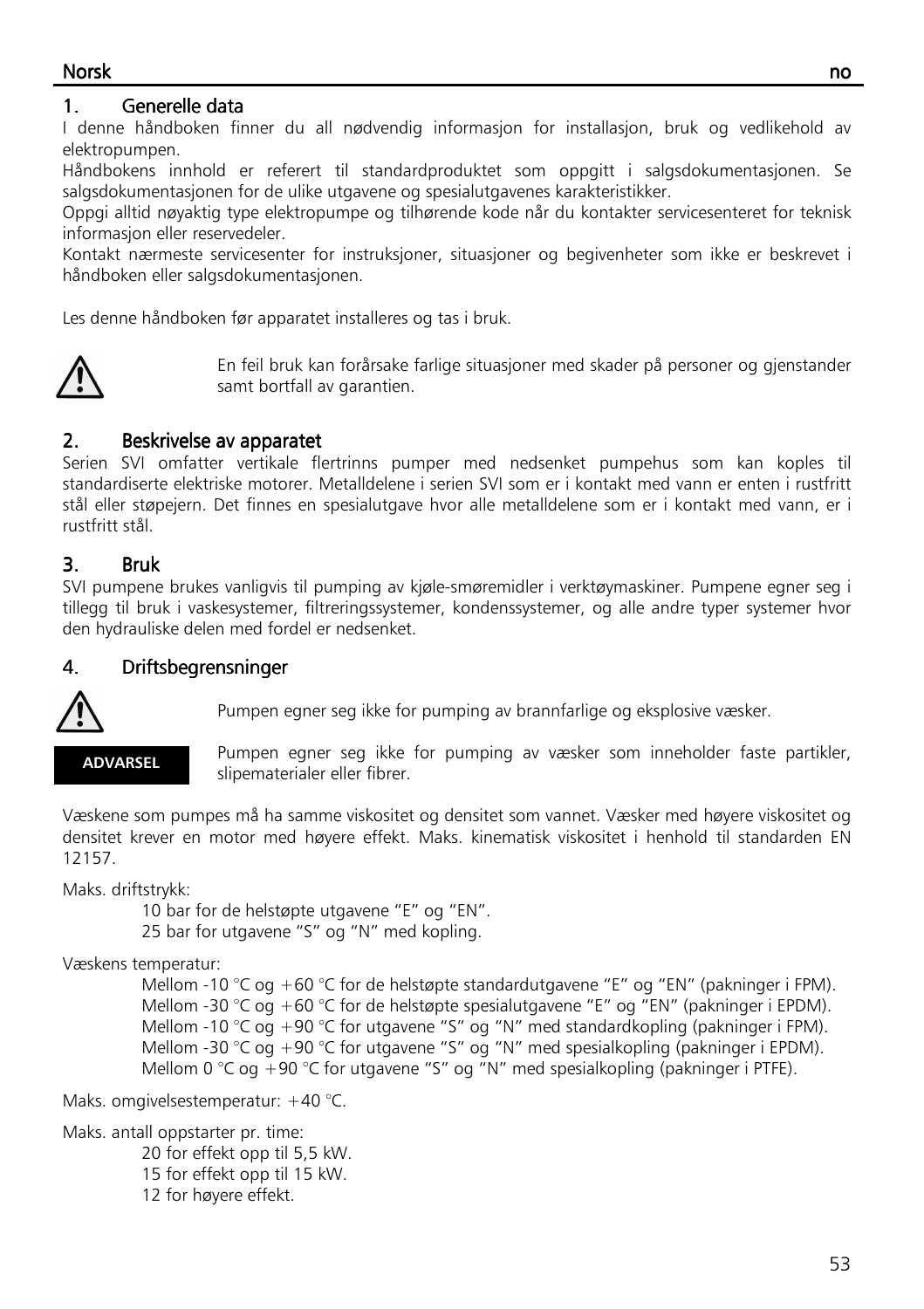#### Norsk no

#### 1. Generelle data

I denne håndboken finner du all nødvendig informasjon for installasjon, bruk og vedlikehold av elektropumpen.

Håndbokens innhold er referert til standardproduktet som oppgitt i salgsdokumentasjonen. Se salgsdokumentasjonen for de ulike utgavene og spesialutgavenes karakteristikker.

Oppgi alltid nøyaktig type elektropumpe og tilhørende kode når du kontakter servicesenteret for teknisk informasjon eller reservedeler.

Kontakt nærmeste servicesenter for instruksjoner, situasjoner og begivenheter som ikke er beskrevet i håndboken eller salgsdokumentasjonen.

Les denne håndboken før apparatet installeres og tas i bruk.



En feil bruk kan forårsake farlige situasjoner med skader på personer og gjenstander samt bortfall av garantien.

#### 2. Beskrivelse av apparatet

Serien SVI omfatter vertikale flertrinns pumper med nedsenket pumpehus som kan koples til standardiserte elektriske motorer. Metalldelene i serien SVI som er i kontakt med vann er enten i rustfritt stål eller støpejern. Det finnes en spesialutgave hvor alle metalldelene som er i kontakt med vann, er i rustfritt stål.

#### 3. Bruk

SVI pumpene brukes vanligvis til pumping av kjøle-smøremidler i verktøymaskiner. Pumpene egner seg i tillegg til bruk i vaskesystemer, filtreringssystemer, kondenssystemer, og alle andre typer systemer hvor den hydrauliske delen med fordel er nedsenket.

#### 4. Driftsbegrensninger



Pumpen egner seg ikke for pumping av brannfarlige og eksplosive væsker.

#### ADVARSEL

Pumpen egner seg ikke for pumping av væsker som inneholder faste partikler, slipematerialer eller fibrer.

Væskene som pumpes må ha samme viskositet og densitet som vannet. Væsker med høyere viskositet og densitet krever en motor med høyere effekt. Maks. kinematisk viskositet i henhold til standarden EN 12157.

Maks. driftstrykk:

 10 bar for de helstøpte utgavene "E" og "EN". 25 bar for utgavene "S" og "N" med kopling.

Væskens temperatur:

Mellom -10 °C og +60 °C for de helstøpte standardutgavene "E" og "EN" (pakninger i FPM). Mellom -30 °C og +60 °C for de helstøpte spesialutgavene "E" og "EN" (pakninger i EPDM). Mellom -10 °C og +90 °C for utgavene "S" og "N" med standardkopling (pakninger i FPM). Mellom -30 °C og +90 °C for utgavene "S" og "N" med spesialkopling (pakninger i EPDM). Mellom 0 °C og +90 °C for utgavene "S" og "N" med spesialkopling (pakninger i PTFE).

Maks. omgivelsestemperatur: +40 °C.

Maks. antall oppstarter pr. time:

 20 for effekt opp til 5,5 kW. 15 for effekt opp til 15 kW.

12 for høyere effekt.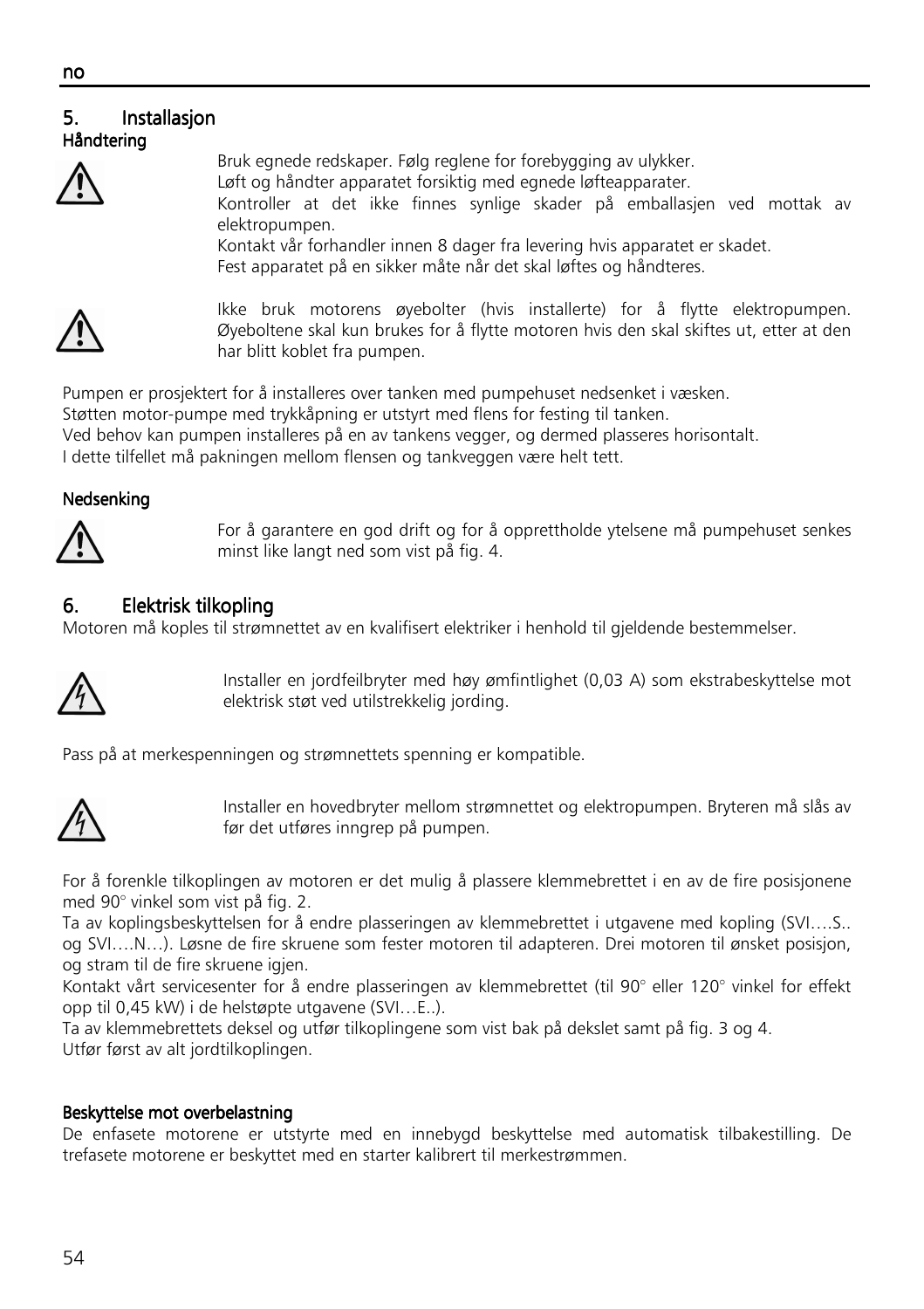#### ٦ 5. Installasjon Håndtering



Bruk egnede redskaper. Følg reglene for forebygging av ulykker. Løft og håndter apparatet forsiktig med egnede løfteapparater. Kontroller at det ikke finnes synlige skader på emballasjen ved mottak av elektropumpen. Kontakt vår forhandler innen 8 dager fra levering hvis apparatet er skadet. Fest apparatet på en sikker måte når det skal løftes og håndteres.



Ikke bruk motorens øyebolter (hvis installerte) for å flytte elektropumpen. Øyeboltene skal kun brukes for å flytte motoren hvis den skal skiftes ut, etter at den har blitt koblet fra pumpen.

Pumpen er prosjektert for å installeres over tanken med pumpehuset nedsenket i væsken.

Støtten motor-pumpe med trykkåpning er utstyrt med flens for festing til tanken.

Ved behov kan pumpen installeres på en av tankens vegger, og dermed plasseres horisontalt.

I dette tilfellet må pakningen mellom flensen og tankveggen være helt tett.

#### Nedsenking



For å garantere en god drift og for å opprettholde ytelsene må pumpehuset senkes minst like langt ned som vist på fig. 4.

## 6. Elektrisk tilkopling

Motoren må koples til strømnettet av en kvalifisert elektriker i henhold til gjeldende bestemmelser.



Installer en jordfeilbryter med høy ømfintlighet (0,03 A) som ekstrabeskyttelse mot elektrisk støt ved utilstrekkelig jording.

Pass på at merkespenningen og strømnettets spenning er kompatible.



Installer en hovedbryter mellom strømnettet og elektropumpen. Bryteren må slås av før det utføres inngrep på pumpen.

For å forenkle tilkoplingen av motoren er det mulig å plassere klemmebrettet i en av de fire posisjonene med 90° vinkel som vist på fig. 2.

Ta av koplingsbeskyttelsen for å endre plasseringen av klemmebrettet i utgavene med kopling (SVI….S.. og SVI….N…). Løsne de fire skruene som fester motoren til adapteren. Drei motoren til ønsket posisjon, og stram til de fire skruene igjen.

Kontakt vårt servicesenter for å endre plasseringen av klemmebrettet (til 90° eller 120° vinkel for effekt opp til 0,45 kW) i de helstøpte utgavene (SVI…E..).

Ta av klemmebrettets deksel og utfør tilkoplingene som vist bak på dekslet samt på fig. 3 og 4. Utfør først av alt jordtilkoplingen.

#### Beskyttelse mot overbelastning

De enfasete motorene er utstyrte med en innebygd beskyttelse med automatisk tilbakestilling. De trefasete motorene er beskyttet med en starter kalibrert til merkestrømmen.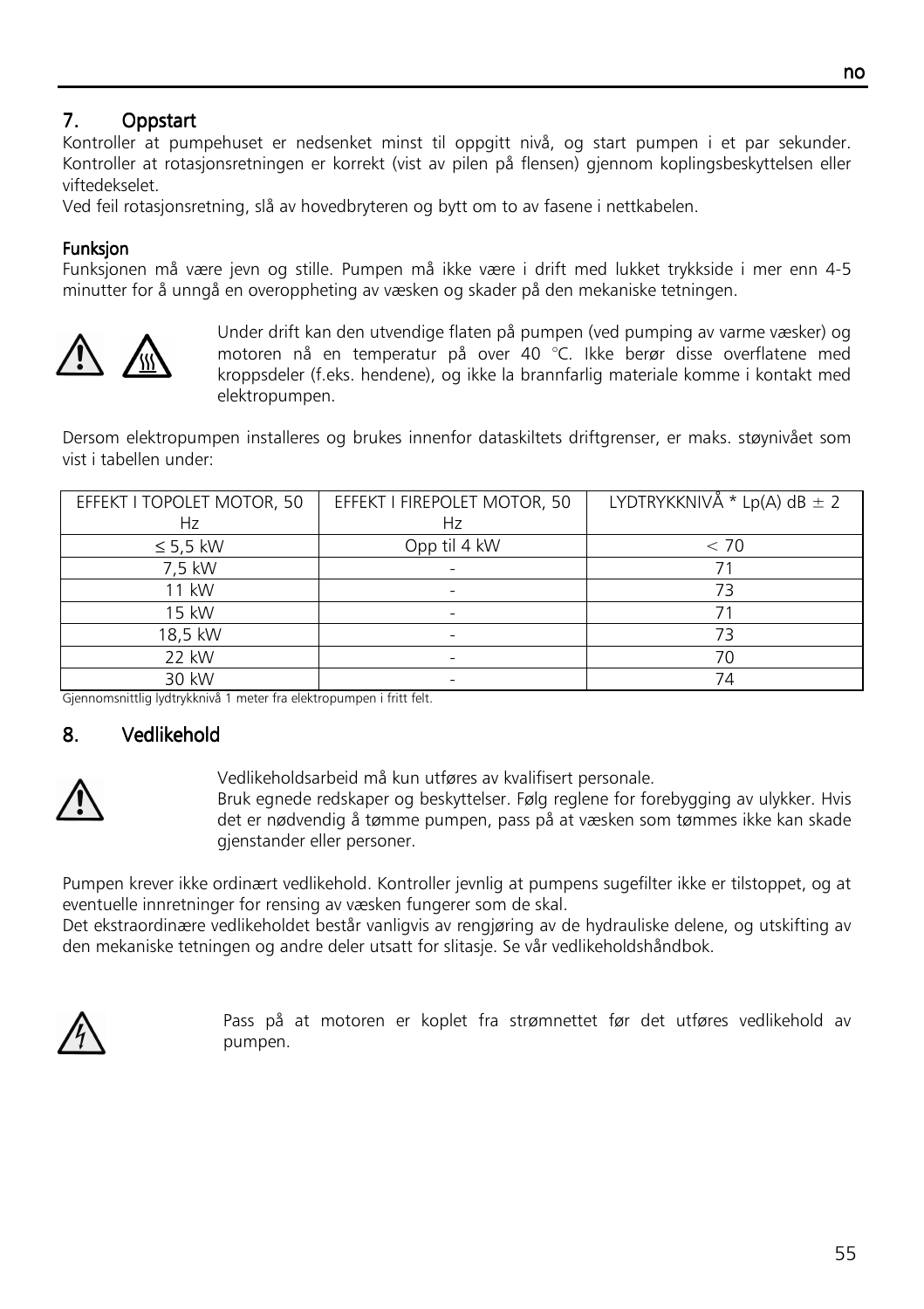## 7. Oppstart

Kontroller at pumpehuset er nedsenket minst til oppgitt nivå, og start pumpen i et par sekunder. Kontroller at rotasjonsretningen er korrekt (vist av pilen på flensen) gjennom koplingsbeskyttelsen eller viftedekselet.

Ved feil rotasjonsretning, slå av hovedbryteren og bytt om to av fasene i nettkabelen.

#### Funksion

Funksjonen må være jevn og stille. Pumpen må ikke være i drift med lukket trykkside i mer enn 4-5 minutter for å unngå en overoppheting av væsken og skader på den mekaniske tetningen.



Under drift kan den utvendige flaten på pumpen (ved pumping av varme væsker) og motoren nå en temperatur på over 40 °C. Ikke berør disse overflatene med kroppsdeler (f.eks. hendene), og ikke la brannfarlig materiale komme i kontakt med elektropumpen.

Dersom elektropumpen installeres og brukes innenfor dataskiltets driftgrenser, er maks. støynivået som vist i tabellen under:

| EFFEKT I TOPOLET MOTOR, 50 | EFFEKT I FIREPOLET MOTOR, 50 | LYDTRYKKNIVÅ * Lp(A) dB $\pm$ 2 |
|----------------------------|------------------------------|---------------------------------|
| Hz                         | Hz                           |                                 |
| $\leq$ 5,5 kW              | Opp til 4 kW                 | < 70                            |
| 7,5 kW                     |                              |                                 |
| 11 kW                      |                              | 73                              |
| 15 kW                      |                              |                                 |
| 18,5 kW                    |                              | 73                              |
| 22 kW                      |                              | 70                              |
| 30 kW                      |                              | 74                              |

Gjennomsnittlig lydtrykknivå 1 meter fra elektropumpen i fritt felt.

#### 8. Vedlikehold



Vedlikeholdsarbeid må kun utføres av kvalifisert personale.

Bruk egnede redskaper og beskyttelser. Følg reglene for forebygging av ulykker. Hvis det er nødvendig å tømme pumpen, pass på at væsken som tømmes ikke kan skade gjenstander eller personer.

Pumpen krever ikke ordinært vedlikehold. Kontroller jevnlig at pumpens sugefilter ikke er tilstoppet, og at eventuelle innretninger for rensing av væsken fungerer som de skal.

Det ekstraordinære vedlikeholdet består vanligvis av rengjøring av de hydrauliske delene, og utskifting av den mekaniske tetningen og andre deler utsatt for slitasje. Se vår vedlikeholdshåndbok.



Pass på at motoren er koplet fra strømnettet før det utføres vedlikehold av pumpen.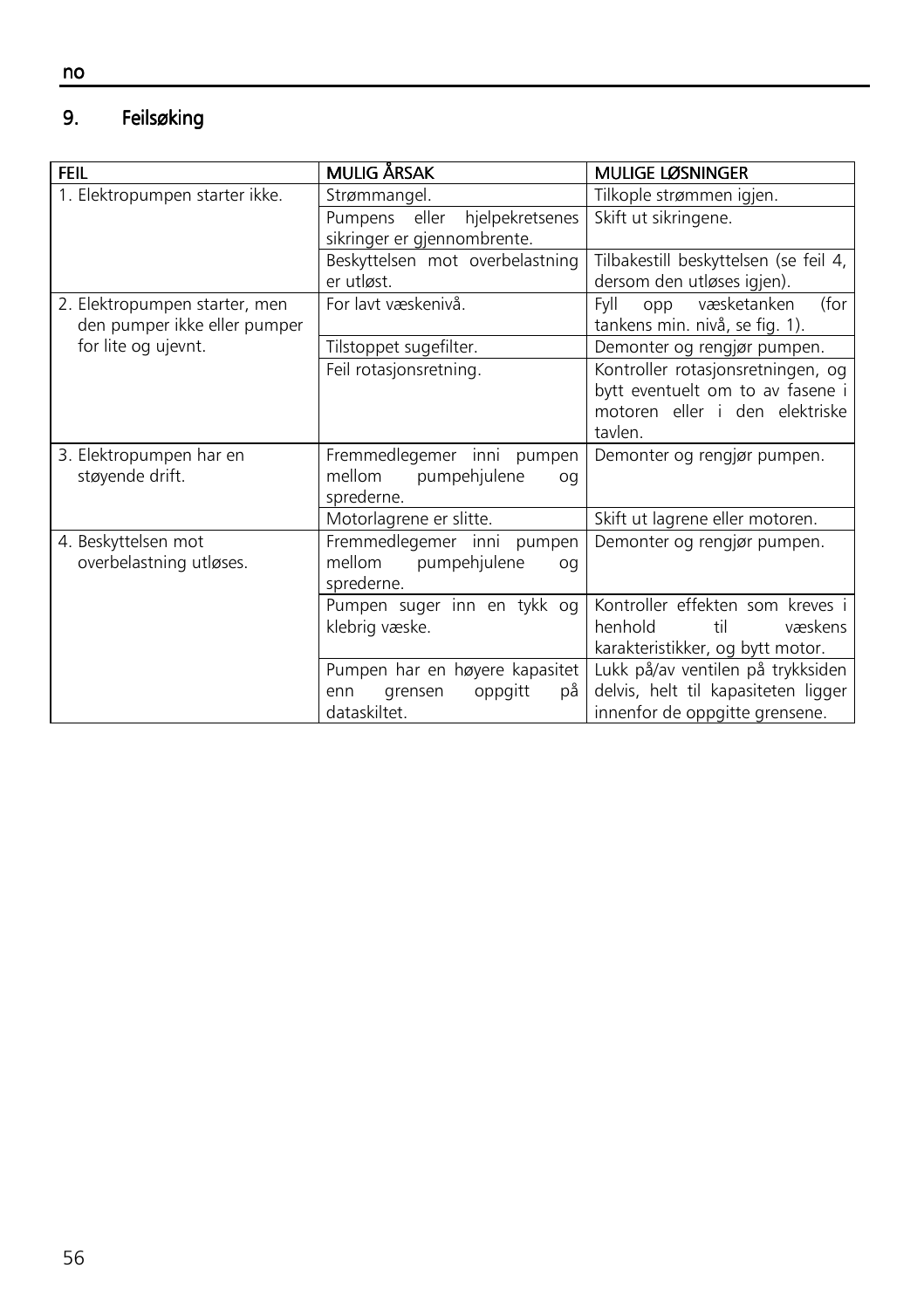#### 9. Feilsøking

| <b>FEIL</b>                                                   | <b>MULIG ÅRSAK</b>                                                                | <b>MULIGE LØSNINGER</b>                                                                                            |
|---------------------------------------------------------------|-----------------------------------------------------------------------------------|--------------------------------------------------------------------------------------------------------------------|
| 1. Elektropumpen starter ikke.                                | Strømmangel.                                                                      | Tilkople strømmen igjen.                                                                                           |
|                                                               | Pumpens eller<br>hjelpekretsenes                                                  | Skift ut sikringene.                                                                                               |
|                                                               | sikringer er gjennombrente.                                                       |                                                                                                                    |
|                                                               | Beskyttelsen mot overbelastning                                                   | Tilbakestill beskyttelsen (se feil 4,                                                                              |
|                                                               | er utløst.                                                                        | dersom den utløses igjen).                                                                                         |
| 2. Elektropumpen starter, men<br>den pumper ikke eller pumper | For lavt væskenivå.                                                               | væsketanken<br>(for<br>FvII<br>opp<br>tankens min. nivå, se fig. 1).                                               |
| for lite og ujevnt.                                           | Tilstoppet sugefilter.                                                            | Demonter og rengjør pumpen.                                                                                        |
|                                                               | Feil rotasjonsretning.                                                            | Kontroller rotasjonsretningen, og<br>bytt eventuelt om to av fasene i<br>motoren eller i den elektriske<br>tavlen. |
| 3. Elektropumpen har en<br>støyende drift.                    | Fremmedlegemer inni pumpen<br>mellom<br>pumpehjulene<br>oq<br>sprederne.          | Demonter og rengjør pumpen.                                                                                        |
|                                                               | Motorlagrene er slitte.                                                           | Skift ut lagrene eller motoren.                                                                                    |
| 4. Beskyttelsen mot<br>overbelastning utløses.                | Fremmedlegemer inni pumpen<br>mellom<br>pumpehjulene<br>oq<br>sprederne.          | Demonter og rengjør pumpen.                                                                                        |
|                                                               | Pumpen suger inn en tykk og<br>klebrig væske.                                     | Kontroller effekten som kreves i<br>henhold<br>væskens<br>til<br>karakteristikker, og bytt motor.                  |
|                                                               | Pumpen har en høyere kapasitet<br>oppgitt<br>grensen<br>рå<br>enn<br>dataskiltet. | Lukk på/av ventilen på trykksiden<br>delvis, helt til kapasiteten ligger<br>innenfor de oppgitte grensene.         |

no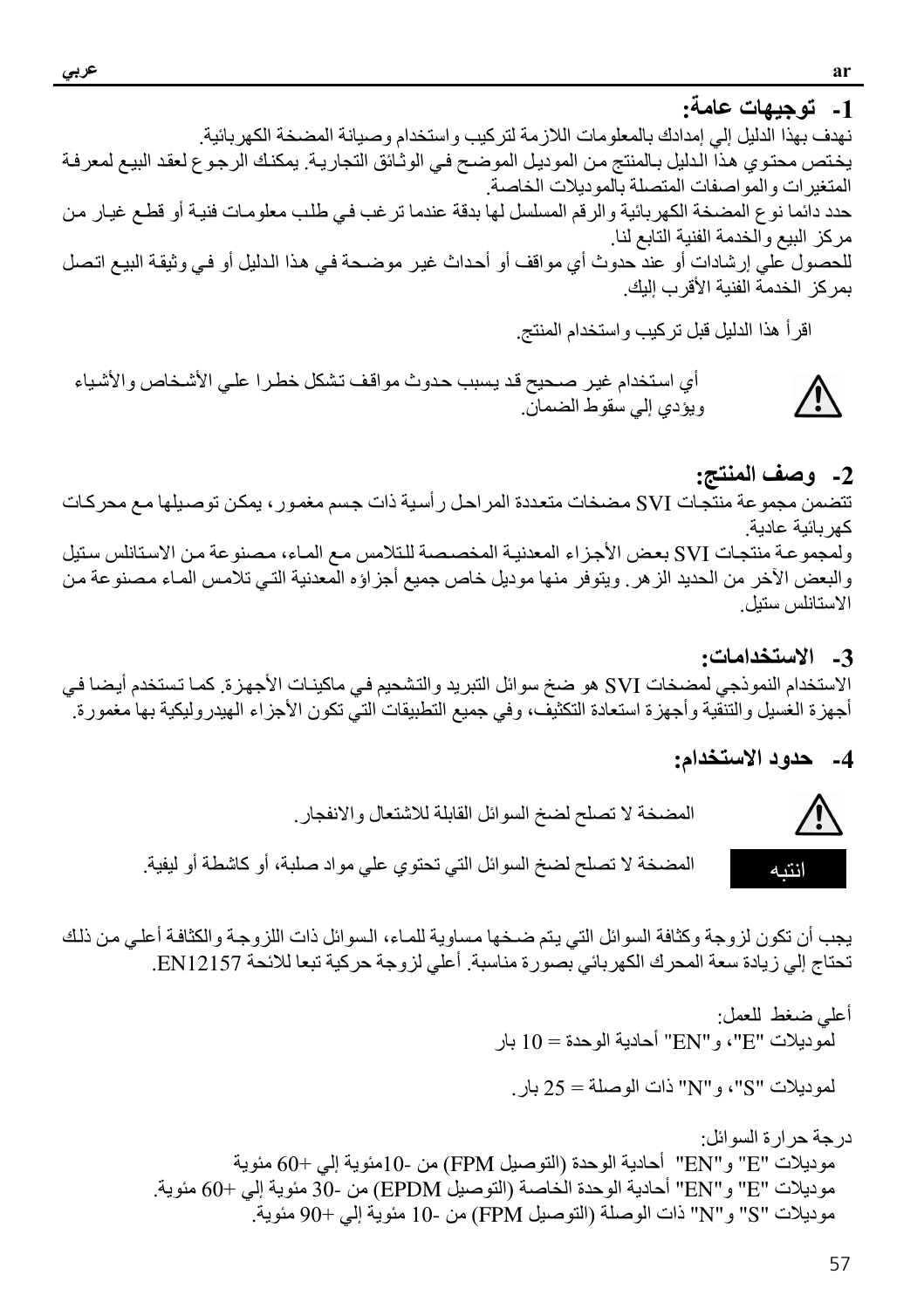1- توجيهات عامة: نهدف بهذا الدليل إلى إمدادك بالمعلو مات اللاز مة لتر كيب و استخدام و صيانة المضخة الكهر بائية ِ يختص محتوي هذا الدليل بـالمنتج من الموديل الموضـح في الوثـائق التجاريـة. يمكنك الرجوع لعقد البيع لمعرفـة المتغيرات والمواصفات المتصلة بالموديلات الخاصة .<br>حدد دائما نوع المصحة الكهربائية والرقم المسلسل لها بدقة عندما ترغب في طلب معلومات فنية أو قطع غيار من مركز البيع والخدمة الفنية التابع لنا للحصول على إرشادات أو عند حدوث أي مواقف أو أحداث غير موضحة في هذا الدليل أو في وثيقة البيع اتصل بمر كز الخدمة الفنية الأقر ب اليك

اقرأ هذا الدليل قبل تركيب واستخدام المنتج

أي استخدام غير صحيح قد يسبب حدوث مواقف تشكل خطرا على الأشخاص والأشياء ويؤدي إلى سقوط الضمان.

2- وصف المنتج: تتضمن مجموعة منتجات SVI مضخات متعددة المراحل رأسية ذات جسم مغمور ، يمكن توصيلها مع محركات كهر بائبة عادبة ولمجموعة منتجات SVI بعض الأجزاء المعدنية المخصصة للتلامس مع الماء، مصنوعة من الاستانلس سنيل والبعض الآخر من الحديد الزهر . ويتوفر منها موديل خاص جميع أجزاؤه المعدنية التي تلامس الماء مصنو عة من الاستانلس ستبل

3- الاستخدامات: الاستخدام النموذجي لمضخات SVI هو ضخ سوائل النبريد والتشحيم في ماكينـات الأجهزة. كمـا تستخدم أيضـا في أجهزة الغسيل والتنقية وأجهزة استعادة التكثيف، وفي جميع التطبيقات التي تكون الأجزاء الهيدروليكية بها مغمورة ِ

4- حدود الاستخدام:



يجب أن تكون لز وجة وكثافة السوائل التي يتم ضخها مساوية للماء، السوائل ذات اللز وجة والكثافة أعلى من ذلك تحتاج إلى زيادة سعة المحرك الكهربائي بصورة مناسبة. أعلى لزوجة حركية تبعا للائحة EN12157.

- أعلى ضغط للعمل: لموديلات "E"، و "EN" أحادية الوحدة = 10 بار لموديلات "S"، و "N" ذات الوصلة = 25 بار
- در جة حر ار ة السوائل: موديلات "E" و "EN" أحادية الوحدة (التوصيل FPM) من -10مئوية إلى +60 مئوية موديلات "E" و "EN" أحادية الوحدة الخاصة (التوصيل EPDM) من -30 مئوية إلى +60 مئوية. موديلات "S" و"N" ذات الوصلة (التوصيل FPM) من -10 مئوية إلى +90 مئوية.

<u>小</u>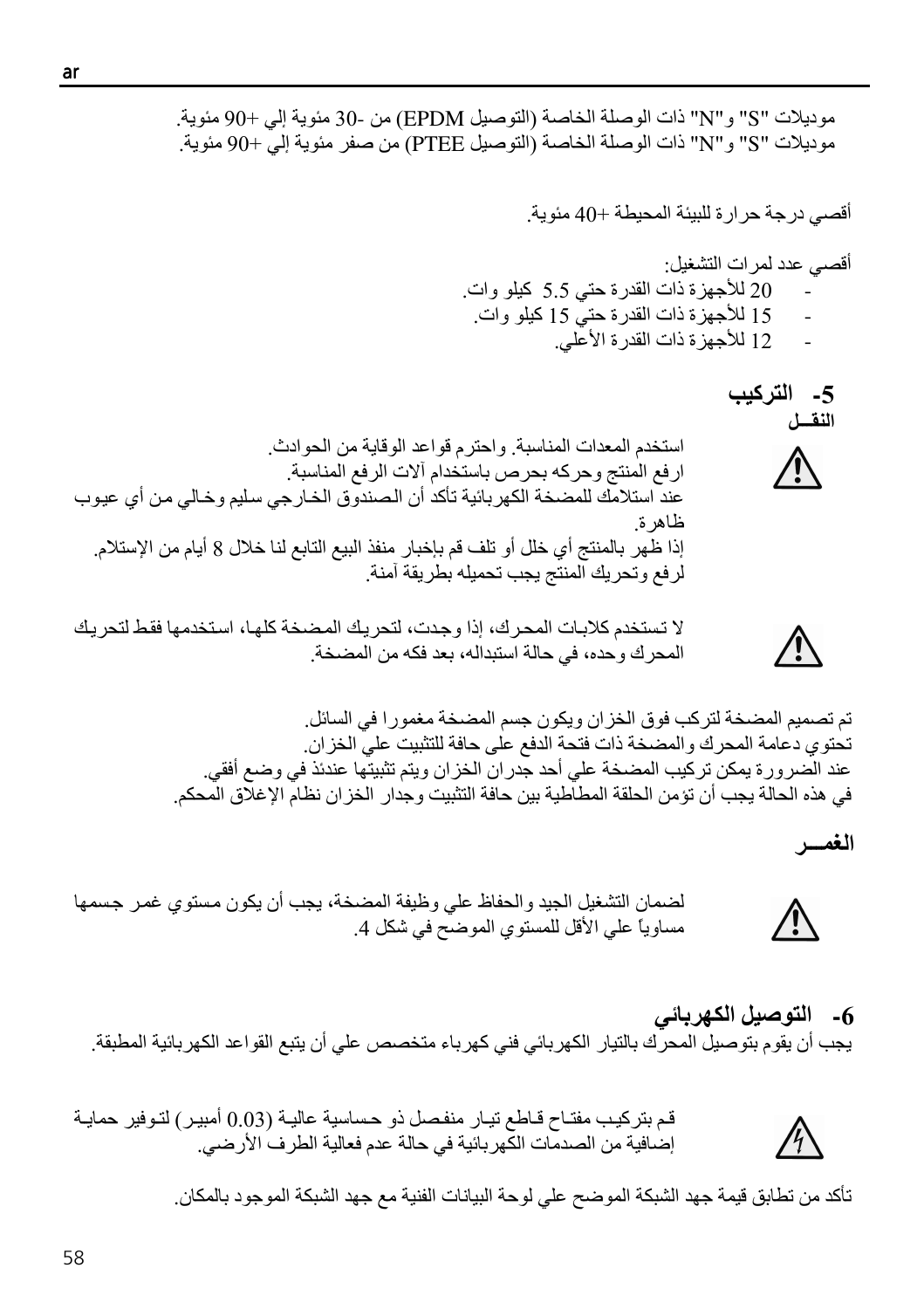ar

موديلات "S" و"N" ذات الوصلة الخاصة (التوصيل EPDM) من -30 مئوية إلى +90 مئوية. موديلات "S" و "N" ذات الوصلة الخاصة (التوصيل PTEE) من صفر مئوية إلى +90 مئوية.

أقصى درجة حرارة للبيئة المحيطة +40 مئوية.

- أقصبي عدد لمر ات التشغيل· 20 للأجهزة ذات القدرة حتى 5.5 كيلو وات. 15 للأجهزة ذات القدرة حتى 15 كيلو وات.
	- 12 للأجهز ة ذات القدر ة الأعلى.

5- التركيب النقسل استخدم المعدات المناسبة واحترم قواعد الوقاية من الحوادث ارفع المنتج وحركه بحرص باستخدام آلات الرفع المناسبة عند استلامك للمضخة الكهربائية تأكد أن الصندوق الخارجي سليم وخالي من أي عيوب ظاهرة. إذا ظهر بالمنتج أي خلل أو تلف قم بإخبار منفذ البيع التابع لنا خلال 8 أيام من الإستلام. لرفع وتحريك المنتج يجب تحميله بطريقة أمنة

لا تستخدم كلابات المحرك، إذا وجدت، لتحريك المضخة كلها، استخدمها فقط لتحريك المحرك وحده، في حالة استبداله، بعد فكه من المضخة.

تم تصميم المضخة لتركب فوق الخزان ويكون جسم المضخة مغمورا في السائل. تحتوي دعامة المحرك والمضخة ذات فتحة الدفع على حافة للتثبيت على الخزان. عند الضرورة يمكن تركيب المضخة على أحد جدران الخزان ويتم تثبيتها عندئذ في وضع أفقي. في هذه الحالة يجب أن تؤمن الحلقة المطاطية بين حافة التثبيت وجدار الخز ان نظام الإغلاق المحكم.

الغمسر

Ņ

**/i/** 

لضمان التشغيل الجيد والحفاظ على وظيفة المضخة، يجب أن يكون مستوى غمر جسمها مساوياً على الأقل للمستوى الموضح في شكل 4.

6- التوصيل الكهربائي يجب أن يقوم بتوصيل المحرك بالنيار الكهربائي فني كهرباء متخصص على أن يتبع القواعد الكهربائية المطبقة ِ



تأكد من تطابق قيمة جهد الشبكة الموضح على لوحة البيانات الفنية مع جهد الشبكة الموجود بالمكان.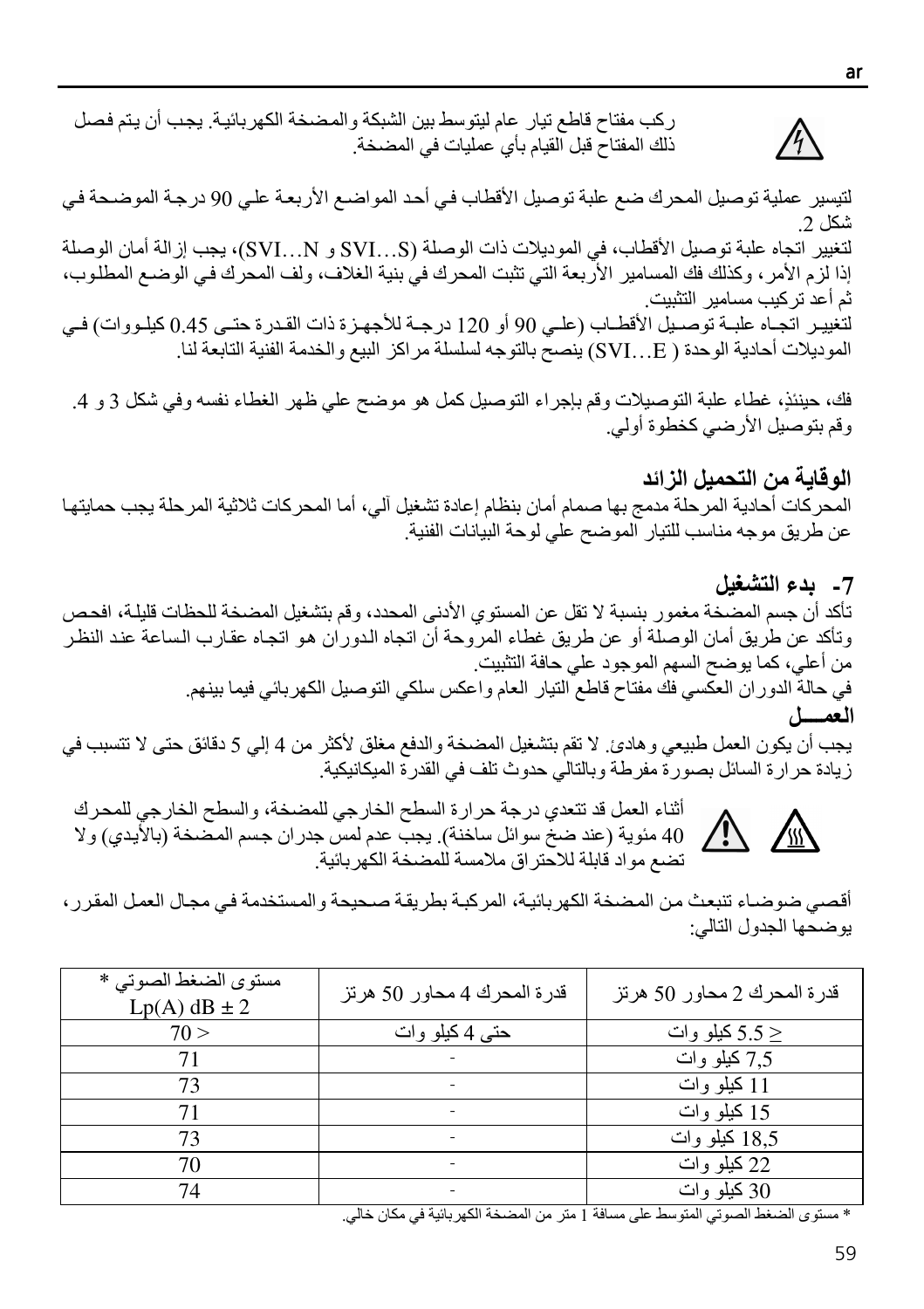لتيسير عملية توصيل المحرك ضع علبة توصيل الأقطاب في أحد المواضع الأربعة علي 90 درجة الموضحة في  $2.15$ لتغيير اتجاه علبة توصيل الأقطاب، في الموديلات ذات الوصلة (SVI...S و SVI...N)، يجب إز الة أمان الوصلة إذا لزم الأمر ، وكذلك فك المسامير الأربعة التي تثبت المحرك في بنية الغلاف، ولف المحرك في الوضع المطلوب، ثم أعد تر كيب مسامير التثبيت لتُغيير اتجـاه علبـة توصـيل الأقطـاب (علـى 90 أو 120 درجـة للأجهـزة ذات القـدرة حتـى 0.45 كيلـووات) فـي الموديلات أحادية الوحدة ( SVI...E) ينصح بالتوجه لسلسلة مراكز البيع والخدمة الفنية التابعة لنا.

ذلك المفتاح قبل القيام بأي عمليات في المضخة.

ركب مفتاح قاطع تيار عام ليتوسط بين الشبكة والمضخة الكهر بائية. يجب أن يتم فصل

فك، حينئذٍ، غطاء علبة التوصيلات وقم بإجراء التوصيل كمل هو موضح على ظهر الغطاء نفسه وفي شكل 3 و 4. وقم بتوصيل الأرضي كخطوة أولي.

الو قاية من التحميل الز ائد المحر كات أحادية المرحلة مدمج بها صمام أمان بنظام إعادة تشغيل آلى، أما المحر كات ثلاثية المرحلة يجب حمايتها عن طريق موجه مناسب للتيار الموضح على لوحة البيانات الفنية.

7- بدء التشغيل تأكد أن جسم المضخة مغمور بنسبة لا تقل عن المستوى الأدنى المحدد، وقم بتشغيل المضخة للحظات قليلة، افحص وتأكد عن طريق أمان الوصلة أو عن طريق غطاء المروحة أن اتجاه الدور ان هو اتجاه عقارب الساعة عند النظر من أعلى، كما يوضح السهم الموجود على حافة التثبيت. في حالة الدور ان العكسي فك مفتاح قاطع التيار العام واعكس سلكي التوصيل الكهربائي فيما بينهم.

يجب أن يكون العمل طبيعي و هادئ ٍ لا تقم بتشغيل المضخة و الدفع مغلق لأكثر ٍ من 4 إلى 5 دقائق حتى لا تتسبب في زيادة حرارة السائل بصورة مفرطة وبالتالي حدوث تلف في القدرة الميكانيكية.

أثناء العمل قد تتعدي درجة حرارة السطح الخارجي للمضخة، والسطح الخارجي للمحرك 40 مئوية (عند ضخ سوائل ساخنة) بجب عدم لمس جدران جسم المضخة (بالأيدي) ولا تضع مواد قابلة للاحتراق ملامسة للمضخة الكهربائية

أقصىي ضوضـاء تنبعث من المضخة الكهربائية، المركبة بطريقة صـحيحة والمستخدمة فـي مجـال العمل المقرر ، يو ضحها الجدو ل التالي:

| مستوى الضغط الصوتي *<br>$Lp(A)$ dB $\pm$ 2 | قدرة المحرك 4 محاور 50 هرتز | قدرة المحرك 2 محاور 50 هرتز |
|--------------------------------------------|-----------------------------|-----------------------------|
| 70 >                                       | حتى 4 كيلو وات              | کيلو وات $5.5 \geq$         |
|                                            |                             | 7.5 کیلو وات                |
| 73                                         |                             | 11 کیلو وات                 |
|                                            |                             | 15 کیلو وات                 |
| 73                                         |                             | 18.5 کلیلو وات              |
| 70                                         |                             | 22 کیلو وات                 |
| 74                                         |                             | 30 کیلو وات                 |

\* مستوى الضغط الصوتي المتوسط على مسافة 1 متر من المضخة الكهربائية في مكان خالي.

العمسل

∕₩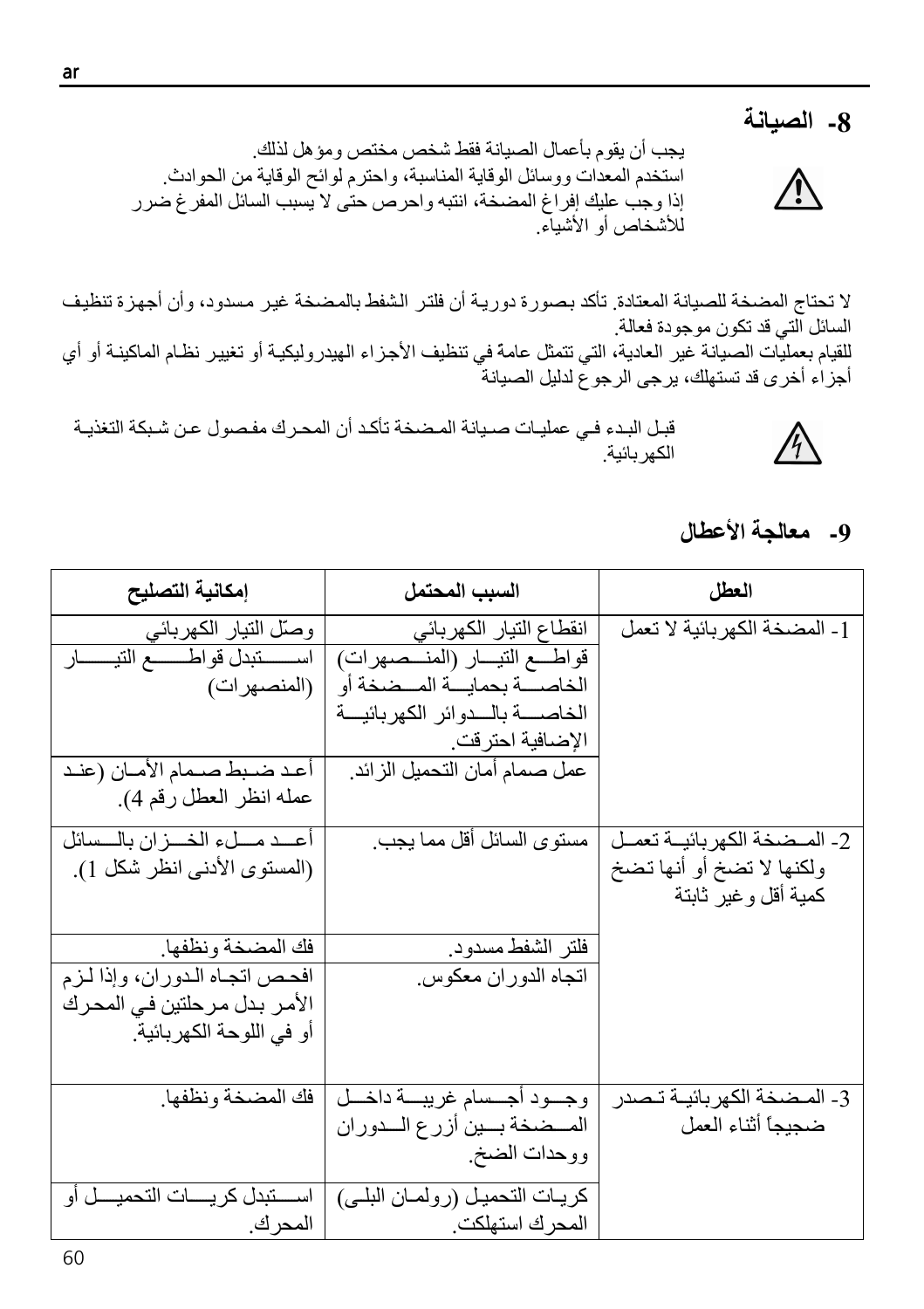# 8- الصيانة

يجب أن يقوم بأعمال الصيانة فقط شخص مختص ومؤ هل لذلك استخدم المعدات ووسائل الوقاية المناسبة، واحترم لوائح الوقاية من الحوادث. إذا وجب عليك إفراغ المضخة، انتبه واحرص حتى لا يسبب السائل المفرغ ضرر للأشخاص أو الأشداء

لا تحتاج المضخة للصيانة المعتادة. تأكد بصورة دورية أن فلتر الشفط بالمضخة غير مسدود، وأن أجهزة تنظيف السائل التي قد تكون موجودة فعالة للقيام بعمليات الصيانة غير العادية، التي تتمثل عامة في تنظيف الأجزاء الهيدر وليكيـة أو تغيير نظـام الماكينـة أو أي أجزاء أخرى قد تستهلك، يرجى الرجوع لدليل الصيانة

قبل البدء في عمليات صيانة المضخة تأكد أن المحرك مفصول عن شبكة التغذيـة الكهر بائية

# 9- معالجة الأعطال

| إمكانية التصليح                                                   | السبب المحتمل                                                   | العطل                           |
|-------------------------------------------------------------------|-----------------------------------------------------------------|---------------------------------|
| وصلّل التيار الكهربائي                                            | انقطاع التيار الكهربائي                                         | [ ـ المضخة الكهربائية لا تعمل   |
| اســـــــــتبدل قواطــــــــــع التيــــــــــار<br>(المنصـهر ات) | قواطـــع التيـــار (المنـــصهرات)<br>الخاصسة بحمايسة المسضخة أو |                                 |
|                                                                   | الخاصسة بالسدوائر الكهربائيسة                                   |                                 |
|                                                                   | الإضافية احترقت                                                 |                                 |
| أعد ضبط صـمام الأمـان (عنـد                                       | عمل صمام أمان التحميل الزائد.                                   |                                 |
| عمله انظر العطل رقم 4).                                           |                                                                 |                                 |
| أعسد مسلء الخسزان بالسسائل                                        | مستوى السائل أقل مما يجب.                                       | 2- المـضخة الكهر بائيــة تعمــل |
| (المستوى الأدنى انظر شكل 1).                                      |                                                                 | ولكنها لا تضخ أو أنها تضخ       |
|                                                                   |                                                                 | كمية أقل وغير ثابتة             |
| فك المضخة ونظفها                                                  | فلتر الشفط مسدود                                                |                                 |
| افحص اتجاه الدوران، وإذا لزم                                      | اتجاه الدوران معكوس                                             |                                 |
| الأمر بدل مرحلتين في المحرك                                       |                                                                 |                                 |
| أو في اللوحة الكهربائية                                           |                                                                 |                                 |
|                                                                   |                                                                 |                                 |
| فك المضخة ونظفها                                                  | وجسود أجسسام غريبسة داخسل                                       | 3- المـضخة الكهربائيــة تـصدر   |
|                                                                   | المسضخة بسين أزرع السدوران                                      | ضجيجا أثناء العمل               |
|                                                                   | ووحدات الضخ                                                     |                                 |
| اسستبدل كريسات التحميسل أو                                        | كريات التحميل (رولمان البلي)                                    |                                 |
| ا المحرك.                                                         | المحرك استهلكت                                                  |                                 |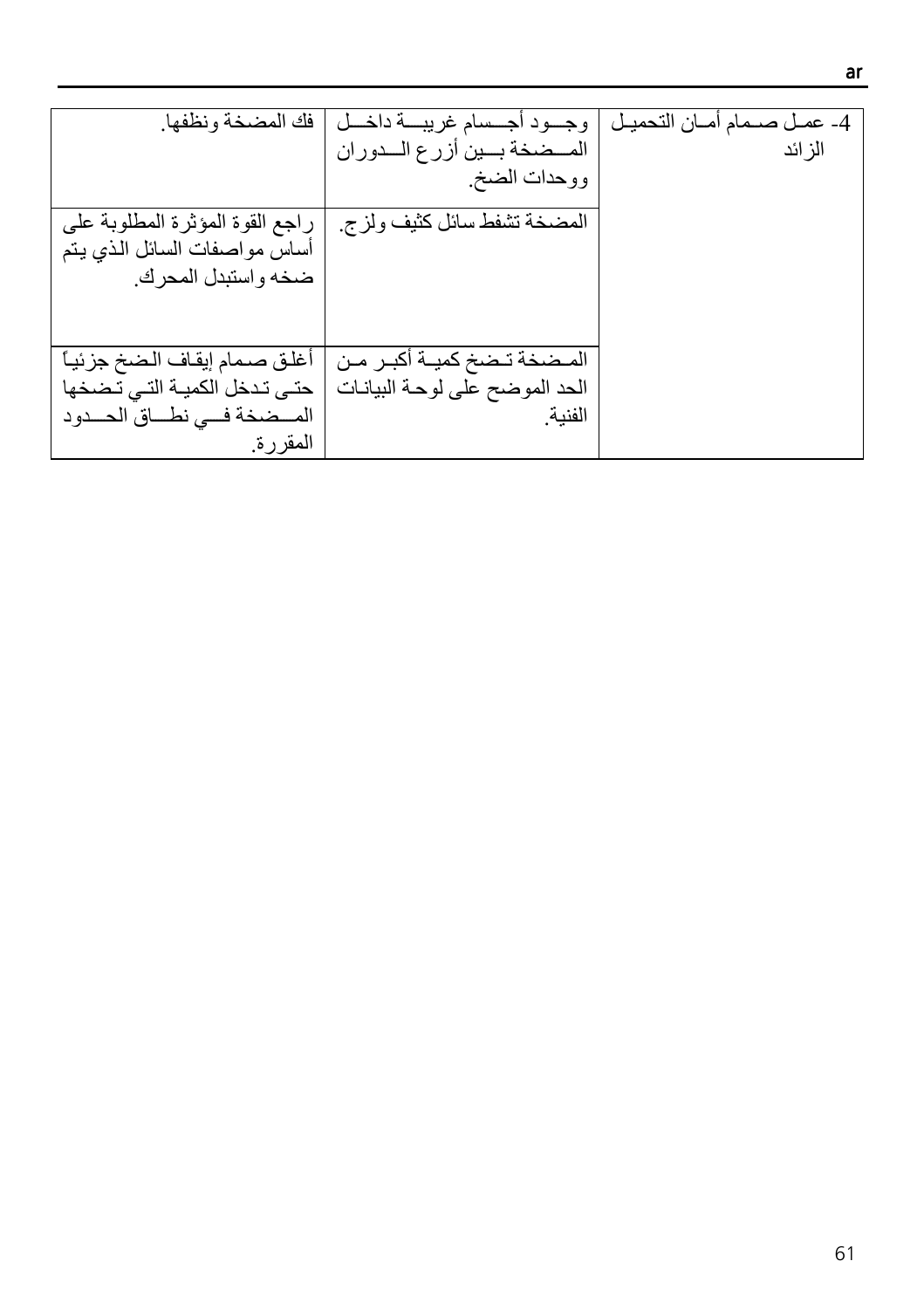| فك المضخة ونظفها<br>راجع القوة المؤثرة المطلوبة على<br>أساس مواصفات السائل الذي يتم<br>ضخه واستبدل المحرك. | وجسود أجسسام غريبسة داخه<br>المسضخة بسين أزرع السدوران<br>ووحدات الضخ.<br>المضخة تشفط سائل كثيف ولزج | 4- عمـل صــمام أمــان التحميـل<br>الز ائد |
|------------------------------------------------------------------------------------------------------------|------------------------------------------------------------------------------------------------------|-------------------------------------------|
| أغلق صمام إيقاف الضخ جزئياً<br>حتىي تدخل الكميــة التــى تـضخها<br>المسضخة فسي نطساق الحسدود<br>المقررة    | المـضخة تـضخ كميــة أكبـر مـن<br>الحد الموضح على لوحة البيانات<br>الفنية                             |                                           |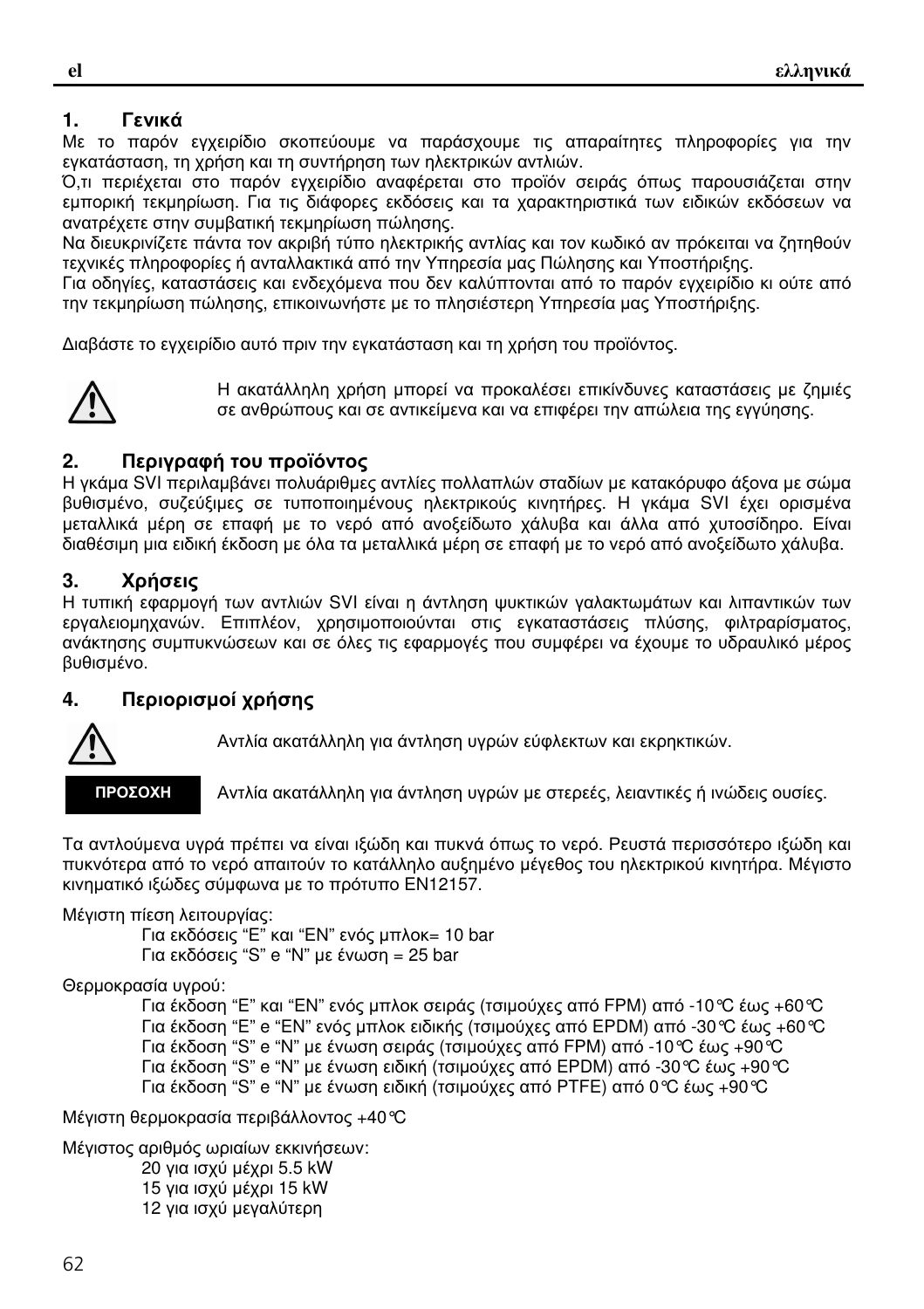## **1.** Γενικά

Με το παρόν εγχειρίδιο σκοπεύουµε να παράσχουµε τις απαραίτητες πληροφορίες για την εγκατάσταση, τη χρήση και τη συντήρηση των ηλεκτρικών αντλιών.

Ό,τι περιέχεται στο παρόν εγχειρίδιο αναφέρεται στο προϊόν σειράς όπως παρουσιάζεται στην εµπορική τεκµηρίωση. Για τις διάφορες εκδόσεις και τα χαρακτηριστικά των ειδικών εκδόσεων να ανατρέχετε στην συµβατική τεκµηρίωση πώλησης.

Να διευκρινίζετε πάντα τον ακριβή τύπο ηλεκτρικής αντλίας και τον κωδικό αν πρόκειται να ζητηθούν τεχνικές πληροφορίες ή ανταλλακτικά από την Υπηρεσία µας Πώλησης και Υποστήριξης.

Για οδηγίες, καταστάσεις και ενδεχόµενα που δεν καλύπτονται από το παρόν εγχειρίδιο κι ούτε από την τεκµηρίωση πώλησης, επικοινωνήστε µε το πλησιέστερη Υπηρεσία µας Υποστήριξης.

∆ιαβάστε το εγχειρίδιο αυτό πριν την εγκατάσταση και τη χρήση του προϊόντος.



Η ακατάλληλη χρήση µπορεί να προκαλέσει επικίνδυνες καταστάσεις µε ζηµιές σε ανθρώπους και σε αντικείµενα και να επιφέρει την απώλεια της εγγύησης.

## **2.** Περιγραφή του προϊόντος

Η γκάµα SVI περιλαµβάνει πολυάριθµες αντλίες πολλαπλών σταδίων µε κατακόρυφο άξονα µε σώµα βυθισµένο, συζεύξιµες σε τυποποιηµένους ηλεκτρικούς κινητήρες. Η γκάµα SVI έχει ορισµένα µεταλλικά µέρη σε επαφή µε το νερό από ανοξείδωτο χάλυβα και άλλα από χυτοσίδηρο. Είναι διαθέσιµη µια ειδική έκδοση µε όλα τα µεταλλικά µέρη σε επαφή µε το νερό από ανοξείδωτο χάλυβα.

## **3.** Χρήσεις

Η τυπική εφαρµογή των αντλιών SVI είναι η άντληση ψυκτικών γαλακτωµάτων και λιπαντικών των εργαλειοµηχανών. Επιπλέον, χρησιµοποιούνται στις εγκαταστάσεις πλύσης, φιλτραρίσµατος, ανάκτησης συµπυκνώσεων και σε όλες τις εφαρµογές που συµφέρει να έχουµε το υδραυλικό µέρος βυθισµένο.

## **4.** Περιορισµοί χρήσης



Αντλία ακατάλληλη για άντληση υγρών εύφλεκτων και εκρηκτικών.

ΠΡΟΣΟΧΗ

Αντλία ακατάλληλη για άντληση υγρών µε στερεές, λειαντικές ή ινώδεις ουσίες.

Τα αντλούµενα υγρά πρέπει να είναι ιξώδη και πυκνά όπως το νερό. Ρευστά περισσότερο ιξώδη και πυκνότερα από το νερό απαιτούν το κατάλληλο αυξηµένο µέγεθος του ηλεκτρικού κινητήρα. Μέγιστο κινηµατικό ιξώδες σύµφωνα µε το πρότυπο EN12157.

Μέγιστη πίεση λειτουργίας:

Για εκδόσεις "E" και "EN" ενός µπλοκ= 10 bar Για εκδόσεις "S" e "N" µε ένωση = 25 bar

Θερµοκρασία υγρού:

Για έκδοση "E" και "EN" ενός µπλοκ σειράς (τσιµούχες από FPM) από -10°C έως +60°C Για έκδοση "E" e "EN" ενός µπλοκ ειδικής (τσιµούχες από EPDM) από -30°C έως +60°C Για έκδοση "S" e "N" µε ένωση σειράς (τσιµούχες από FPM) από -10°C έως +90°C Για έκδοση "S" e "N" µε ένωση ειδική (τσιµούχες από EPDM) από -30°C έως +90°C Για έκδοση "S" e "N" µε ένωση ειδική (τσιµούχες από PTFE) από 0°C έως +90°C

Μέγιστη θερµοκρασία περιβάλλοντος +40°C

Μέγιστος αριθµός ωριαίων εκκινήσεων: για ισχύ µέχρι 5.5 kW για ισχύ µέχρι 15 kW για ισχύ µεγαλύτερη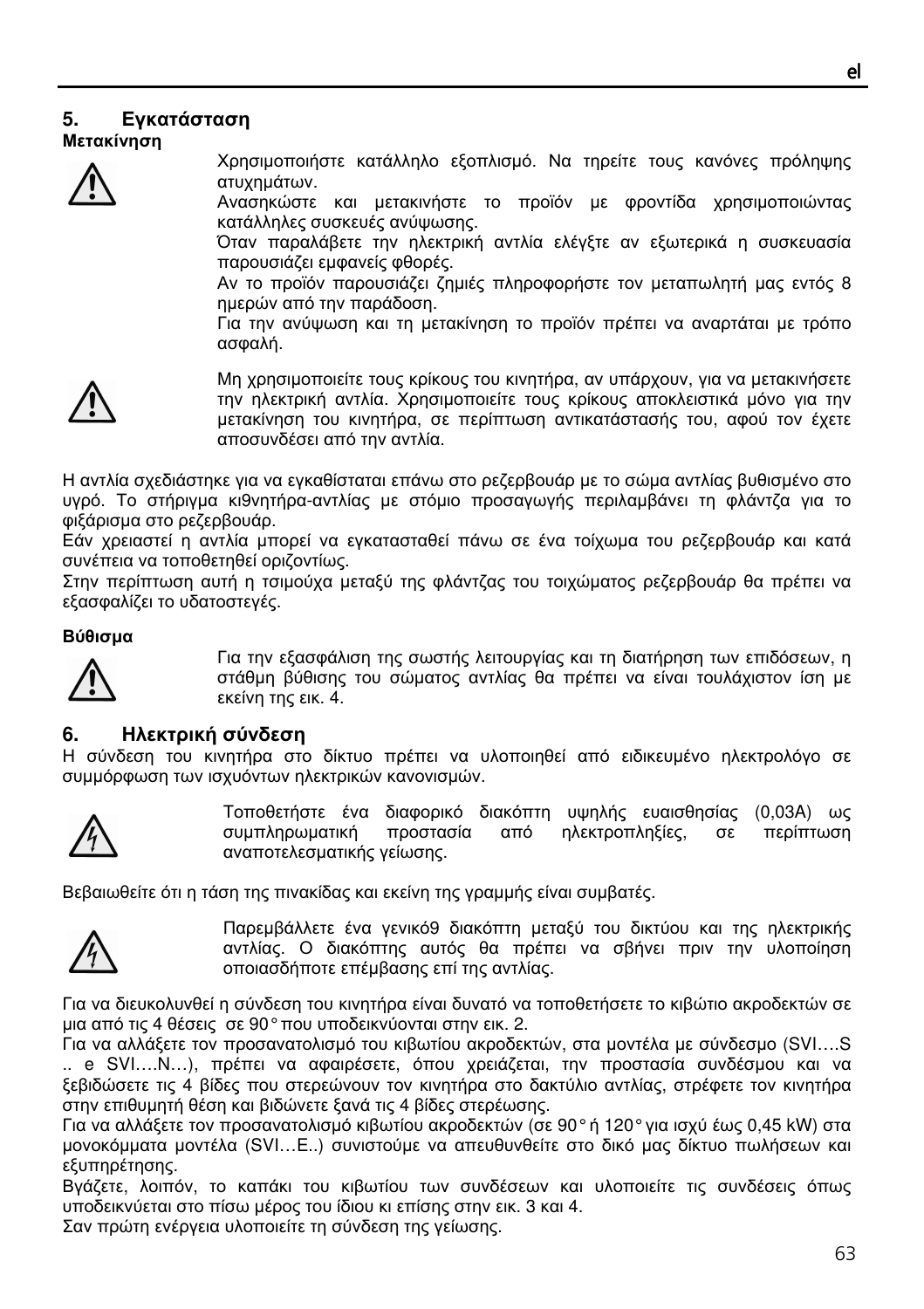## **5.** Εγκατάσταση

Μετακίνηση



Χρησιµοποιήστε κατάλληλο εξοπλισµό. Να τηρείτε τους κανόνες πρόληψης ατυχηµάτων.

Ανασηκώστε και µετακινήστε το προϊόν µε φροντίδα χρησιµοποιώντας κατάλληλες συσκευές ανύψωσης.

Όταν παραλάβετε την ηλεκτρική αντλία ελέγξτε αν εξωτερικά η συσκευασία παρουσιάζει εµφανείς φθορές.

Αν το προϊόν παρουσιάζει ζηµιές πληροφορήστε τον µεταπωλητή µας εντός 8 ηµερών από την παράδοση.

Για την ανύψωση και τη µετακίνηση το προϊόν πρέπει να αναρτάται µε τρόπο ασφαλή.



Μη χρησιµοποιείτε τους κρίκους του κινητήρα, αν υπάρχουν, για να µετακινήσετε την ηλεκτρική αντλία. Χρησιµοποιείτε τους κρίκους αποκλειστικά µόνο για την µετακίνηση του κινητήρα, σε περίπτωση αντικατάστασής του, αφού τον έχετε αποσυνδέσει από την αντλία.

Η αντλία σχεδιάστηκε για να εγκαθίσταται επάνω στο ρεζερβουάρ µε το σώµα αντλίας βυθισµένο στο υγρό. Το στήριγµα κι9νητήρα-αντλίας µε στόµιο προσαγωγής περιλαµβάνει τη φλάντζα για το φιξάρισµα στο ρεζερβουάρ.

Εάν χρειαστεί η αντλία µπορεί να εγκατασταθεί πάνω σε ένα τοίχωµα του ρεζερβουάρ και κατά συνέπεια να τοποθετηθεί οριζοντίως.

Στην περίπτωση αυτή η τσιµούχα µεταξύ της φλάντζας του τοιχώµατος ρεζερβουάρ θα πρέπει να εξασφαλίζει το υδατοστεγές.

#### Βύθισµα



Για την εξασφάλιση της σωστής λειτουργίας και τη διατήρηση των επιδόσεων, η στάθµη βύθισης του σώµατος αντλίας θα πρέπει να είναι τουλάχιστον ίση µε εκείνη της εικ. 4.

#### **6.** Ηλεκτρική σύνδεση

Η σύνδεση του κινητήρα στο δίκτυο πρέπει να υλοποιηθεί από ειδικευµένο ηλεκτρολόγο σε συµµόρφωση των ισχυόντων ηλεκτρικών κανονισµών.



Τοποθετήστε ένα διαφορικό διακόπτη υψηλής ευαισθησίας (0,03A) ως συµπληρωµατική προστασία από ηλεκτροπληξίες, σε περίπτωση αναποτελεσµατικής γείωσης.

Βεβαιωθείτε ότι η τάση της πινακίδας και εκείνη της γραµµής είναι συµβατές.



Παρεµβάλλετε ένα γενικό9 διακόπτη µεταξύ του δικτύου και της ηλεκτρικής αντλίας. Ο διακόπτης αυτός θα πρέπει να σβήνει πριν την υλοποίηση οποιασδήποτε επέµβασης επί της αντλίας.

Για να διευκολυνθεί η σύνδεση του κινητήρα είναι δυνατό να τοποθετήσετε το κιβώτιο ακροδεκτών σε µια από τις 4 θέσεις σε 90° που υποδεικνύονται στην εικ. 2.

Για να αλλάξετε τον προσανατολισµό του κιβωτίου ακροδεκτών, στα µοντέλα µε σύνδεσµο (SVI….S .. e SVI….N…), πρέπει να αφαιρέσετε, όπου χρειάζεται, την προστασία συνδέσµου και να ξεβιδώσετε τις 4 βίδες που στερεώνουν τον κινητήρα στο δακτύλιο αντλίας, στρέφετε τον κινητήρα στην επιθυµητή θέση και βιδώνετε ξανά τις 4 βίδες στερέωσης.

Για να αλλάξετε τον προσανατολισµό κιβωτίου ακροδεκτών (σε 90° ή 120° για ισχύ έως 0,45 kW) στα µονοκόµµατα µοντέλα (SVI…E..) συνιστούµε να απευθυνθείτε στο δικό µας δίκτυο πωλήσεων και εξυπηρέτησης.

Βγάζετε, λοιπόν, το καπάκι του κιβωτίου των συνδέσεων και υλοποιείτε τις συνδέσεις όπως υποδεικνύεται στο πίσω µέρος του ίδιου κι επίσης στην εικ. 3 και 4.

Σαν πρώτη ενέργεια υλοποιείτε τη σύνδεση της γείωσης.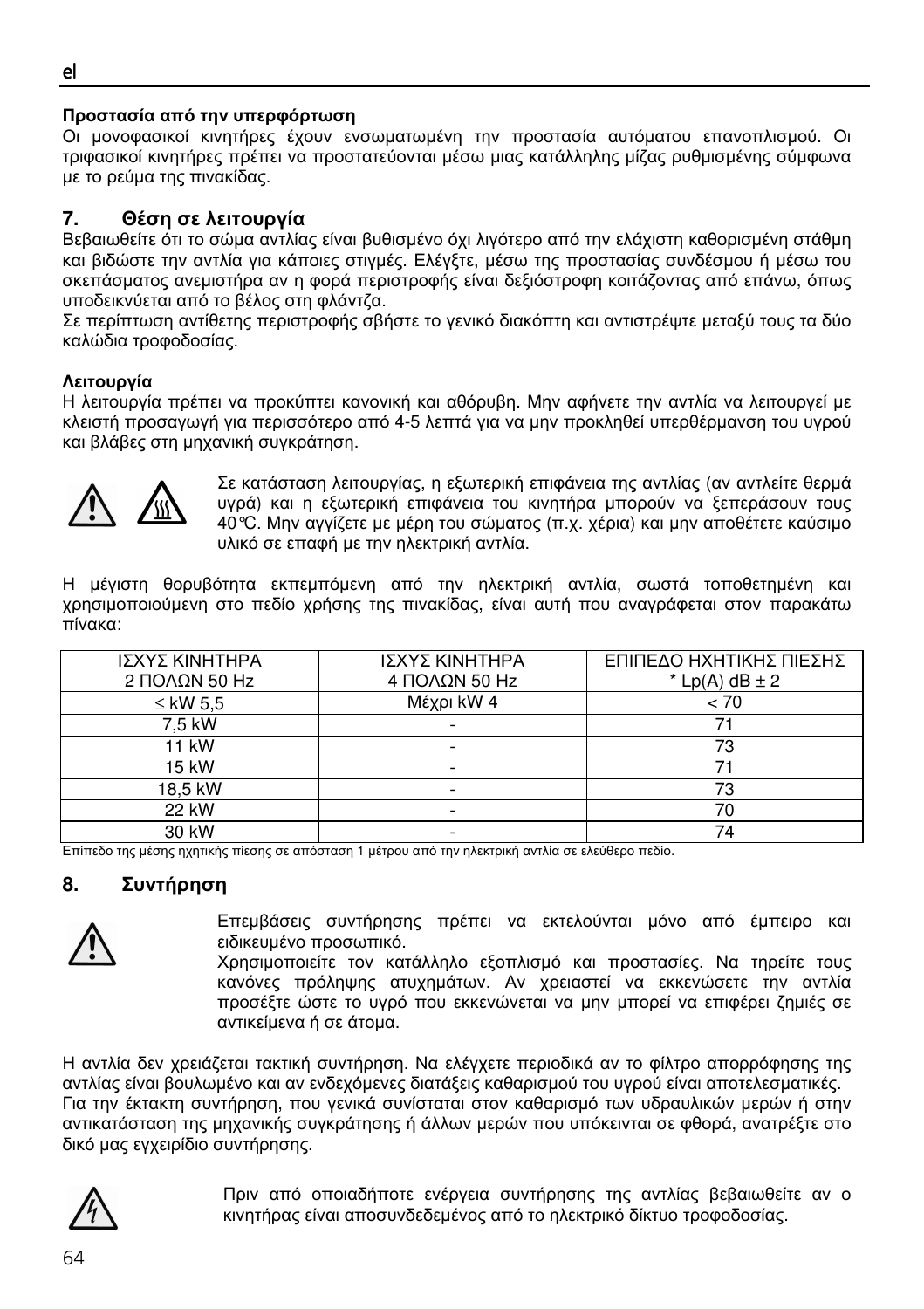#### ٦ Προστασία από την υπερφόρτωση

Οι µονοφασικοί κινητήρες έχουν ενσωµατωµένη την προστασία αυτόµατου επανοπλισµού. Οι τριφασικοί κινητήρες πρέπει να προστατεύονται µέσω µιας κατάλληλης µίζας ρυθµισµένης σύµφωνα µε το ρεύµα της πινακίδας.

## **7.** Θέση σε λειτουργία

Βεβαιωθείτε ότι το σώµα αντλίας είναι βυθισµένο όχι λιγότερο από την ελάχιστη καθορισµένη στάθµη και βιδώστε την αντλία για κάποιες στιγµές. Ελέγξτε, µέσω της προστασίας συνδέσµου ή µέσω του σκεπάσµατος ανεµιστήρα αν η φορά περιστροφής είναι δεξιόστροφη κοιτάζοντας από επάνω, όπως υποδεικνύεται από το βέλος στη φλάντζα.

Σε περίπτωση αντίθετης περιστροφής σβήστε το γενικό διακόπτη και αντιστρέψτε µεταξύ τους τα δύο καλώδια τροφοδοσίας.

## Λειτουργία

Η λειτουργία πρέπει να προκύπτει κανονική και αθόρυβη. Μην αφήνετε την αντλία να λειτουργεί µε κλειστή προσαγωγή για περισσότερο από 4-5 λεπτά για να µην προκληθεί υπερθέρµανση του υγρού και βλάβες στη µηχανική συγκράτηση.



Σε κατάσταση λειτουργίας, η εξωτερική επιφάνεια της αντλίας (αν αντλείτε θερµά υγρά) και η εξωτερική επιφάνεια του κινητήρα µπορούν να ξεπεράσουν τους 40°C. Μην αγγίζετε µε µέρη του σώµατος (π.χ. χέρια) και µην αποθέτετε καύσιµο υλικό σε επαφή µε την ηλεκτρική αντλία.

Η µέγιστη θορυβότητα εκπεµπόµενη από την ηλεκτρική αντλία, σωστά τοποθετηµένη και χρησιµοποιούµενη στο πεδίο χρήσης της πινακίδας, είναι αυτή που αναγράφεται στον παρακάτω πίνακα:

| ΙΣΧΥΣ ΚΙΝΗΤΗΡΑ<br>2 ΠΟΛΩΝ 50 Hz | ΙΣΧΥΣ ΚΙΝΗΤΗΡΑ<br>4 ΠΟΛΩΝ 50 Hz | ΕΠΙΠΕΔΟ ΗΧΗΤΙΚΗΣ ΠΙΕΣΗΣ<br>$*$ Lp(A) dB $\pm$ 2 |
|---------------------------------|---------------------------------|-------------------------------------------------|
| $\leq$ kW 5.5                   | Μέχρι kW 4                      | < 70                                            |
| 7.5 kW                          |                                 |                                                 |
| 11 kW                           |                                 | 73                                              |
| 15 kW                           |                                 |                                                 |
| 18,5 kW                         |                                 | 73                                              |
| 22 kW                           |                                 |                                                 |
| 30 kW                           |                                 |                                                 |

Επίπεδο της µέσης ηχητικής πίεσης σε απόσταση 1 µέτρου από την ηλεκτρική αντλία σε ελεύθερο πεδίο.

## **8.** Συντήρηση



Επεµβάσεις συντήρησης πρέπει να εκτελούνται µόνο από έµπειρο και ειδικευµένο προσωπικό.

Χρησιµοποιείτε τον κατάλληλο εξοπλισµό και προστασίες. Να τηρείτε τους κανόνες πρόληψης ατυχηµάτων. Αν χρειαστεί να εκκενώσετε την αντλία προσέξτε ώστε το υγρό που εκκενώνεται να µην µπορεί να επιφέρει ζηµιές σε αντικείµενα ή σε άτοµα.

Η αντλία δεν χρειάζεται τακτική συντήρηση. Να ελέγχετε περιοδικά αν το φίλτρο απορρόφησης της αντλίας είναι βουλωµένο και αν ενδεχόµενες διατάξεις καθαρισµού του υγρού είναι αποτελεσµατικές. Για την έκτακτη συντήρηση, που γενικά συνίσταται στον καθαρισµό των υδραυλικών µερών ή στην αντικατάσταση της µηχανικής συγκράτησης ή άλλων µερών που υπόκεινται σε φθορά, ανατρέξτε στο δικό µας εγχειρίδιο συντήρησης.



Πριν από οποιαδήποτε ενέργεια συντήρησης της αντλίας βεβαιωθείτε αν ο κινητήρας είναι αποσυνδεδεµένος από το ηλεκτρικό δίκτυο τροφοδοσίας.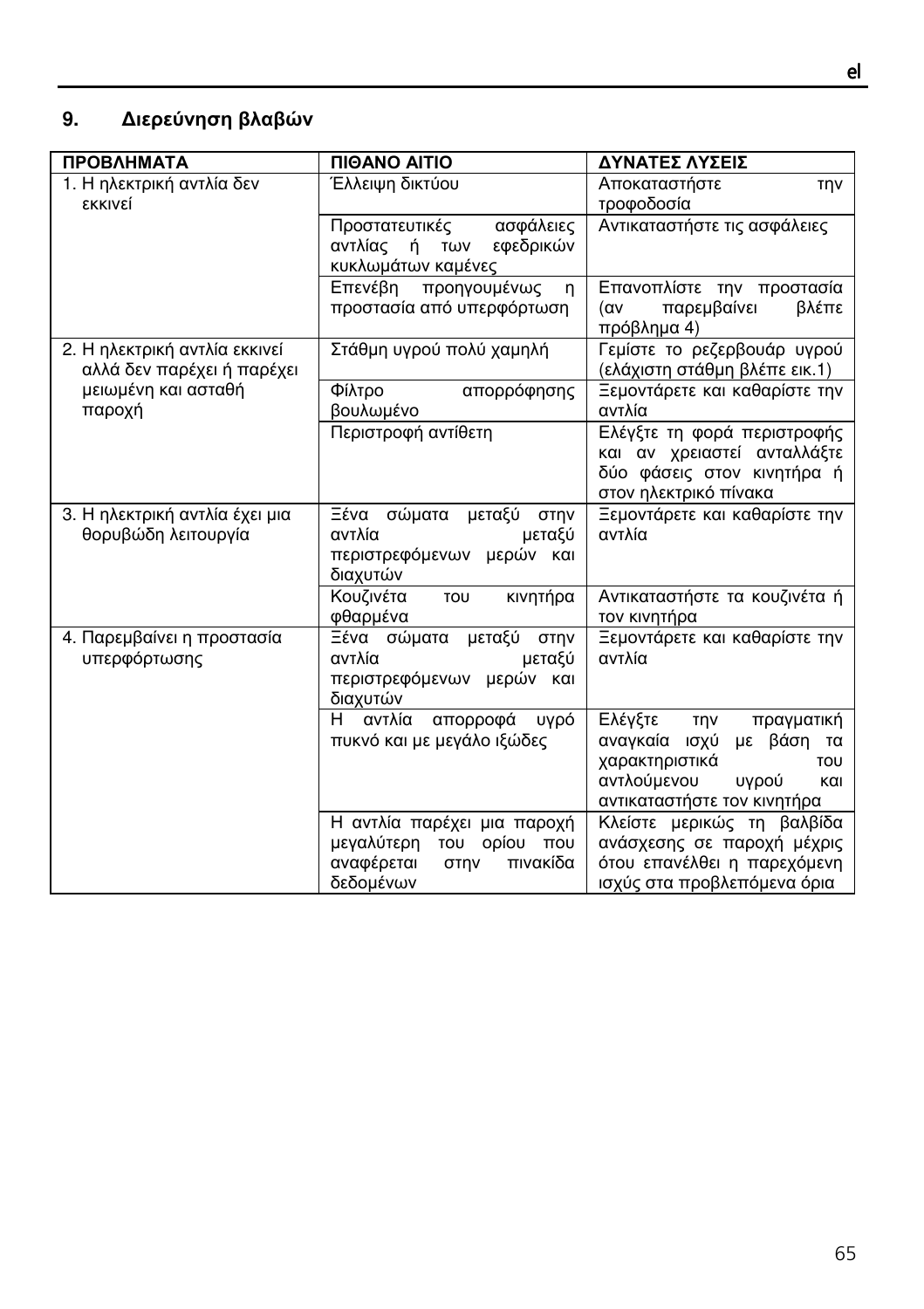| <b>ПРОВЛНМАТА</b>                                           | <b><i><u>INOANO AITIO</u></i></b>                                                                      | ΔΥΝΑΤΕΣ ΛΥΣΕΙΣ                                                                                                                                            |
|-------------------------------------------------------------|--------------------------------------------------------------------------------------------------------|-----------------------------------------------------------------------------------------------------------------------------------------------------------|
| 1. Η ηλεκτρική αντλία δεν<br>εκκινεί                        | Έλλειψη δικτύου                                                                                        | Αποκαταστήστε<br><b>TNV</b><br>τροφοδοσία                                                                                                                 |
|                                                             | ασφάλειες<br>Προστατευτικές<br>αντλίας<br>ή<br>εφεδρικών<br>TWV<br>κυκλωμάτων καμένες                  | Αντικαταστήστε τις ασφάλειες                                                                                                                              |
|                                                             | Επενέβη προηγουμένως<br>n<br>προστασία από υπερφόρτωση                                                 | Επανοπλίστε την προστασία<br>παρεμβαίνει<br>βλέπε<br>(αv<br>πρόβλημα 4)                                                                                   |
| 2. Η ηλεκτρική αντλία εκκινεί<br>αλλά δεν παρέχει ή παρέχει | Στάθμη υγρού πολύ χαμηλή                                                                               | Γεμίστε το ρεζερβουάρ υγρού<br>(ελάχιστη στάθμη βλέπε εικ.1)                                                                                              |
| μειωμένη και ασταθή<br>παροχή                               | Φίλτρο<br>απορρόφησης<br>βουλωμένο                                                                     | Ξεμοντάρετε και καθαρίστε την<br>αντλία                                                                                                                   |
|                                                             | Περιστροφή αντίθετη                                                                                    | Ελέγξτε τη φορά περιστροφής<br>και αν χρειαστεί ανταλλάξτε<br>δύο φάσεις στον κινητήρα ή<br>στον ηλεκτρικό πίνακα                                         |
| 3. Η ηλεκτρική αντλία έχει μια<br>θορυβώδη λειτουργία       | μεταξύ στην<br>Ξένα σώματα<br>αντλία<br>μεταξύ<br>περιστρεφόμενων μερών και<br>διαχυτών                | Ξεμοντάρετε και καθαρίστε την<br>αντλία                                                                                                                   |
|                                                             | Κουζινέτα<br>κινητήρα<br>TOU<br>φθαρμένα                                                               | Αντικαταστήστε τα κουζινέτα ή<br>τον κινητήρα                                                                                                             |
| 4. Παρεμβαίνει η προστασία<br>υπερφόρτωσης                  | Ξένα σώματα μεταξύ στην<br>αντλία<br>μεταξύ<br>περιστρεφόμενων μερών και<br>διαχυτών                   | Ξεμοντάρετε και καθαρίστε την<br>αντλία                                                                                                                   |
|                                                             | H.<br>αντλία<br>απορροφά<br>υγρό<br>πυκνό και με μεγάλο ιξώδες                                         | Ελέγξτε<br><b>TNV</b><br>πραγματική<br>αναγκαία ισχύ<br>με βάση τα<br>χαρακτηριστικά<br>TOU<br>αντλούμενου<br>υγρού<br>και<br>αντικαταστήστε τον κινητήρα |
|                                                             | Η αντλία παρέχει μια παροχή<br>μεγαλύτερη του ορίου που<br>αναφέρεται<br>πινακίδα<br>στην<br>δεδομένων | Κλείστε μερικώς τη βαλβίδα<br>ανάσχεσης σε παροχή μέχρις<br>ότου επανέλθει η παρεχόμενη<br>ισχύς στα προβλεπόμενα όρια                                    |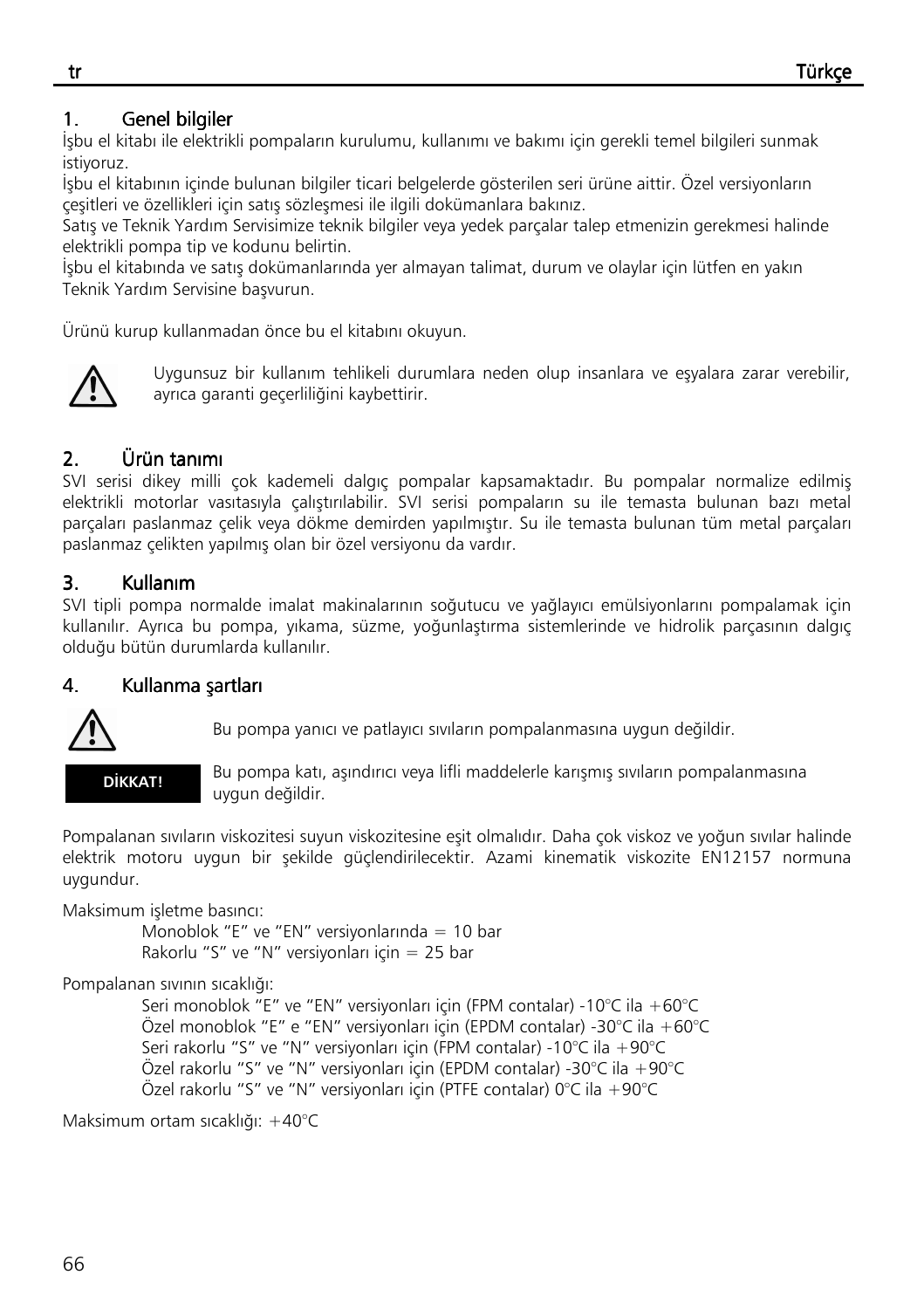## 1. Genel bilgiler

İşbu el kitabı ile elektrikli pompaların kurulumu, kullanımı ve bakımı için gerekli temel bilgileri sunmak istiyoruz.

İşbu el kitabının içinde bulunan bilgiler ticari belgelerde gösterilen seri ürüne aittir. Özel versiyonların çeşitleri ve özellikleri için satış sözleşmesi ile ilgili dokümanlara bakınız.

Satış ve Teknik Yardım Servisimize teknik bilgiler veya yedek parçalar talep etmenizin gerekmesi halinde elektrikli pompa tip ve kodunu belirtin.

İşbu el kitabında ve satış dokümanlarında yer almayan talimat, durum ve olaylar için lütfen en yakın Teknik Yardım Servisine başvurun.

Ürünü kurup kullanmadan önce bu el kitabını okuyun.



Uygunsuz bir kullanım tehlikeli durumlara neden olup insanlara ve eşyalara zarar verebilir, ayrıca garanti geçerliliğini kaybettirir.

# 2. Ürün tanımı Ürün tanımı Ürün tanımı

SVI serisi dikey milli çok kademeli dalgıç pompalar kapsamaktadır. Bu pompalar normalize edilmiş elektrikli motorlar vasıtasıyla çalıştırılabilir. SVI serisi pompaların su ile temasta bulunan bazı metal parçaları paslanmaz çelik veya dökme demirden yapılmıştır. Su ile temasta bulunan tüm metal parçaları paslanmaz çelikten yapılmış olan bir özel versiyonu da vardır.

## 3. Kullanım

SVI tipli pompa normalde imalat makinalarının soğutucu ve yağlayıcı emülsiyonlarını pompalamak için kullanılır. Ayrıca bu pompa, yıkama, süzme, yoğunlaştırma sistemlerinde ve hidrolik parçasının dalgıç olduğu bütün durumlarda kullanılır.

## 4. Kullanma şartları



Bu pompa yanıcı ve patlayıcı sıvıların pompalanmasına uygun değildir.



Bu pompa katı, aşındırıcı veya lifli maddelerle karışmış sıvıların pompalanmasına uygun değildir.

Pompalanan sıvıların viskozitesi suyun viskozitesine eşit olmalıdır. Daha çok viskoz ve yoğun sıvılar halinde elektrik motoru uygun bir şekilde güçlendirilecektir. Azami kinematik viskozite EN12157 normuna uygundur.

Maksimum işletme basıncı:

 Monoblok "E" ve "EN" versiyonlarında = 10 bar Rakorlu "S" ve "N" versiyonları için = 25 bar

#### Pompalanan sıvının sıcaklığı:

 Seri monoblok "E" ve "EN" versiyonları için (FPM contalar) -10°C ila +60°C Özel monoblok "E" e "EN" versiyonları için (EPDM contalar) -30°C ila +60°C Seri rakorlu "S" ve "N" versiyonları için (FPM contalar) -10°C ila +90°C Özel rakorlu "S" ve "N" versiyonları için (EPDM contalar) -30°C ila +90°C Özel rakorlu "S" ve "N" versiyonları için (PTFE contalar) 0°C ila +90°C

Maksimum ortam sıcaklığı: +40°C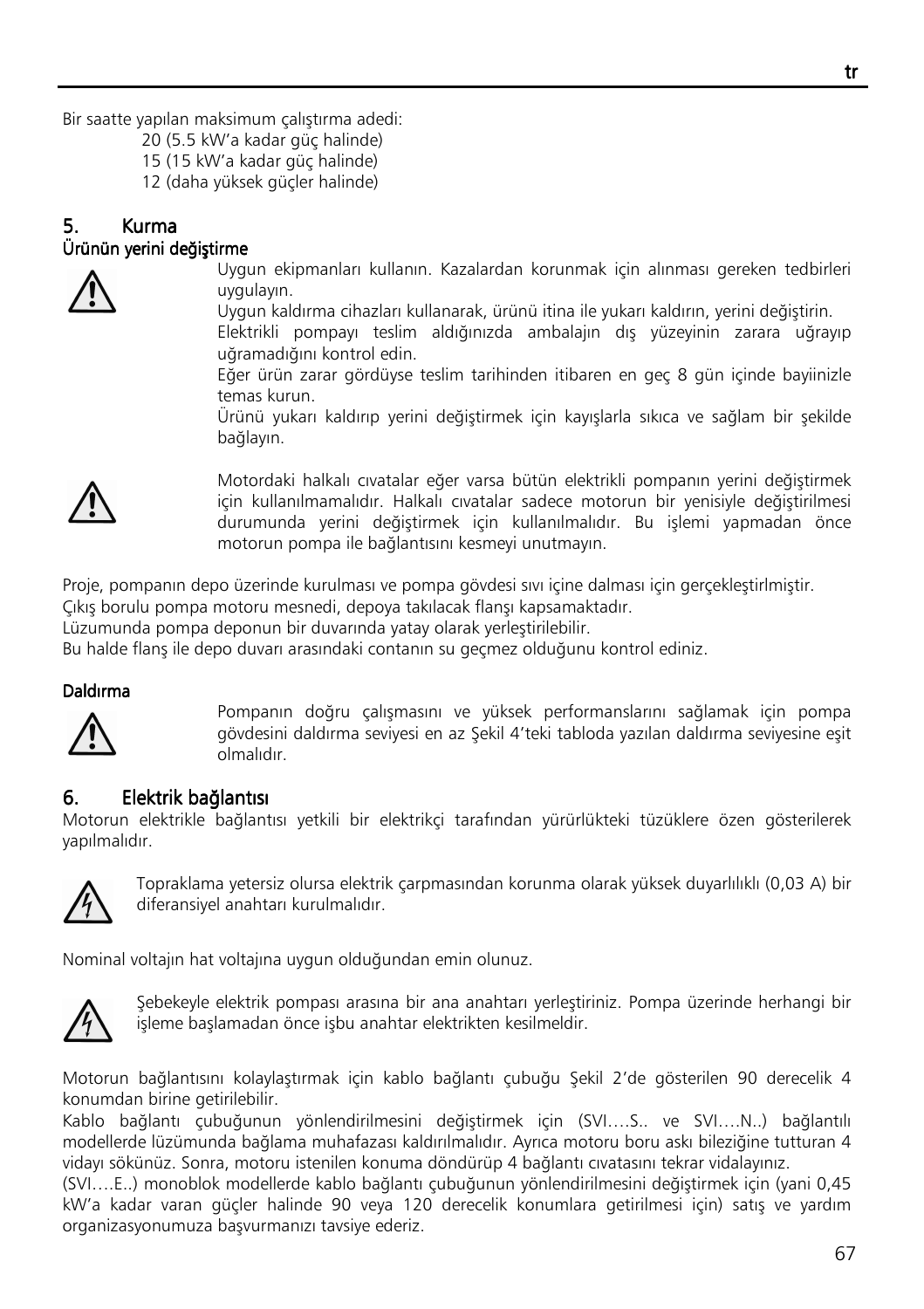Bir saatte yapılan maksimum çalıştırma adedi:

- 20 (5.5 kW'a kadar güç halinde)
- 15 (15 kW'a kadar güç halinde)
- 12 (daha yüksek güçler halinde)

## 5. Kurma Ürünün yerini değiştirme Ürünün



Uygun ekipmanları kullanın. Kazalardan korunmak için alınması gereken tedbirleri uygulayın.

Uygun kaldırma cihazları kullanarak, ürünü itina ile yukarı kaldırın, yerini değiştirin.

Elektrikli pompayı teslim aldığınızda ambalajın dış yüzeyinin zarara uğrayıp uğramadığını kontrol edin.

Eğer ürün zarar gördüyse teslim tarihinden itibaren en geç 8 gün içinde bayiinizle temas kurun.

Ürünü yukarı kaldırıp yerini değiştirmek için kayışlarla sıkıca ve sağlam bir şekilde bağlayın.



Motordaki halkalı cıvatalar eğer varsa bütün elektrikli pompanın yerini değiştirmek için kullanılmamalıdır. Halkalı cıvatalar sadece motorun bir yenisiyle değiştirilmesi durumunda yerini değiştirmek için kullanılmalıdır. Bu işlemi yapmadan önce motorun pompa ile bağlantısını kesmeyi unutmayın.

Proje, pompanın depo üzerinde kurulması ve pompa gövdesi sıvı içine dalması için gerçekleştirlmiştir.

Çıkış borulu pompa motoru mesnedi, depoya takılacak flanşı kapsamaktadır.

Lüzumunda pompa deponun bir duvarında yatay olarak yerleştirilebilir.

Bu halde flanş ile depo duvarı arasındaki contanın su geçmez olduğunu kontrol ediniz.

#### Daldırma



Pompanın doğru çalışmasını ve yüksek performanslarını sağlamak için pompa gövdesini daldırma seviyesi en az Şekil 4'teki tabloda yazılan daldırma seviyesine eşit olmalıdır.

#### 6. Elektrik bağlantısı

Motorun elektrikle bağlantısı yetkili bir elektrikçi tarafından yürürlükteki tüzüklere özen gösterilerek yapılmalıdır.



 Topraklama yetersiz olursa elektrik çarpmasından korunma olarak yüksek duyarlılıklı (0,03 A) bir diferansiyel anahtarı kurulmalıdır.

Nominal voltajın hat voltajına uygun olduğundan emin olunuz.



 Şebekeyle elektrik pompası arasına bir ana anahtarı yerleştiriniz. Pompa üzerinde herhangi bir işleme başlamadan önce işbu anahtar elektrikten kesilmeldir.

Motorun bağlantısını kolaylaştırmak için kablo bağlantı çubuğu Şekil 2'de gösterilen 90 derecelik 4 konumdan birine getirilebilir.

Kablo bağlantı çubuğunun yönlendirilmesini değiştirmek için (SVI….S.. ve SVI….N..) bağlantılı modellerde lüzümunda bağlama muhafazası kaldırılmalıdır. Ayrıca motoru boru askı bileziğine tutturan 4 vidayı sökünüz. Sonra, motoru istenilen konuma döndürüp 4 bağlantı cıvatasını tekrar vidalayınız.

(SVI….E..) monoblok modellerde kablo bağlantı çubuğunun yönlendirilmesini değiştirmek için (yani 0,45 kW'a kadar varan güçler halinde 90 veya 120 derecelik konumlara getirilmesi için) satış ve yardım organizasyonumuza başvurmanızı tavsiye ederiz.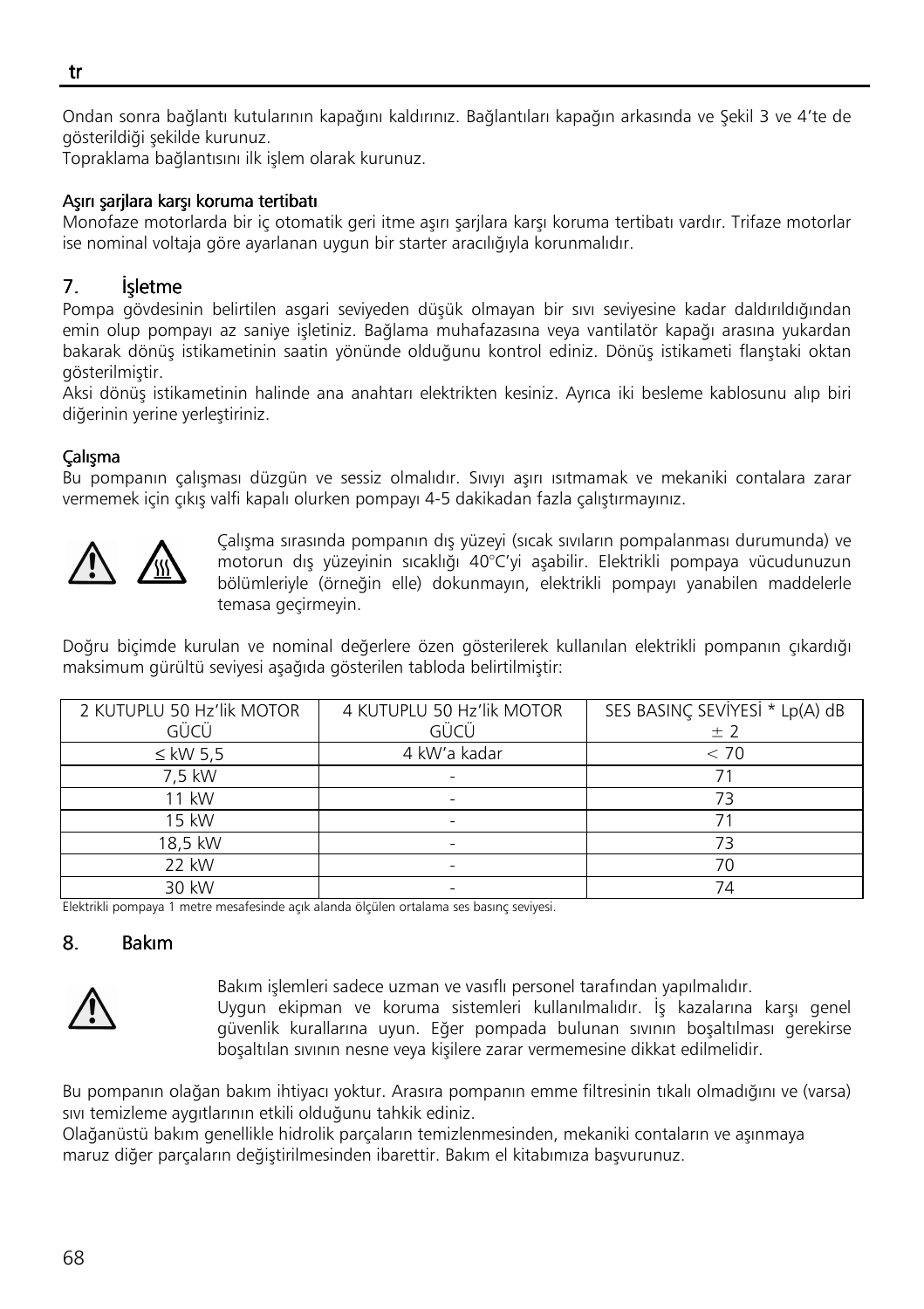٦ Ondan sonra bağlantı kutularının kapağını kaldırınız. Bağlantıları kapağın arkasında ve Şekil 3 ve 4'te de gösterildiği şekilde kurunuz.

Topraklama bağlantısını ilk işlem olarak kurunuz.

#### Aşırı şarjlara karşı koruma tertibatı

Monofaze motorlarda bir iç otomatik geri itme aşırı şarjlara karşı koruma tertibatı vardır. Trifaze motorlar ise nominal voltaja göre ayarlanan uygun bir starter aracılığıyla korunmalıdır.

## 7. **İsletme**

Pompa gövdesinin belirtilen asgari seviyeden düşük olmayan bir sıvı seviyesine kadar daldırıldığından emin olup pompayı az saniye işletiniz. Bağlama muhafazasına veya vantilatör kapağı arasına yukardan bakarak dönüş istikametinin saatin yönünde olduğunu kontrol ediniz. Dönüş istikameti flanştaki oktan gösterilmiştir.

Aksi dönüş istikametinin halinde ana anahtarı elektrikten kesiniz. Ayrıca iki besleme kablosunu alıp biri diğerinin yerine yerleştiriniz.

#### Çalışma

Bu pompanın çalışması düzgün ve sessiz olmalıdır. Sıvıyı aşırı ısıtmamak ve mekaniki contalara zarar vermemek için çıkış valfi kapalı olurken pompayı 4-5 dakikadan fazla çalıştırmayınız.



Çalışma sırasında pompanın dış yüzeyi (sıcak sıvıların pompalanması durumunda) ve motorun dış yüzeyinin sıcaklığı 40°C'yi aşabilir. Elektrikli pompaya vücudunuzun bölümleriyle (örneğin elle) dokunmayın, elektrikli pompayı yanabilen maddelerle temasa geçirmeyin.

Doğru biçimde kurulan ve nominal değerlere özen gösterilerek kullanılan elektrikli pompanın çıkardığı maksimum gürültü seviyesi aşağıda gösterilen tabloda belirtilmiştir:

| 2 KUTUPLU 50 Hz'lik MOTOR | 4 KUTUPLU 50 Hz'lik MOTOR | SES BASINÇ SEVIYESİ * Lp(A) dB |
|---------------------------|---------------------------|--------------------------------|
| GÜCÜ                      | GÜCÜ                      | ± 2                            |
| $\leq$ kW 5.5             | 4 kW'a kadar              | < 70                           |
| 7,5 kW                    |                           |                                |
| 11 kW                     |                           | 73                             |
| 15 kW                     |                           |                                |
| 18,5 kW                   |                           | 73                             |
| 22 kW                     |                           | 70                             |
| 30 kW                     |                           | 74                             |

Elektrikli pompaya 1 metre mesafesinde açık alanda ölçülen ortalama ses basınç seviyesi.

#### 8. Bakım



Bakım işlemleri sadece uzman ve vasıflı personel tarafından yapılmalıdır. Uygun ekipman ve koruma sistemleri kullanılmalıdır. İş kazalarına karşı genel güvenlik kurallarına uyun. Eğer pompada bulunan sıvının boşaltılması gerekirse boşaltılan sıvının nesne veya kişilere zarar vermemesine dikkat edilmelidir.

Bu pompanın olağan bakım ihtiyacı yoktur. Arasıra pompanın emme filtresinin tıkalı olmadığını ve (varsa) sıvı temizleme aygıtlarının etkili olduğunu tahkik ediniz.

Olağanüstü bakım genellikle hidrolik parçaların temizlenmesinden, mekaniki contaların ve aşınmaya maruz diğer parçaların değiştirilmesinden ibarettir. Bakım el kitabımıza başvurunuz.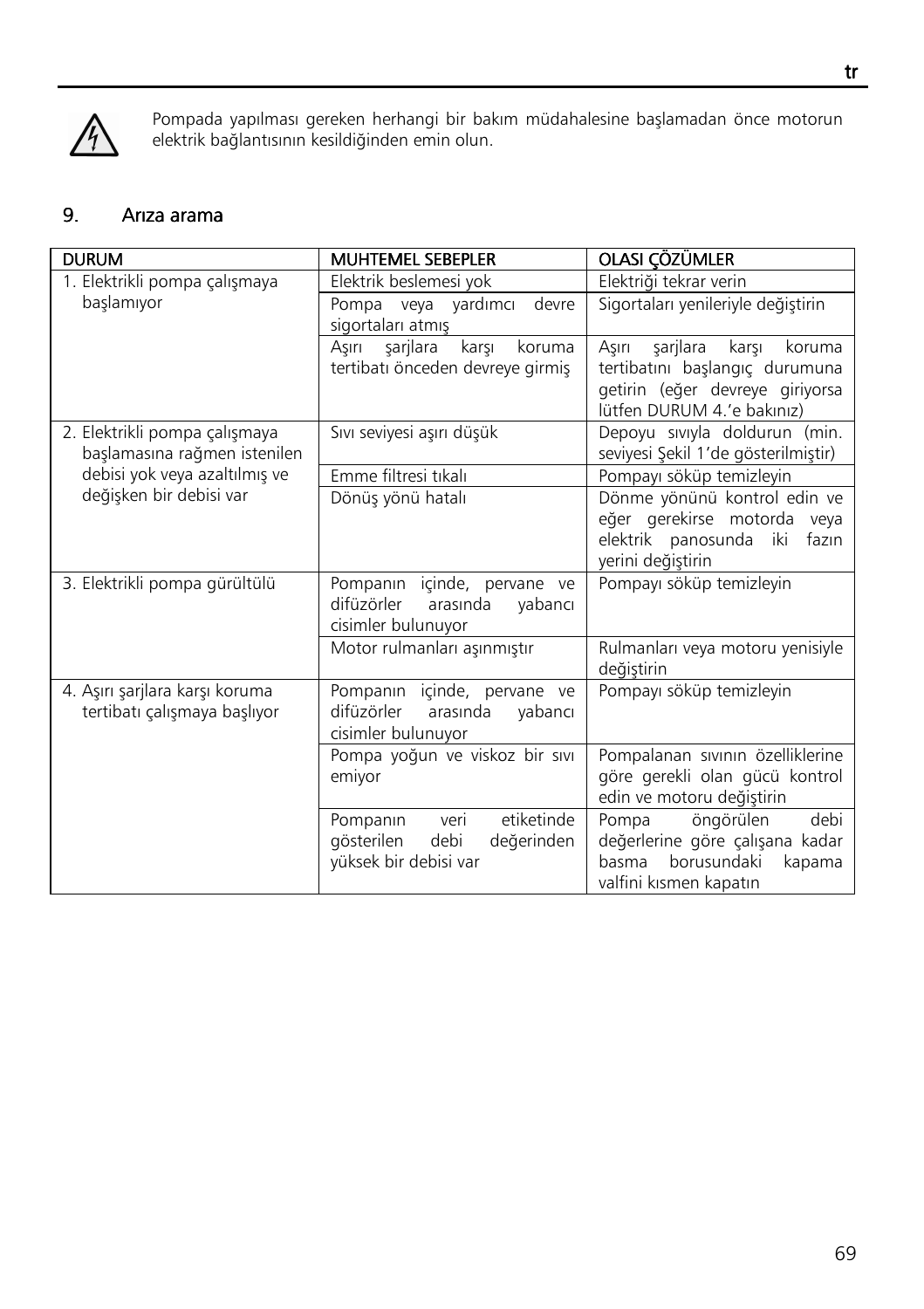

Pompada yapılması gereken herhangi bir bakım müdahalesine başlamadan önce motorun elektrik bağlantısının kesildiğinden emin olun.

# 9. Arıza arama

| <b>DURUM</b>                                                   | <b>MUHTEMEL SEBEPLER</b>                                                                    | OLASI ÇÖZÜMLER                                                                                                                          |
|----------------------------------------------------------------|---------------------------------------------------------------------------------------------|-----------------------------------------------------------------------------------------------------------------------------------------|
| 1. Elektrikli pompa çalışmaya                                  | Elektrik beslemesi yok                                                                      | Elektriği tekrar verin                                                                                                                  |
| başlamıyor                                                     | Pompa veya yardımcı<br>devre<br>sigortaları atmış                                           | Sigortaları yenileriyle değiştirin                                                                                                      |
|                                                                | sarilara<br>karsı<br>Asırı<br>koruma<br>tertibatı önceden devreye girmiş                    | sarilara<br>Asırı<br>karsı<br>koruma<br>tertibatını başlangıç durumuna<br>getirin (eğer devreye giriyorsa<br>lütfen DURUM 4.'e bakınız) |
| 2. Elektrikli pompa çalışmaya<br>başlamasına rağmen istenilen  | Sıvı seviyesi aşırı düşük                                                                   | Depoyu siviyla doldurun (min.<br>seviyesi Şekil 1'de gösterilmiştir)                                                                    |
| debisi yok veya azaltılmış ve                                  | Emme filtresi tıkalı                                                                        | Pompayı söküp temizleyin                                                                                                                |
| değişken bir debisi var                                        | Dönüş yönü hatalı                                                                           | Dönme yönünü kontrol edin ve<br>eğer gerekirse motorda veya<br>elektrik panosunda iki<br>fazın<br>yerini değiştirin                     |
| 3. Elektrikli pompa gürültülü                                  | Pompanın içinde, pervane ve<br>difüzörler<br>arasında<br>vabancı<br>cisimler bulunuyor      | Pompayı söküp temizleyin                                                                                                                |
|                                                                | Motor rulmanları aşınmıştır                                                                 | Rulmanları veya motoru yenisiyle<br>değiştirin                                                                                          |
| 4. Aşırı şarjlara karşı koruma<br>tertibatı çalışmaya başlıyor | Pompanin içinde, pervane ve<br>arasında<br>difüzörler<br>vabancı<br>cisimler bulunuyor      | Pompayı söküp temizleyin                                                                                                                |
|                                                                | Pompa yoğun ve viskoz bir sıvı<br>emiyor                                                    | Pompalanan sıvının özelliklerine<br>göre gerekli olan gücü kontrol<br>edin ve motoru değiştirin                                         |
|                                                                | etiketinde<br>veri<br>Pompanin<br>gösterilen<br>debi<br>değerinden<br>yüksek bir debisi var | öngörülen<br>debi<br>Pompa<br>değerlerine göre çalışana kadar<br>borusundaki<br>basma<br>kapama<br>valfini kısmen kapatın               |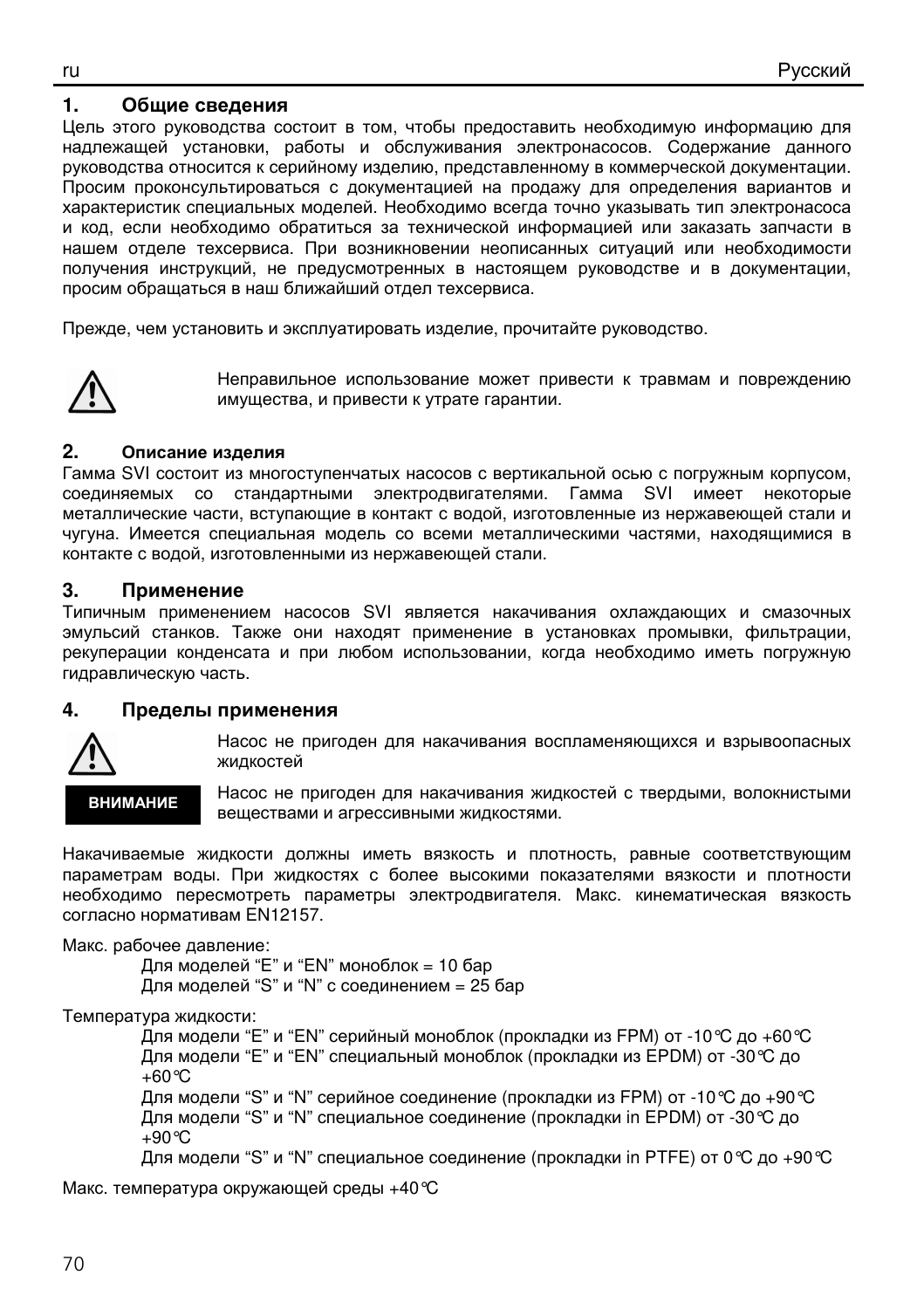#### 1. Обшие сведения

Цель этого руководства состоит в том, чтобы предоставить необходимую информацию для надлежащей установки, работы и обслуживания электронасосов. Содержание данного руководства относится к серийному изделию, представленному в коммерческой документации. Просим проконсультироваться с документацией на продажу для определения вариантов и характеристик специальных моделей. Необходимо всегда точно указывать тип электронасоса и код, если необходимо обратиться за технической информацией или заказать запчасти в нашем отделе техсервиса. При возникновении неописанных ситуаций или необходимости получения инструкций, не предусмотренных в настоящем руководстве и в документации. просим обрашаться в наш ближайший отдел техсервиса.

Прежде, чем установить и эксплуатировать изделие, прочитайте руководство.



Неправильное использование может привести к травмам и повреждению имущества, и привести к утрате гарантии.

#### $2<sub>1</sub>$ Описание изделия

Гамма SVI состоит из многоступенчатых насосов с вертикальной осью с погружным корпусом, соединяемых со стандартными электродвигателями. Гамма SVI имеет некоторые металлические части, вступающие в контакт с водой, изготовленные из нержавеющей стали и чугуна. Имеется специальная модель со всеми металлическими частями, находящимися в контакте с водой, изготовленными из нержавеющей стали.

#### $\mathbf{R}$ Применение

Типичным применением насосов SVI является накачивания охлаждающих и смазочных эмульсий станков. Также они находят применение в установках промывки, фильтрации, рекуперации конденсата и при любом использовании, когда необходимо иметь погружную гидравлическую часть.

#### 4. Пределы применения



Насос не пригоден для накачивания воспламеняющихся и взрывоопасных жидкостей

**ВНИМАНИЕ** 

Насос не пригоден для накачивания жидкостей с твердыми, волокнистыми веществами и агрессивными жидкостями.

Накачиваемые жидкости должны иметь вязкость и плотность, равные соответствующим параметрам воды. При жидкостях с более высокими показателями вязкости и плотности необходимо пересмотреть параметры электродвигателя. Макс. кинематическая вязкость согласно нормативам EN12157.

Макс. рабочее давление:

Для моделей "E" и "EN" моноблок = 10 бар

Для моделей "S" и "N" с соединением = 25 бар

Температура жидкости:

Для модели "E" и "EN" серийный моноблок (прокладки из FPM) от -10 °С до +60 °С Для модели "Е" и "EN" специальный моноблок (прокладки из EPDM) от -30 °С до  $+60^{\circ}$ C

Для модели "S" и "N" серийное соединение (прокладки из FPM) от -10 °С до +90 °С Для модели "S" и "N" специальное соединение (прокладки in EPDM) от -30 °С до  $+90^{\circ}$ C

Для модели "S" и "N" специальное соединение (прокладки in PTFE) от 0 °С до +90 °С

Макс. температура окружающей среды +40 ℃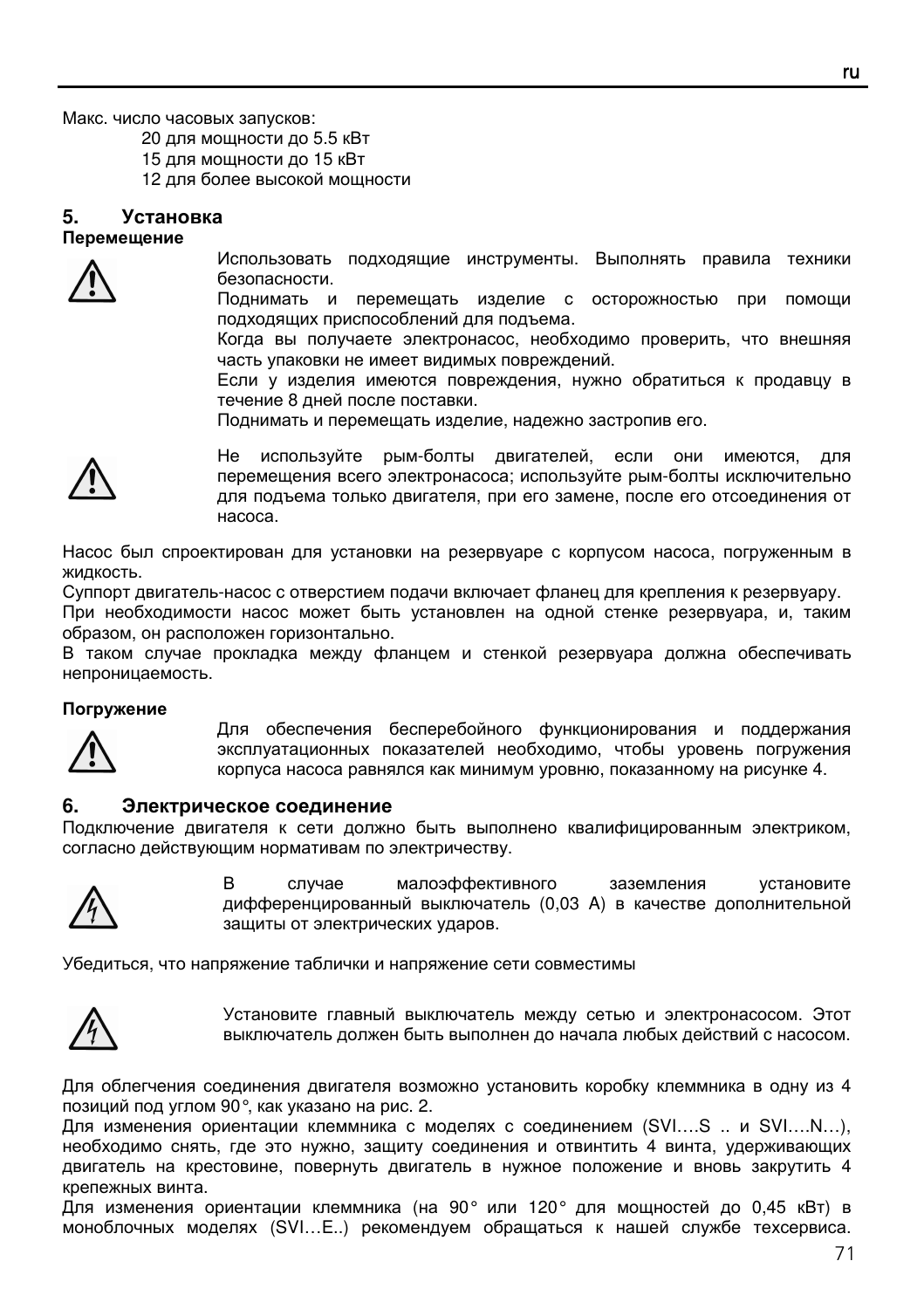Макс. число часовых запусков:

20 для мощности до 5.5 кВт

15 для мощности до 15 кВт

12 для более высокой мощности

#### **5.** Установка Перемещение



Использовать подходящие инструменты. Выполнять правила техники безопасности.

Поднимать и перемещать изделие с осторожностью при помощи подходящих приспособлений для подъема.

Когда вы получаете электронасос, необходимо проверить, что внешняя часть упаковки не имеет видимых повреждений.

Если у изделия имеются повреждения, нужно обратиться к продавцу в течение 8 дней после поставки.

Поднимать и перемещать изделие, надежно застропив его.



Не используйте рым-болты двигателей, если они имеются, для перемещения всего электронасоса; используйте рым-болты исключительно для подъема только двигателя, при его замене, после его отсоединения от насоса.

Насос был спроектирован для установки на резервуаре с корпусом насоса, погруженным в жидкость.

Суппорт двигатель-насос с отверстием подачи включает фланец для крепления к резервуару.

При необходимости насос может быть установлен на одной стенке резервуара, и, таким образом, он расположен горизонтально.

В таком случае прокладка между фланцем и стенкой резервуара должна обеспечивать непроницаемость.

#### Погружение



Для обеспечения бесперебойного функционирования и поддержания эксплуатационных показателей необходимо, чтобы уровень погружения корпуса насоса равнялся как минимум уровню, показанному на рисунке 4.

#### **6.** Электрическое соединение

Подключение двигателя к сети должно быть выполнено квалифицированным электриком, согласно действующим нормативам по электричеству.



В случае малоэффективного заземления установите дифференцированный выключатель (0,03 A) в качестве дополнительной защиты от электрических ударов.

Убедиться, что напряжение таблички и напряжение сети совместимы



Установите главный выключатель между сетью и электронасосом. Этот выключатель должен быть выполнен до начала любых действий с насосом.

Для облегчения соединения двигателя возможно установить коробку клеммника в одну из 4 позиций под углом 90°, как указано на рис. 2.

Для изменения ориентации клеммника с моделях с соединением (SVI….S .. и SVI….N…), необходимо снять, где это нужно, защиту соединения и отвинтить 4 винта, удерживающих двигатель на крестовине, повернуть двигатель в нужное положение и вновь закрутить 4 крепежных винта.

Для изменения ориентации клеммника (на 90° или 120° для мощностей до 0,45 кВт) в моноблочных моделях (SVI…E..) рекомендуем обращаться к нашей службе техсервиса.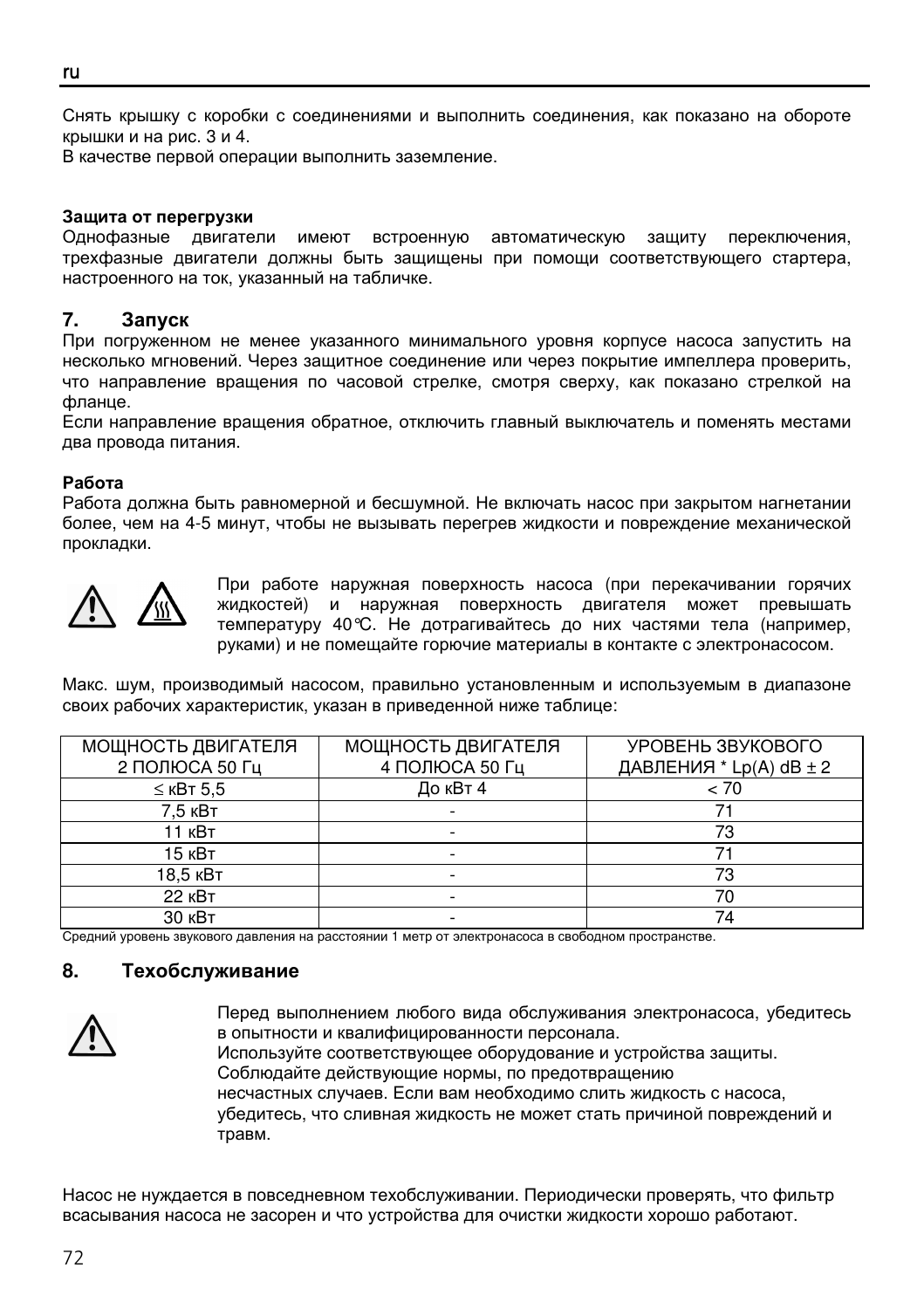Снять крышку с коробки с соединениями и выполнить соединения, как показано на обороте крышки и на рис. 3 и 4.

В качестве первой операции выполнить заземление.

#### Защита от перегрузки

Однофазные двигатели имеют встроенную автоматическую защиту переключения, трехфазные двигатели должны быть защищены при помощи соответствующего стартера, настроенного на ток, указанный на табличке.

#### **7.** Запуск

При погруженном не менее указанного минимального уровня корпусе насоса запустить на несколько мгновений. Через защитное соединение или через покрытие импеллера проверить, что направление вращения по часовой стрелке, смотря сверху, как показано стрелкой на фланце.

Если направление вращения обратное, отключить главный выключатель и поменять местами два провода питания.

#### Работа

Работа должна быть равномерной и бесшумной. Не включать насос при закрытом нагнетании более, чем на 4-5 минут, чтобы не вызывать перегрев жидкости и повреждение механической прокладки.



При работе наружная поверхность насоса (при перекачивании горячих жидкостей) и наружная поверхность двигателя может превышать температуру 40°C. Не дотрагивайтесь до них частями тела (например, руками) и не помещайте горючие материалы в контакте с электронасосом.

Макс. шум, производимый насосом, правильно установленным и используемым в диапазоне своих рабочих характеристик, указан в приведенной ниже таблице:

| МОЩНОСТЬ ДВИГАТЕЛЯ | МОЩНОСТЬ ДВИГАТЕЛЯ | УРОВЕНЬ ЗВУКОВОГО           |
|--------------------|--------------------|-----------------------------|
| 2 ПОЛЮСА 50 Гц     | 4 ПОЛЮСА 50 Гц     | ДАВЛЕНИЯ * Lp(A) $dB \pm 2$ |
| $\leq$ KBT 5.5     | До кВт 4           | < 70                        |
| 7.5 кВт            |                    |                             |
| 11 кВт             |                    | 73                          |
| 15 кВт             |                    |                             |
| 18.5 кВт           |                    | 73                          |
| <b>22 кВт</b>      |                    | 70                          |
| 30 кВт             |                    | 74                          |

Средний уровень звукового давления на расстоянии 1 метр от электронасоса в свободном пространстве.

#### **8.** Техобслуживание



Перед выполнением любого вида обслуживания электронасоса, убедитесь в опытности и квалифицированности персонала. Используйте соответствующее оборудование и устройства защиты. Соблюдайте действующие нормы, по предотвращению несчастных случаев. Если вам необходимо слить жидкость с насоса, убедитесь, что сливная жидкость не может стать причиной повреждений и травм.

Насос не нуждается в повседневном техобслуживании. Периодически проверять, что фильтр всасывания насоса не засорен и что устройства для очистки жидкости хорошо работают.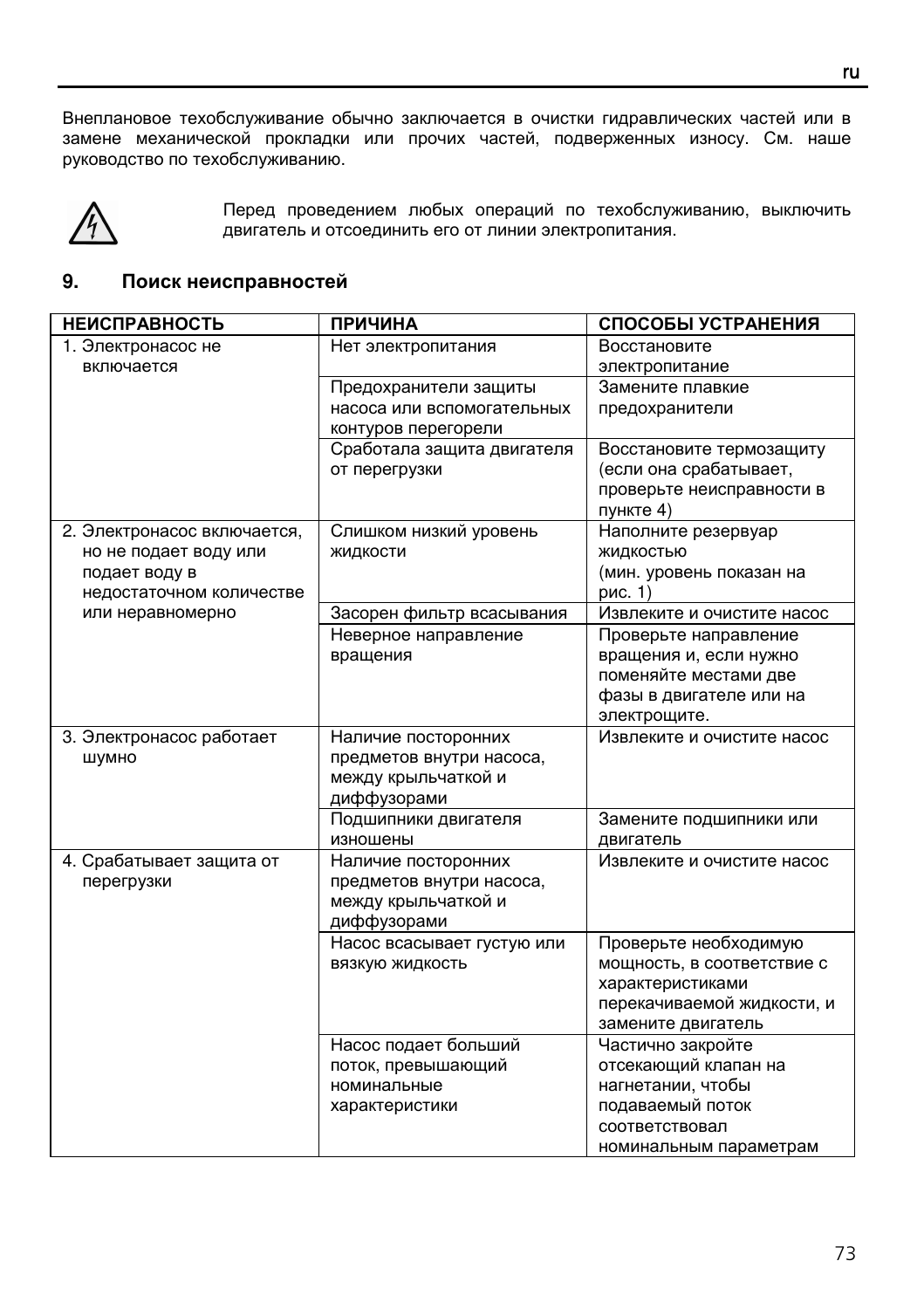Внеплановое техобслуживание обычно заключается в очистки гидравлических частей или в замене механической прокладки или прочих частей, подверженных износу. См. наше руководство по техобслуживанию.



Перед проведением любых операций по техобслуживанию, выключить двигатель и отсоединить его от линии электропитания.

## **9.** Поиск неисправностей

| <b>НЕИСПРАВНОСТЬ</b>                                                                              | <b>ПРИЧИНА</b>                                                                        | СПОСОБЫ УСТРАНЕНИЯ                                                                                                             |
|---------------------------------------------------------------------------------------------------|---------------------------------------------------------------------------------------|--------------------------------------------------------------------------------------------------------------------------------|
| 1. Электронасос не<br>включается                                                                  | Нет электропитания                                                                    | Восстановите<br>электропитание                                                                                                 |
|                                                                                                   | Предохранители защиты<br>насоса или вспомогательных<br>контуров перегорели            | Замените плавкие<br>предохранители                                                                                             |
|                                                                                                   | Сработала защита двигателя<br>от перегрузки                                           | Восстановите термозащиту<br>(если она срабатывает,<br>проверьте неисправности в<br>пункте 4)                                   |
| 2. Электронасос включается,<br>но не подает воду или<br>подает воду в<br>недостаточном количестве | Слишком низкий уровень<br>ЖИДКОСТИ                                                    | Наполните резервуар<br>ЖИДКОСТЬЮ<br>(мин. уровень показан на<br>рис. 1)                                                        |
| или неравномерно                                                                                  | Засорен фильтр всасывания                                                             | Извлеките и очистите насос                                                                                                     |
|                                                                                                   | Неверное направление<br>вращения                                                      | Проверьте направление<br>вращения и, если нужно<br>поменяйте местами две<br>фазы в двигателе или на<br>электрощите.            |
| 3. Электронасос работает<br>ШУМНО                                                                 | Наличие посторонних<br>предметов внутри насоса,<br>между крыльчаткой и<br>диффузорами | Извлеките и очистите насос                                                                                                     |
|                                                                                                   | Подшипники двигателя<br>изношены                                                      | Замените подшипники или<br>двигатель                                                                                           |
| 4. Срабатывает защита от<br>перегрузки                                                            | Наличие посторонних<br>предметов внутри насоса,<br>между крыльчаткой и<br>диффузорами | Извлеките и очистите насос                                                                                                     |
|                                                                                                   | Насос всасывает густую или<br>ВЯЗКУЮ ЖИДКОСТЬ                                         | Проверьте необходимую<br>мощность, в соответствие с<br>характеристиками<br>перекачиваемой жидкости, и<br>замените двигатель    |
|                                                                                                   | Насос подает больший<br>поток, превышающий<br>номинальные<br>характеристики           | Частично закройте<br>отсекающий клапан на<br>нагнетании, чтобы<br>подаваемый поток<br>соответствовал<br>номинальным параметрам |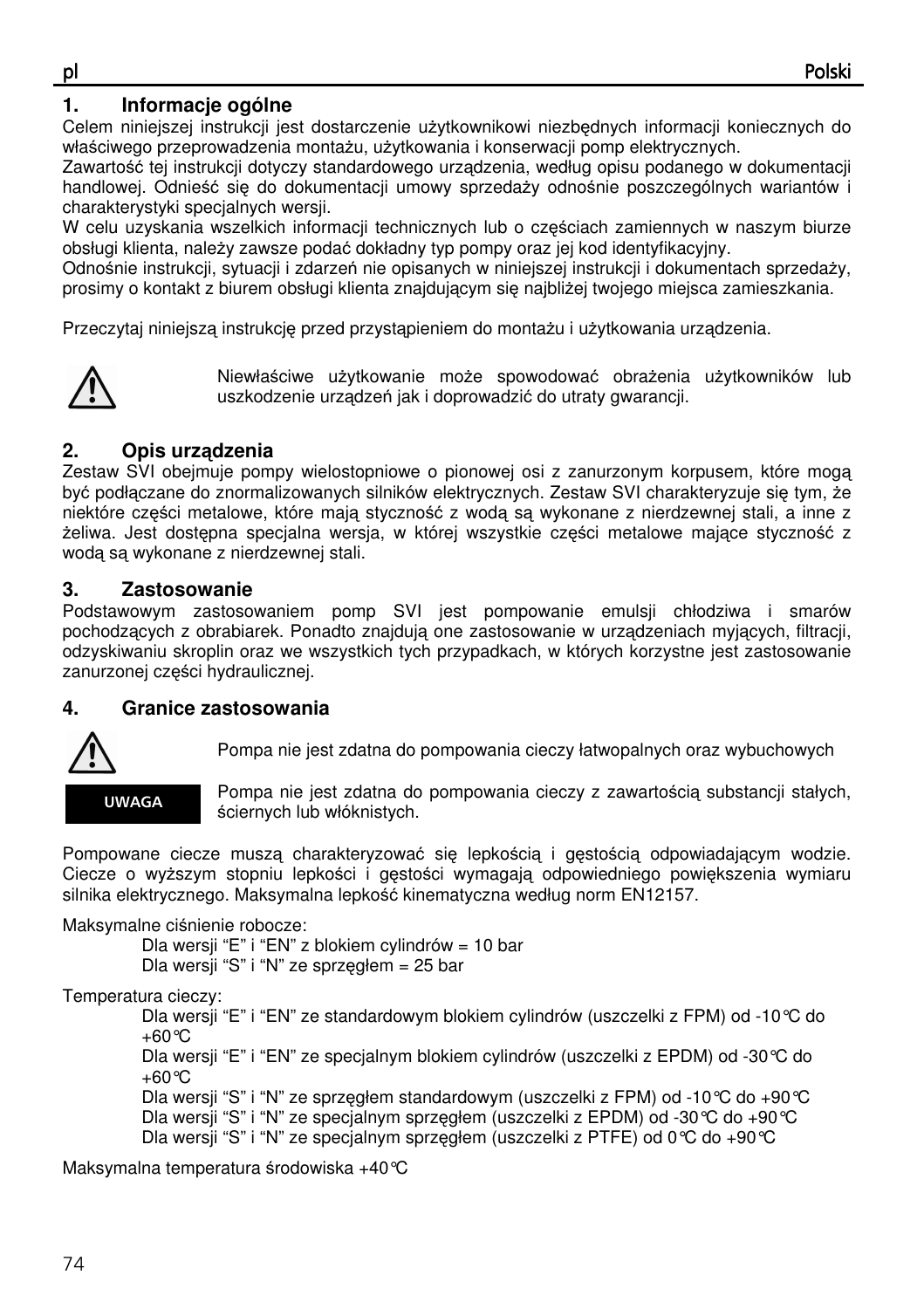# **1. Informacje ogólne**

Celem niniejszej instrukcji jest dostarczenie użytkownikowi niezbędnych informacji koniecznych do właściwego przeprowadzenia montażu, użytkowania i konserwacji pomp elektrycznych.

Zawartość tej instrukcji dotyczy standardowego urządzenia, według opisu podanego w dokumentacji handlowej. Odnieść się do dokumentacji umowy sprzedaży odnośnie poszczególnych wariantów i charakterystyki specjalnych wersji.

W celu uzyskania wszelkich informacji technicznych lub o częściach zamiennych w naszym biurze obsługi klienta, należy zawsze podać dokładny typ pompy oraz jej kod identyfikacyjny.

Odnośnie instrukcji, sytuacji i zdarzeń nie opisanych w niniejszej instrukcji i dokumentach sprzedaży, prosimy o kontakt z biurem obsługi klienta znajdującym się najbliżej twojego miejsca zamieszkania.

Przeczytaj niniejszą instrukcję przed przystąpieniem do montażu i użytkowania urządzenia.



Niewłaściwe użytkowanie może spowodować obrażenia użytkowników lub uszkodzenie urządzeń jak i doprowadzić do utraty gwarancji.

# **2. Opis urz**ą**dzenia**

Zestaw SVI obejmuje pompy wielostopniowe o pionowej osi z zanurzonym korpusem, które mogą być podłączane do znormalizowanych silników elektrycznych. Zestaw SVI charakteryzuje się tym, że niektóre części metalowe, które mają styczność z wodą są wykonane z nierdzewnej stali, a inne z żeliwa. Jest dostępna specjalna wersja, w której wszystkie części metalowe mające styczność z wodą są wykonane z nierdzewnej stali.

# **3. Zastosowanie**

Podstawowym zastosowaniem pomp SVI jest pompowanie emulsji chłodziwa i smarów pochodzących z obrabiarek. Ponadto znajdują one zastosowanie w urządzeniach myjących, filtracji, odzyskiwaniu skroplin oraz we wszystkich tych przypadkach, w których korzystne jest zastosowanie zanurzonej części hydraulicznej.

# **4. Granice zastosowania**



Pompa nie jest zdatna do pompowania cieczy łatwopalnych oraz wybuchowych



Pompa nie jest zdatna do pompowania cieczy z zawartością substancji stałych, ściernych lub włóknistych.

Pompowane ciecze muszą charakteryzować się lepkością i gęstością odpowiadającym wodzie. Ciecze o wyższym stopniu lepkości i gęstości wymagają odpowiedniego powiększenia wymiaru silnika elektrycznego. Maksymalna lepkość kinematyczna według norm EN12157.

Maksymalne ciśnienie robocze:

Dla wersji "E" i "EN" z blokiem cylindrów = 10 bar

Dla wersji "S" i "N" ze sprzęgłem = 25 bar

# Temperatura cieczy:

 Dla wersji "E" i "EN" ze standardowym blokiem cylindrów (uszczelki z FPM) od -10°C do +60°C

 Dla wersji "E" i "EN" ze specjalnym blokiem cylindrów (uszczelki z EPDM) od -30°C do +60°C

 Dla wersji "S" i "N" ze sprzęgłem standardowym (uszczelki z FPM) od -10°C do +90°C Dla wersji "S" i "N" ze specjalnym sprzęgłem (uszczelki z EPDM) od -30°C do +90°C Dla wersji "S" i "N" ze specjalnym sprzęgłem (uszczelki z PTFE) od 0°C do +90°C

Maksymalna temperatura środowiska +40°C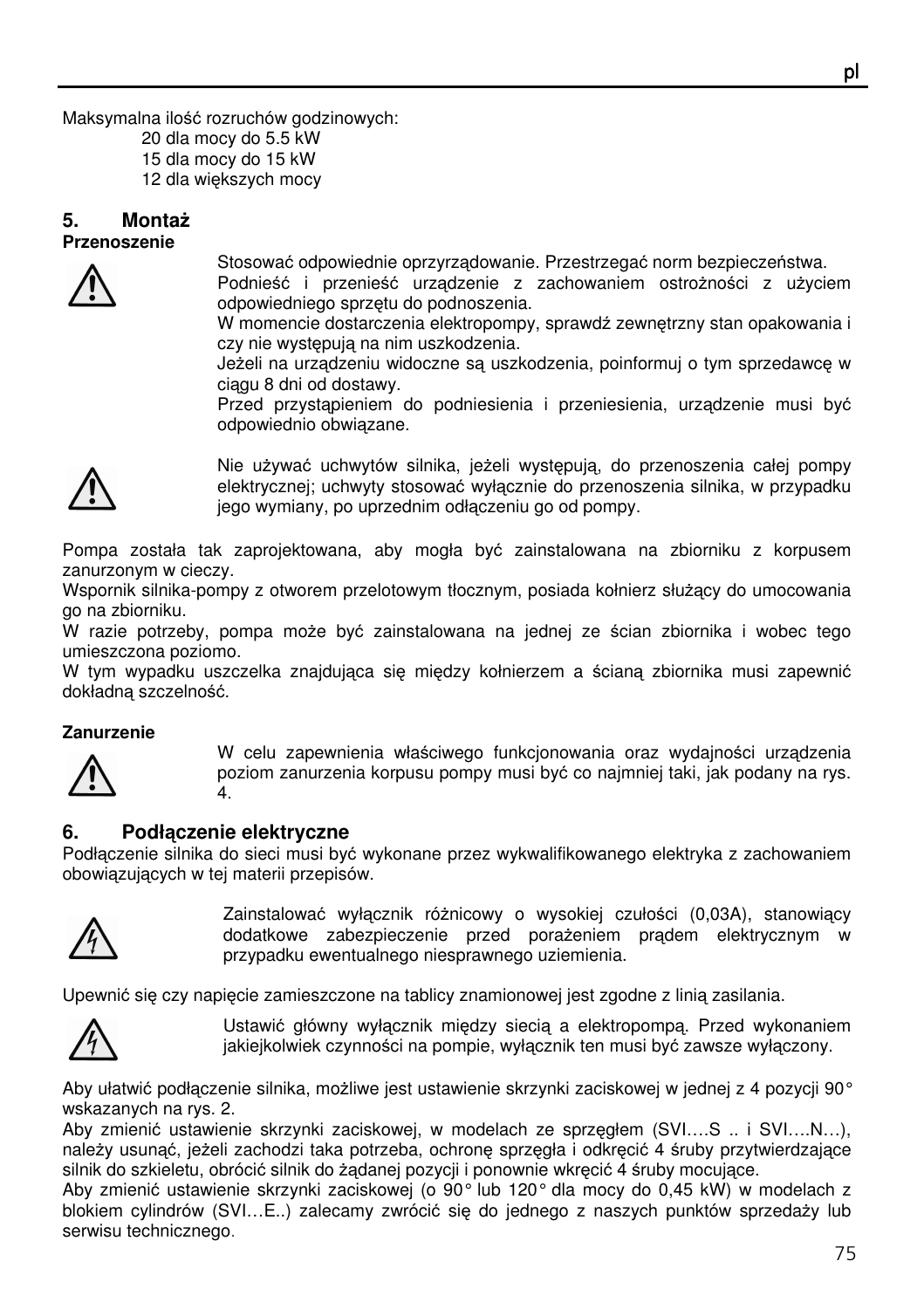Maksymalna ilość rozruchów godzinowych:

20 dla mocy do 5.5 kW

15 dla mocy do 15 kW

12 dla większych mocy

#### **5. Monta**ż **Przenoszenie**



Stosować odpowiednie oprzyrządowanie. Przestrzegać norm bezpieczeństwa.

Podnieść i przenieść urządzenie z zachowaniem ostrożności z użyciem odpowiedniego sprzętu do podnoszenia.

W momencie dostarczenia elektropompy, sprawdź zewnętrzny stan opakowania i czy nie występują na nim uszkodzenia.

Jeżeli na urządzeniu widoczne są uszkodzenia, poinformuj o tym sprzedawcę w ciagu 8 dni od dostawy.

Przed przystąpieniem do podniesienia i przeniesienia, urządzenie musi być odpowiednio obwiązane.



Nie używać uchwytów silnika, jeżeli występują, do przenoszenia całej pompy elektrycznej; uchwyty stosować wyłącznie do przenoszenia silnika, w przypadku jego wymiany, po uprzednim odłączeniu go od pompy.

Pompa została tak zaprojektowana, aby mogła być zainstalowana na zbiorniku z korpusem zanurzonym w cieczy.

Wspornik silnika-pompy z otworem przelotowym tłocznym, posiada kołnierz służący do umocowania go na zbiorniku.

W razie potrzeby, pompa może być zainstalowana na jednej ze ścian zbiornika i wobec tego umieszczona poziomo.

W tym wypadku uszczelka znajdująca się między kołnierzem a ścianą zbiornika musi zapewnić dokładną szczelność.

#### **Zanurzenie**



W celu zapewnienia właściwego funkcjonowania oraz wydajności urządzenia poziom zanurzenia korpusu pompy musi być co najmniej taki, jak podany na rys. 4.

# **6. Podł**ą**czenie elektryczne**

Podłączenie silnika do sieci musi być wykonane przez wykwalifikowanego elektryka z zachowaniem obowiązujących w tej materii przepisów.



Zainstalować wyłącznik różnicowy o wysokiej czułości (0,03A), stanowiący dodatkowe zabezpieczenie przed porażeniem prądem elektrycznym w przypadku ewentualnego niesprawnego uziemienia.

Upewnić się czy napięcie zamieszczone na tablicy znamionowej jest zgodne z linią zasilania.



Ustawić główny wyłącznik między siecią a elektropompą. Przed wykonaniem jakiejkolwiek czynności na pompie, wyłącznik ten musi być zawsze wyłączony.

Aby ułatwić podłączenie silnika, możliwe jest ustawienie skrzynki zaciskowej w jednej z 4 pozycji 90° wskazanych na rys. 2.

Aby zmienić ustawienie skrzynki zaciskowej, w modelach ze sprzęgłem (SVI….S .. i SVI….N…), należy usunąć, jeżeli zachodzi taka potrzeba, ochronę sprzęgła i odkręcić 4 śruby przytwierdzające silnik do szkieletu, obrócić silnik do żądanej pozycji i ponownie wkręcić 4 śruby mocujące.

Aby zmienić ustawienie skrzynki zaciskowej (o 90° lub 120° dla mocy do 0,45 kW) w modelach z blokiem cylindrów (SVI…E..) zalecamy zwrócić się do jednego z naszych punktów sprzedaży lub serwisu technicznego.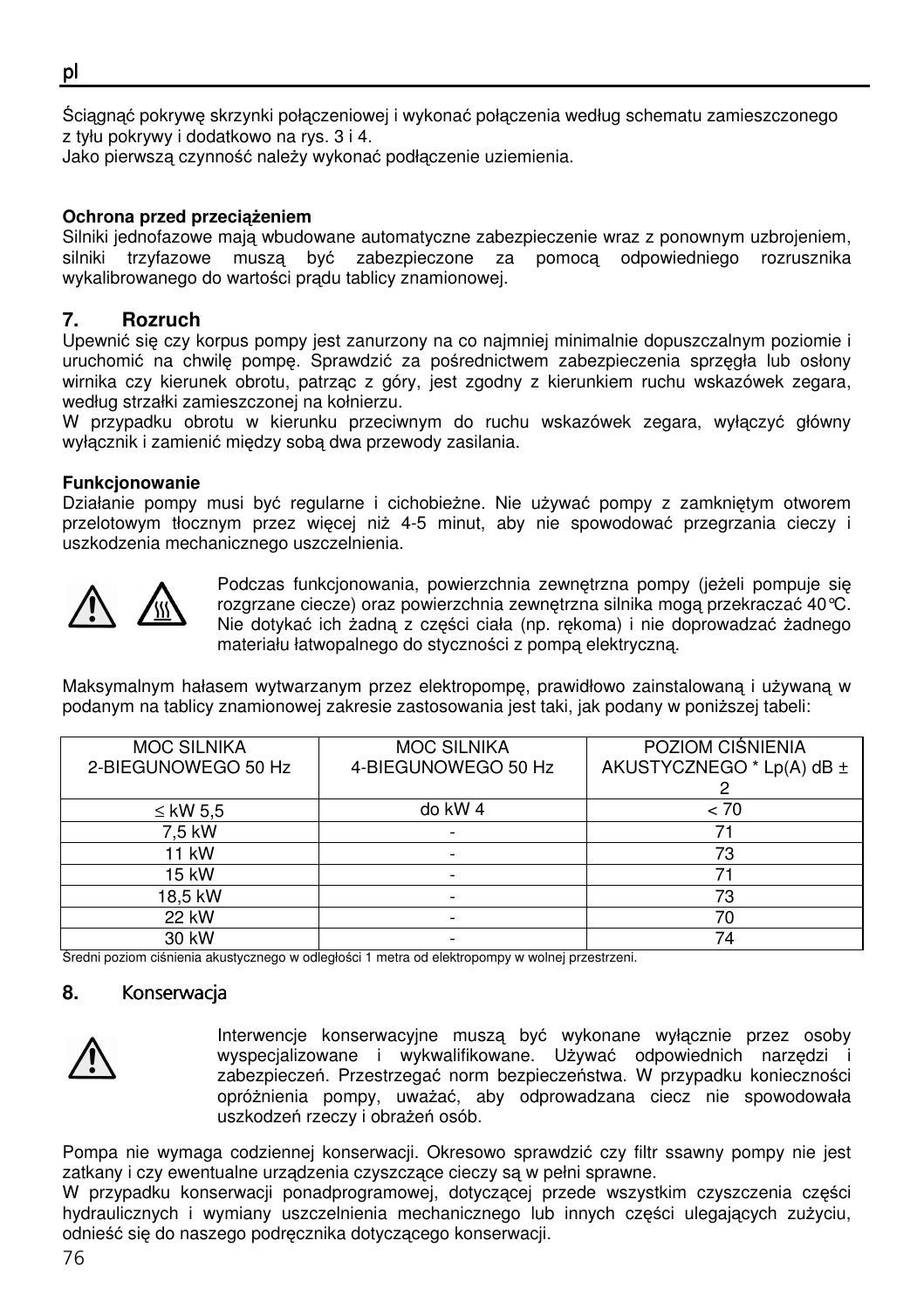Ściągnąć pokrywę skrzynki połączeniowej i wykonać połączenia według schematu zamieszczonego z tyłu pokrywy i dodatkowo na rys. 3 i 4.

Jako pierwszą czynność należy wykonać podłączenie uziemienia.

#### **Ochrona przed przeci**ąż**eniem**

Silniki jednofazowe mają wbudowane automatyczne zabezpieczenie wraz z ponownym uzbrojeniem, silniki trzyfazowe muszą być zabezpieczone za pomocą odpowiedniego rozrusznika wykalibrowanego do wartości prądu tablicy znamionowej.

## **7. Rozruch**

Upewnić się czy korpus pompy jest zanurzony na co najmniej minimalnie dopuszczalnym poziomie i uruchomić na chwilę pompę. Sprawdzić za pośrednictwem zabezpieczenia sprzęgła lub osłony wirnika czy kierunek obrotu, patrząc z góry, jest zgodny z kierunkiem ruchu wskazówek zegara, według strzałki zamieszczonej na kołnierzu.

W przypadku obrotu w kierunku przeciwnym do ruchu wskazówek zegara, wyłączyć główny wyłącznik i zamienić między sobą dwa przewody zasilania.

#### **Funkcjonowanie**

Działanie pompy musi być regularne i cichobieżne. Nie używać pompy z zamkniętym otworem przelotowym tłocznym przez więcej niż 4-5 minut, aby nie spowodować przegrzania cieczy i uszkodzenia mechanicznego uszczelnienia.



Podczas funkcjonowania, powierzchnia zewnętrzna pompy (jeżeli pompuje się rozgrzane ciecze) oraz powierzchnia zewnętrzna silnika mogą przekraczać 40°C. Nie dotykać ich żadną z części ciała (np. rękoma) i nie doprowadzać żadnego materiału łatwopalnego do styczności z pompą elektryczną.

Maksymalnym hałasem wytwarzanym przez elektropompę, prawidłowo zainstalowaną i używaną w podanym na tablicy znamionowej zakresie zastosowania jest taki, jak podany w poniższej tabeli:

| <b>MOC SILNIKA</b><br>2-BIEGUNOWEGO 50 Hz | <b>MOC SILNIKA</b><br>4-BIEGUNOWEGO 50 Hz | POZIOM CIŚNIENIA<br>AKUSTYCZNEGO * Lp(A) dB ± |
|-------------------------------------------|-------------------------------------------|-----------------------------------------------|
|                                           |                                           |                                               |
| ≤ kW 5.5                                  | do kW 4                                   | < 70                                          |
| 7,5 kW                                    |                                           |                                               |
| 11 kW                                     |                                           | 73                                            |
| 15 kW                                     |                                           |                                               |
| 18.5 kW                                   |                                           | 73                                            |
| 22 kW                                     |                                           | 70                                            |
| 30 kW                                     |                                           | 74                                            |

Średni poziom ciśnienia akustycznego w odległości 1 metra od elektropompy w wolnej przestrzeni.

### 8. Konserwacja



Interwencje konserwacyjne muszą być wykonane wyłącznie przez osoby wyspecjalizowane i wykwalifikowane. Używać odpowiednich narzędzi i zabezpieczeń. Przestrzegać norm bezpieczeństwa. W przypadku konieczności opróżnienia pompy, uważać, aby odprowadzana ciecz nie spowodowała uszkodzeń rzeczy i obrażeń osób.

Pompa nie wymaga codziennej konserwacji. Okresowo sprawdzić czy filtr ssawny pompy nie jest zatkany i czy ewentualne urządzenia czyszczące cieczy są w pełni sprawne.

W przypadku konserwacji ponadprogramowej, dotyczącej przede wszystkim czyszczenia części hydraulicznych i wymiany uszczelnienia mechanicznego lub innych części ulegających zużyciu, odnieść się do naszego podręcznika dotyczącego konserwacji.

pl ٦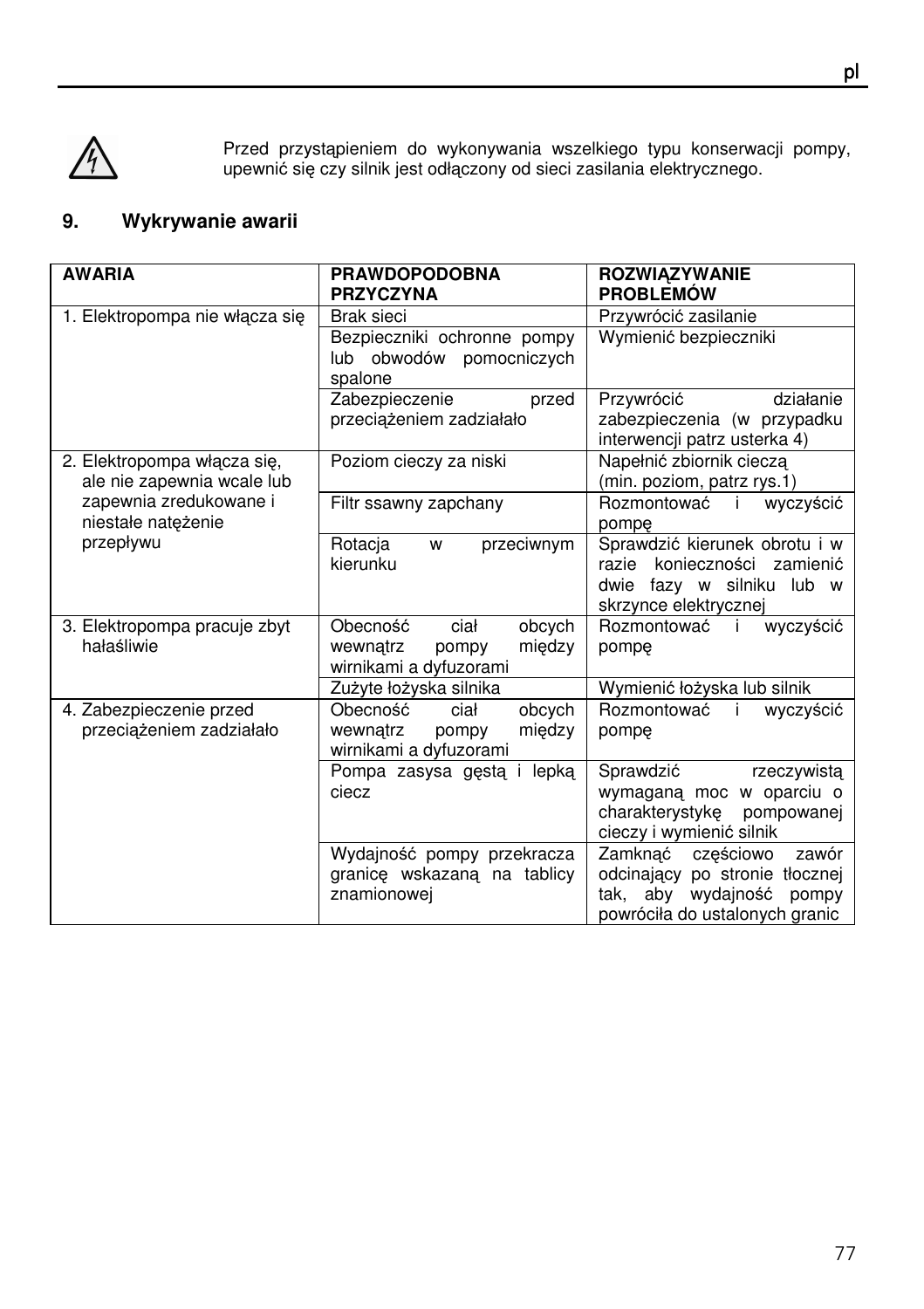

Przed przystąpieniem do wykonywania wszelkiego typu konserwacji pompy, upewnić się czy silnik jest odłączony od sieci zasilania elektrycznego.

# **9. Wykrywanie awarii**

| <b>AWARIA</b>                                             | <b>PRAWDOPODOBNA</b><br><b>PRZYCZYNA</b>                                            | <b>ROZWIAZYWANIE</b><br><b>PROBLEMÓW</b>                                                                                               |  |
|-----------------------------------------------------------|-------------------------------------------------------------------------------------|----------------------------------------------------------------------------------------------------------------------------------------|--|
| 1. Elektropompa nie włącza się                            | Brak sieci                                                                          | Przywrócić zasilanie                                                                                                                   |  |
|                                                           | Bezpieczniki ochronne pompy<br>lub obwodów pomocniczych<br>spalone                  | Wymienić bezpieczniki                                                                                                                  |  |
|                                                           | Zabezpieczenie<br>przed<br>przeciążeniem zadziałało                                 | Przywrócić<br>działanie<br>zabezpieczenia (w przypadku<br>interwencji patrz usterka 4)                                                 |  |
| 2. Elektropompa włącza się,<br>ale nie zapewnia wcale lub | Poziom cieczy za niski                                                              | Napełnić zbiornik cieczą<br>(min. poziom, patrz rys.1)                                                                                 |  |
| zapewnia zredukowane i<br>niestałe natężenie              | Filtr ssawny zapchany                                                               | Rozmontować i<br>wyczyścić<br>pompe                                                                                                    |  |
| przepływu                                                 | Rotacja<br>przeciwnym<br>W<br>kierunku                                              | Sprawdzić kierunek obrotu i w<br>razie konieczności zamienić<br>dwie fazy w silniku lub w<br>skrzynce elektrycznej                     |  |
| 3. Elektropompa pracuje zbyt<br>hałaśliwie                | Obecność<br>ciał<br>obcych<br>miedzy<br>wewnątrz<br>pompy<br>wirnikami a dyfuzorami | Rozmontować i<br>wyczyścić<br>pompe                                                                                                    |  |
|                                                           | Zużyte łożyska silnika                                                              | Wymienić łożyska lub silnik                                                                                                            |  |
| 4. Zabezpieczenie przed<br>przeciążeniem zadziałało       | Obecność<br>ciał<br>obcych<br>między<br>wewnatrz<br>pompy<br>wirnikami a dyfuzorami | Rozmontować<br>wyczyścić<br>Ť<br>pompe                                                                                                 |  |
|                                                           | Pompa zasysa gęstą i lepką<br>ciecz                                                 | Sprawdzić<br>rzeczywistą<br>wymaganą moc w oparciu o<br>charakterystykę pompowanej<br>cieczy i wymienić silnik                         |  |
|                                                           | Wydajność pompy przekracza<br>granice wskazana na tablicy<br>znamionowej            | Zamknać<br>częściowo<br>zawór<br>odcinający po stronie tłocznej<br>aby<br>wydajność<br>tak.<br>pompy<br>powróciła do ustalonych granic |  |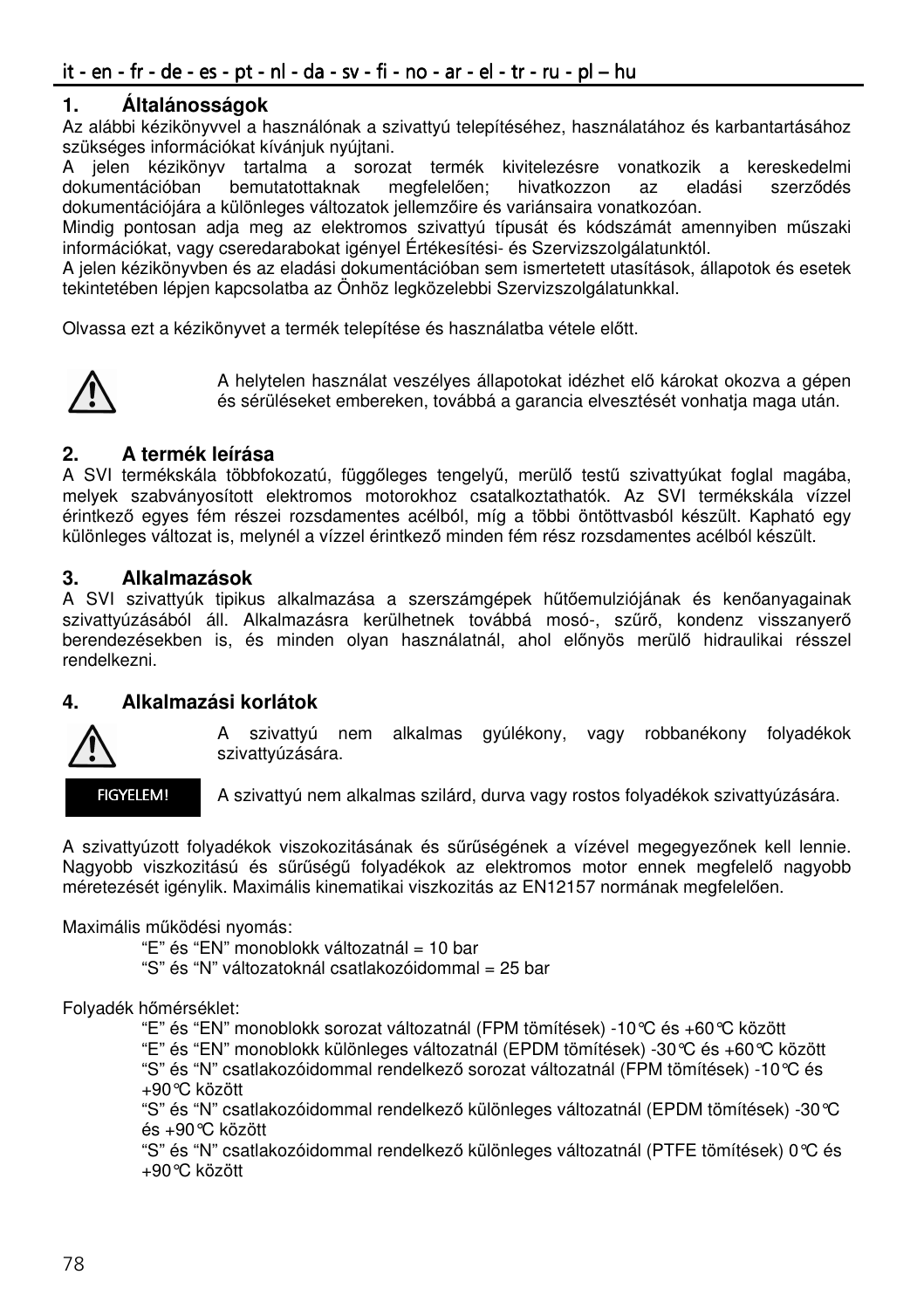## **1. Általánosságok**

Az alábbi kézikönyvvel a használónak a szivattyú telepítéséhez, használatához és karbantartásához szükséges információkat kívánjuk nyújtani.

A jelen kézikönyv tartalma a sorozat termék kivitelezésre vonatkozik a kereskedelmi dokumentációban bemutatottaknak megfelelően; hivatkozzon az eladási szerződés dokumentációjára a különleges változatok jellemzőire és variánsaira vonatkozóan.

Mindig pontosan adja meg az elektromos szivattyú típusát és kódszámát amennyiben műszaki információkat, vagy cseredarabokat igényel Értékesítési- és Szervizszolgálatunktól.

A jelen kézikönyvben és az eladási dokumentációban sem ismertetett utasítások, állapotok és esetek tekintetében lépjen kapcsolatba az Önhöz legközelebbi Szervizszolgálatunkkal.

Olvassa ezt a kézikönyvet a termék telepítése és használatba vétele előtt.



A helytelen használat veszélyes állapotokat idézhet elő károkat okozva a gépen és sérüléseket embereken, továbbá a garancia elvesztését vonhatja maga után.

## **2. A termék leírása**

A SVI termékskála többfokozatú, függőleges tengelyű, merülő testű szivattyúkat foglal magába, melyek szabványosított elektromos motorokhoz csatalkoztathatók. Az SVI termékskála vízzel érintkező egyes fém részei rozsdamentes acélból, míg a többi öntöttvasból készült. Kapható egy különleges változat is, melynél a vízzel érintkező minden fém rész rozsdamentes acélból készült.

### **3. Alkalmazások**

A SVI szivattyúk tipikus alkalmazása a szerszámgépek hűtőemulziójának és kenőanyagainak szivattyúzásából áll. Alkalmazásra kerülhetnek továbbá mosó-, szűrő, kondenz visszanyerő berendezésekben is, és minden olyan használatnál, ahol előnyös merülő hidraulikai résszel rendelkezni.

### **4. Alkalmazási korlátok**



A szivattyú nem alkalmas gyúlékony, vagy robbanékony folyadékok szivattyúzására.

FIGYELEM!

A szivattyú nem alkalmas szilárd, durva vagy rostos folyadékok szivattyúzására.

A szivattyúzott folyadékok viszokozitásának és sűrűségének a vízével megegyezőnek kell lennie. Nagyobb viszkozitású és sűrűségű folyadékok az elektromos motor ennek megfelelő nagyobb méretezését igénylik. Maximális kinematikai viszkozitás az EN12157 normának megfelelően.

Maximális működési nyomás:

"E" és "EN" monoblokk változatnál = 10 bar

"S" és "N" változatoknál csatlakozóidommal = 25 bar

Folyadék hőmérséklet:

"E" és "EN" monoblokk sorozat változatnál (FPM tömítések) -10°C és +60°C között

"E" és "EN" monoblokk különleges változatnál (EPDM tömítések) -30°C és +60°C között

 "S" és "N" csatlakozóidommal rendelkező sorozat változatnál (FPM tömítések) -10°C és +90°C között

 "S" és "N" csatlakozóidommal rendelkező különleges változatnál (EPDM tömítések) -30°C és +90°C között

 "S" és "N" csatlakozóidommal rendelkező különleges változatnál (PTFE tömítések) 0°C és +90°C között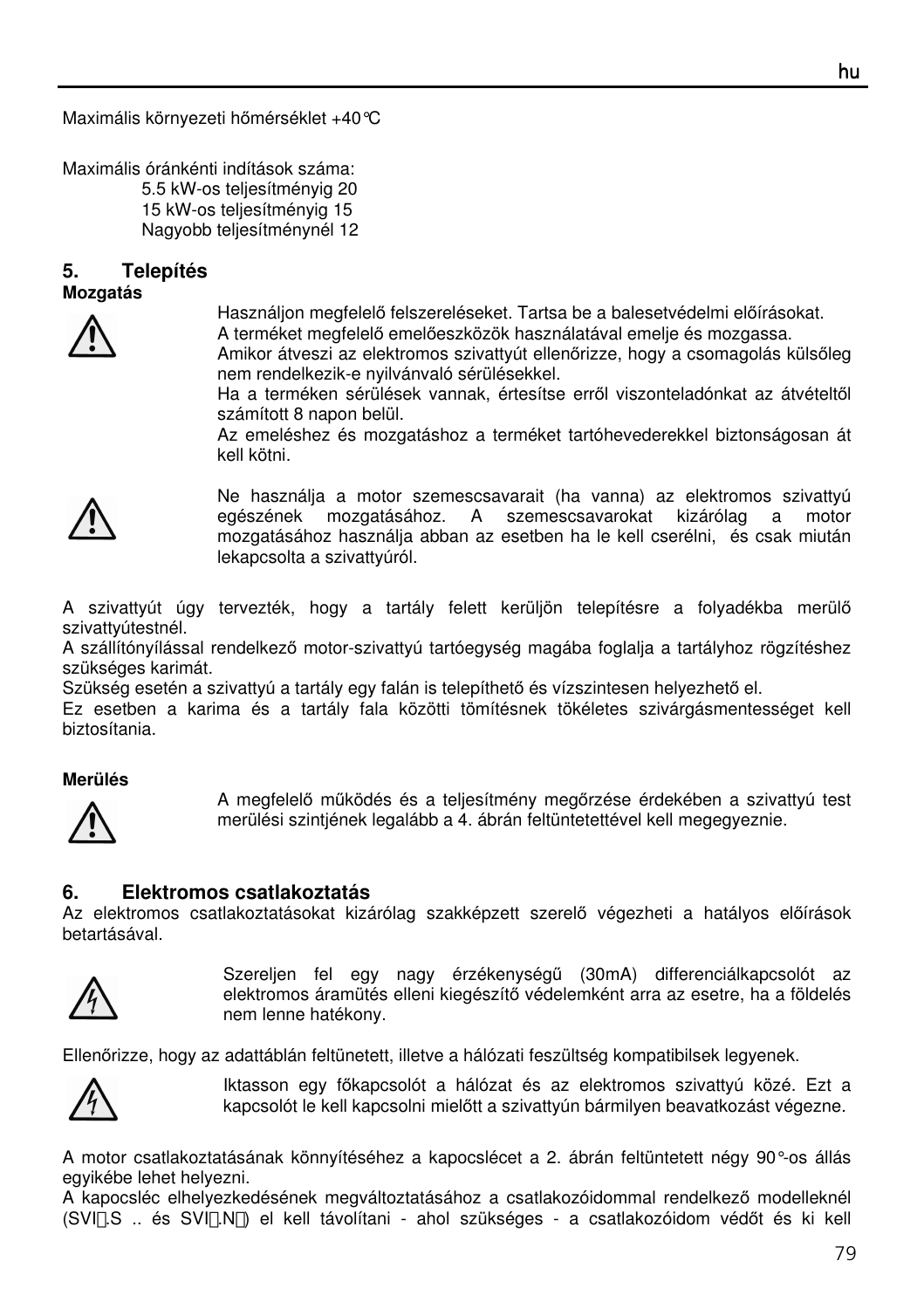Maximális környezeti hőmérséklet +40°C

Maximális óránkénti indítások száma: 5.5 kW-os teljesítményig 20 15 kW-os teljesítményig 15 Nagyobb teljesítménynél 12

#### **5. Telepítés Mozgatás**



Használjon megfelelő felszereléseket. Tartsa be a balesetvédelmi előírásokat.

A terméket megfelelő emelőeszközök használatával emelje és mozgassa.

Amikor átveszi az elektromos szivattyút ellenőrizze, hogy a csomagolás külsőleg nem rendelkezik-e nyilvánvaló sérülésekkel.

Ha a terméken sérülések vannak, értesítse erről viszonteladónkat az átvételtől számított 8 napon belül.

Az emeléshez és mozgatáshoz a terméket tartóhevederekkel biztonságosan át kell kötni.



Ne használja a motor szemescsavarait (ha vanna) az elektromos szivattyú egészének mozgatásához. A szemescsavarokat kizárólag a motor mozgatásához használja abban az esetben ha le kell cserélni, és csak miután lekapcsolta a szivattyúról.

A szivattyút úgy tervezték, hogy a tartály felett kerüljön telepítésre a folyadékba merülő szivattyútestnél.

A szállítónyílással rendelkező motor-szivattyú tartóegység magába foglalja a tartályhoz rögzítéshez szükséges karimát.

Szükség esetén a szivattyú a tartály egy falán is telepíthető és vízszintesen helyezhető el.

Ez esetben a karima és a tartály fala közötti tömítésnek tökéletes szivárgásmentességet kell biztosítania.

#### **Merülés**



A megfelelő működés és a teljesítmény megőrzése érdekében a szivattyú test merülési szintjének legalább a 4. ábrán feltüntetettével kell megegyeznie.

#### **6. Elektromos csatlakoztatás**

Az elektromos csatlakoztatásokat kizárólag szakképzett szerelő végezheti a hatályos előírások betartásával.



Szereljen fel egy nagy érzékenységű (30mA) differenciálkapcsolót az elektromos áramütés elleni kiegészítő védelemként arra az esetre, ha a földelés nem lenne hatékony.

Ellenőrizze, hogy az adattáblán feltünetett, illetve a hálózati feszültség kompatibilsek legyenek.



Iktasson egy főkapcsolót a hálózat és az elektromos szivattyú közé. Ezt a kapcsolót le kell kapcsolni mielőtt a szivattyún bármilyen beavatkozást végezne.

A motor csatlakoztatásának könnyítéséhez a kapocslécet a 2. ábrán feltüntetett négy 90°-os állás egyikébe lehet helyezni.

A kapocsléc elhelyezkedésének megváltoztatásához a csatlakozóidommal rendelkező modelleknél (SVI.S .. és SVI.N) el kell távolítani - ahol szükséges - a csatlakozóidom védőt és ki kell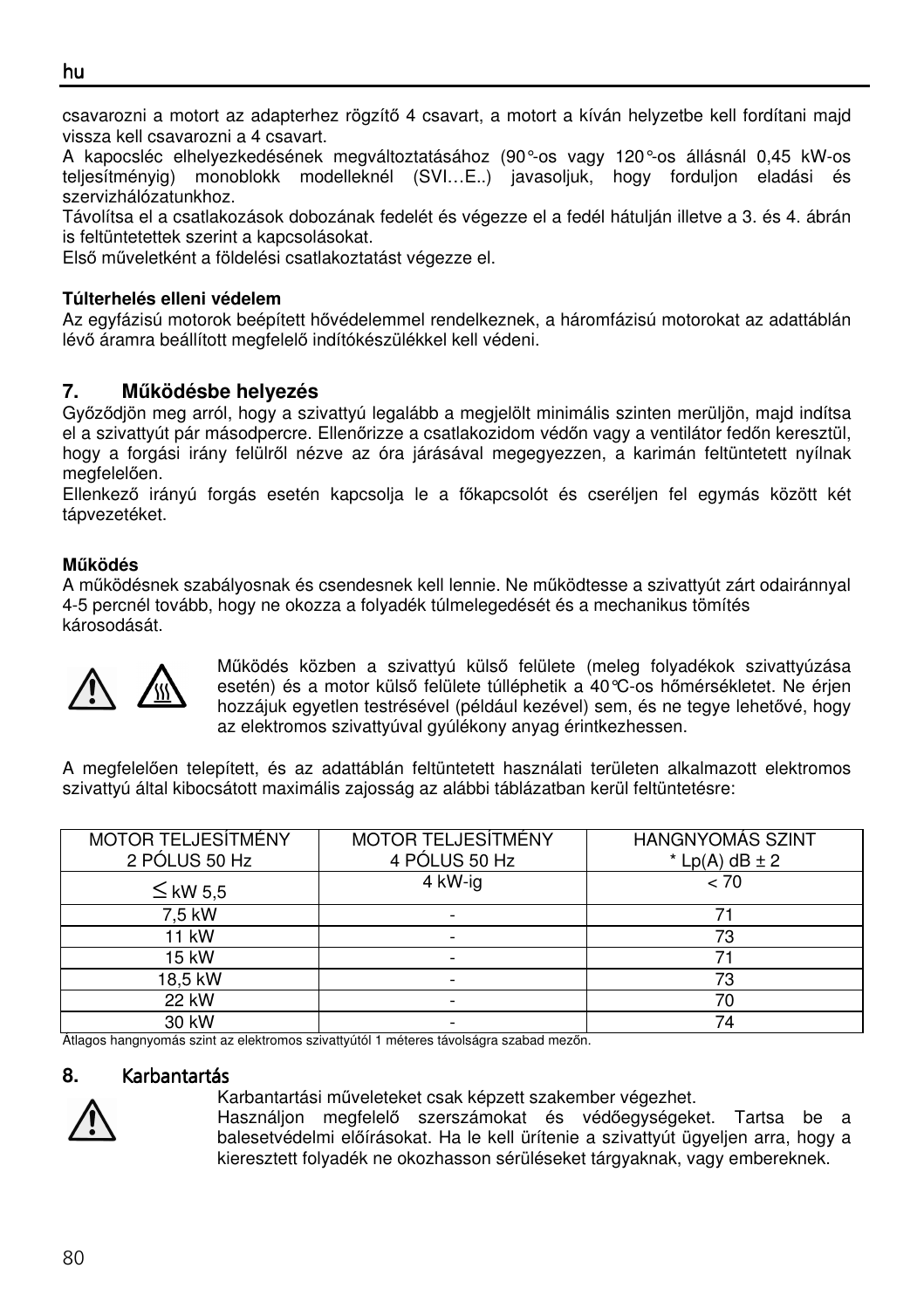٦ csavarozni a motort az adapterhez rögzítő 4 csavart, a motort a kíván helyzetbe kell fordítani majd vissza kell csavarozni a 4 csavart.

A kapocsléc elhelyezkedésének megváltoztatásához (90°-os vagy 120°-os állásnál 0,45 kW-os teljesítményig) monoblokk modelleknél (SVI…E..) javasoljuk, hogy forduljon eladási és szervizhálózatunkhoz.

Távolítsa el a csatlakozások dobozának fedelét és végezze el a fedél hátulján illetve a 3. és 4. ábrán is feltüntetettek szerint a kapcsolásokat.

Első műveletként a földelési csatlakoztatást végezze el.

### **Túlterhelés elleni védelem**

Az egyfázisú motorok beépített hővédelemmel rendelkeznek, a háromfázisú motorokat az adattáblán lévő áramra beállított megfelelő indítókészülékkel kell védeni.

# **7. M**ű**ködésbe helyezés**

Győződjön meg arról, hogy a szivattyú legalább a megjelölt minimális szinten merüljön, majd indítsa el a szivattyút pár másodpercre. Ellenőrizze a csatlakozidom védőn vagy a ventilátor fedőn keresztül, hogy a forgási irány felülről nézve az óra járásával megegyezzen, a karimán feltüntetett nyílnak megfelelően.

Ellenkező irányú forgás esetén kapcsolja le a főkapcsolót és cseréljen fel egymás között két tápvezetéket.

### **M**ű**ködés**

A működésnek szabályosnak és csendesnek kell lennie. Ne működtesse a szivattyút zárt odairánnyal 4-5 percnél tovább, hogy ne okozza a folyadék túlmelegedését és a mechanikus tömítés károsodását.



Működés közben a szivattyú külső felülete (meleg folyadékok szivattyúzása esetén) és a motor külső felülete túlléphetik a 40°C-os hőmérsékletet. Ne érjen hozzájuk egyetlen testrésével (például kezével) sem, és ne tegye lehetővé, hogy az elektromos szivattyúval gyúlékony anyag érintkezhessen.

A megfelelően telepített, és az adattáblán feltüntetett használati területen alkalmazott elektromos szivattyú által kibocsátott maximális zajosság az alábbi táblázatban kerül feltüntetésre:

| <b>MOTOR TELJESÍTMÉNY</b> | <b>MOTOR TELJESÍTMÉNY</b> | <b>HANGNYOMÁS SZINT</b> |  |
|---------------------------|---------------------------|-------------------------|--|
| 2 PÓLUS 50 Hz             | 4 PÓLUS 50 Hz             | $*$ Lp(A) dB $\pm$ 2    |  |
| $\leq$ kW 5.5             | 4 kW-ig                   | < 70                    |  |
| 7.5 kW                    |                           |                         |  |
| 11 kW                     |                           | 73                      |  |
| 15 kW                     |                           |                         |  |
| 18,5 kW                   |                           | 73                      |  |
| 22 kW                     | $\overline{\phantom{a}}$  | 70                      |  |
| 30 kW                     | -                         | 74                      |  |

Átlagos hangnyomás szint az elektromos szivattyútól 1 méteres távolságra szabad mezőn.

### 8. Karbantartás



Karbantartási műveleteket csak képzett szakember végezhet.

Használjon megfelelő szerszámokat és védőegységeket. Tartsa be a balesetvédelmi előírásokat. Ha le kell ürítenie a szivattyút ügyeljen arra, hogy a kieresztett folyadék ne okozhasson sérüléseket tárgyaknak, vagy embereknek.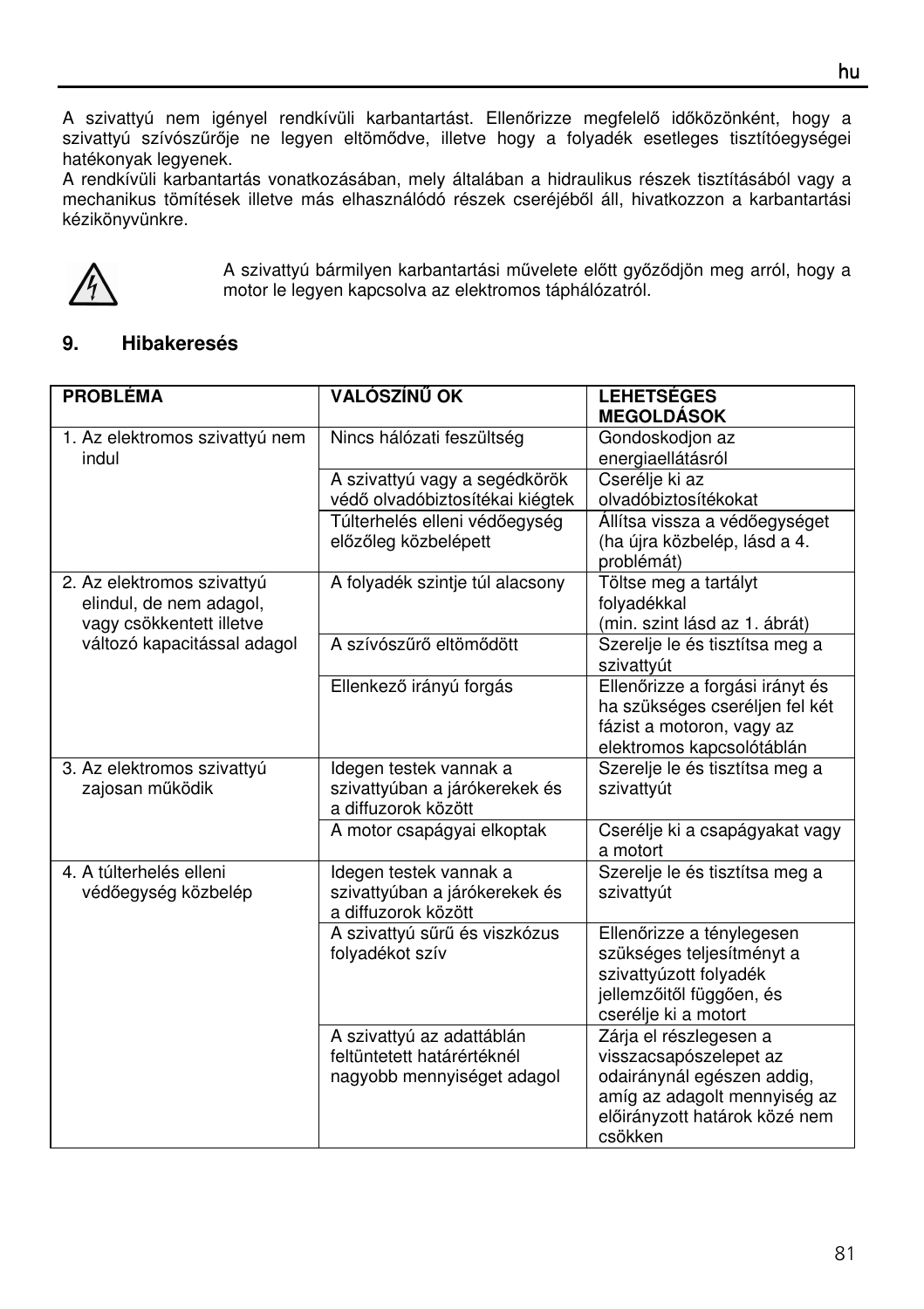A szivattyú nem igényel rendkívüli karbantartást. Ellenőrizze megfelelő időközönként, hogy a szivattyú szívószűrője ne legyen eltömődve, illetve hogy a folyadék esetleges tisztítóegységei hatékonyak legyenek.

A rendkívüli karbantartás vonatkozásában, mely általában a hidraulikus részek tisztításából vagy a mechanikus tömítések illetve más elhasználódó részek cseréjéből áll, hivatkozzon a karbantartási kézikönyvünkre.



A szivattyú bármilyen karbantartási művelete előtt győződjön meg arról, hogy a motor le legyen kapcsolva az elektromos táphálózatról.

## **9. Hibakeresés**

| <b>PROBLÉMA</b>                                                                   | VALÓSZÍNŰ OK                                                                          | <b>LEHETSÉGES</b>                                                                                                                                          |  |
|-----------------------------------------------------------------------------------|---------------------------------------------------------------------------------------|------------------------------------------------------------------------------------------------------------------------------------------------------------|--|
| 1. Az elektromos szivattyú nem<br>indul                                           | Nincs hálózati feszültség                                                             | <b>MEGOLDÁSOK</b><br>Gondoskodjon az<br>energiaellátásról                                                                                                  |  |
|                                                                                   | A szivattyú vagy a segédkörök<br>védő olvadóbiztosítékai kiégtek                      | Cserélie ki az<br>olvadóbiztosítékokat                                                                                                                     |  |
|                                                                                   | Túlterhelés elleni védőegység<br>előzőleg közbelépett                                 | Állítsa vissza a védőegységet<br>(ha újra közbelép, lásd a 4.<br>problémát)                                                                                |  |
| 2. Az elektromos szivattyú<br>elindul, de nem adagol,<br>vagy csökkentett illetve | A folyadék szintje túl alacsony                                                       | Töltse meg a tartályt<br>folyadékkal<br>(min. szint lásd az 1. ábrát)                                                                                      |  |
| változó kapacitással adagol                                                       | A szívószűrő eltömődött                                                               | Szerelje le és tisztítsa meg a<br>szivattyút                                                                                                               |  |
|                                                                                   | Ellenkező irányú forgás                                                               | Ellenőrizze a forgási irányt és<br>ha szükséges cseréljen fel két<br>fázist a motoron, vagy az<br>elektromos kapcsolótáblán                                |  |
| 3. Az elektromos szivattyú<br>zajosan működik                                     | Idegen testek vannak a<br>szivattyúban a járókerekek és<br>a diffuzorok között        | Szerelje le és tisztítsa meg a<br>szivattyút                                                                                                               |  |
|                                                                                   | A motor csapágyai elkoptak                                                            | Cserélje ki a csapágyakat vagy<br>a motort                                                                                                                 |  |
| 4. A túlterhelés elleni<br>védőegység közbelép                                    | Idegen testek vannak a<br>szivattyúban a járókerekek és<br>a diffuzorok között        | Szerelje le és tisztítsa meg a<br>szivattvút                                                                                                               |  |
|                                                                                   | A szivattyú sűrű és viszkózus<br>folyadékot szív                                      | Ellenőrizze a ténylegesen<br>szükséges teljesítményt a<br>szivattyúzott folyadék<br>jellemzőitől függően, és<br>cserélje ki a motort                       |  |
|                                                                                   | A szivattyú az adattáblán<br>feltüntetett határértéknél<br>nagyobb mennyiséget adagol | Zárja el részlegesen a<br>visszacsapószelepet az<br>odairánynál egészen addig,<br>amíg az adagolt mennyiség az<br>előirányzott határok közé nem<br>csökken |  |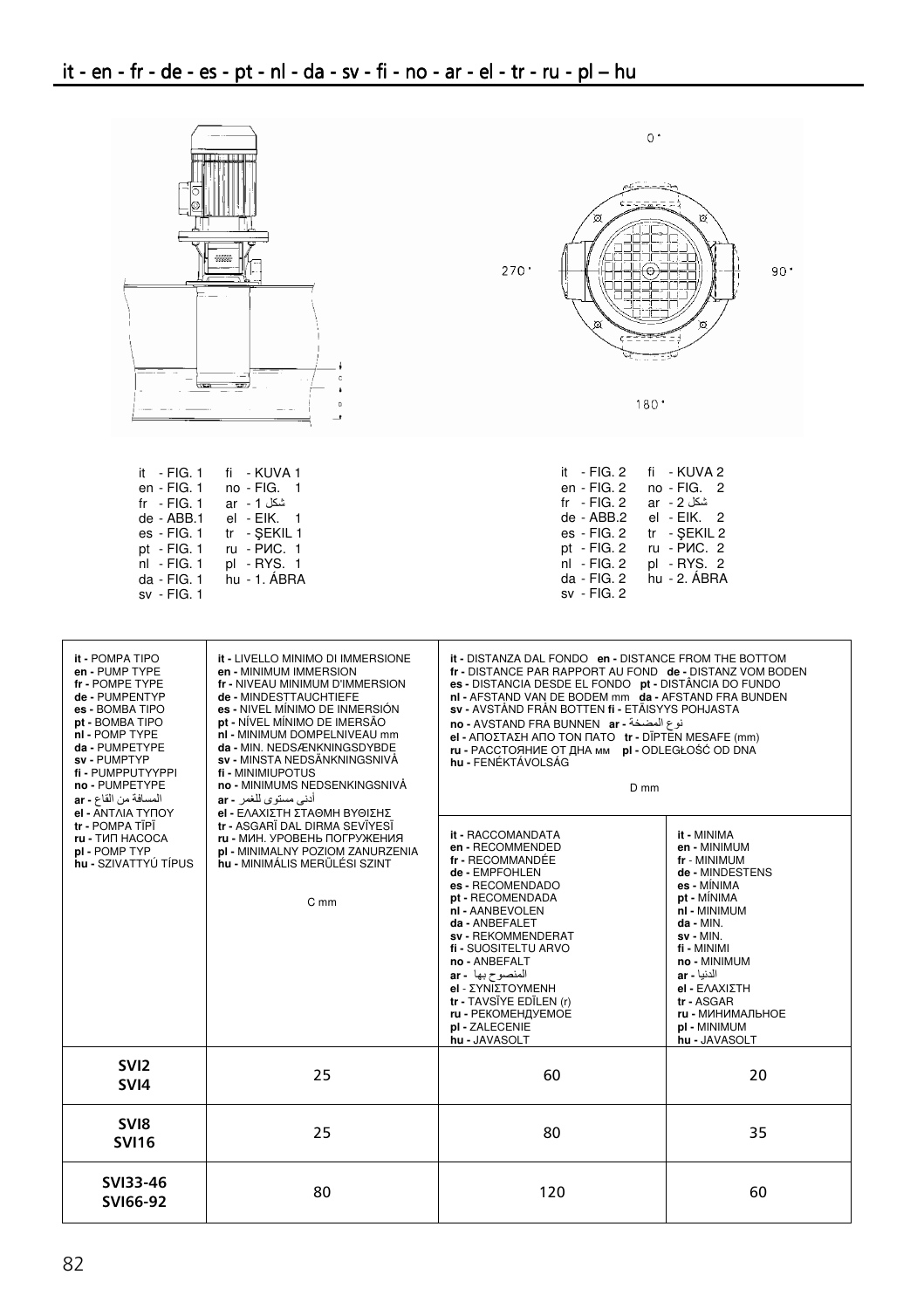| त्क                                                                                                                                                                                                                                                   | TЕT<br>4888<br><b>TIT</b><br>$\overline{a}$                                                                                                                                                                                                                                                                                                                                                              | $0^+$<br>∞<br>$270$ <sup>*</sup><br>180.7                                                                                                                                                                                                                                                                                                                                                                                                                                  | 90.                                                                                                                         |
|-------------------------------------------------------------------------------------------------------------------------------------------------------------------------------------------------------------------------------------------------------|----------------------------------------------------------------------------------------------------------------------------------------------------------------------------------------------------------------------------------------------------------------------------------------------------------------------------------------------------------------------------------------------------------|----------------------------------------------------------------------------------------------------------------------------------------------------------------------------------------------------------------------------------------------------------------------------------------------------------------------------------------------------------------------------------------------------------------------------------------------------------------------------|-----------------------------------------------------------------------------------------------------------------------------|
| it - FIG. 1<br>en - FIG. 1<br>fr $-$ FIG. 1<br>de - ABB.1<br>es - FIG. 1<br>pt - FIG. $1$<br>nl - FIG. 1<br>da - FIG. 1<br>sv - FIG. 1                                                                                                                | fi - KUVA 1<br>no - FIG. 1<br>ar - 1 شكل<br>el - EIK.<br>tr - SEKIL 1<br>ru - PIC. 1<br>pl - RYS. 1<br>hu - 1. ÁBRA                                                                                                                                                                                                                                                                                      | it - $FIG. 2$<br>en - FIG. 2<br>$fr - FIG. 2$<br>de - ABB.2<br>es - FIG. 2<br>pt - FIG. 2<br>nl - FIG. 2<br>da - FIG. 2<br>sv - FIG. 2                                                                                                                                                                                                                                                                                                                                     | fi - KUVA 2<br>no - FIG.<br>2<br>ar - 2 شكل<br>el - EIK.<br>2<br>tr - SEKIL 2<br>ru - PIC. 2<br>pl - RYS. 2<br>hu - 2. ABRA |
| it - POMPA TIPO<br>en - PUMP TYPE<br>fr - POMPE TYPE<br>de - PUMPENTYP<br>es - BOMBA TIPO<br>pt - BOMBA TIPO<br>nl - POMP TYPE<br>da - PUMPETYPE<br>sv - PUMPTYP<br>fi - PUMPPUTYYPPI<br>no - PUMPETYPE<br>المسافة من القاع - ar<br>el - ANTAIA TYΠOY | it - LIVELLO MINIMO DI IMMERSIONE<br>en - MINIMUM IMMERSION<br>fr - NIVEAU MINIMUM D'IMMERSION<br>de - MINDESTTAUCHTIEFE<br>es - NIVEL MÍNIMO DE INMERSIÓN<br>pt - NÍVEL MÍNIMO DE IMERSÃO<br>nl - MINIMUM DOMPELNIVEAU mm<br>da - MIN. NEDSÆNKNINGSDYBDE<br>sv - MINSTA NEDSÄNKNINGSNIVÅ<br>fi - MINIMIUPOTUS<br>no - MINIMUMS NEDSENKINGSNIVÅ<br>أدني مستوى للغمر - ar<br>el - ΕΛΑΧΙΣΤΗ ΣΤΑΘΜΗ ΒΥΘΙΣΗΣ | it - DISTANZA DAL FONDO en - DISTANCE FROM THE BOTTOM<br>fr - DISTANCE PAR RAPPORT AU FOND de - DISTANZ VOM BODEN<br>es - DISTANCIA DESDE EL FONDO pt - DISTÂNCIA DO FUNDO<br>ni - AFSTAND VAN DE BODEM mm da - AFSTAND FRA BUNDEN<br>sv - AVSTÅND FRÅN BOTTEN fi - ETÄISYYS POHJASTA<br>iو ع المضخة - no - AVSTAND FRA BUNNEN ar<br>el - ΑΠΟΣΤΑΣΗ ΑΠΟ ΤΟΝ ΠΑΤΟ tr - DĪPTEN MESAFE (mm)<br>ru - РАССТОЯНИЕ ОТ ДНА мм pl - ODLEGŁOŚĆ OD DNA<br>hu - FENÉKTÁVOLSÁG<br>$D$ mm |                                                                                                                             |
| tr - POMPA TÏPÏ<br>tr - ASGARĪ DAL DIRMA SEVĪYESĪ<br><b>ru - TIAT HACOCA</b><br>ru - МИН. УРОВЕНЬ ПОГРУЖЕНИЯ<br>pl - POMP TYP<br>pl - MINIMALNY POZIOM ZANURZENIA<br>hu - SZIVATTYÚ TÍPUS<br>hu - MINIMÁLIS MERÜLÉSI SZINT<br>C mm                    | it - RACCOMANDATA<br>en - RECOMMENDED<br>fr - RECOMMANDÉE<br>de - EMPFOHLEN<br>es - RECOMENDADO<br>pt - RECOMENDADA<br>nI - AANBEVOLEN<br>da - ANBEFALET<br>sv - REKOMMENDERAT<br>fi - SUOSITELTU ARVO<br>no - ANBEFALT<br>ar - المنصوح بها<br>el - ΣΥΝΙΣΤΟΥΜΕΝΗ<br>tr - TAVSÏYE EDÏLEN (r)<br>ru - РЕКОМЕНДУЕМОЕ<br>pl - ZALECENIE<br>hu - JAVASOLT                                                     | it - MINIMA<br>en - MINIMUM<br>fr - MINIMUM<br>de - MINDESTENS<br>es - MÍNIMA<br>pt - MÍNIMA<br>nl - MINIMUM<br>da - MIN.<br>sv - MIN.<br>fi - MINIMI<br>no - MINIMUM<br>ar - الدنيا<br>el - ΕΛΑΧΙΣΤΗ<br>tr - ASGAR<br>ru - МИНИМАЛЬНОЕ<br>pl - MINIMUM<br>hu - JAVASOLT                                                                                                                                                                                                   |                                                                                                                             |
| SVI <sub>2</sub><br>SVI4                                                                                                                                                                                                                              | 25                                                                                                                                                                                                                                                                                                                                                                                                       | 60                                                                                                                                                                                                                                                                                                                                                                                                                                                                         | 20                                                                                                                          |
| SVI8<br><b>SVI16</b>                                                                                                                                                                                                                                  | 25                                                                                                                                                                                                                                                                                                                                                                                                       | 80                                                                                                                                                                                                                                                                                                                                                                                                                                                                         | 35                                                                                                                          |
| SVI33-46<br>SVI66-92                                                                                                                                                                                                                                  | 80                                                                                                                                                                                                                                                                                                                                                                                                       | 120                                                                                                                                                                                                                                                                                                                                                                                                                                                                        | 60                                                                                                                          |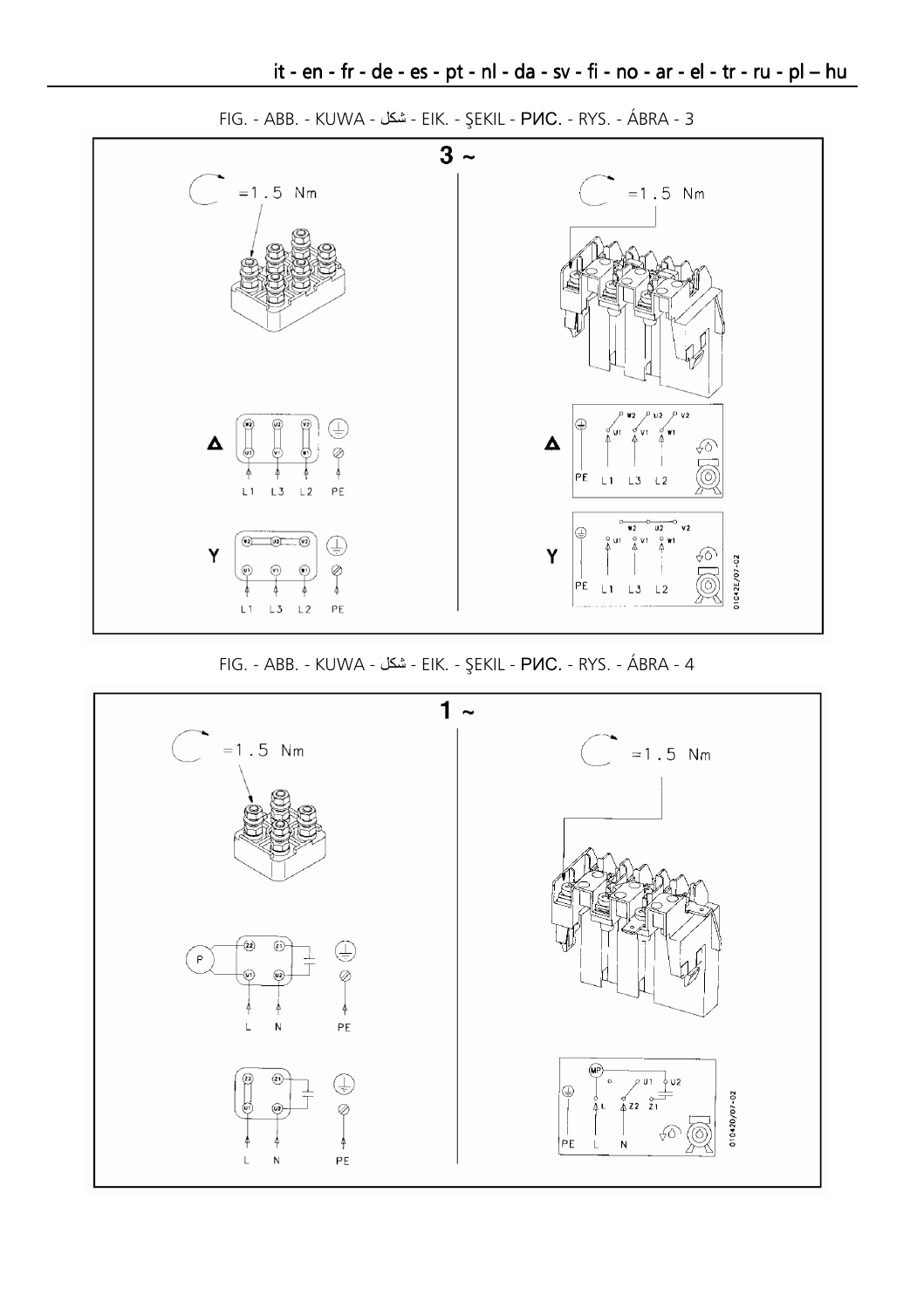

FIG. - ABB. - KUWA - شكل - EIK. - ŞEKIL - PIC. - RYS. - ÁBRA - 3

FIG. - ABB. - KUWA - شكل - EIK. - ŞEKIL - PVC. - RYS. - ÁBRA - 4